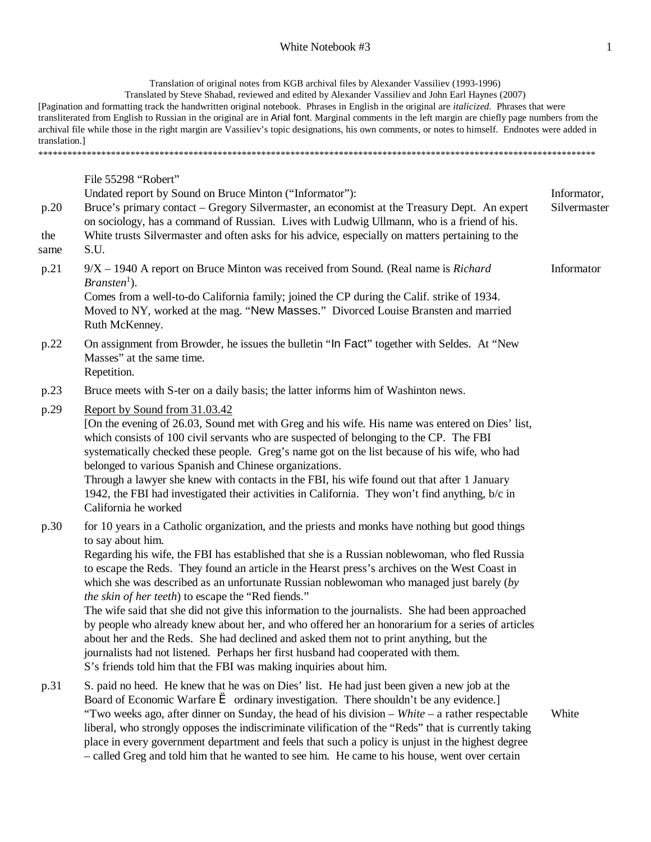# White Notebook #3 1

Translation of original notes from KGB archival files by Alexander Vassiliev (1993-1996)

Translated by Steve Shabad, reviewed and edited by Alexander Vassiliev and John Earl Haynes (2007) [Pagination and formatting track the handwritten original notebook. Phrases in English in the original are *italicized*. Phrases that were transliterated from English to Russian in the original are in Arial font. Marginal comments in the left margin are chiefly page numbers from the archival file while those in the right margin are Vassiliev's topic designations, his own comments, or notes to himself. Endnotes were added in translation.]

\*\*\*\*\*\*\*\*\*\*\*\*\*\*\*\*\*\*\*\*\*\*\*\*\*\*\*\*\*\*\*\*\*\*\*\*\*\*\*\*\*\*\*\*\*\*\*\*\*\*\*\*\*\*\*\*\*\*\*\*\*\*\*\*\*\*\*\*\*\*\*\*\*\*\*\*\*\*\*\*\*\*\*\*\*\*\*\*\*\*\*\*\*\*\*\*\*\*\*\*\*\*\*\*\*\*\*\*\*\*\*\*\*\*\*

p.20 the same File 55298 "Robert" Undated report by Sound on Bruce Minton ("Informator"): Bruce's primary contact – Gregory Silvermaster, an economist at the Treasury Dept. An expert on sociology, has a command of Russian. Lives with Ludwig Ullmann, who is a friend of his. White trusts Silvermaster and often asks for his advice, especially on matters pertaining to the S.U. Informator, Silvermaster p.21 9/X – 1940 A report on Bruce Minton was received from Sound. (Real name is *Richard*   $Branch<sup>1</sup>$ ). Comes from a well-to-do California family; joined the CP during the Calif. strike of 1934. Moved to NY, worked at the mag. "New Masses." Divorced Louise Bransten and married Ruth McKenney. Informator p.22 On assignment from Browder, he issues the bulletin "In Fact" together with Seldes. At "New Masses" at the same time. Repetition. p.23 Bruce meets with S-ter on a daily basis; the latter informs him of Washinton news. p.29 Report by Sound from 31.03.42 [On the evening of 26.03, Sound met with Greg and his wife. His name was entered on Dies' list, which consists of 100 civil servants who are suspected of belonging to the CP. The FBI systematically checked these people. Greg's name got on the list because of his wife, who had belonged to various Spanish and Chinese organizations. Through a lawyer she knew with contacts in the FBI, his wife found out that after 1 January 1942, the FBI had investigated their activities in California. They won't find anything, b/c in California he worked p.30 for 10 years in a Catholic organization, and the priests and monks have nothing but good things to say about him. Regarding his wife, the FBI has established that she is a Russian noblewoman, who fled Russia to escape the Reds. They found an article in the Hearst press's archives on the West Coast in which she was described as an unfortunate Russian noblewoman who managed just barely (*by the skin of her teeth*) to escape the "Red fiends." The wife said that she did not give this information to the journalists. She had been approached by people who already knew about her, and who offered her an honorarium for a series of articles about her and the Reds. She had declined and asked them not to print anything, but the journalists had not listened. Perhaps her first husband had cooperated with them. S's friends told him that the FBI was making inquiries about him. p.31 S. paid no heed. He knew that he was on Dies' list. He had just been given a new job at the

Board of Economic Warfare  $\triangle$  ordinary investigation. There shouldn't be any evidence.] "Two weeks ago, after dinner on Sunday, the head of his division – *White* – a rather respectable liberal, who strongly opposes the indiscriminate vilification of the "Reds" that is currently taking place in every government department and feels that such a policy is unjust in the highest degree – called Greg and told him that he wanted to see him. He came to his house, went over certain **White**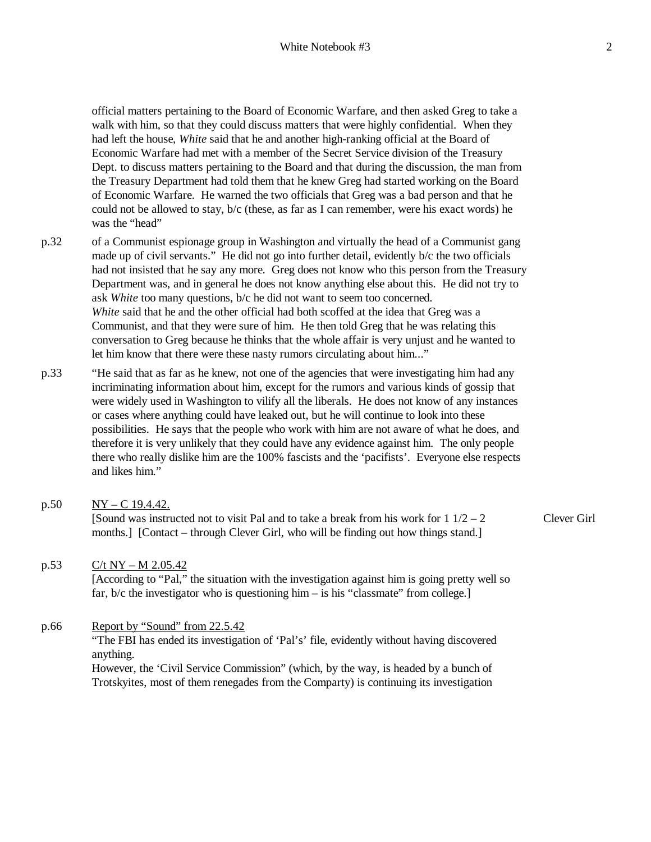official matters pertaining to the Board of Economic Warfare, and then asked Greg to take a walk with him, so that they could discuss matters that were highly confidential. When they had left the house, *White* said that he and another high-ranking official at the Board of Economic Warfare had met with a member of the Secret Service division of the Treasury Dept. to discuss matters pertaining to the Board and that during the discussion, the man from the Treasury Department had told them that he knew Greg had started working on the Board of Economic Warfare. He warned the two officials that Greg was a bad person and that he could not be allowed to stay,  $b/c$  (these, as far as I can remember, were his exact words) he was the "head"

- p.32 of a Communist espionage group in Washington and virtually the head of a Communist gang made up of civil servants." He did not go into further detail, evidently b/c the two officials had not insisted that he say any more. Greg does not know who this person from the Treasury Department was, and in general he does not know anything else about this. He did not try to ask *White* too many questions, b/c he did not want to seem too concerned. *White* said that he and the other official had both scoffed at the idea that Greg was a Communist, and that they were sure of him. He then told Greg that he was relating this conversation to Greg because he thinks that the whole affair is very unjust and he wanted to let him know that there were these nasty rumors circulating about him..."
- p.33 "He said that as far as he knew, not one of the agencies that were investigating him had any incriminating information about him, except for the rumors and various kinds of gossip that were widely used in Washington to vilify all the liberals. He does not know of any instances or cases where anything could have leaked out, but he will continue to look into these possibilities. He says that the people who work with him are not aware of what he does, and therefore it is very unlikely that they could have any evidence against him. The only people there who really dislike him are the 100% fascists and the 'pacifists'. Everyone else respects and likes him."
- p.50 NY C 19.4.42. [Sound was instructed not to visit Pal and to take a break from his work for  $1\frac{1}{2} - 2$ months.] [Contact – through Clever Girl, who will be finding out how things stand.] Clever Girl

# p.53  $C/t$  NY – M 2.05.42

[According to "Pal," the situation with the investigation against him is going pretty well so far, b/c the investigator who is questioning him – is his "classmate" from college.

# p.66 Report by "Sound" from 22.5.42

"The FBI has ended its investigation of 'Pal's' file, evidently without having discovered anything.

However, the 'Civil Service Commission" (which, by the way, is headed by a bunch of Trotskyites, most of them renegades from the Comparty) is continuing its investigation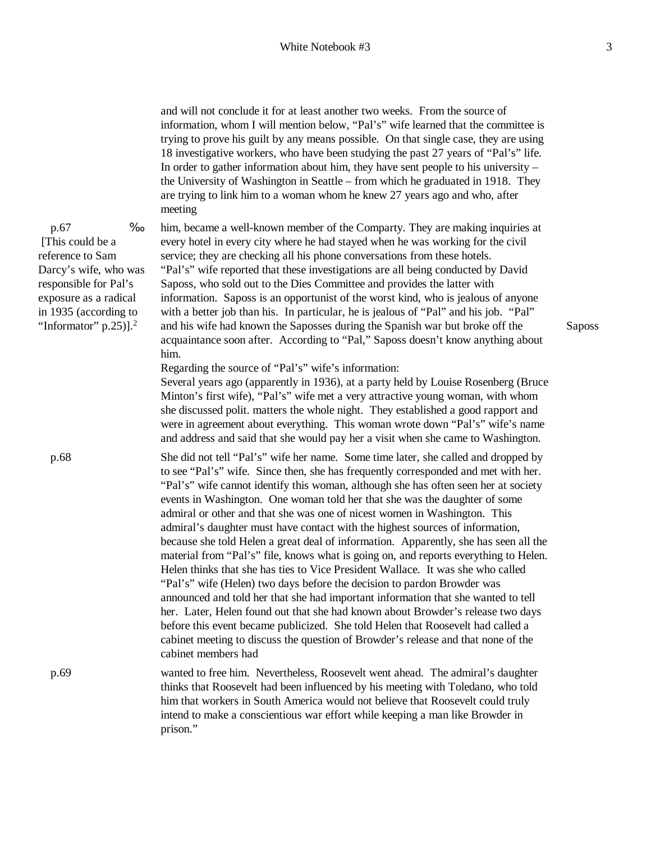and will not conclude it for at least another two weeks. From the source of information, whom I will mention below, "Pal's" wife learned that the committee is trying to prove his guilt by any means possible. On that single case, they are using 18 investigative workers, who have been studying the past 27 years of "Pal's" life. In order to gather information about him, they have sent people to his university – the University of Washington in Seattle – from which he graduated in 1918. They are trying to link him to a woman whom he knew 27 years ago and who, after meeting

him, became a well-known member of the Comparty. They are making inquiries at every hotel in every city where he had stayed when he was working for the civil service; they are checking all his phone conversations from these hotels. "Pal's" wife reported that these investigations are all being conducted by David Saposs, who sold out to the Dies Committee and provides the latter with information. Saposs is an opportunist of the worst kind, who is jealous of anyone with a better job than his. In particular, he is jealous of "Pal" and his job. "Pal" and his wife had known the Saposses during the Spanish war but broke off the acquaintance soon after. According to "Pal," Saposs doesn't know anything about him.

Regarding the source of "Pal's" wife's information:

Several years ago (apparently in 1936), at a party held by Louise Rosenberg (Bruce Minton's first wife), "Pal's" wife met a very attractive young woman, with whom she discussed polit. matters the whole night. They established a good rapport and were in agreement about everything. This woman wrote down "Pal's" wife's name and address and said that she would pay her a visit when she came to Washington.

 p.68 She did not tell "Pal's" wife her name. Some time later, she called and dropped by to see "Pal's" wife. Since then, she has frequently corresponded and met with her. "Pal's" wife cannot identify this woman, although she has often seen her at society events in Washington. One woman told her that she was the daughter of some admiral or other and that she was one of nicest women in Washington. This admiral's daughter must have contact with the highest sources of information, because she told Helen a great deal of information. Apparently, she has seen all the material from "Pal's" file, knows what is going on, and reports everything to Helen. Helen thinks that she has ties to Vice President Wallace. It was she who called "Pal's" wife (Helen) two days before the decision to pardon Browder was announced and told her that she had important information that she wanted to tell her. Later, Helen found out that she had known about Browder's release two days before this event became publicized. She told Helen that Roosevelt had called a cabinet meeting to discuss the question of Browder's release and that none of the cabinet members had

 p.69 wanted to free him. Nevertheless, Roosevelt went ahead. The admiral's daughter thinks that Roosevelt had been influenced by his meeting with Toledano, who told him that workers in South America would not believe that Roosevelt could truly intend to make a conscientious war effort while keeping a man like Browder in prison."

 p.67 ä [This could be a reference to Sam Darcy's wife, who was responsible for Pal's exposure as a radical in 1935 (according to "Informator"  $p.25$ )].<sup>2</sup>

Saposs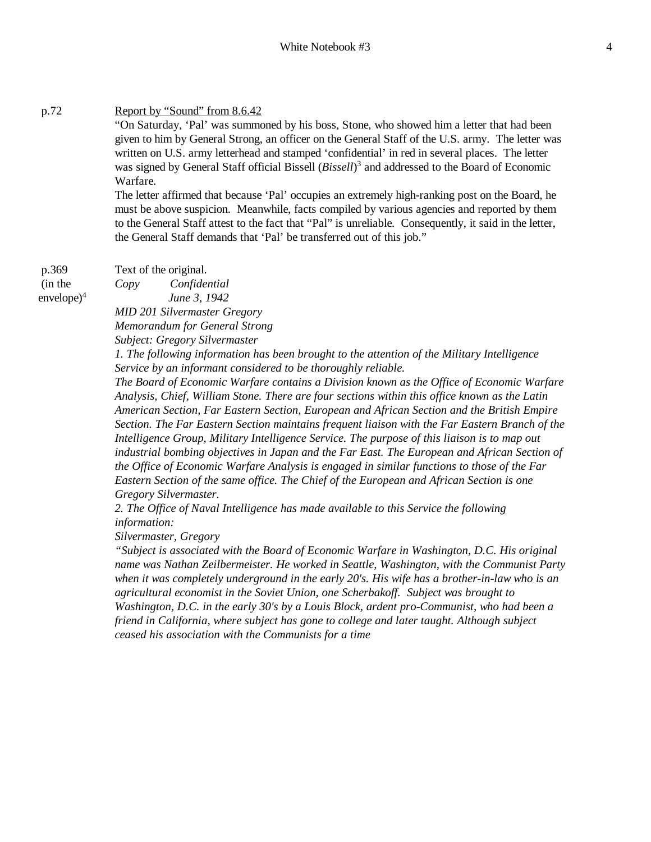# p.72 Report by "Sound" from 8.6.42

"On Saturday, 'Pal' was summoned by his boss, Stone, who showed him a letter that had been given to him by General Strong, an officer on the General Staff of the U.S. army. The letter was written on U.S. army letterhead and stamped 'confidential' in red in several places. The letter was signed by General Staff official Bissell (*Bissell*) 3 and addressed to the Board of Economic Warfare.

The letter affirmed that because 'Pal' occupies an extremely high-ranking post on the Board, he must be above suspicion. Meanwhile, facts compiled by various agencies and reported by them to the General Staff attest to the fact that "Pal" is unreliable. Consequently, it said in the letter, the General Staff demands that 'Pal' be transferred out of this job."

p.369 (in the  $envelope)^4$  Text of the original.

*Copy Confidential*

*June 3, 1942*

*MID 201 Silvermaster Gregory*

*Memorandum for General Strong*

*Subject: Gregory Silvermaster*

*1. The following information has been brought to the attention of the Military Intelligence Service by an informant considered to be thoroughly reliable.*

*The Board of Economic Warfare contains a Division known as the Office of Economic Warfare Analysis, Chief, William Stone. There are four sections within this office known as the Latin American Section, Far Eastern Section, European and African Section and the British Empire Section. The Far Eastern Section maintains frequent liaison with the Far Eastern Branch of the Intelligence Group, Military Intelligence Service. The purpose of this liaison is to map out industrial bombing objectives in Japan and the Far East. The European and African Section of the Office of Economic Warfare Analysis is engaged in similar functions to those of the Far Eastern Section of the same office. The Chief of the European and African Section is one Gregory Silvermaster.*

*2. The Office of Naval Intelligence has made available to this Service the following information:*

*Silvermaster, Gregory*

*"Subject is associated with the Board of Economic Warfare in Washington, D.C. His original name was Nathan Zeilbermeister. He worked in Seattle, Washington, with the Communist Party when it was completely underground in the early 20's. His wife has a brother-in-law who is an agricultural economist in the Soviet Union, one Scherbakoff. Subject was brought to Washington, D.C. in the early 30's by a Louis Block, ardent pro-Communist, who had been a friend in California, where subject has gone to college and later taught. Although subject ceased his association with the Communists for a time*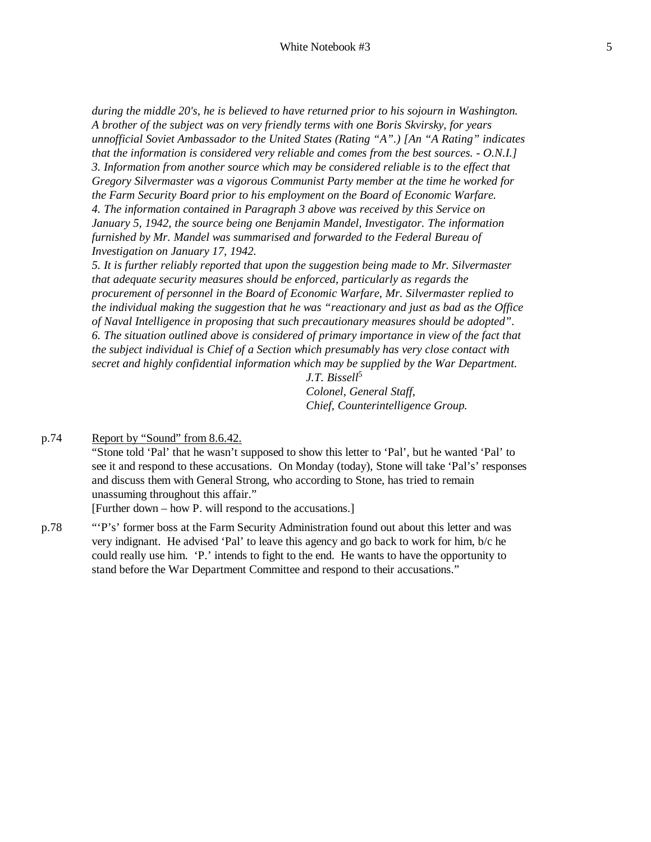*during the middle 20's, he is believed to have returned prior to his sojourn in Washington. A brother of the subject was on very friendly terms with one Boris Skvirsky, for years unnofficial Soviet Ambassador to the United States (Rating "A".) [An "A Rating" indicates that the information is considered very reliable and comes from the best sources. - O.N.I.] 3. Information from another source which may be considered reliable is to the effect that Gregory Silvermaster was a vigorous Communist Party member at the time he worked for the Farm Security Board prior to his employment on the Board of Economic Warfare. 4. The information contained in Paragraph 3 above was received by this Service on January 5, 1942, the source being one Benjamin Mandel, Investigator. The information furnished by Mr. Mandel was summarised and forwarded to the Federal Bureau of Investigation on January 17, 1942.*

*5. It is further reliably reported that upon the suggestion being made to Mr. Silvermaster that adequate security measures should be enforced, particularly as regards the procurement of personnel in the Board of Economic Warfare, Mr. Silvermaster replied to the individual making the suggestion that he was "reactionary and just as bad as the Office of Naval Intelligence in proposing that such precautionary measures should be adopted". 6. The situation outlined above is considered of primary importance in view of the fact that the subject individual is Chief of a Section which presumably has very close contact with secret and highly confidential information which may be supplied by the War Department.*

> *J.T. Bissell*<sup>5</sup> *Colonel, General Staff, Chief, Counterintelligence Group.*

p.74 Report by "Sound" from 8.6.42.

"Stone told 'Pal' that he wasn't supposed to show this letter to 'Pal', but he wanted 'Pal' to see it and respond to these accusations. On Monday (today), Stone will take 'Pal's' responses and discuss them with General Strong, who according to Stone, has tried to remain unassuming throughout this affair."

[Further down – how P. will respond to the accusations.]

p.78 "'P's' former boss at the Farm Security Administration found out about this letter and was very indignant. He advised 'Pal' to leave this agency and go back to work for him, b/c he could really use him. 'P.' intends to fight to the end. He wants to have the opportunity to stand before the War Department Committee and respond to their accusations."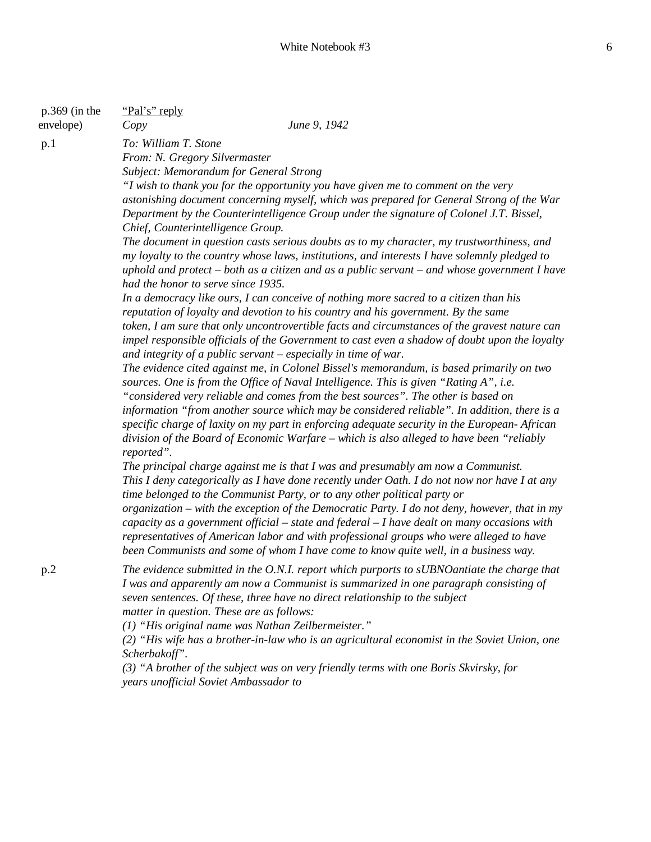| p.369 (in the<br>envelope) | "Pal's" reply<br>June 9, 1942<br>Copy                                                                                                                                                                                                                                                                                                                                                                                                                                                                                                                                                                                                                                                                                                                                                                                                                                                                                                                                                                                                                                                                                                                                                                   |
|----------------------------|---------------------------------------------------------------------------------------------------------------------------------------------------------------------------------------------------------------------------------------------------------------------------------------------------------------------------------------------------------------------------------------------------------------------------------------------------------------------------------------------------------------------------------------------------------------------------------------------------------------------------------------------------------------------------------------------------------------------------------------------------------------------------------------------------------------------------------------------------------------------------------------------------------------------------------------------------------------------------------------------------------------------------------------------------------------------------------------------------------------------------------------------------------------------------------------------------------|
| p.1                        | To: William T. Stone<br>From: N. Gregory Silvermaster<br>Subject: Memorandum for General Strong<br>"I wish to thank you for the opportunity you have given me to comment on the very<br>astonishing document concerning myself, which was prepared for General Strong of the War<br>Department by the Counterintelligence Group under the signature of Colonel J.T. Bissel,<br>Chief, Counterintelligence Group.<br>The document in question casts serious doubts as to my character, my trustworthiness, and<br>my loyalty to the country whose laws, institutions, and interests I have solemnly pledged to<br>uphold and protect – both as a citizen and as a public servant – and whose government I have<br>had the honor to serve since 1935.<br>In a democracy like ours, I can conceive of nothing more sacred to a citizen than his<br>reputation of loyalty and devotion to his country and his government. By the same<br>token, I am sure that only uncontrovertible facts and circumstances of the gravest nature can<br>impel responsible officials of the Government to cast even a shadow of doubt upon the loyalty<br>and integrity of a public servant $-$ especially in time of war. |
|                            | The evidence cited against me, in Colonel Bissel's memorandum, is based primarily on two<br>sources. One is from the Office of Naval Intelligence. This is given "Rating A", i.e.<br>"considered very reliable and comes from the best sources". The other is based on<br>information "from another source which may be considered reliable". In addition, there is a<br>specific charge of laxity on my part in enforcing adequate security in the European-African<br>division of the Board of Economic Warfare – which is also alleged to have been "reliably<br>reported".<br>The principal charge against me is that I was and presumably am now a Communist.<br>This I deny categorically as I have done recently under Oath. I do not now nor have I at any<br>time belonged to the Communist Party, or to any other political party or<br>organization – with the exception of the Democratic Party. I do not deny, however, that in my<br>capacity as a government official $-$ state and federal $-$ I have dealt on many occasions with<br>representatives of American labor and with professional groups who were alleged to have                                                           |
| p.2                        | been Communists and some of whom I have come to know quite well, in a business way.<br>The evidence submitted in the O.N.I. report which purports to sUBNO antiate the charge that<br>I was and apparently am now a Communist is summarized in one paragraph consisting of<br>seven sentences. Of these, three have no direct relationship to the subject<br>matter in question. These are as follows:<br>(1) "His original name was Nathan Zeilbermeister."<br>(2) "His wife has a brother-in-law who is an agricultural economist in the Soviet Union, one<br>Scherbakoff".<br>(3) "A brother of the subject was on very friendly terms with one Boris Skvirsky, for<br>years unofficial Soviet Ambassador to                                                                                                                                                                                                                                                                                                                                                                                                                                                                                         |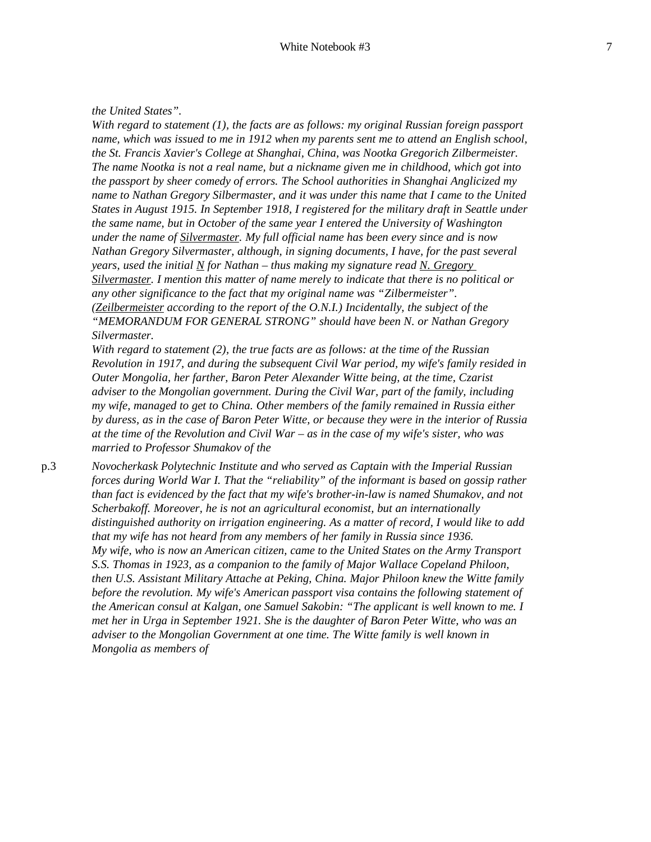### *the United States".*

*With regard to statement (1), the facts are as follows: my original Russian foreign passport name, which was issued to me in 1912 when my parents sent me to attend an English school, the St. Francis Xavier's College at Shanghai, China, was Nootka Gregorich Zilbermeister. The name Nootka is not a real name, but a nickname given me in childhood, which got into the passport by sheer comedy of errors. The School authorities in Shanghai Anglicized my name to Nathan Gregory Silbermaster, and it was under this name that I came to the United States in August 1915. In September 1918, I registered for the military draft in Seattle under the same name, but in October of the same year I entered the University of Washington under the name of Silvermaster. My full official name has been every since and is now Nathan Gregory Silvermaster, although, in signing documents, I have, for the past several years, used the initial N for Nathan – thus making my signature read N. Gregory Silvermaster. I mention this matter of name merely to indicate that there is no political or any other significance to the fact that my original name was "Zilbermeister". (Zeilbermeister according to the report of the O.N.I.) Incidentally, the subject of the "MEMORANDUM FOR GENERAL STRONG" should have been N. or Nathan Gregory Silvermaster.*

*With regard to statement (2), the true facts are as follows: at the time of the Russian Revolution in 1917, and during the subsequent Civil War period, my wife's family resided in Outer Mongolia, her farther, Baron Peter Alexander Witte being, at the time, Czarist adviser to the Mongolian government. During the Civil War, part of the family, including my wife, managed to get to China. Other members of the family remained in Russia either by duress, as in the case of Baron Peter Witte, or because they were in the interior of Russia at the time of the Revolution and Civil War – as in the case of my wife's sister, who was married to Professor Shumakov of the*

p.3 *Novocherkask Polytechnic Institute and who served as Captain with the Imperial Russian forces during World War I. That the "reliability" of the informant is based on gossip rather than fact is evidenced by the fact that my wife's brother-in-law is named Shumakov, and not Scherbakoff. Moreover, he is not an agricultural economist, but an internationally distinguished authority on irrigation engineering. As a matter of record, I would like to add that my wife has not heard from any members of her family in Russia since 1936. My wife, who is now an American citizen, came to the United States on the Army Transport S.S. Thomas in 1923, as a companion to the family of Major Wallace Copeland Philoon, then U.S. Assistant Military Attache at Peking, China. Major Philoon knew the Witte family before the revolution. My wife's American passport visa contains the following statement of the American consul at Kalgan, one Samuel Sakobin: "The applicant is well known to me. I met her in Urga in September 1921. She is the daughter of Baron Peter Witte, who was an adviser to the Mongolian Government at one time. The Witte family is well known in Mongolia as members of*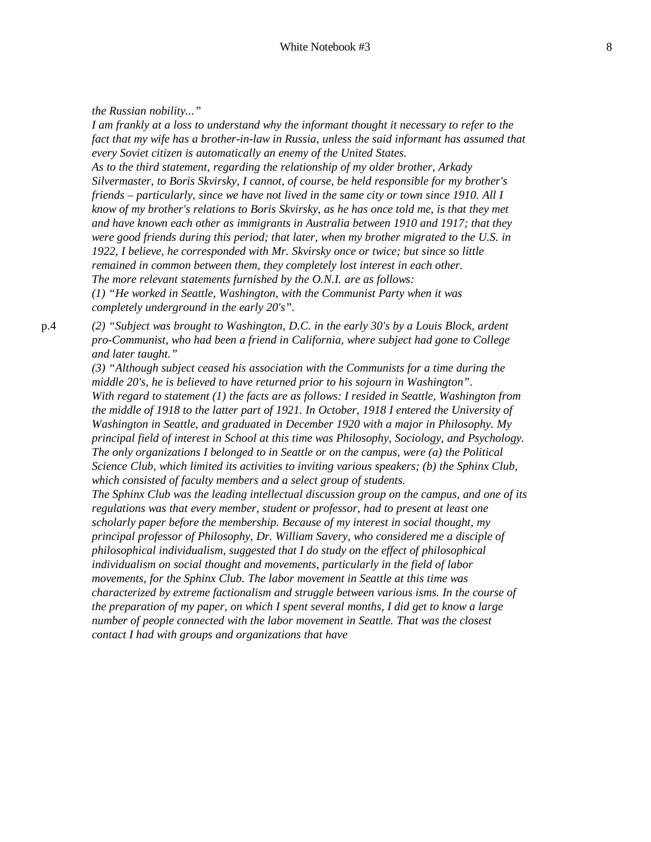*the Russian nobility..."*

*I am frankly at a loss to understand why the informant thought it necessary to refer to the fact that my wife has a brother-in-law in Russia, unless the said informant has assumed that every Soviet citizen is automatically an enemy of the United States. As to the third statement, regarding the relationship of my older brother, Arkady Silvermaster, to Boris Skvirsky, I cannot, of course, be held responsible for my brother's friends – particularly, since we have not lived in the same city or town since 1910. All I know of my brother's relations to Boris Skvirsky, as he has once told me, is that they met and have known each other as immigrants in Australia between 1910 and 1917; that they were good friends during this period; that later, when my brother migrated to the U.S. in 1922, I believe, he corresponded with Mr. Skvirsky once or twice; but since so little remained in common between them, they completely lost interest in each other. The more relevant statements furnished by the O.N.I. are as follows: (1) "He worked in Seattle, Washington, with the Communist Party when it was completely underground in the early 20's".*

p.4 *(2) "Subject was brought to Washington, D.C. in the early 30's by a Louis Block, ardent pro-Communist, who had been a friend in California, where subject had gone to College and later taught."*

> *(3) "Although subject ceased his association with the Communists for a time during the middle 20's, he is believed to have returned prior to his sojourn in Washington". With regard to statement (1) the facts are as follows: I resided in Seattle, Washington from the middle of 1918 to the latter part of 1921. In October, 1918 I entered the University of Washington in Seattle, and graduated in December 1920 with a major in Philosophy. My principal field of interest in School at this time was Philosophy, Sociology, and Psychology. The only organizations I belonged to in Seattle or on the campus, were (a) the Political Science Club, which limited its activities to inviting various speakers; (b) the Sphinx Club, which consisted of faculty members and a select group of students.*

*The Sphinx Club was the leading intellectual discussion group on the campus, and one of its regulations was that every member, student or professor, had to present at least one scholarly paper before the membership. Because of my interest in social thought, my principal professor of Philosophy, Dr. William Savery, who considered me a disciple of philosophical individualism, suggested that I do study on the effect of philosophical individualism on social thought and movements, particularly in the field of labor movements, for the Sphinx Club. The labor movement in Seattle at this time was characterized by extreme factionalism and struggle between various isms. In the course of the preparation of my paper, on which I spent several months, I did get to know a large number of people connected with the labor movement in Seattle. That was the closest contact I had with groups and organizations that have*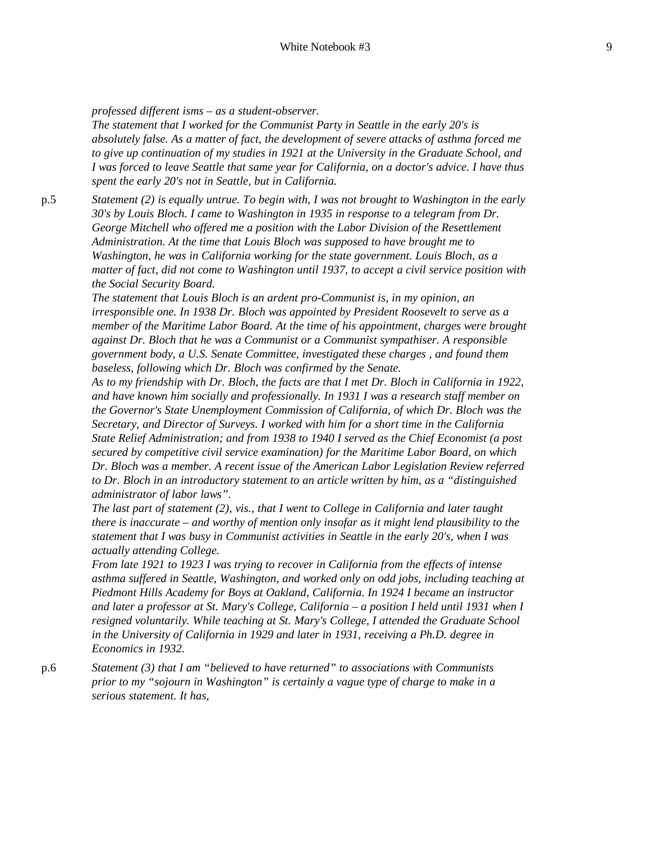*professed different isms – as a student-observer.*

*The statement that I worked for the Communist Party in Seattle in the early 20's is absolutely false. As a matter of fact, the development of severe attacks of asthma forced me to give up continuation of my studies in 1921 at the University in the Graduate School, and I was forced to leave Seattle that same year for California, on a doctor's advice. I have thus spent the early 20's not in Seattle, but in California.*

p.5 *Statement (2) is equally untrue. To begin with, I was not brought to Washington in the early 30's by Louis Bloch. I came to Washington in 1935 in response to a telegram from Dr. George Mitchell who offered me a position with the Labor Division of the Resettlement Administration. At the time that Louis Bloch was supposed to have brought me to Washington, he was in California working for the state government. Louis Bloch, as a matter of fact, did not come to Washington until 1937, to accept a civil service position with the Social Security Board.*

> *The statement that Louis Bloch is an ardent pro-Communist is, in my opinion, an irresponsible one. In 1938 Dr. Bloch was appointed by President Roosevelt to serve as a member of the Maritime Labor Board. At the time of his appointment, charges were brought against Dr. Bloch that he was a Communist or a Communist sympathiser. A responsible government body, a U.S. Senate Committee, investigated these charges , and found them baseless, following which Dr. Bloch was confirmed by the Senate.*

> *As to my friendship with Dr. Bloch, the facts are that I met Dr. Bloch in California in 1922, and have known him socially and professionally. In 1931 I was a research staff member on the Governor's State Unemployment Commission of California, of which Dr. Bloch was the Secretary, and Director of Surveys. I worked with him for a short time in the California State Relief Administration; and from 1938 to 1940 I served as the Chief Economist (a post secured by competitive civil service examination) for the Maritime Labor Board, on which Dr. Bloch was a member. A recent issue of the American Labor Legislation Review referred to Dr. Bloch in an introductory statement to an article written by him, as a "distinguished administrator of labor laws".*

*The last part of statement (2), vis., that I went to College in California and later taught there is inaccurate – and worthy of mention only insofar as it might lend plausibility to the statement that I was busy in Communist activities in Seattle in the early 20's, when I was actually attending College.*

*From late 1921 to 1923 I was trying to recover in California from the effects of intense asthma suffered in Seattle, Washington, and worked only on odd jobs, including teaching at Piedmont Hills Academy for Boys at Oakland, California. In 1924 I became an instructor and later a professor at St. Mary's College, California – a position I held until 1931 when I resigned voluntarily. While teaching at St. Mary's College, I attended the Graduate School in the University of California in 1929 and later in 1931, receiving a Ph.D. degree in Economics in 1932.*

p.6 *Statement (3) that I am "believed to have returned" to associations with Communists prior to my "sojourn in Washington" is certainly a vague type of charge to make in a serious statement. It has,*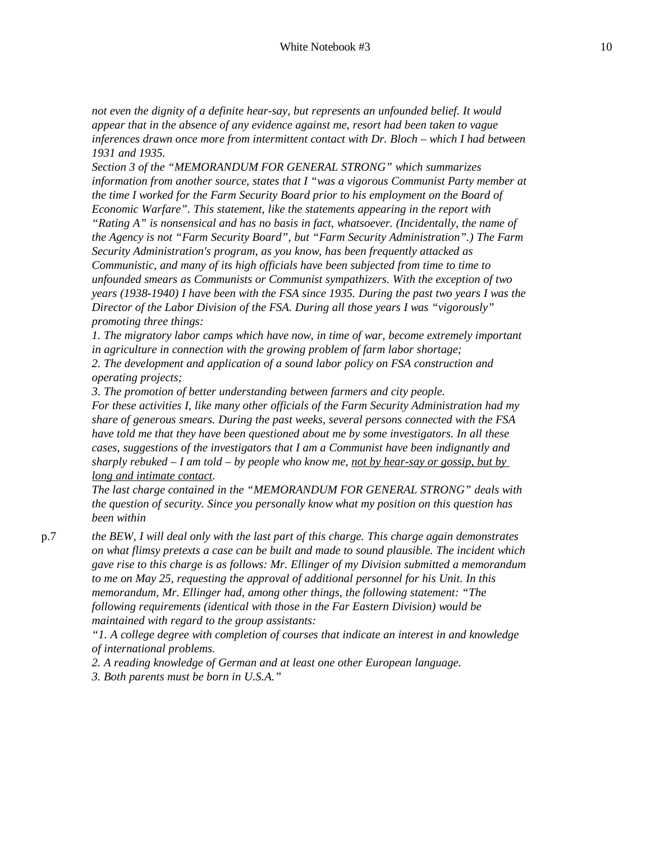*not even the dignity of a definite hear-say, but represents an unfounded belief. It would appear that in the absence of any evidence against me, resort had been taken to vague inferences drawn once more from intermittent contact with Dr. Bloch – which I had between 1931 and 1935.*

*Section 3 of the "MEMORANDUM FOR GENERAL STRONG" which summarizes information from another source, states that I "was a vigorous Communist Party member at the time I worked for the Farm Security Board prior to his employment on the Board of Economic Warfare". This statement, like the statements appearing in the report with "Rating A" is nonsensical and has no basis in fact, whatsoever. (Incidentally, the name of the Agency is not "Farm Security Board", but "Farm Security Administration".) The Farm Security Administration's program, as you know, has been frequently attacked as Communistic, and many of its high officials have been subjected from time to time to unfounded smears as Communists or Communist sympathizers. With the exception of two years (1938-1940) I have been with the FSA since 1935. During the past two years I was the Director of the Labor Division of the FSA. During all those years I was "vigorously" promoting three things:*

*1. The migratory labor camps which have now, in time of war, become extremely important in agriculture in connection with the growing problem of farm labor shortage;*

*2. The development and application of a sound labor policy on FSA construction and operating projects;*

*3. The promotion of better understanding between farmers and city people. For these activities I, like many other officials of the Farm Security Administration had my share of generous smears. During the past weeks, several persons connected with the FSA have told me that they have been questioned about me by some investigators. In all these cases, suggestions of the investigators that I am a Communist have been indignantly and sharply rebuked – I am told – by people who know me, not by hear-say or gossip, but by long and intimate contact.*

*The last charge contained in the "MEMORANDUM FOR GENERAL STRONG" deals with the question of security. Since you personally know what my position on this question has been within*

p.7 *the BEW, I will deal only with the last part of this charge. This charge again demonstrates on what flimsy pretexts a case can be built and made to sound plausible. The incident which gave rise to this charge is as follows: Mr. Ellinger of my Division submitted a memorandum to me on May 25, requesting the approval of additional personnel for his Unit. In this memorandum, Mr. Ellinger had, among other things, the following statement: "The following requirements (identical with those in the Far Eastern Division) would be maintained with regard to the group assistants:*

> *"1. A college degree with completion of courses that indicate an interest in and knowledge of international problems.*

*2. A reading knowledge of German and at least one other European language.*

*3. Both parents must be born in U.S.A."*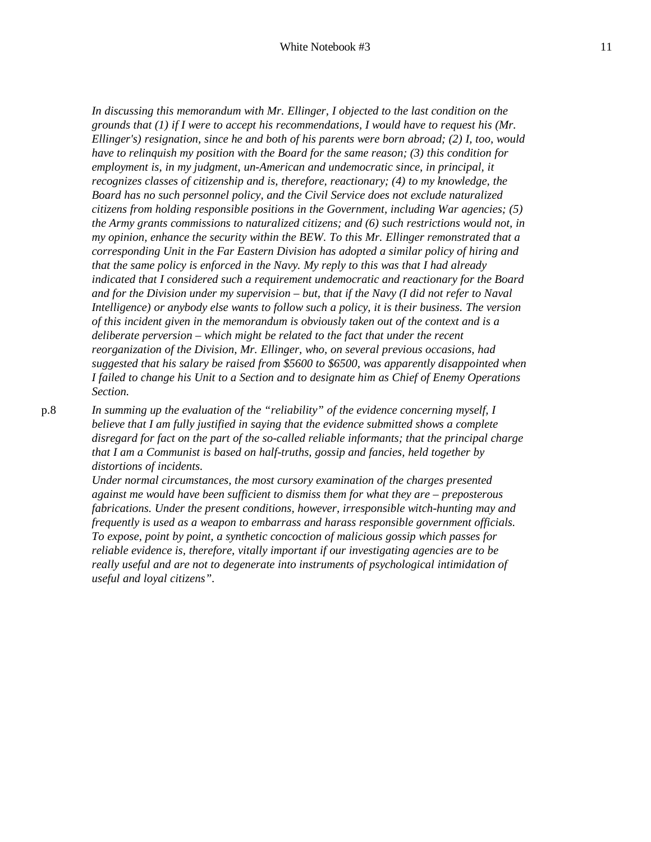*In discussing this memorandum with Mr. Ellinger, I objected to the last condition on the grounds that (1) if I were to accept his recommendations, I would have to request his (Mr. Ellinger's) resignation, since he and both of his parents were born abroad; (2) I, too, would have to relinquish my position with the Board for the same reason; (3) this condition for employment is, in my judgment, un-American and undemocratic since, in principal, it recognizes classes of citizenship and is, therefore, reactionary; (4) to my knowledge, the Board has no such personnel policy, and the Civil Service does not exclude naturalized citizens from holding responsible positions in the Government, including War agencies; (5) the Army grants commissions to naturalized citizens; and (6) such restrictions would not, in my opinion, enhance the security within the BEW. To this Mr. Ellinger remonstrated that a corresponding Unit in the Far Eastern Division has adopted a similar policy of hiring and that the same policy is enforced in the Navy. My reply to this was that I had already indicated that I considered such a requirement undemocratic and reactionary for the Board and for the Division under my supervision – but, that if the Navy (I did not refer to Naval Intelligence) or anybody else wants to follow such a policy, it is their business. The version of this incident given in the memorandum is obviously taken out of the context and is a deliberate perversion – which might be related to the fact that under the recent reorganization of the Division, Mr. Ellinger, who, on several previous occasions, had suggested that his salary be raised from \$5600 to \$6500, was apparently disappointed when I failed to change his Unit to a Section and to designate him as Chief of Enemy Operations Section.*

p.8 *In summing up the evaluation of the "reliability" of the evidence concerning myself, I believe that I am fully justified in saying that the evidence submitted shows a complete disregard for fact on the part of the so-called reliable informants; that the principal charge that I am a Communist is based on half-truths, gossip and fancies, held together by distortions of incidents.*

> *Under normal circumstances, the most cursory examination of the charges presented against me would have been sufficient to dismiss them for what they are – preposterous fabrications. Under the present conditions, however, irresponsible witch-hunting may and frequently is used as a weapon to embarrass and harass responsible government officials. To expose, point by point, a synthetic concoction of malicious gossip which passes for reliable evidence is, therefore, vitally important if our investigating agencies are to be really useful and are not to degenerate into instruments of psychological intimidation of useful and loyal citizens".*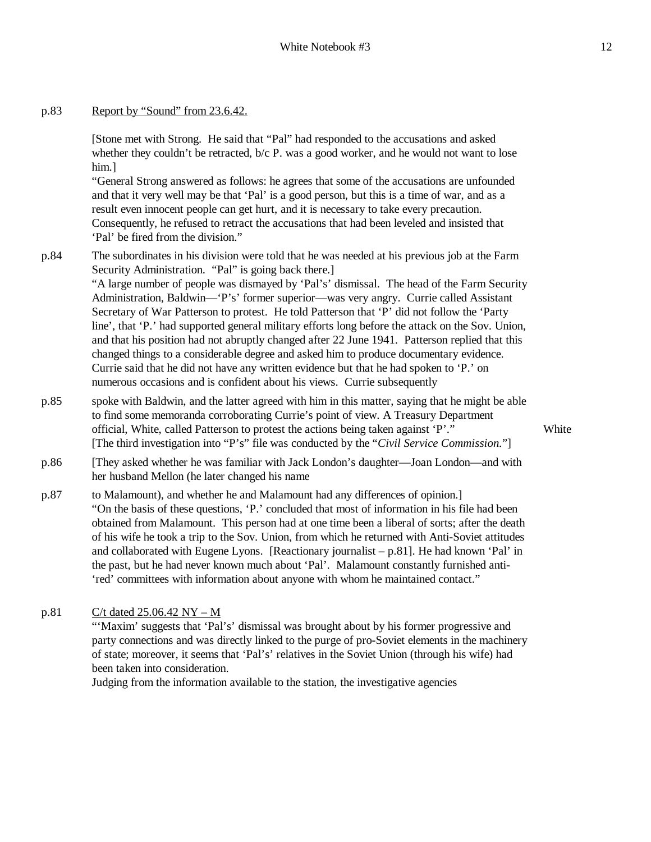[Stone met with Strong. He said that "Pal" had responded to the accusations and asked whether they couldn't be retracted, b/c P. was a good worker, and he would not want to lose him.]

"General Strong answered as follows: he agrees that some of the accusations are unfounded and that it very well may be that 'Pal' is a good person, but this is a time of war, and as a result even innocent people can get hurt, and it is necessary to take every precaution. Consequently, he refused to retract the accusations that had been leveled and insisted that 'Pal' be fired from the division."

p.84 The subordinates in his division were told that he was needed at his previous job at the Farm Security Administration. "Pal" is going back there.]

> "A large number of people was dismayed by 'Pal's' dismissal. The head of the Farm Security Administration, Baldwin—'P's' former superior—was very angry. Currie called Assistant Secretary of War Patterson to protest. He told Patterson that 'P' did not follow the 'Party line', that 'P.' had supported general military efforts long before the attack on the Sov. Union, and that his position had not abruptly changed after 22 June 1941. Patterson replied that this changed things to a considerable degree and asked him to produce documentary evidence. Currie said that he did not have any written evidence but that he had spoken to 'P.' on numerous occasions and is confident about his views. Currie subsequently

- p.85 spoke with Baldwin, and the latter agreed with him in this matter, saying that he might be able to find some memoranda corroborating Currie's point of view. A Treasury Department official, White, called Patterson to protest the actions being taken against 'P'." [The third investigation into "P's" file was conducted by the "*Civil Service Commission.*"]
- p.86 [They asked whether he was familiar with Jack London's daughter—Joan London—and with her husband Mellon (he later changed his name
- p.87 to Malamount), and whether he and Malamount had any differences of opinion.] "On the basis of these questions, 'P.' concluded that most of information in his file had been obtained from Malamount. This person had at one time been a liberal of sorts; after the death of his wife he took a trip to the Sov. Union, from which he returned with Anti-Soviet attitudes and collaborated with Eugene Lyons. [Reactionary journalist  $- p.81$ ]. He had known 'Pal' in the past, but he had never known much about 'Pal'. Malamount constantly furnished anti- 'red' committees with information about anyone with whom he maintained contact."
- p.81 C/t dated 25.06.42 NY M

"'Maxim' suggests that 'Pal's' dismissal was brought about by his former progressive and party connections and was directly linked to the purge of pro-Soviet elements in the machinery of state; moreover, it seems that 'Pal's' relatives in the Soviet Union (through his wife) had been taken into consideration.

Judging from the information available to the station, the investigative agencies

**White**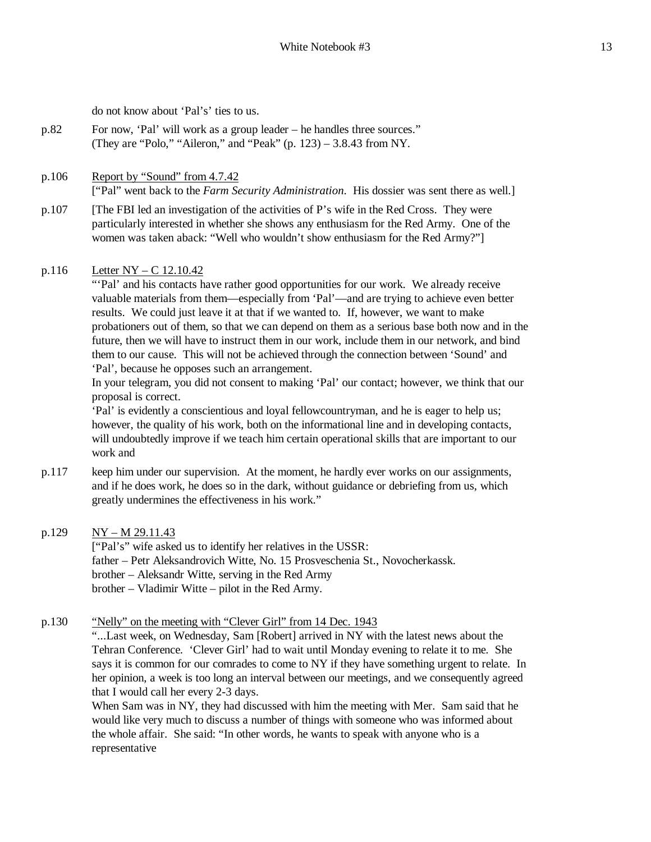do not know about 'Pal's' ties to us.

- p.82 For now, 'Pal' will work as a group leader he handles three sources." (They are "Polo," "Aileron," and "Peak" (p. 123) – 3.8.43 from NY.
- p.106 Report by "Sound" from 4.7.42 ["Pal" went back to the *Farm Security Administration*. His dossier was sent there as well.]
- p.107 [The FBI led an investigation of the activities of P's wife in the Red Cross. They were particularly interested in whether she shows any enthusiasm for the Red Army. One of the women was taken aback: "Well who wouldn't show enthusiasm for the Red Army?"]

### p.116 Letter NY – C 12.10.42

"'Pal' and his contacts have rather good opportunities for our work. We already receive valuable materials from them—especially from 'Pal'—and are trying to achieve even better results. We could just leave it at that if we wanted to. If, however, we want to make probationers out of them, so that we can depend on them as a serious base both now and in the future, then we will have to instruct them in our work, include them in our network, and bind them to our cause. This will not be achieved through the connection between 'Sound' and 'Pal', because he opposes such an arrangement.

In your telegram, you did not consent to making 'Pal' our contact; however, we think that our proposal is correct.

'Pal' is evidently a conscientious and loyal fellowcountryman, and he is eager to help us; however, the quality of his work, both on the informational line and in developing contacts, will undoubtedly improve if we teach him certain operational skills that are important to our work and

- p.117 keep him under our supervision. At the moment, he hardly ever works on our assignments, and if he does work, he does so in the dark, without guidance or debriefing from us, which greatly undermines the effectiveness in his work."
- p.129 NY M 29.11.43

["Pal's" wife asked us to identify her relatives in the USSR: father – Petr Aleksandrovich Witte, No. 15 Prosveschenia St., Novocherkassk. brother – Aleksandr Witte, serving in the Red Army brother – Vladimir Witte – pilot in the Red Army.

p.130 "Nelly" on the meeting with "Clever Girl" from 14 Dec. 1943

"...Last week, on Wednesday, Sam [Robert] arrived in NY with the latest news about the Tehran Conference. 'Clever Girl' had to wait until Monday evening to relate it to me. She says it is common for our comrades to come to NY if they have something urgent to relate. In her opinion, a week is too long an interval between our meetings, and we consequently agreed that I would call her every 2-3 days.

When Sam was in NY, they had discussed with him the meeting with Mer. Sam said that he would like very much to discuss a number of things with someone who was informed about the whole affair. She said: "In other words, he wants to speak with anyone who is a representative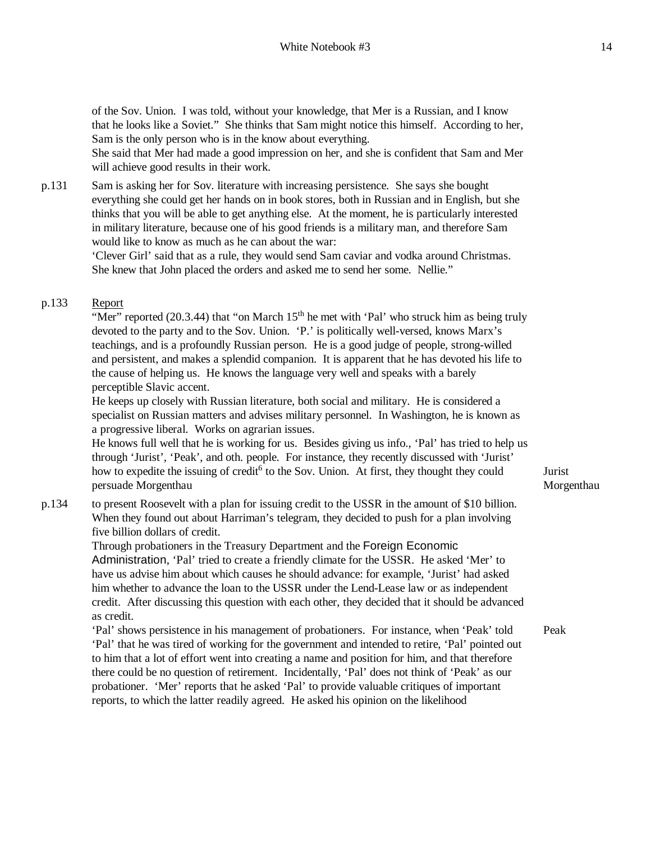of the Sov. Union. I was told, without your knowledge, that Mer is a Russian, and I know that he looks like a Soviet." She thinks that Sam might notice this himself. According to her, Sam is the only person who is in the know about everything.

She said that Mer had made a good impression on her, and she is confident that Sam and Mer will achieve good results in their work.

p.131 Sam is asking her for Sov. literature with increasing persistence. She says she bought everything she could get her hands on in book stores, both in Russian and in English, but she thinks that you will be able to get anything else. At the moment, he is particularly interested in military literature, because one of his good friends is a military man, and therefore Sam would like to know as much as he can about the war:

> 'Clever Girl' said that as a rule, they would send Sam caviar and vodka around Christmas. She knew that John placed the orders and asked me to send her some. Nellie."

# p.133 Report

"Mer" reported  $(20.3.44)$  that "on March 15<sup>th</sup> he met with 'Pal' who struck him as being truly devoted to the party and to the Sov. Union. 'P.' is politically well-versed, knows Marx's teachings, and is a profoundly Russian person. He is a good judge of people, strong-willed and persistent, and makes a splendid companion. It is apparent that he has devoted his life to the cause of helping us. He knows the language very well and speaks with a barely perceptible Slavic accent.

He keeps up closely with Russian literature, both social and military. He is considered a specialist on Russian matters and advises military personnel. In Washington, he is known as a progressive liberal. Works on agrarian issues.

He knows full well that he is working for us. Besides giving us info., 'Pal' has tried to help us through 'Jurist', 'Peak', and oth. people. For instance, they recently discussed with 'Jurist' how to expedite the issuing of credit<sup>6</sup> to the Sov. Union. At first, they thought they could persuade Morgenthau

# p.134 to present Roosevelt with a plan for issuing credit to the USSR in the amount of \$10 billion. When they found out about Harriman's telegram, they decided to push for a plan involving five billion dollars of credit.

Through probationers in the Treasury Department and the Foreign Economic Administration, 'Pal' tried to create a friendly climate for the USSR. He asked 'Mer' to have us advise him about which causes he should advance: for example, 'Jurist' had asked him whether to advance the loan to the USSR under the Lend-Lease law or as independent credit. After discussing this question with each other, they decided that it should be advanced as credit.

'Pal' shows persistence in his management of probationers. For instance, when 'Peak' told 'Pal' that he was tired of working for the government and intended to retire, 'Pal' pointed out to him that a lot of effort went into creating a name and position for him, and that therefore there could be no question of retirement. Incidentally, 'Pal' does not think of 'Peak' as our probationer. 'Mer' reports that he asked 'Pal' to provide valuable critiques of important reports, to which the latter readily agreed. He asked his opinion on the likelihood

Jurist Morgenthau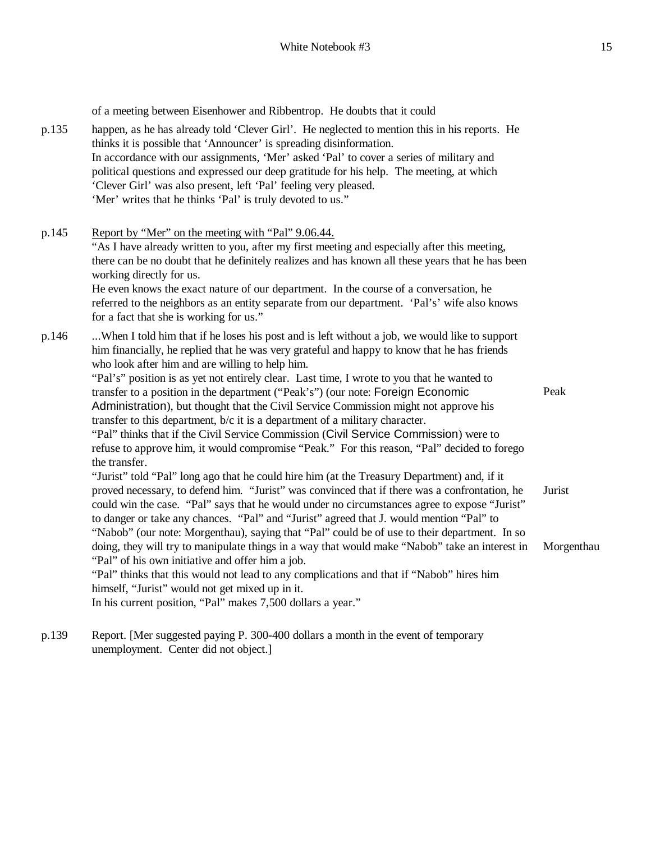p.135 happen, as he has already told 'Clever Girl'. He neglected to mention this in his reports. He thinks it is possible that 'Announcer' is spreading disinformation. In accordance with our assignments, 'Mer' asked 'Pal' to cover a series of military and political questions and expressed our deep gratitude for his help. The meeting, at which 'Clever Girl' was also present, left 'Pal' feeling very pleased. 'Mer' writes that he thinks 'Pal' is truly devoted to us." p.145 Report by "Mer" on the meeting with "Pal" 9.06.44. "As I have already written to you, after my first meeting and especially after this meeting, there can be no doubt that he definitely realizes and has known all these years that he has been working directly for us. He even knows the exact nature of our department. In the course of a conversation, he referred to the neighbors as an entity separate from our department. 'Pal's' wife also knows for a fact that she is working for us." p.146 ...When I told him that if he loses his post and is left without a job, we would like to support him financially, he replied that he was very grateful and happy to know that he has friends who look after him and are willing to help him. "Pal's" position is as yet not entirely clear. Last time, I wrote to you that he wanted to

of a meeting between Eisenhower and Ribbentrop. He doubts that it could

transfer to a position in the department ("Peak's") (our note: Foreign Economic Administration), but thought that the Civil Service Commission might not approve his transfer to this department, b/c it is a department of a military character. "Pal" thinks that if the Civil Service Commission (Civil Service Commission) were to refuse to approve him, it would compromise "Peak." For this reason, "Pal" decided to forego the transfer.

"Jurist" told "Pal" long ago that he could hire him (at the Treasury Department) and, if it proved necessary, to defend him. "Jurist" was convinced that if there was a confrontation, he could win the case. "Pal" says that he would under no circumstances agree to expose "Jurist" to danger or take any chances. "Pal" and "Jurist" agreed that J. would mention "Pal" to "Nabob" (our note: Morgenthau), saying that "Pal" could be of use to their department. In so doing, they will try to manipulate things in a way that would make "Nabob" take an interest in "Pal" of his own initiative and offer him a job. Jurist Morgenthau

"Pal" thinks that this would not lead to any complications and that if "Nabob" hires him himself, "Jurist" would not get mixed up in it.

In his current position, "Pal" makes 7,500 dollars a year."

p.139 Report. [Mer suggested paying P. 300-400 dollars a month in the event of temporary unemployment. Center did not object.]

Peak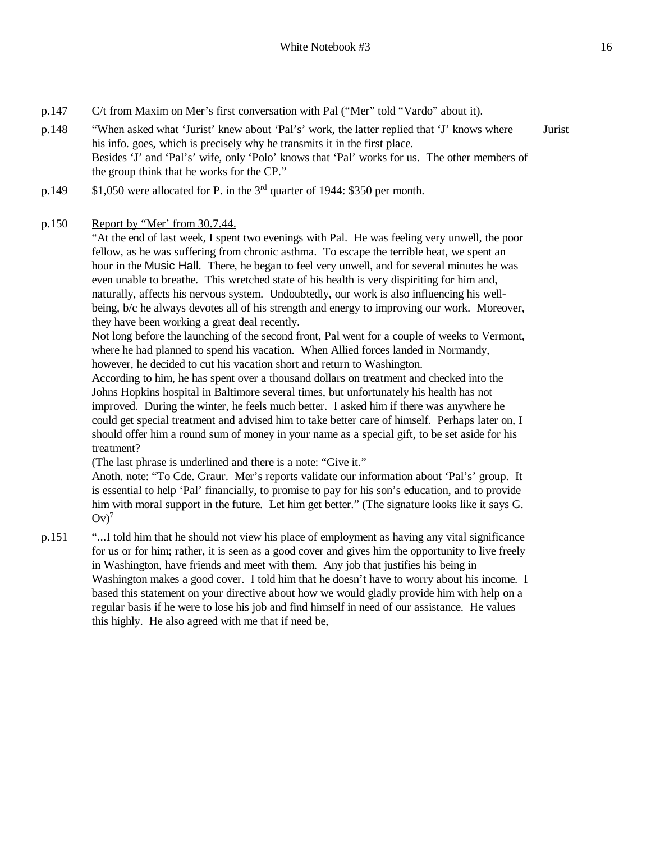- p.147 C/t from Maxim on Mer's first conversation with Pal ("Mer" told "Vardo" about it).
- p.148 "When asked what 'Jurist' knew about 'Pal's' work, the latter replied that 'J' knows where his info. goes, which is precisely why he transmits it in the first place. Besides 'J' and 'Pal's' wife, only 'Polo' knows that 'Pal' works for us. The other members of the group think that he works for the CP." Jurist
- p.149 \$1,050 were allocated for P. in the 3rd quarter of 1944: \$350 per month.

# p.150 Report by "Mer' from 30.7.44.

"At the end of last week, I spent two evenings with Pal. He was feeling very unwell, the poor fellow, as he was suffering from chronic asthma. To escape the terrible heat, we spent an hour in the Music Hall. There, he began to feel very unwell, and for several minutes he was even unable to breathe. This wretched state of his health is very dispiriting for him and, naturally, affects his nervous system. Undoubtedly, our work is also influencing his wellbeing, b/c he always devotes all of his strength and energy to improving our work. Moreover, they have been working a great deal recently.

Not long before the launching of the second front, Pal went for a couple of weeks to Vermont, where he had planned to spend his vacation. When Allied forces landed in Normandy, however, he decided to cut his vacation short and return to Washington.

According to him, he has spent over a thousand dollars on treatment and checked into the Johns Hopkins hospital in Baltimore several times, but unfortunately his health has not improved. During the winter, he feels much better. I asked him if there was anywhere he could get special treatment and advised him to take better care of himself. Perhaps later on, I should offer him a round sum of money in your name as a special gift, to be set aside for his treatment?

(The last phrase is underlined and there is a note: "Give it."

Anoth. note: "To Cde. Graur. Mer's reports validate our information about 'Pal's' group. It is essential to help 'Pal' financially, to promise to pay for his son's education, and to provide him with moral support in the future. Let him get better." (The signature looks like it says G.  $Ov^7$ 

p.151 "...I told him that he should not view his place of employment as having any vital significance for us or for him; rather, it is seen as a good cover and gives him the opportunity to live freely in Washington, have friends and meet with them. Any job that justifies his being in Washington makes a good cover. I told him that he doesn't have to worry about his income. I based this statement on your directive about how we would gladly provide him with help on a regular basis if he were to lose his job and find himself in need of our assistance. He values this highly. He also agreed with me that if need be,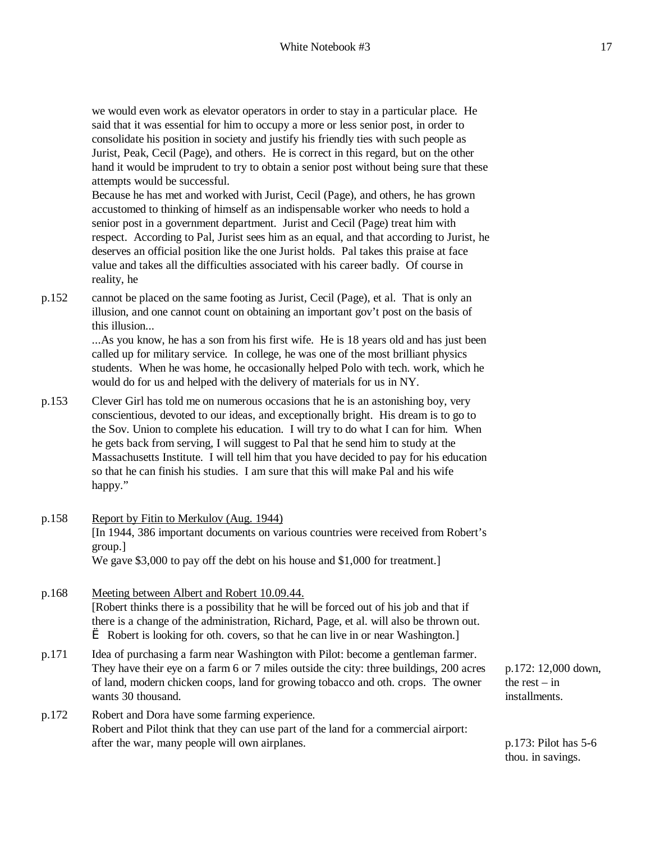we would even work as elevator operators in order to stay in a particular place. He said that it was essential for him to occupy a more or less senior post, in order to consolidate his position in society and justify his friendly ties with such people as Jurist, Peak, Cecil (Page), and others. He is correct in this regard, but on the other hand it would be imprudent to try to obtain a senior post without being sure that these attempts would be successful.

Because he has met and worked with Jurist, Cecil (Page), and others, he has grown accustomed to thinking of himself as an indispensable worker who needs to hold a senior post in a government department. Jurist and Cecil (Page) treat him with respect. According to Pal, Jurist sees him as an equal, and that according to Jurist, he deserves an official position like the one Jurist holds. Pal takes this praise at face value and takes all the difficulties associated with his career badly. Of course in reality, he

p.152 cannot be placed on the same footing as Jurist, Cecil (Page), et al. That is only an illusion, and one cannot count on obtaining an important gov't post on the basis of this illusion...

> ...As you know, he has a son from his first wife. He is 18 years old and has just been called up for military service. In college, he was one of the most brilliant physics students. When he was home, he occasionally helped Polo with tech. work, which he would do for us and helped with the delivery of materials for us in NY.

- p.153 Clever Girl has told me on numerous occasions that he is an astonishing boy, very conscientious, devoted to our ideas, and exceptionally bright. His dream is to go to the Sov. Union to complete his education. I will try to do what I can for him. When he gets back from serving, I will suggest to Pal that he send him to study at the Massachusetts Institute. I will tell him that you have decided to pay for his education so that he can finish his studies. I am sure that this will make Pal and his wife happy."
- p.158 Report by Fitin to Merkulov (Aug. 1944) [In 1944, 386 important documents on various countries were received from Robert's group.] We gave \$3,000 to pay off the debt on his house and \$1,000 for treatment.]
- p.168 Meeting between Albert and Robert 10.09.44. [Robert thinks there is a possibility that he will be forced out of his job and that if there is a change of the administration, Richard, Page, et al. will also be thrown out. è Robert is looking for oth. covers, so that he can live in or near Washington.]
- p.171 Idea of purchasing a farm near Washington with Pilot: become a gentleman farmer. They have their eye on a farm 6 or 7 miles outside the city: three buildings, 200 acres of land, modern chicken coops, land for growing tobacco and oth. crops. The owner wants 30 thousand.
- p.172 Robert and Dora have some farming experience. Robert and Pilot think that they can use part of the land for a commercial airport: after the war, many people will own airplanes. p.173: Pilot has 5-6

p.172: 12,000 down, the rest  $-$  in installments.

thou. in savings.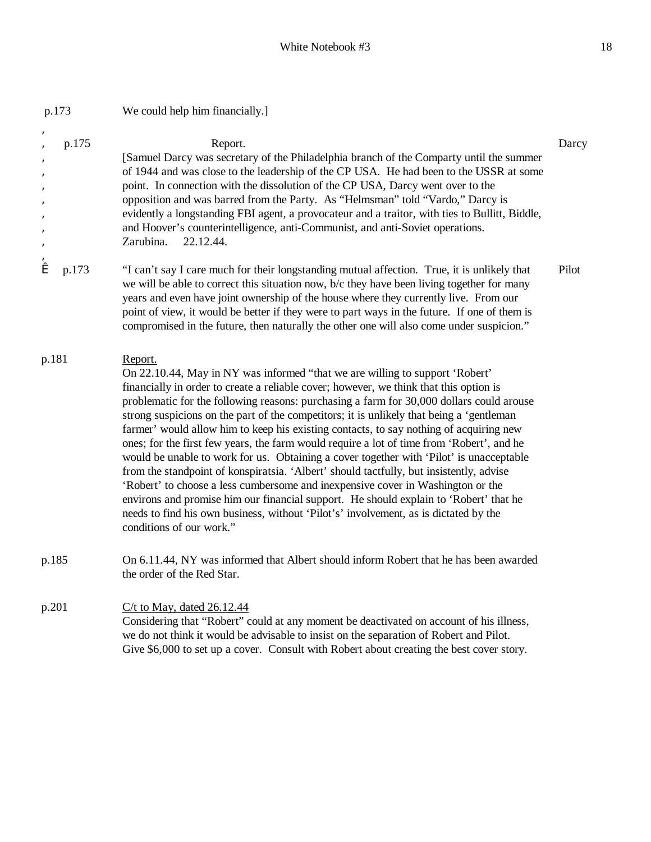| p.173                                          |       | We could help him financially.]                                                                                                                                                                                                                                                                                                                                                                                                                                                                                                                                                                                                                                                                                                                                                                                                                                                                                                                                                                                                                        |       |
|------------------------------------------------|-------|--------------------------------------------------------------------------------------------------------------------------------------------------------------------------------------------------------------------------------------------------------------------------------------------------------------------------------------------------------------------------------------------------------------------------------------------------------------------------------------------------------------------------------------------------------------------------------------------------------------------------------------------------------------------------------------------------------------------------------------------------------------------------------------------------------------------------------------------------------------------------------------------------------------------------------------------------------------------------------------------------------------------------------------------------------|-------|
| â<br>â<br>â<br>â<br>â<br>â<br>â<br>â<br>â<br>â | p.175 | Report.<br>[Samuel Darcy was secretary of the Philadelphia branch of the Comparty until the summer<br>of 1944 and was close to the leadership of the CP USA. He had been to the USSR at some<br>point. In connection with the dissolution of the CP USA, Darcy went over to the<br>opposition and was barred from the Party. As "Helmsman" told "Vardo," Darcy is<br>evidently a longstanding FBI agent, a provocateur and a traitor, with ties to Bullitt, Biddle,<br>and Hoover's counterintelligence, anti-Communist, and anti-Soviet operations.<br>Zarubina.<br>22.12.44.                                                                                                                                                                                                                                                                                                                                                                                                                                                                         | Darcy |
| æ                                              | p.173 | "I can't say I care much for their longstanding mutual affection. True, it is unlikely that<br>we will be able to correct this situation now, b/c they have been living together for many<br>years and even have joint ownership of the house where they currently live. From our<br>point of view, it would be better if they were to part ways in the future. If one of them is<br>compromised in the future, then naturally the other one will also come under suspicion."                                                                                                                                                                                                                                                                                                                                                                                                                                                                                                                                                                          | Pilot |
| p.181                                          |       | Report.<br>On 22.10.44, May in NY was informed "that we are willing to support 'Robert'<br>financially in order to create a reliable cover; however, we think that this option is<br>problematic for the following reasons: purchasing a farm for 30,000 dollars could arouse<br>strong suspicions on the part of the competitors; it is unlikely that being a 'gentleman<br>farmer' would allow him to keep his existing contacts, to say nothing of acquiring new<br>ones; for the first few years, the farm would require a lot of time from 'Robert', and he<br>would be unable to work for us. Obtaining a cover together with 'Pilot' is unacceptable<br>from the standpoint of konspiratsia. 'Albert' should tactfully, but insistently, advise<br>'Robert' to choose a less cumbersome and inexpensive cover in Washington or the<br>environs and promise him our financial support. He should explain to 'Robert' that he<br>needs to find his own business, without 'Pilot's' involvement, as is dictated by the<br>conditions of our work." |       |
| p.185                                          |       | On 6.11.44, NY was informed that Albert should inform Robert that he has been awarded<br>the order of the Red Star.                                                                                                                                                                                                                                                                                                                                                                                                                                                                                                                                                                                                                                                                                                                                                                                                                                                                                                                                    |       |
| p.201                                          |       | $C/t$ to May, dated 26.12.44<br>Considering that "Robert" could at any moment be deactivated on account of his illness,<br>we do not think it would be advisable to insist on the separation of Robert and Pilot.<br>Give \$6,000 to set up a cover. Consult with Robert about creating the best cover story.                                                                                                                                                                                                                                                                                                                                                                                                                                                                                                                                                                                                                                                                                                                                          |       |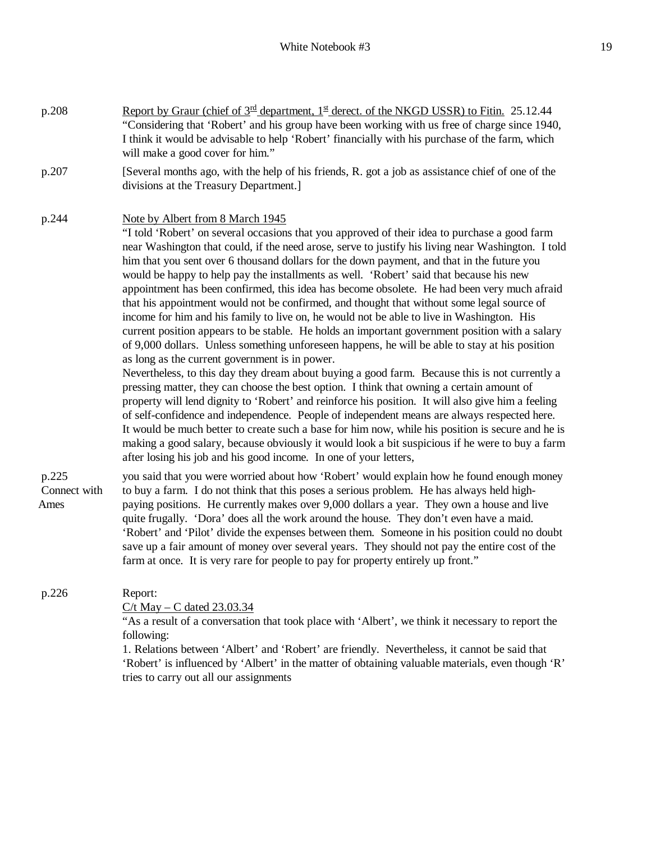| p.208                         | <u>Report by Graur (chief of <math>3^{\text{rd}}</math> department, <math>1^{\text{st}}</math> derect. of the NKGD USSR) to Fitin.</u> 25.12.44<br>"Considering that 'Robert' and his group have been working with us free of charge since 1940,<br>I think it would be advisable to help 'Robert' financially with his purchase of the farm, which<br>will make a good cover for him."                                                                                                                                                                                                                                                                                                                                                                                                                                                                                                                                                                                                                                                                                                                                                                                                                                                                                                                                                                                                                                                                                                                                                                                                                                                                           |
|-------------------------------|-------------------------------------------------------------------------------------------------------------------------------------------------------------------------------------------------------------------------------------------------------------------------------------------------------------------------------------------------------------------------------------------------------------------------------------------------------------------------------------------------------------------------------------------------------------------------------------------------------------------------------------------------------------------------------------------------------------------------------------------------------------------------------------------------------------------------------------------------------------------------------------------------------------------------------------------------------------------------------------------------------------------------------------------------------------------------------------------------------------------------------------------------------------------------------------------------------------------------------------------------------------------------------------------------------------------------------------------------------------------------------------------------------------------------------------------------------------------------------------------------------------------------------------------------------------------------------------------------------------------------------------------------------------------|
| p.207                         | [Several months ago, with the help of his friends, R. got a job as assistance chief of one of the<br>divisions at the Treasury Department.]                                                                                                                                                                                                                                                                                                                                                                                                                                                                                                                                                                                                                                                                                                                                                                                                                                                                                                                                                                                                                                                                                                                                                                                                                                                                                                                                                                                                                                                                                                                       |
| p.244                         | Note by Albert from 8 March 1945<br>"I told 'Robert' on several occasions that you approved of their idea to purchase a good farm<br>near Washington that could, if the need arose, serve to justify his living near Washington. I told<br>him that you sent over 6 thousand dollars for the down payment, and that in the future you<br>would be happy to help pay the installments as well. 'Robert' said that because his new<br>appointment has been confirmed, this idea has become obsolete. He had been very much afraid<br>that his appointment would not be confirmed, and thought that without some legal source of<br>income for him and his family to live on, he would not be able to live in Washington. His<br>current position appears to be stable. He holds an important government position with a salary<br>of 9,000 dollars. Unless something unforeseen happens, he will be able to stay at his position<br>as long as the current government is in power.<br>Nevertheless, to this day they dream about buying a good farm. Because this is not currently a<br>pressing matter, they can choose the best option. I think that owning a certain amount of<br>property will lend dignity to 'Robert' and reinforce his position. It will also give him a feeling<br>of self-confidence and independence. People of independent means are always respected here.<br>It would be much better to create such a base for him now, while his position is secure and he is<br>making a good salary, because obviously it would look a bit suspicious if he were to buy a farm<br>after losing his job and his good income. In one of your letters, |
| p.225<br>Connect with<br>Ames | you said that you were worried about how 'Robert' would explain how he found enough money<br>to buy a farm. I do not think that this poses a serious problem. He has always held high-<br>paying positions. He currently makes over 9,000 dollars a year. They own a house and live<br>quite frugally. 'Dora' does all the work around the house. They don't even have a maid.<br>'Robert' and 'Pilot' divide the expenses between them. Someone in his position could no doubt<br>save up a fair amount of money over several years. They should not pay the entire cost of the<br>farm at once. It is very rare for people to pay for property entirely up front."                                                                                                                                                                                                                                                                                                                                                                                                                                                                                                                                                                                                                                                                                                                                                                                                                                                                                                                                                                                              |
| p.226                         | Report:<br>$C/t$ May – C dated 23.03.34                                                                                                                                                                                                                                                                                                                                                                                                                                                                                                                                                                                                                                                                                                                                                                                                                                                                                                                                                                                                                                                                                                                                                                                                                                                                                                                                                                                                                                                                                                                                                                                                                           |

"As a result of a conversation that took place with 'Albert', we think it necessary to report the following:

1. Relations between 'Albert' and 'Robert' are friendly. Nevertheless, it cannot be said that 'Robert' is influenced by 'Albert' in the matter of obtaining valuable materials, even though 'R' tries to carry out all our assignments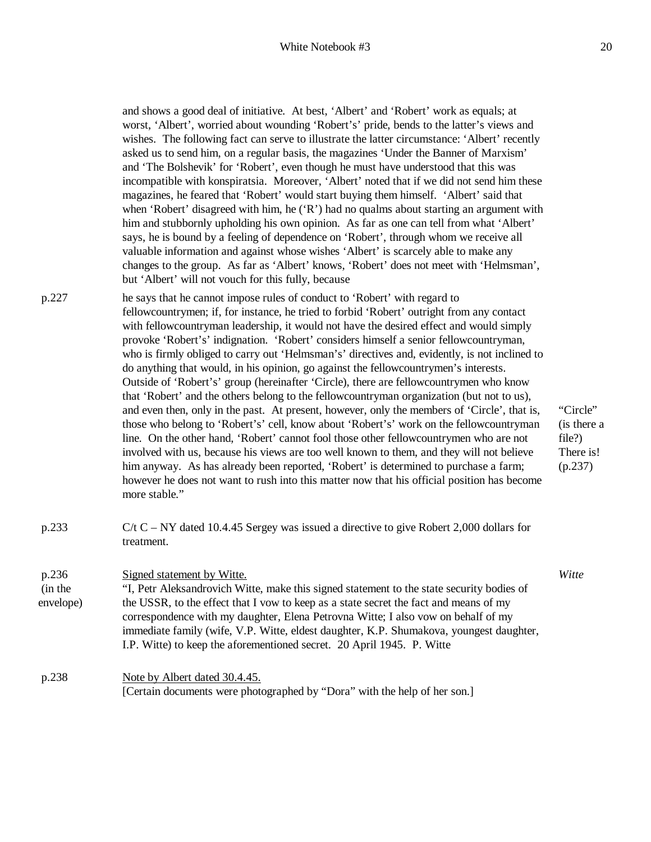#### White Notebook #3 20

and shows a good deal of initiative. At best, 'Albert' and 'Robert' work as equals; at worst, 'Albert', worried about wounding 'Robert's' pride, bends to the latter's views and wishes. The following fact can serve to illustrate the latter circumstance: 'Albert' recently asked us to send him, on a regular basis, the magazines 'Under the Banner of Marxism' and 'The Bolshevik' for 'Robert', even though he must have understood that this was incompatible with konspiratsia. Moreover, 'Albert' noted that if we did not send him these magazines, he feared that 'Robert' would start buying them himself. 'Albert' said that when 'Robert' disagreed with him, he ('R') had no qualms about starting an argument with him and stubbornly upholding his own opinion. As far as one can tell from what 'Albert' says, he is bound by a feeling of dependence on 'Robert', through whom we receive all valuable information and against whose wishes 'Albert' is scarcely able to make any changes to the group. As far as 'Albert' knows, 'Robert' does not meet with 'Helmsman', but 'Albert' will not vouch for this fully, because

- p.227 he says that he cannot impose rules of conduct to 'Robert' with regard to fellowcountrymen; if, for instance, he tried to forbid 'Robert' outright from any contact with fellowcountryman leadership, it would not have the desired effect and would simply provoke 'Robert's' indignation. 'Robert' considers himself a senior fellowcountryman, who is firmly obliged to carry out 'Helmsman's' directives and, evidently, is not inclined to do anything that would, in his opinion, go against the fellowcountrymen's interests. Outside of 'Robert's' group (hereinafter 'Circle), there are fellowcountrymen who know that 'Robert' and the others belong to the fellowcountryman organization (but not to us), and even then, only in the past. At present, however, only the members of 'Circle', that is, those who belong to 'Robert's' cell, know about 'Robert's' work on the fellowcountryman line. On the other hand, 'Robert' cannot fool those other fellowcountrymen who are not involved with us, because his views are too well known to them, and they will not believe him anyway. As has already been reported, 'Robert' is determined to purchase a farm; however he does not want to rush into this matter now that his official position has become more stable."
- p.233 C/t C NY dated 10.4.45 Sergey was issued a directive to give Robert 2,000 dollars for treatment.

p.236 (in the envelope) Signed statement by Witte. "I, Petr Aleksandrovich Witte, make this signed statement to the state security bodies of the USSR, to the effect that I vow to keep as a state secret the fact and means of my correspondence with my daughter, Elena Petrovna Witte; I also vow on behalf of my immediate family (wife, V.P. Witte, eldest daughter, K.P. Shumakova, youngest daughter, I.P. Witte) to keep the aforementioned secret. 20 April 1945. P. Witte

p.238 Note by Albert dated 30.4.45. [Certain documents were photographed by "Dora" with the help of her son.] "Circle" (is there a file?) There is! (p.237)

*Witte*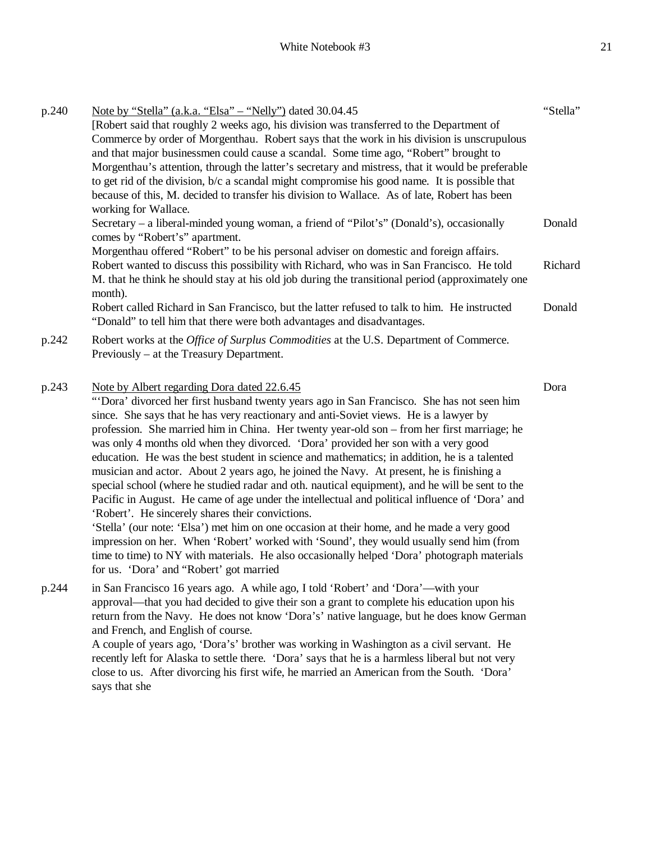| p.240 | <u>Note by "Stella" (a.k.a. "Elsa" – "Nelly")</u> dated 30.04.45                                                                                                        | "Stella" |
|-------|-------------------------------------------------------------------------------------------------------------------------------------------------------------------------|----------|
|       | [Robert said that roughly 2 weeks ago, his division was transferred to the Department of                                                                                |          |
|       | Commerce by order of Morgenthau. Robert says that the work in his division is unscrupulous                                                                              |          |
|       | and that major businessmen could cause a scandal. Some time ago, "Robert" brought to                                                                                    |          |
|       | Morgenthau's attention, through the latter's secretary and mistress, that it would be preferable                                                                        |          |
|       | to get rid of the division, $b/c$ a scandal might compromise his good name. It is possible that                                                                         |          |
|       | because of this, M. decided to transfer his division to Wallace. As of late, Robert has been                                                                            |          |
|       | working for Wallace.                                                                                                                                                    |          |
|       | Secretary – a liberal-minded young woman, a friend of "Pilot's" (Donald's), occasionally<br>comes by "Robert's" apartment.                                              | Donald   |
|       | Morgenthau offered "Robert" to be his personal adviser on domestic and foreign affairs.                                                                                 |          |
|       | Robert wanted to discuss this possibility with Richard, who was in San Francisco. He told                                                                               | Richard  |
|       | M. that he think he should stay at his old job during the transitional period (approximately one                                                                        |          |
|       | month).                                                                                                                                                                 |          |
|       | Robert called Richard in San Francisco, but the latter refused to talk to him. He instructed<br>"Donald" to tell him that there were both advantages and disadvantages. | Donald   |
| p.242 | Robert works at the <i>Office of Surplus Commodities</i> at the U.S. Department of Commerce.                                                                            |          |
|       | Previously – at the Treasury Department.                                                                                                                                |          |
| p.243 | Note by Albert regarding Dora dated 22.6.45                                                                                                                             | Dora     |

"'Dora' divorced her first husband twenty years ago in San Francisco. She has not seen him since. She says that he has very reactionary and anti-Soviet views. He is a lawyer by profession. She married him in China. Her twenty year-old son – from her first marriage; he was only 4 months old when they divorced. 'Dora' provided her son with a very good education. He was the best student in science and mathematics; in addition, he is a talented musician and actor. About 2 years ago, he joined the Navy. At present, he is finishing a special school (where he studied radar and oth. nautical equipment), and he will be sent to the Pacific in August. He came of age under the intellectual and political influence of 'Dora' and 'Robert'. He sincerely shares their convictions.

'Stella' (our note: 'Elsa') met him on one occasion at their home, and he made a very good impression on her. When 'Robert' worked with 'Sound', they would usually send him (from time to time) to NY with materials. He also occasionally helped 'Dora' photograph materials for us. 'Dora' and "Robert' got married

p.244 in San Francisco 16 years ago. A while ago, I told 'Robert' and 'Dora'—with your approval—that you had decided to give their son a grant to complete his education upon his return from the Navy. He does not know 'Dora's' native language, but he does know German and French, and English of course. A couple of years ago, 'Dora's' brother was working in Washington as a civil servant. He

recently left for Alaska to settle there. 'Dora' says that he is a harmless liberal but not very close to us. After divorcing his first wife, he married an American from the South. 'Dora' says that she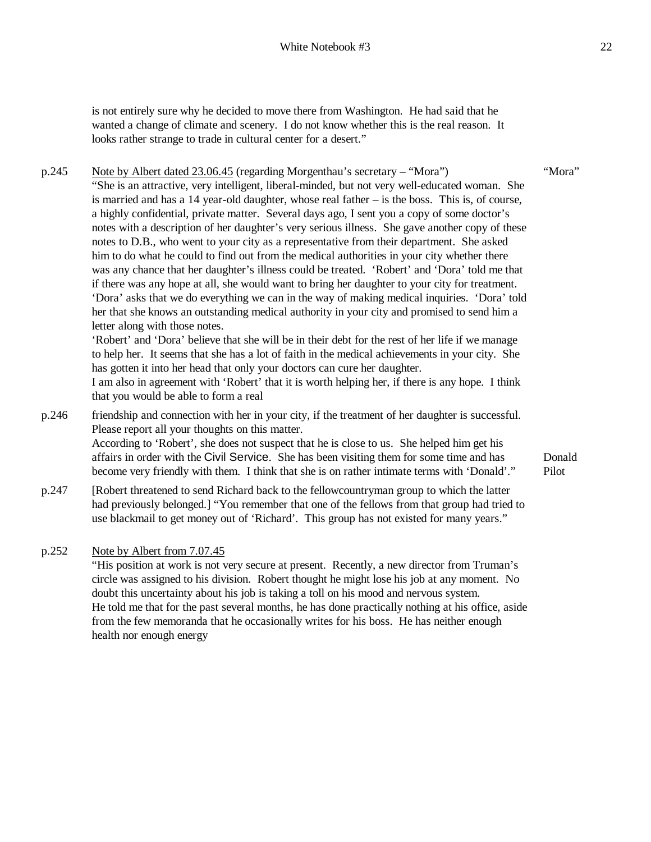is not entirely sure why he decided to move there from Washington. He had said that he wanted a change of climate and scenery. I do not know whether this is the real reason. It looks rather strange to trade in cultural center for a desert."

p.245 Note by Albert dated 23.06.45 (regarding Morgenthau's secretary – "Mora") "She is an attractive, very intelligent, liberal-minded, but not very well-educated woman. She is married and has a 14 year-old daughter, whose real father – is the boss. This is, of course, a highly confidential, private matter. Several days ago, I sent you a copy of some doctor's notes with a description of her daughter's very serious illness. She gave another copy of these notes to D.B., who went to your city as a representative from their department. She asked him to do what he could to find out from the medical authorities in your city whether there was any chance that her daughter's illness could be treated. 'Robert' and 'Dora' told me that if there was any hope at all, she would want to bring her daughter to your city for treatment. 'Dora' asks that we do everything we can in the way of making medical inquiries. 'Dora' told her that she knows an outstanding medical authority in your city and promised to send him a letter along with those notes. 'Robert' and 'Dora' believe that she will be in their debt for the rest of her life if we manage

to help her. It seems that she has a lot of faith in the medical achievements in your city. She has gotten it into her head that only your doctors can cure her daughter.

I am also in agreement with 'Robert' that it is worth helping her, if there is any hope. I think that you would be able to form a real

p.246 friendship and connection with her in your city, if the treatment of her daughter is successful. Please report all your thoughts on this matter.

According to 'Robert', she does not suspect that he is close to us. She helped him get his affairs in order with the Civil Service. She has been visiting them for some time and has become very friendly with them. I think that she is on rather intimate terms with 'Donald'."

p.247 [Robert threatened to send Richard back to the fellowcountryman group to which the latter had previously belonged.] "You remember that one of the fellows from that group had tried to use blackmail to get money out of 'Richard'. This group has not existed for many years."

### p.252 Note by Albert from 7.07.45

"His position at work is not very secure at present. Recently, a new director from Truman's circle was assigned to his division. Robert thought he might lose his job at any moment. No doubt this uncertainty about his job is taking a toll on his mood and nervous system. He told me that for the past several months, he has done practically nothing at his office, aside from the few memoranda that he occasionally writes for his boss. He has neither enough health nor enough energy

"Mora"

Donald Pilot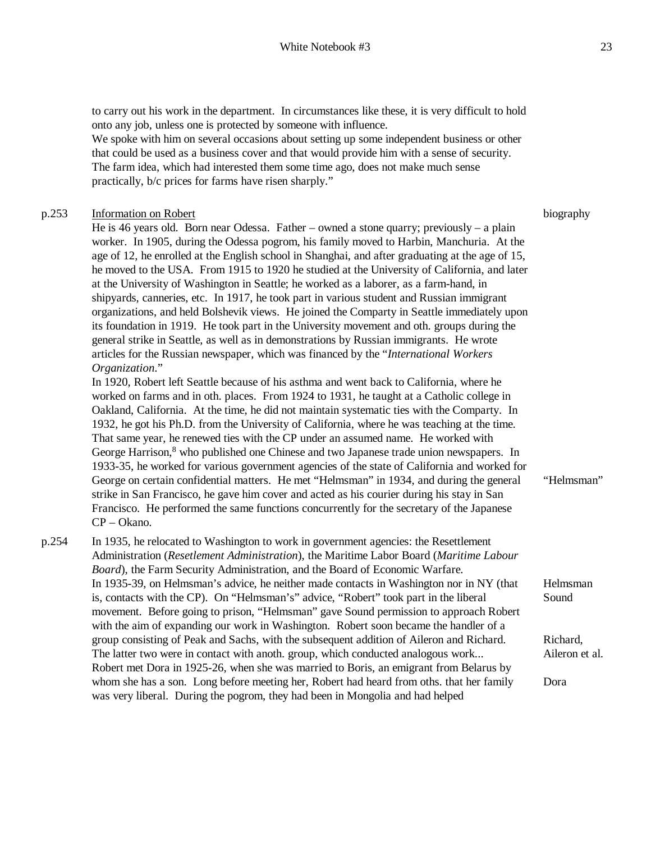to carry out his work in the department. In circumstances like these, it is very difficult to hold onto any job, unless one is protected by someone with influence.

We spoke with him on several occasions about setting up some independent business or other that could be used as a business cover and that would provide him with a sense of security. The farm idea, which had interested them some time ago, does not make much sense practically, b/c prices for farms have risen sharply."

# p.253 Information on Robert

He is 46 years old. Born near Odessa. Father – owned a stone quarry; previously – a plain worker. In 1905, during the Odessa pogrom, his family moved to Harbin, Manchuria. At the age of 12, he enrolled at the English school in Shanghai, and after graduating at the age of 15, he moved to the USA. From 1915 to 1920 he studied at the University of California, and later at the University of Washington in Seattle; he worked as a laborer, as a farm-hand, in shipyards, canneries, etc. In 1917, he took part in various student and Russian immigrant organizations, and held Bolshevik views. He joined the Comparty in Seattle immediately upon its foundation in 1919. He took part in the University movement and oth. groups during the general strike in Seattle, as well as in demonstrations by Russian immigrants. He wrote articles for the Russian newspaper, which was financed by the "*International Workers Organization*."

In 1920, Robert left Seattle because of his asthma and went back to California, where he worked on farms and in oth. places. From 1924 to 1931, he taught at a Catholic college in Oakland, California. At the time, he did not maintain systematic ties with the Comparty. In 1932, he got his Ph.D. from the University of California, where he was teaching at the time. That same year, he renewed ties with the CP under an assumed name. He worked with George Harrison, $8$  who published one Chinese and two Japanese trade union newspapers. In 1933-35, he worked for various government agencies of the state of California and worked for George on certain confidential matters. He met "Helmsman" in 1934, and during the general strike in San Francisco, he gave him cover and acted as his courier during his stay in San Francisco. He performed the same functions concurrently for the secretary of the Japanese CP – Okano.

p.254 In 1935, he relocated to Washington to work in government agencies: the Resettlement Administration (*Resetlement Administration*), the Maritime Labor Board (*Maritime Labour Board*), the Farm Security Administration, and the Board of Economic Warfare. In 1935-39, on Helmsman's advice, he neither made contacts in Washington nor in NY (that is, contacts with the CP). On "Helmsman's" advice, "Robert" took part in the liberal movement. Before going to prison, "Helmsman" gave Sound permission to approach Robert with the aim of expanding our work in Washington. Robert soon became the handler of a group consisting of Peak and Sachs, with the subsequent addition of Aileron and Richard. The latter two were in contact with anoth. group, which conducted analogous work... Robert met Dora in 1925-26, when she was married to Boris, an emigrant from Belarus by whom she has a son. Long before meeting her, Robert had heard from oths. that her family was very liberal. During the pogrom, they had been in Mongolia and had helped Helmsman Sound Richard, Aileron et al. Dora

biography

"Helmsman"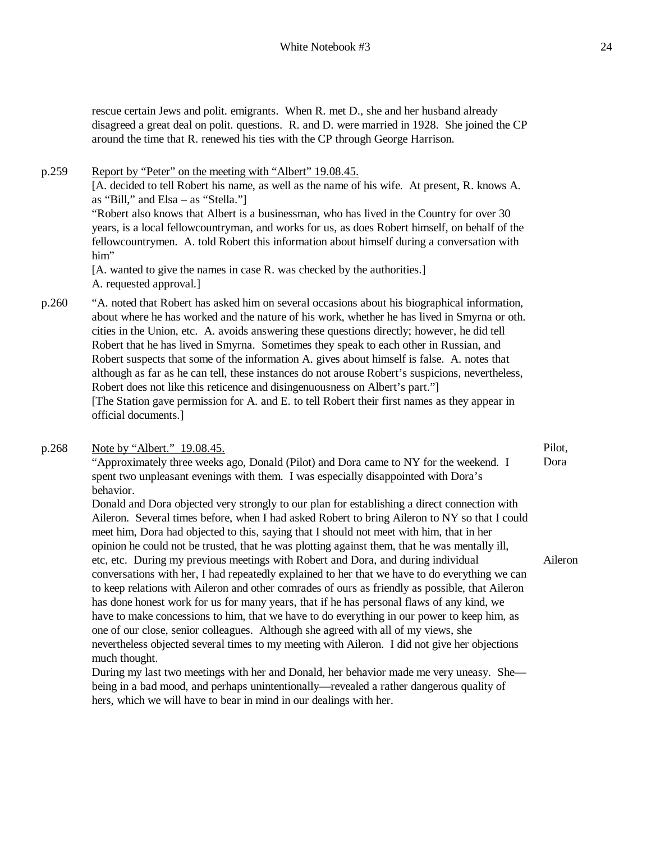rescue certain Jews and polit. emigrants. When R. met D., she and her husband already disagreed a great deal on polit. questions. R. and D. were married in 1928. She joined the CP around the time that R. renewed his ties with the CP through George Harrison.

p.259 Report by "Peter" on the meeting with "Albert" 19.08.45. [A. decided to tell Robert his name, as well as the name of his wife. At present, R. knows A. as "Bill," and Elsa – as "Stella."] "Robert also knows that Albert is a businessman, who has lived in the Country for over 30 years, is a local fellowcountryman, and works for us, as does Robert himself, on behalf of the fellowcountrymen. A. told Robert this information about himself during a conversation with him" [A. wanted to give the names in case R. was checked by the authorities.] A. requested approval.] p.260 "A. noted that Robert has asked him on several occasions about his biographical information, about where he has worked and the nature of his work, whether he has lived in Smyrna or oth. cities in the Union, etc. A. avoids answering these questions directly; however, he did tell Robert that he has lived in Smyrna. Sometimes they speak to each other in Russian, and Robert suspects that some of the information A. gives about himself is false. A. notes that

> although as far as he can tell, these instances do not arouse Robert's suspicions, nevertheless, Robert does not like this reticence and disingenuousness on Albert's part." [The Station gave permission for A. and E. to tell Robert their first names as they appear in official documents.]

### p.268 Note by "Albert." 19.08.45.

"Approximately three weeks ago, Donald (Pilot) and Dora came to NY for the weekend. I spent two unpleasant evenings with them. I was especially disappointed with Dora's behavior.

Donald and Dora objected very strongly to our plan for establishing a direct connection with Aileron. Several times before, when I had asked Robert to bring Aileron to NY so that I could meet him, Dora had objected to this, saying that I should not meet with him, that in her opinion he could not be trusted, that he was plotting against them, that he was mentally ill, etc, etc. During my previous meetings with Robert and Dora, and during individual conversations with her, I had repeatedly explained to her that we have to do everything we can to keep relations with Aileron and other comrades of ours as friendly as possible, that Aileron has done honest work for us for many years, that if he has personal flaws of any kind, we have to make concessions to him, that we have to do everything in our power to keep him, as one of our close, senior colleagues. Although she agreed with all of my views, she nevertheless objected several times to my meeting with Aileron. I did not give her objections much thought. Aileron

During my last two meetings with her and Donald, her behavior made me very uneasy. She being in a bad mood, and perhaps unintentionally—revealed a rather dangerous quality of hers, which we will have to bear in mind in our dealings with her.

Pilot,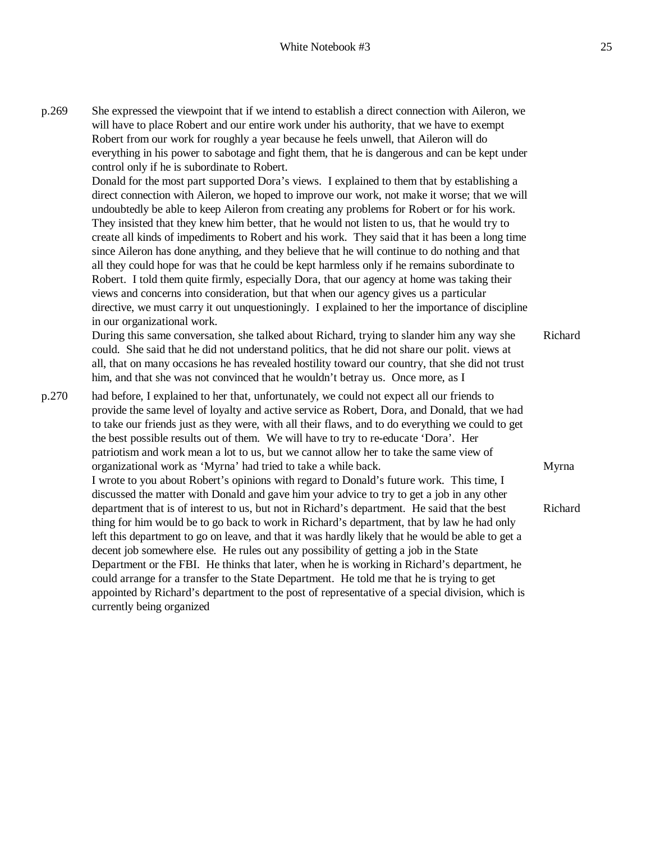p.269 She expressed the viewpoint that if we intend to establish a direct connection with Aileron, we will have to place Robert and our entire work under his authority, that we have to exempt Robert from our work for roughly a year because he feels unwell, that Aileron will do everything in his power to sabotage and fight them, that he is dangerous and can be kept under control only if he is subordinate to Robert. Donald for the most part supported Dora's views. I explained to them that by establishing a direct connection with Aileron, we hoped to improve our work, not make it worse; that we will undoubtedly be able to keep Aileron from creating any problems for Robert or for his work. They insisted that they knew him better, that he would not listen to us, that he would try to create all kinds of impediments to Robert and his work. They said that it has been a long time since Aileron has done anything, and they believe that he will continue to do nothing and that all they could hope for was that he could be kept harmless only if he remains subordinate to Robert. I told them quite firmly, especially Dora, that our agency at home was taking their views and concerns into consideration, but that when our agency gives us a particular directive, we must carry it out unquestioningly. I explained to her the importance of discipline in our organizational work. During this same conversation, she talked about Richard, trying to slander him any way she could. She said that he did not understand politics, that he did not share our polit. views at all, that on many occasions he has revealed hostility toward our country, that she did not trust him, and that she was not convinced that he wouldn't betray us. Once more, as I p.270 had before, I explained to her that, unfortunately, we could not expect all our friends to provide the same level of loyalty and active service as Robert, Dora, and Donald, that we had to take our friends just as they were, with all their flaws, and to do everything we could to get the best possible results out of them. We will have to try to re-educate 'Dora'. Her patriotism and work mean a lot to us, but we cannot allow her to take the same view of organizational work as 'Myrna' had tried to take a while back. I wrote to you about Robert's opinions with regard to Donald's future work. This time, I discussed the matter with Donald and gave him your advice to try to get a job in any other department that is of interest to us, but not in Richard's department. He said that the best thing for him would be to go back to work in Richard's department, that by law he had only left this department to go on leave, and that it was hardly likely that he would be able to get a decent job somewhere else. He rules out any possibility of getting a job in the State Department or the FBI. He thinks that later, when he is working in Richard's department, he could arrange for a transfer to the State Department. He told me that he is trying to get appointed by Richard's department to the post of representative of a special division, which is currently being organized Myrna Richard

Richard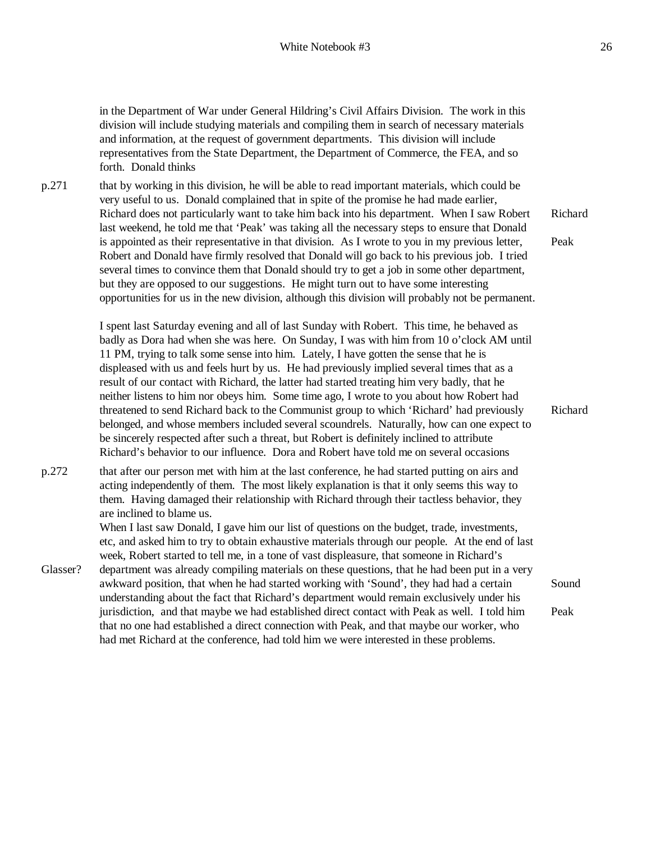in the Department of War under General Hildring's Civil Affairs Division. The work in this division will include studying materials and compiling them in search of necessary materials and information, at the request of government departments. This division will include representatives from the State Department, the Department of Commerce, the FEA, and so forth. Donald thinks

p.271 that by working in this division, he will be able to read important materials, which could be very useful to us. Donald complained that in spite of the promise he had made earlier, Richard does not particularly want to take him back into his department. When I saw Robert last weekend, he told me that 'Peak' was taking all the necessary steps to ensure that Donald is appointed as their representative in that division. As I wrote to you in my previous letter, Robert and Donald have firmly resolved that Donald will go back to his previous job. I tried several times to convince them that Donald should try to get a job in some other department, but they are opposed to our suggestions. He might turn out to have some interesting opportunities for us in the new division, although this division will probably not be permanent. Richard Peak

> I spent last Saturday evening and all of last Sunday with Robert. This time, he behaved as badly as Dora had when she was here. On Sunday, I was with him from 10 o'clock AM until 11 PM, trying to talk some sense into him. Lately, I have gotten the sense that he is displeased with us and feels hurt by us. He had previously implied several times that as a result of our contact with Richard, the latter had started treating him very badly, that he neither listens to him nor obeys him. Some time ago, I wrote to you about how Robert had threatened to send Richard back to the Communist group to which 'Richard' had previously belonged, and whose members included several scoundrels. Naturally, how can one expect to be sincerely respected after such a threat, but Robert is definitely inclined to attribute Richard's behavior to our influence. Dora and Robert have told me on several occasions

p.272 that after our person met with him at the last conference, he had started putting on airs and acting independently of them. The most likely explanation is that it only seems this way to them. Having damaged their relationship with Richard through their tactless behavior, they are inclined to blame us.

Glasser?

When I last saw Donald, I gave him our list of questions on the budget, trade, investments, etc, and asked him to try to obtain exhaustive materials through our people. At the end of last week, Robert started to tell me, in a tone of vast displeasure, that someone in Richard's department was already compiling materials on these questions, that he had been put in a very awkward position, that when he had started working with 'Sound', they had had a certain Sound

understanding about the fact that Richard's department would remain exclusively under his jurisdiction, and that maybe we had established direct contact with Peak as well. I told him that no one had established a direct connection with Peak, and that maybe our worker, who had met Richard at the conference, had told him we were interested in these problems. Peak

Richard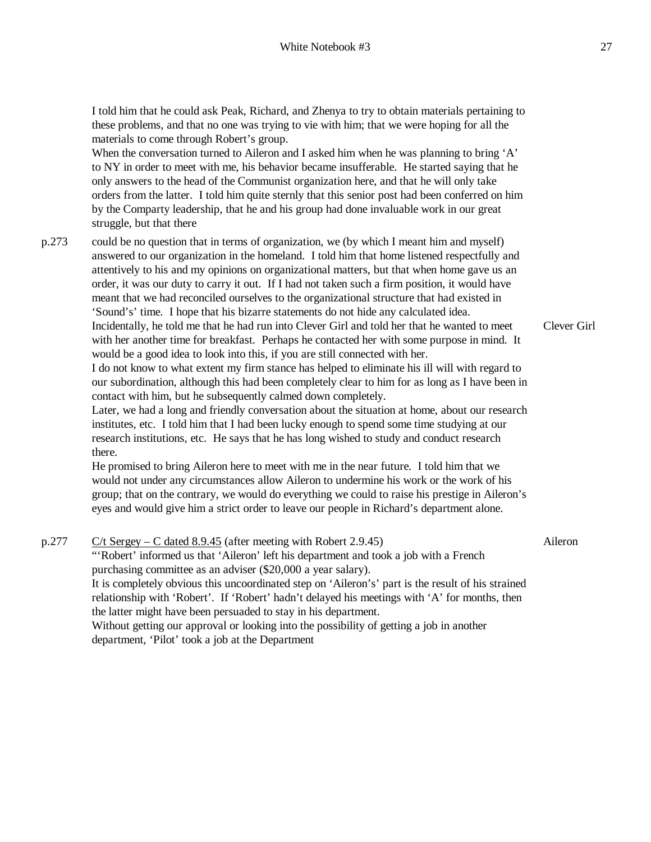I told him that he could ask Peak, Richard, and Zhenya to try to obtain materials pertaining to these problems, and that no one was trying to vie with him; that we were hoping for all the materials to come through Robert's group.

When the conversation turned to Aileron and I asked him when he was planning to bring 'A' to NY in order to meet with me, his behavior became insufferable. He started saying that he only answers to the head of the Communist organization here, and that he will only take orders from the latter. I told him quite sternly that this senior post had been conferred on him by the Comparty leadership, that he and his group had done invaluable work in our great struggle, but that there

p.273 could be no question that in terms of organization, we (by which I meant him and myself) answered to our organization in the homeland. I told him that home listened respectfully and attentively to his and my opinions on organizational matters, but that when home gave us an order, it was our duty to carry it out. If I had not taken such a firm position, it would have meant that we had reconciled ourselves to the organizational structure that had existed in 'Sound's' time. I hope that his bizarre statements do not hide any calculated idea. Incidentally, he told me that he had run into Clever Girl and told her that he wanted to meet with her another time for breakfast. Perhaps he contacted her with some purpose in mind. It would be a good idea to look into this, if you are still connected with her.

> I do not know to what extent my firm stance has helped to eliminate his ill will with regard to our subordination, although this had been completely clear to him for as long as I have been in contact with him, but he subsequently calmed down completely.

> Later, we had a long and friendly conversation about the situation at home, about our research institutes, etc. I told him that I had been lucky enough to spend some time studying at our research institutions, etc. He says that he has long wished to study and conduct research there.

> He promised to bring Aileron here to meet with me in the near future. I told him that we would not under any circumstances allow Aileron to undermine his work or the work of his group; that on the contrary, we would do everything we could to raise his prestige in Aileron's eyes and would give him a strict order to leave our people in Richard's department alone.

p.277 C/t Sergey – C dated  $8.9.45$  (after meeting with Robert 2.9.45) "'Robert' informed us that 'Aileron' left his department and took a job with a French purchasing committee as an adviser (\$20,000 a year salary). It is completely obvious this uncoordinated step on 'Aileron's' part is the result of his strained relationship with 'Robert'. If 'Robert' hadn't delayed his meetings with 'A' for months, then the latter might have been persuaded to stay in his department. Without getting our approval or looking into the possibility of getting a job in another department, 'Pilot' took a job at the Department Aileron

Clever Girl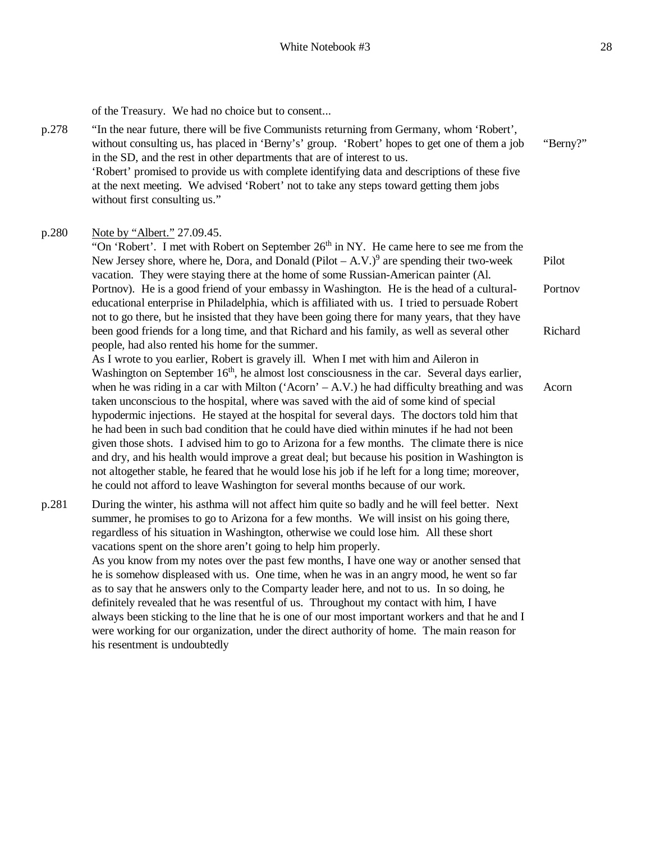of the Treasury. We had no choice but to consent...

p.278 "In the near future, there will be five Communists returning from Germany, whom 'Robert', without consulting us, has placed in 'Berny's' group. 'Robert' hopes to get one of them a job in the SD, and the rest in other departments that are of interest to us. 'Robert' promised to provide us with complete identifying data and descriptions of these five at the next meeting. We advised 'Robert' not to take any steps toward getting them jobs without first consulting us." "Berny?"

### p.280 Note by "Albert." 27.09.45.

"On 'Robert'. I met with Robert on September  $26<sup>th</sup>$  in NY. He came here to see me from the New Jersey shore, where he, Dora, and Donald (Pilot  $-A.V.^9$ ) are spending their two-week vacation. They were staying there at the home of some Russian-American painter (Al. Portnov). He is a good friend of your embassy in Washington. He is the head of a culturaleducational enterprise in Philadelphia, which is affiliated with us. I tried to persuade Robert not to go there, but he insisted that they have been going there for many years, that they have been good friends for a long time, and that Richard and his family, as well as several other people, had also rented his home for the summer. As I wrote to you earlier, Robert is gravely ill. When I met with him and Aileron in Pilot Portnov Richard

Washington on September 16<sup>th</sup>, he almost lost consciousness in the car. Several days earlier, when he was riding in a car with Milton ('Acorn' – A.V.) he had difficulty breathing and was taken unconscious to the hospital, where was saved with the aid of some kind of special hypodermic injections. He stayed at the hospital for several days. The doctors told him that he had been in such bad condition that he could have died within minutes if he had not been given those shots. I advised him to go to Arizona for a few months. The climate there is nice and dry, and his health would improve a great deal; but because his position in Washington is not altogether stable, he feared that he would lose his job if he left for a long time; moreover, he could not afford to leave Washington for several months because of our work. Acorn

p.281 During the winter, his asthma will not affect him quite so badly and he will feel better. Next summer, he promises to go to Arizona for a few months. We will insist on his going there, regardless of his situation in Washington, otherwise we could lose him. All these short vacations spent on the shore aren't going to help him properly. As you know from my notes over the past few months, I have one way or another sensed that

he is somehow displeased with us. One time, when he was in an angry mood, he went so far as to say that he answers only to the Comparty leader here, and not to us. In so doing, he definitely revealed that he was resentful of us. Throughout my contact with him, I have always been sticking to the line that he is one of our most important workers and that he and I were working for our organization, under the direct authority of home. The main reason for his resentment is undoubtedly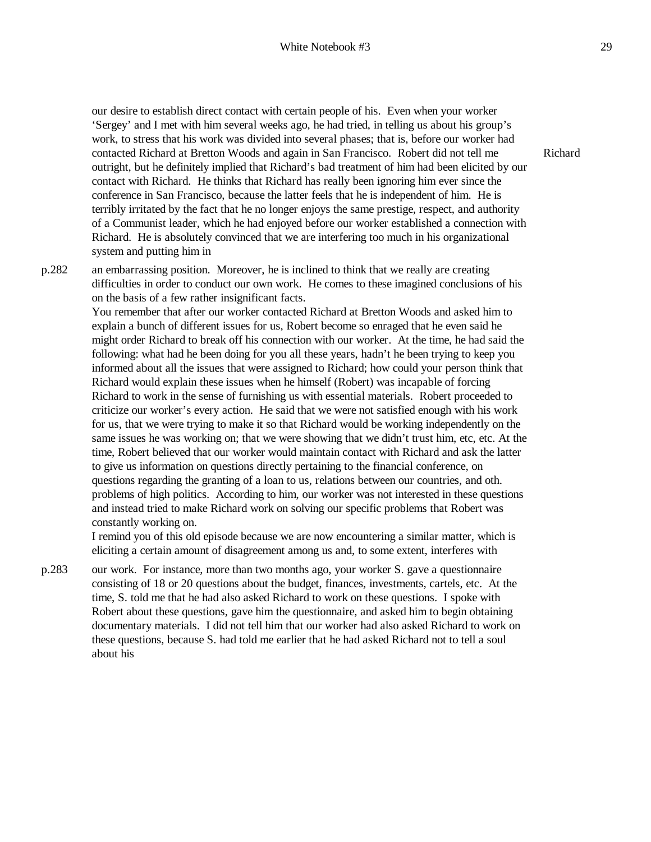our desire to establish direct contact with certain people of his. Even when your worker 'Sergey' and I met with him several weeks ago, he had tried, in telling us about his group's work, to stress that his work was divided into several phases; that is, before our worker had contacted Richard at Bretton Woods and again in San Francisco. Robert did not tell me outright, but he definitely implied that Richard's bad treatment of him had been elicited by our contact with Richard. He thinks that Richard has really been ignoring him ever since the conference in San Francisco, because the latter feels that he is independent of him. He is terribly irritated by the fact that he no longer enjoys the same prestige, respect, and authority of a Communist leader, which he had enjoyed before our worker established a connection with Richard. He is absolutely convinced that we are interfering too much in his organizational system and putting him in

p.282 an embarrassing position. Moreover, he is inclined to think that we really are creating difficulties in order to conduct our own work. He comes to these imagined conclusions of his on the basis of a few rather insignificant facts.

> You remember that after our worker contacted Richard at Bretton Woods and asked him to explain a bunch of different issues for us, Robert become so enraged that he even said he might order Richard to break off his connection with our worker. At the time, he had said the following: what had he been doing for you all these years, hadn't he been trying to keep you informed about all the issues that were assigned to Richard; how could your person think that Richard would explain these issues when he himself (Robert) was incapable of forcing Richard to work in the sense of furnishing us with essential materials. Robert proceeded to criticize our worker's every action. He said that we were not satisfied enough with his work for us, that we were trying to make it so that Richard would be working independently on the same issues he was working on; that we were showing that we didn't trust him, etc, etc. At the time, Robert believed that our worker would maintain contact with Richard and ask the latter to give us information on questions directly pertaining to the financial conference, on questions regarding the granting of a loan to us, relations between our countries, and oth. problems of high politics. According to him, our worker was not interested in these questions and instead tried to make Richard work on solving our specific problems that Robert was constantly working on.

I remind you of this old episode because we are now encountering a similar matter, which is eliciting a certain amount of disagreement among us and, to some extent, interferes with

p.283 our work. For instance, more than two months ago, your worker S. gave a questionnaire consisting of 18 or 20 questions about the budget, finances, investments, cartels, etc. At the time, S. told me that he had also asked Richard to work on these questions. I spoke with Robert about these questions, gave him the questionnaire, and asked him to begin obtaining documentary materials. I did not tell him that our worker had also asked Richard to work on these questions, because S. had told me earlier that he had asked Richard not to tell a soul about his

Richard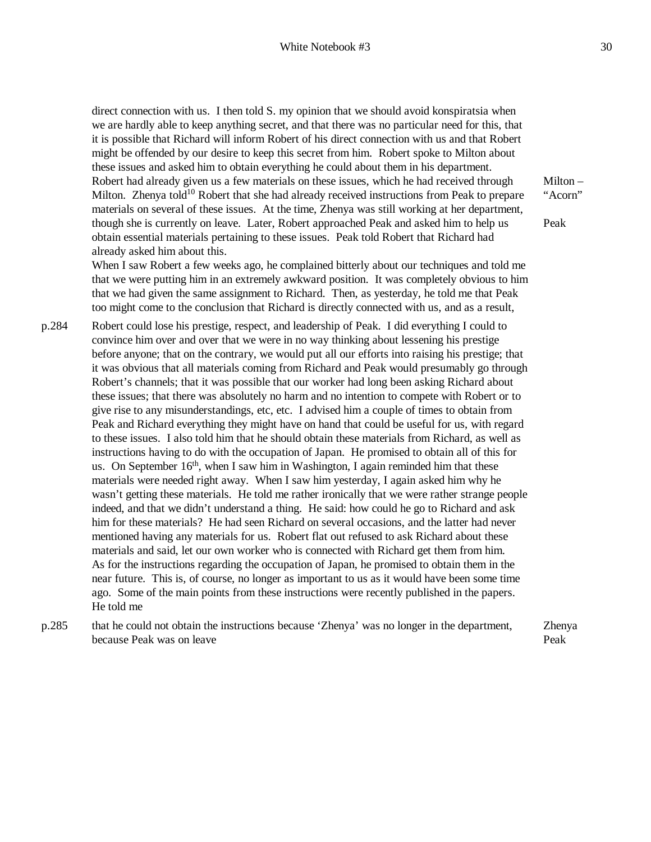direct connection with us. I then told S. my opinion that we should avoid konspiratsia when we are hardly able to keep anything secret, and that there was no particular need for this, that it is possible that Richard will inform Robert of his direct connection with us and that Robert might be offended by our desire to keep this secret from him. Robert spoke to Milton about these issues and asked him to obtain everything he could about them in his department. Robert had already given us a few materials on these issues, which he had received through Milton. Zhenya told<sup>10</sup> Robert that she had already received instructions from Peak to prepare materials on several of these issues. At the time, Zhenya was still working at her department, though she is currently on leave. Later, Robert approached Peak and asked him to help us obtain essential materials pertaining to these issues. Peak told Robert that Richard had already asked him about this.

When I saw Robert a few weeks ago, he complained bitterly about our techniques and told me that we were putting him in an extremely awkward position. It was completely obvious to him that we had given the same assignment to Richard. Then, as yesterday, he told me that Peak too might come to the conclusion that Richard is directly connected with us, and as a result,

- p.284 Robert could lose his prestige, respect, and leadership of Peak. I did everything I could to convince him over and over that we were in no way thinking about lessening his prestige before anyone; that on the contrary, we would put all our efforts into raising his prestige; that it was obvious that all materials coming from Richard and Peak would presumably go through Robert's channels; that it was possible that our worker had long been asking Richard about these issues; that there was absolutely no harm and no intention to compete with Robert or to give rise to any misunderstandings, etc, etc. I advised him a couple of times to obtain from Peak and Richard everything they might have on hand that could be useful for us, with regard to these issues. I also told him that he should obtain these materials from Richard, as well as instructions having to do with the occupation of Japan. He promised to obtain all of this for us. On September  $16<sup>th</sup>$ , when I saw him in Washington, I again reminded him that these materials were needed right away. When I saw him yesterday, I again asked him why he wasn't getting these materials. He told me rather ironically that we were rather strange people indeed, and that we didn't understand a thing. He said: how could he go to Richard and ask him for these materials? He had seen Richard on several occasions, and the latter had never mentioned having any materials for us. Robert flat out refused to ask Richard about these materials and said, let our own worker who is connected with Richard get them from him. As for the instructions regarding the occupation of Japan, he promised to obtain them in the near future. This is, of course, no longer as important to us as it would have been some time ago. Some of the main points from these instructions were recently published in the papers. He told me
- p.285 that he could not obtain the instructions because 'Zhenya' was no longer in the department, because Peak was on leave Peak

Milton – "Acorn"

Peak

Zhenya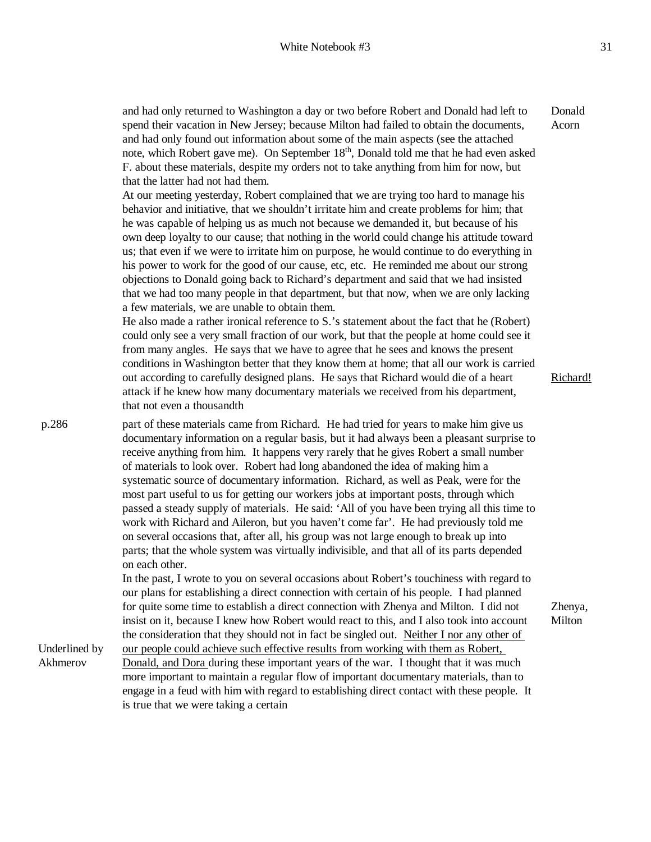and had only returned to Washington a day or two before Robert and Donald had left to spend their vacation in New Jersey; because Milton had failed to obtain the documents, and had only found out information about some of the main aspects (see the attached note, which Robert gave me). On September 18<sup>th</sup>, Donald told me that he had even asked F. about these materials, despite my orders not to take anything from him for now, but that the latter had not had them. At our meeting yesterday, Robert complained that we are trying too hard to manage his behavior and initiative, that we shouldn't irritate him and create problems for him; that he was capable of helping us as much not because we demanded it, but because of his own deep loyalty to our cause; that nothing in the world could change his attitude toward us; that even if we were to irritate him on purpose, he would continue to do everything in his power to work for the good of our cause, etc, etc. He reminded me about our strong objections to Donald going back to Richard's department and said that we had insisted that we had too many people in that department, but that now, when we are only lacking a few materials, we are unable to obtain them. He also made a rather ironical reference to S.'s statement about the fact that he (Robert) could only see a very small fraction of our work, but that the people at home could see it from many angles. He says that we have to agree that he sees and knows the present conditions in Washington better that they know them at home; that all our work is carried out according to carefully designed plans. He says that Richard would die of a heart attack if he knew how many documentary materials we received from his department, that not even a thousandth Donald Acorn Richard! Underlined by part of these materials came from Richard. He had tried for years to make him give us documentary information on a regular basis, but it had always been a pleasant surprise to receive anything from him. It happens very rarely that he gives Robert a small number of materials to look over. Robert had long abandoned the idea of making him a systematic source of documentary information. Richard, as well as Peak, were for the most part useful to us for getting our workers jobs at important posts, through which passed a steady supply of materials. He said: 'All of you have been trying all this time to work with Richard and Aileron, but you haven't come far'. He had previously told me on several occasions that, after all, his group was not large enough to break up into parts; that the whole system was virtually indivisible, and that all of its parts depended on each other. In the past, I wrote to you on several occasions about Robert's touchiness with regard to our plans for establishing a direct connection with certain of his people. I had planned for quite some time to establish a direct connection with Zhenya and Milton. I did not insist on it, because I knew how Robert would react to this, and I also took into account the consideration that they should not in fact be singled out. Neither I nor any other of our people could achieve such effective results from working with them as Robert, Donald, and Dora during these important years of the war. I thought that it was much more important to maintain a regular flow of important documentary materials, than to engage in a feud with him with regard to establishing direct contact with these people. It is true that we were taking a certain Zhenya, Milton

p.286

Akhmerov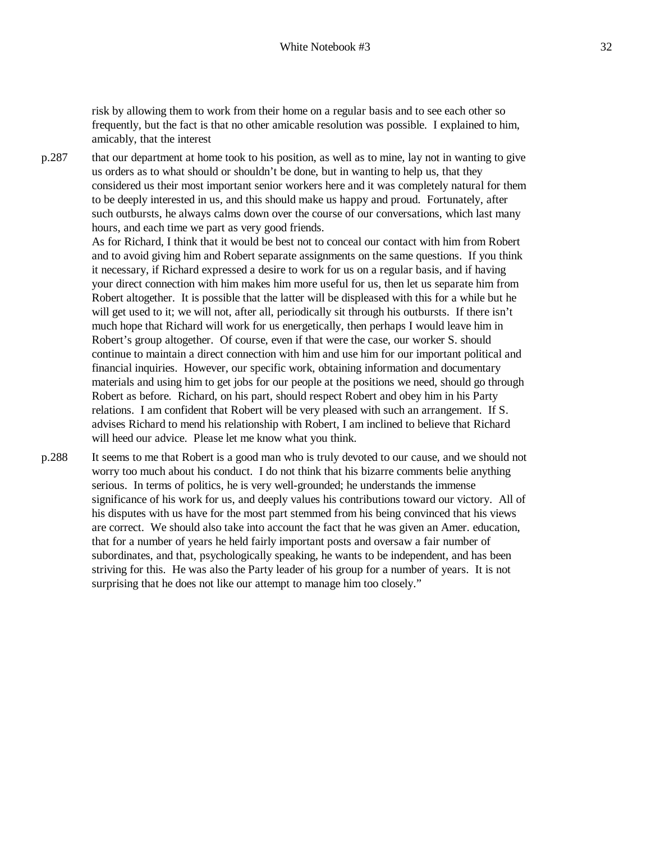risk by allowing them to work from their home on a regular basis and to see each other so frequently, but the fact is that no other amicable resolution was possible. I explained to him, amicably, that the interest

p.287 that our department at home took to his position, as well as to mine, lay not in wanting to give us orders as to what should or shouldn't be done, but in wanting to help us, that they considered us their most important senior workers here and it was completely natural for them to be deeply interested in us, and this should make us happy and proud. Fortunately, after such outbursts, he always calms down over the course of our conversations, which last many hours, and each time we part as very good friends.

> As for Richard, I think that it would be best not to conceal our contact with him from Robert and to avoid giving him and Robert separate assignments on the same questions. If you think it necessary, if Richard expressed a desire to work for us on a regular basis, and if having your direct connection with him makes him more useful for us, then let us separate him from Robert altogether. It is possible that the latter will be displeased with this for a while but he will get used to it; we will not, after all, periodically sit through his outbursts. If there isn't much hope that Richard will work for us energetically, then perhaps I would leave him in Robert's group altogether. Of course, even if that were the case, our worker S. should continue to maintain a direct connection with him and use him for our important political and financial inquiries. However, our specific work, obtaining information and documentary materials and using him to get jobs for our people at the positions we need, should go through Robert as before. Richard, on his part, should respect Robert and obey him in his Party relations. I am confident that Robert will be very pleased with such an arrangement. If S. advises Richard to mend his relationship with Robert, I am inclined to believe that Richard will heed our advice. Please let me know what you think.

p.288 It seems to me that Robert is a good man who is truly devoted to our cause, and we should not worry too much about his conduct. I do not think that his bizarre comments belie anything serious. In terms of politics, he is very well-grounded; he understands the immense significance of his work for us, and deeply values his contributions toward our victory. All of his disputes with us have for the most part stemmed from his being convinced that his views are correct. We should also take into account the fact that he was given an Amer. education, that for a number of years he held fairly important posts and oversaw a fair number of subordinates, and that, psychologically speaking, he wants to be independent, and has been striving for this. He was also the Party leader of his group for a number of years. It is not surprising that he does not like our attempt to manage him too closely."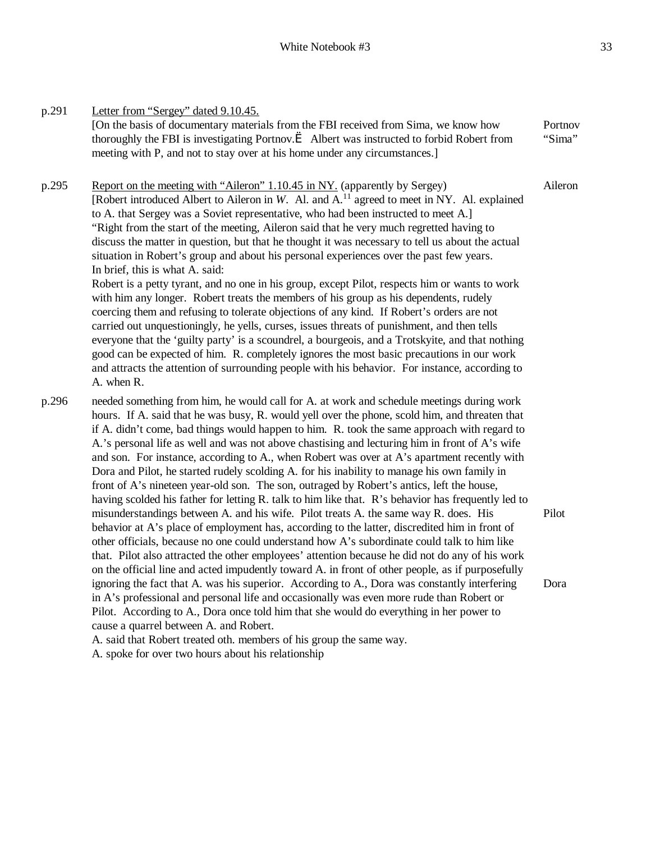p.291 Letter from "Sergey" dated 9.10.45. [On the basis of documentary materials from the FBI received from Sima, we know how thoroughly the FBI is investigating Portnov. $\dot{e}$  Albert was instructed to forbid Robert from meeting with P, and not to stay over at his home under any circumstances.] Portnov "Sima" p.295 Report on the meeting with "Aileron" 1.10.45 in NY. (apparently by Sergey) [Robert introduced Albert to Aileron in *W*. Al. and A.<sup>11</sup> agreed to meet in NY. Al. explained to A. that Sergey was a Soviet representative, who had been instructed to meet A.] "Right from the start of the meeting, Aileron said that he very much regretted having to discuss the matter in question, but that he thought it was necessary to tell us about the actual situation in Robert's group and about his personal experiences over the past few years. In brief, this is what A. said: Robert is a petty tyrant, and no one in his group, except Pilot, respects him or wants to work with him any longer. Robert treats the members of his group as his dependents, rudely coercing them and refusing to tolerate objections of any kind. If Robert's orders are not carried out unquestioningly, he yells, curses, issues threats of punishment, and then tells Aileron

everyone that the 'guilty party' is a scoundrel, a bourgeois, and a Trotskyite, and that nothing good can be expected of him. R. completely ignores the most basic precautions in our work and attracts the attention of surrounding people with his behavior. For instance, according to A. when R.

p.296 needed something from him, he would call for A. at work and schedule meetings during work hours. If A. said that he was busy, R. would yell over the phone, scold him, and threaten that if A. didn't come, bad things would happen to him. R. took the same approach with regard to A.'s personal life as well and was not above chastising and lecturing him in front of A's wife and son. For instance, according to A., when Robert was over at A's apartment recently with Dora and Pilot, he started rudely scolding A. for his inability to manage his own family in front of A's nineteen year-old son. The son, outraged by Robert's antics, left the house, having scolded his father for letting R. talk to him like that. R's behavior has frequently led to misunderstandings between A. and his wife. Pilot treats A. the same way R. does. His behavior at A's place of employment has, according to the latter, discredited him in front of other officials, because no one could understand how A's subordinate could talk to him like that. Pilot also attracted the other employees' attention because he did not do any of his work on the official line and acted impudently toward A. in front of other people, as if purposefully ignoring the fact that A. was his superior. According to A., Dora was constantly interfering in A's professional and personal life and occasionally was even more rude than Robert or Pilot. According to A., Dora once told him that she would do everything in her power to cause a quarrel between A. and Robert. Pilot Dora

A. said that Robert treated oth. members of his group the same way.

A. spoke for over two hours about his relationship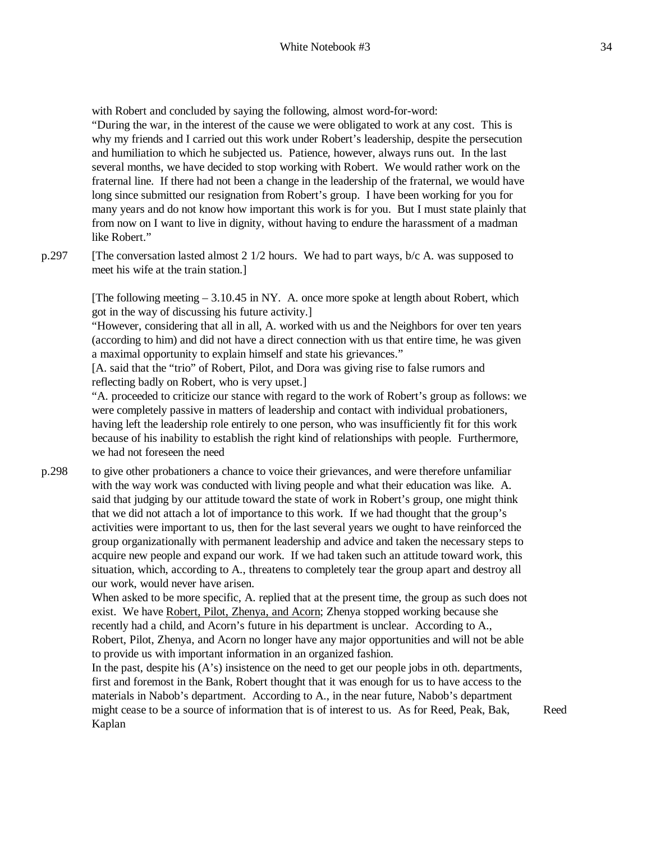with Robert and concluded by saying the following, almost word-for-word:

"During the war, in the interest of the cause we were obligated to work at any cost. This is why my friends and I carried out this work under Robert's leadership, despite the persecution and humiliation to which he subjected us. Patience, however, always runs out. In the last several months, we have decided to stop working with Robert. We would rather work on the fraternal line. If there had not been a change in the leadership of the fraternal, we would have long since submitted our resignation from Robert's group. I have been working for you for many years and do not know how important this work is for you. But I must state plainly that from now on I want to live in dignity, without having to endure the harassment of a madman like Robert."

p.297 [The conversation lasted almost 2 1/2 hours. We had to part ways, b/c A. was supposed to meet his wife at the train station.]

> [The following meeting – 3.10.45 in NY. A. once more spoke at length about Robert, which got in the way of discussing his future activity.]

> "However, considering that all in all, A. worked with us and the Neighbors for over ten years (according to him) and did not have a direct connection with us that entire time, he was given a maximal opportunity to explain himself and state his grievances."

[A. said that the "trio" of Robert, Pilot, and Dora was giving rise to false rumors and reflecting badly on Robert, who is very upset.]

"A. proceeded to criticize our stance with regard to the work of Robert's group as follows: we were completely passive in matters of leadership and contact with individual probationers, having left the leadership role entirely to one person, who was insufficiently fit for this work because of his inability to establish the right kind of relationships with people. Furthermore, we had not foreseen the need

p.298 to give other probationers a chance to voice their grievances, and were therefore unfamiliar with the way work was conducted with living people and what their education was like. A. said that judging by our attitude toward the state of work in Robert's group, one might think that we did not attach a lot of importance to this work. If we had thought that the group's activities were important to us, then for the last several years we ought to have reinforced the group organizationally with permanent leadership and advice and taken the necessary steps to acquire new people and expand our work. If we had taken such an attitude toward work, this situation, which, according to A., threatens to completely tear the group apart and destroy all our work, would never have arisen.

> When asked to be more specific, A. replied that at the present time, the group as such does not exist. We have Robert, Pilot, Zhenya, and Acorn; Zhenya stopped working because she recently had a child, and Acorn's future in his department is unclear. According to A., Robert, Pilot, Zhenya, and Acorn no longer have any major opportunities and will not be able to provide us with important information in an organized fashion.

> In the past, despite his (A's) insistence on the need to get our people jobs in oth. departments, first and foremost in the Bank, Robert thought that it was enough for us to have access to the materials in Nabob's department. According to A., in the near future, Nabob's department might cease to be a source of information that is of interest to us. As for Reed, Peak, Bak, Kaplan

Reed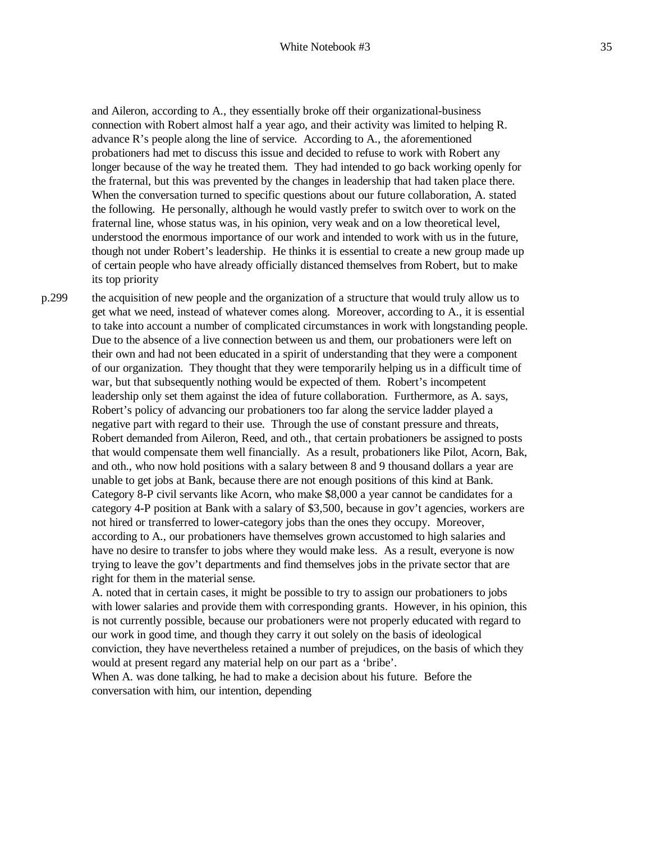and Aileron, according to A., they essentially broke off their organizational-business connection with Robert almost half a year ago, and their activity was limited to helping R. advance R's people along the line of service. According to A., the aforementioned probationers had met to discuss this issue and decided to refuse to work with Robert any longer because of the way he treated them. They had intended to go back working openly for the fraternal, but this was prevented by the changes in leadership that had taken place there. When the conversation turned to specific questions about our future collaboration, A. stated the following. He personally, although he would vastly prefer to switch over to work on the fraternal line, whose status was, in his opinion, very weak and on a low theoretical level, understood the enormous importance of our work and intended to work with us in the future, though not under Robert's leadership. He thinks it is essential to create a new group made up of certain people who have already officially distanced themselves from Robert, but to make its top priority

p.299 the acquisition of new people and the organization of a structure that would truly allow us to get what we need, instead of whatever comes along. Moreover, according to A., it is essential to take into account a number of complicated circumstances in work with longstanding people. Due to the absence of a live connection between us and them, our probationers were left on their own and had not been educated in a spirit of understanding that they were a component of our organization. They thought that they were temporarily helping us in a difficult time of war, but that subsequently nothing would be expected of them. Robert's incompetent leadership only set them against the idea of future collaboration. Furthermore, as A. says, Robert's policy of advancing our probationers too far along the service ladder played a negative part with regard to their use. Through the use of constant pressure and threats, Robert demanded from Aileron, Reed, and oth., that certain probationers be assigned to posts that would compensate them well financially. As a result, probationers like Pilot, Acorn, Bak, and oth., who now hold positions with a salary between 8 and 9 thousand dollars a year are unable to get jobs at Bank, because there are not enough positions of this kind at Bank. Category 8-P civil servants like Acorn, who make \$8,000 a year cannot be candidates for a category 4-P position at Bank with a salary of \$3,500, because in gov't agencies, workers are not hired or transferred to lower-category jobs than the ones they occupy. Moreover, according to A., our probationers have themselves grown accustomed to high salaries and have no desire to transfer to jobs where they would make less. As a result, everyone is now trying to leave the gov't departments and find themselves jobs in the private sector that are right for them in the material sense.

> A. noted that in certain cases, it might be possible to try to assign our probationers to jobs with lower salaries and provide them with corresponding grants. However, in his opinion, this is not currently possible, because our probationers were not properly educated with regard to our work in good time, and though they carry it out solely on the basis of ideological conviction, they have nevertheless retained a number of prejudices, on the basis of which they would at present regard any material help on our part as a 'bribe'.

When A. was done talking, he had to make a decision about his future. Before the conversation with him, our intention, depending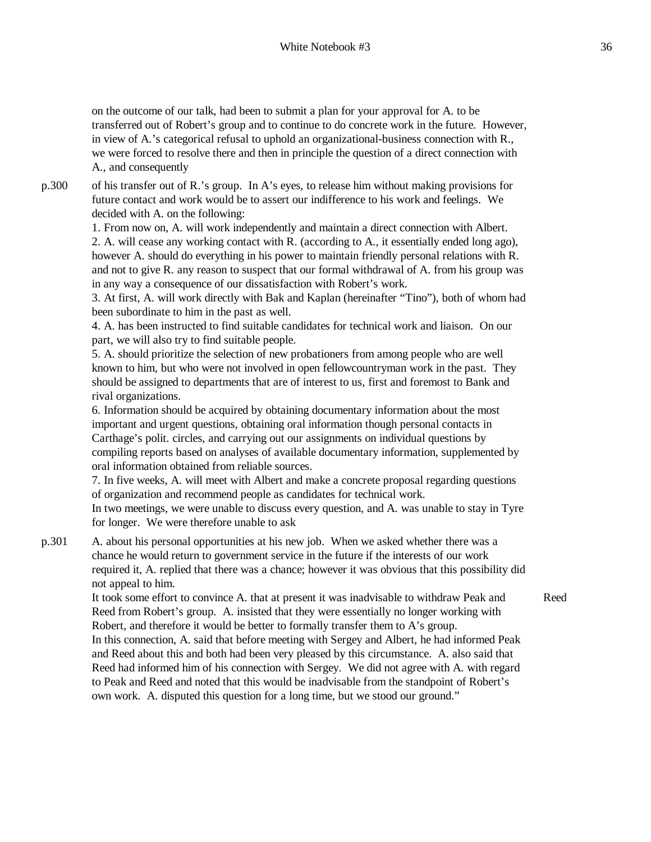on the outcome of our talk, had been to submit a plan for your approval for A. to be transferred out of Robert's group and to continue to do concrete work in the future. However, in view of A.'s categorical refusal to uphold an organizational-business connection with R., we were forced to resolve there and then in principle the question of a direct connection with A., and consequently

p.300 of his transfer out of R.'s group. In A's eyes, to release him without making provisions for future contact and work would be to assert our indifference to his work and feelings. We decided with A. on the following:

> 1. From now on, A. will work independently and maintain a direct connection with Albert. 2. A. will cease any working contact with R. (according to A., it essentially ended long ago), however A. should do everything in his power to maintain friendly personal relations with R. and not to give R. any reason to suspect that our formal withdrawal of A. from his group was in any way a consequence of our dissatisfaction with Robert's work.

> 3. At first, A. will work directly with Bak and Kaplan (hereinafter "Tino"), both of whom had been subordinate to him in the past as well.

4. A. has been instructed to find suitable candidates for technical work and liaison. On our part, we will also try to find suitable people.

5. A. should prioritize the selection of new probationers from among people who are well known to him, but who were not involved in open fellowcountryman work in the past. They should be assigned to departments that are of interest to us, first and foremost to Bank and rival organizations.

6. Information should be acquired by obtaining documentary information about the most important and urgent questions, obtaining oral information though personal contacts in Carthage's polit. circles, and carrying out our assignments on individual questions by compiling reports based on analyses of available documentary information, supplemented by oral information obtained from reliable sources.

7. In five weeks, A. will meet with Albert and make a concrete proposal regarding questions of organization and recommend people as candidates for technical work.

In two meetings, we were unable to discuss every question, and A. was unable to stay in Tyre for longer. We were therefore unable to ask

p.301 A. about his personal opportunities at his new job. When we asked whether there was a chance he would return to government service in the future if the interests of our work required it, A. replied that there was a chance; however it was obvious that this possibility did not appeal to him.

It took some effort to convince A. that at present it was inadvisable to withdraw Peak and Reed from Robert's group. A. insisted that they were essentially no longer working with Robert, and therefore it would be better to formally transfer them to A's group.

Reed

In this connection, A. said that before meeting with Sergey and Albert, he had informed Peak and Reed about this and both had been very pleased by this circumstance. A. also said that Reed had informed him of his connection with Sergey. We did not agree with A. with regard to Peak and Reed and noted that this would be inadvisable from the standpoint of Robert's own work. A. disputed this question for a long time, but we stood our ground."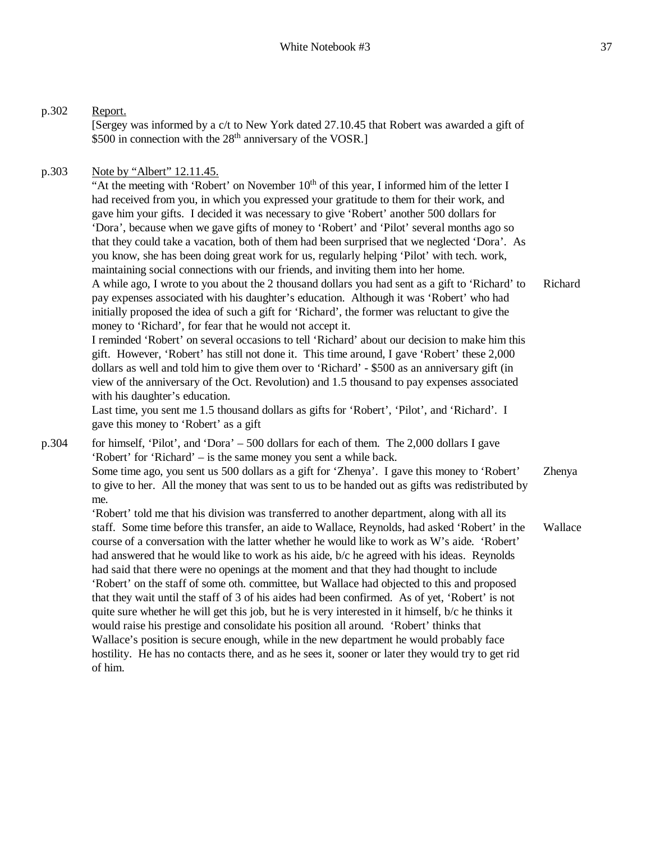[Sergey was informed by a c/t to New York dated 27.10.45 that Robert was awarded a gift of

\$500 in connection with the 28<sup>th</sup> anniversary of the VOSR.]

p.302 Report.

| p.303 | Note by "Albert" 12.11.45.                                                                                                                                                                                                                                                                                                                                                                                                                                                                                                                                                                                                                                                                                                                                                                                                                                                                                                                                                                                                                                                                                                                                                                                                                                                                                                                                                                                                                                                                                                                                                                                        |         |
|-------|-------------------------------------------------------------------------------------------------------------------------------------------------------------------------------------------------------------------------------------------------------------------------------------------------------------------------------------------------------------------------------------------------------------------------------------------------------------------------------------------------------------------------------------------------------------------------------------------------------------------------------------------------------------------------------------------------------------------------------------------------------------------------------------------------------------------------------------------------------------------------------------------------------------------------------------------------------------------------------------------------------------------------------------------------------------------------------------------------------------------------------------------------------------------------------------------------------------------------------------------------------------------------------------------------------------------------------------------------------------------------------------------------------------------------------------------------------------------------------------------------------------------------------------------------------------------------------------------------------------------|---------|
|       | "At the meeting with 'Robert' on November $10th$ of this year, I informed him of the letter I<br>had received from you, in which you expressed your gratitude to them for their work, and<br>gave him your gifts. I decided it was necessary to give 'Robert' another 500 dollars for<br>'Dora', because when we gave gifts of money to 'Robert' and 'Pilot' several months ago so<br>that they could take a vacation, both of them had been surprised that we neglected 'Dora'. As<br>you know, she has been doing great work for us, regularly helping 'Pilot' with tech. work,<br>maintaining social connections with our friends, and inviting them into her home.<br>A while ago, I wrote to you about the 2 thousand dollars you had sent as a gift to 'Richard' to<br>pay expenses associated with his daughter's education. Although it was 'Robert' who had<br>initially proposed the idea of such a gift for 'Richard', the former was reluctant to give the<br>money to 'Richard', for fear that he would not accept it.<br>I reminded 'Robert' on several occasions to tell 'Richard' about our decision to make him this<br>gift. However, 'Robert' has still not done it. This time around, I gave 'Robert' these 2,000<br>dollars as well and told him to give them over to 'Richard' - \$500 as an anniversary gift (in<br>view of the anniversary of the Oct. Revolution) and 1.5 thousand to pay expenses associated<br>with his daughter's education.<br>Last time, you sent me 1.5 thousand dollars as gifts for 'Robert', 'Pilot', and 'Richard'. I<br>gave this money to 'Robert' as a gift | Richard |
| p.304 | for himself, 'Pilot', and 'Dora' $-500$ dollars for each of them. The 2,000 dollars I gave<br>'Robert' for 'Richard' – is the same money you sent a while back.<br>Some time ago, you sent us 500 dollars as a gift for 'Zhenya'. I gave this money to 'Robert'<br>to give to her. All the money that was sent to us to be handed out as gifts was redistributed by<br>me.                                                                                                                                                                                                                                                                                                                                                                                                                                                                                                                                                                                                                                                                                                                                                                                                                                                                                                                                                                                                                                                                                                                                                                                                                                        | Zhenya  |
|       | 'Robert' told me that his division was transferred to another department, along with all its<br>staff. Some time before this transfer, an aide to Wallace, Reynolds, had asked 'Robert' in the<br>course of a conversation with the latter whether he would like to work as W's aide. 'Robert'<br>had answered that he would like to work as his aide, b/c he agreed with his ideas. Reynolds<br>had said that there were no openings at the moment and that they had thought to include<br>'Robert' on the staff of some oth. committee, but Wallace had objected to this and proposed<br>that they wait until the staff of 3 of his aides had been confirmed. As of yet, 'Robert' is not<br>quite sure whether he will get this job, but he is very interested in it himself, b/c he thinks it<br>would raise his prestige and consolidate his position all around. 'Robert' thinks that<br>Wallace's position is secure enough, while in the new department he would probably face<br>hostility. He has no contacts there, and as he sees it, sooner or later they would try to get rid<br>of him.                                                                                                                                                                                                                                                                                                                                                                                                                                                                                                             | Wallace |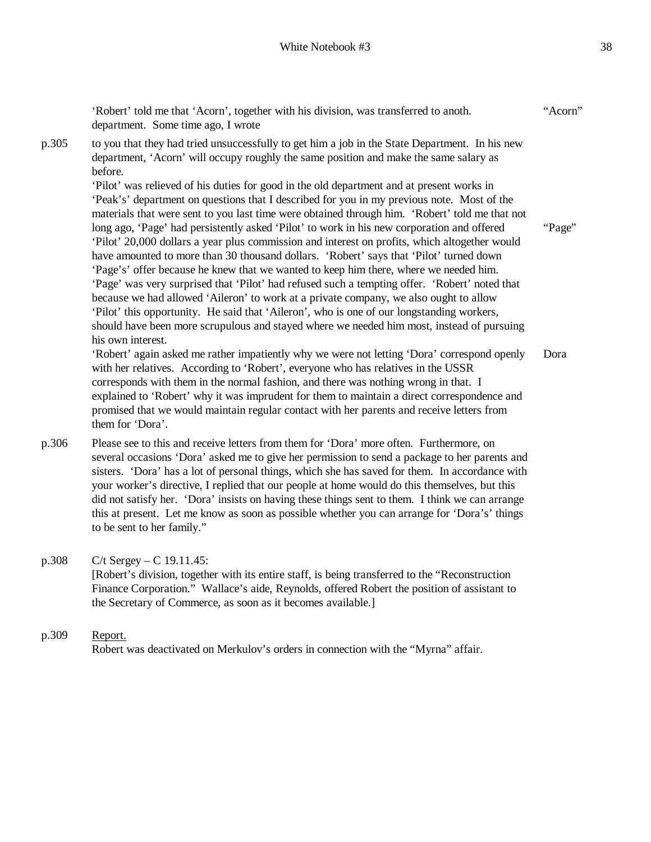'Robert' told me that 'Acorn', together with his division, was transferred to anoth. department. Some time ago, I wrote "Acorn" p.305 to you that they had tried unsuccessfully to get him a job in the State Department. In his new department, 'Acorn' will occupy roughly the same position and make the same salary as before. 'Pilot' was relieved of his duties for good in the old department and at present works in 'Peak's' department on questions that I described for you in my previous note. Most of the materials that were sent to you last time were obtained through him. 'Robert' told me that not long ago, 'Page' had persistently asked 'Pilot' to work in his new corporation and offered 'Pilot' 20,000 dollars a year plus commission and interest on profits, which altogether would have amounted to more than 30 thousand dollars. 'Robert' says that 'Pilot' turned down 'Page's' offer because he knew that we wanted to keep him there, where we needed him. 'Page' was very surprised that 'Pilot' had refused such a tempting offer. 'Robert' noted that because we had allowed 'Aileron' to work at a private company, we also ought to allow 'Pilot' this opportunity. He said that 'Aileron', who is one of our longstanding workers, should have been more scrupulous and stayed where we needed him most, instead of pursuing his own interest. 'Robert' again asked me rather impatiently why we were not letting 'Dora' correspond openly with her relatives. According to 'Robert', everyone who has relatives in the USSR corresponds with them in the normal fashion, and there was nothing wrong in that. I explained to 'Robert' why it was imprudent for them to maintain a direct correspondence and promised that we would maintain regular contact with her parents and receive letters from them for 'Dora'. "Page" Dora p.306 Please see to this and receive letters from them for 'Dora' more often. Furthermore, on

- several occasions 'Dora' asked me to give her permission to send a package to her parents and sisters. 'Dora' has a lot of personal things, which she has saved for them. In accordance with your worker's directive, I replied that our people at home would do this themselves, but this did not satisfy her. 'Dora' insists on having these things sent to them. I think we can arrange this at present. Let me know as soon as possible whether you can arrange for 'Dora's' things to be sent to her family."
- p.308 C/t Sergey C 19.11.45: [Robert's division, together with its entire staff, is being transferred to the "Reconstruction Finance Corporation." Wallace's aide, Reynolds, offered Robert the position of assistant to the Secretary of Commerce, as soon as it becomes available.]
- p.309 Report. Robert was deactivated on Merkulov's orders in connection with the "Myrna" affair.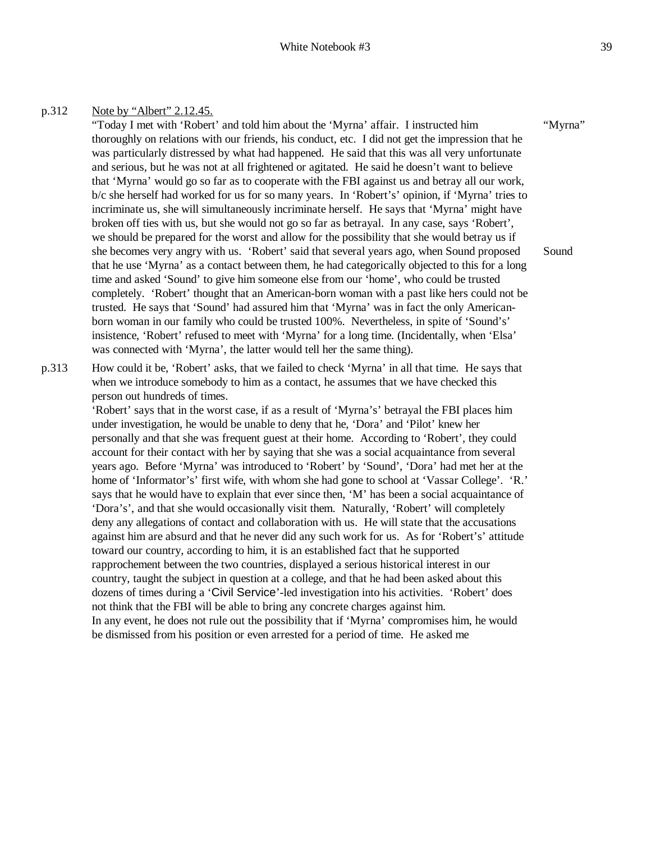#### p.312 Note by "Albert" 2.12.45.

"Today I met with 'Robert' and told him about the 'Myrna' affair. I instructed him thoroughly on relations with our friends, his conduct, etc. I did not get the impression that he was particularly distressed by what had happened. He said that this was all very unfortunate and serious, but he was not at all frightened or agitated. He said he doesn't want to believe that 'Myrna' would go so far as to cooperate with the FBI against us and betray all our work, b/c she herself had worked for us for so many years. In 'Robert's' opinion, if 'Myrna' tries to incriminate us, she will simultaneously incriminate herself. He says that 'Myrna' might have broken off ties with us, but she would not go so far as betrayal. In any case, says 'Robert', we should be prepared for the worst and allow for the possibility that she would betray us if she becomes very angry with us. 'Robert' said that several years ago, when Sound proposed that he use 'Myrna' as a contact between them, he had categorically objected to this for a long time and asked 'Sound' to give him someone else from our 'home', who could be trusted completely. 'Robert' thought that an American-born woman with a past like hers could not be trusted. He says that 'Sound' had assured him that 'Myrna' was in fact the only Americanborn woman in our family who could be trusted 100%. Nevertheless, in spite of 'Sound's' insistence, 'Robert' refused to meet with 'Myrna' for a long time. (Incidentally, when 'Elsa' was connected with 'Myrna', the latter would tell her the same thing). "Myrna" Sound

p.313 How could it be, 'Robert' asks, that we failed to check 'Myrna' in all that time. He says that when we introduce somebody to him as a contact, he assumes that we have checked this person out hundreds of times.

> 'Robert' says that in the worst case, if as a result of 'Myrna's' betrayal the FBI places him under investigation, he would be unable to deny that he, 'Dora' and 'Pilot' knew her personally and that she was frequent guest at their home. According to 'Robert', they could account for their contact with her by saying that she was a social acquaintance from several years ago. Before 'Myrna' was introduced to 'Robert' by 'Sound', 'Dora' had met her at the home of 'Informator's' first wife, with whom she had gone to school at 'Vassar College'. 'R.' says that he would have to explain that ever since then, 'M' has been a social acquaintance of 'Dora's', and that she would occasionally visit them. Naturally, 'Robert' will completely deny any allegations of contact and collaboration with us. He will state that the accusations against him are absurd and that he never did any such work for us. As for 'Robert's' attitude toward our country, according to him, it is an established fact that he supported rapprochement between the two countries, displayed a serious historical interest in our country, taught the subject in question at a college, and that he had been asked about this dozens of times during a 'Civil Service'-led investigation into his activities. 'Robert' does not think that the FBI will be able to bring any concrete charges against him. In any event, he does not rule out the possibility that if 'Myrna' compromises him, he would be dismissed from his position or even arrested for a period of time. He asked me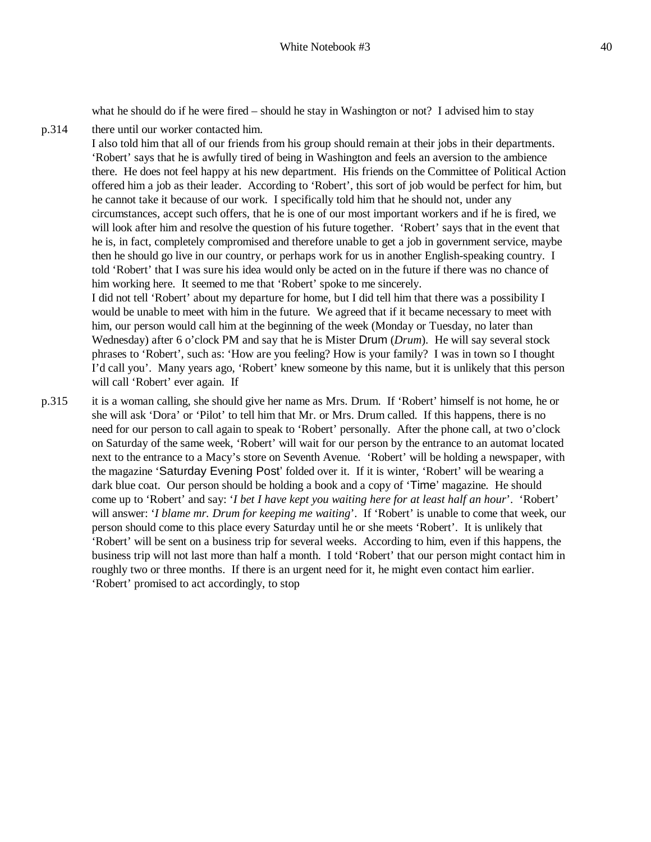what he should do if he were fired – should he stay in Washington or not? I advised him to stay

p.314 there until our worker contacted him.

I also told him that all of our friends from his group should remain at their jobs in their departments. 'Robert' says that he is awfully tired of being in Washington and feels an aversion to the ambience there. He does not feel happy at his new department. His friends on the Committee of Political Action offered him a job as their leader. According to 'Robert', this sort of job would be perfect for him, but he cannot take it because of our work. I specifically told him that he should not, under any circumstances, accept such offers, that he is one of our most important workers and if he is fired, we will look after him and resolve the question of his future together. 'Robert' says that in the event that he is, in fact, completely compromised and therefore unable to get a job in government service, maybe then he should go live in our country, or perhaps work for us in another English-speaking country. I told 'Robert' that I was sure his idea would only be acted on in the future if there was no chance of him working here. It seemed to me that 'Robert' spoke to me sincerely.

I did not tell 'Robert' about my departure for home, but I did tell him that there was a possibility I would be unable to meet with him in the future. We agreed that if it became necessary to meet with him, our person would call him at the beginning of the week (Monday or Tuesday, no later than Wednesday) after 6 o'clock PM and say that he is Mister Drum (*Drum*). He will say several stock phrases to 'Robert', such as: 'How are you feeling? How is your family? I was in town so I thought I'd call you'. Many years ago, 'Robert' knew someone by this name, but it is unlikely that this person will call 'Robert' ever again. If

p.315 it is a woman calling, she should give her name as Mrs. Drum. If 'Robert' himself is not home, he or she will ask 'Dora' or 'Pilot' to tell him that Mr. or Mrs. Drum called. If this happens, there is no need for our person to call again to speak to 'Robert' personally. After the phone call, at two o'clock on Saturday of the same week, 'Robert' will wait for our person by the entrance to an automat located next to the entrance to a Macy's store on Seventh Avenue. 'Robert' will be holding a newspaper, with the magazine 'Saturday Evening Post' folded over it. If it is winter, 'Robert' will be wearing a dark blue coat. Our person should be holding a book and a copy of 'Time' magazine. He should come up to 'Robert' and say: '*I bet I have kept you waiting here for at least half an hour*'. 'Robert' will answer: '*I blame mr. Drum for keeping me waiting*'. If 'Robert' is unable to come that week, our person should come to this place every Saturday until he or she meets 'Robert'. It is unlikely that 'Robert' will be sent on a business trip for several weeks. According to him, even if this happens, the business trip will not last more than half a month. I told 'Robert' that our person might contact him in roughly two or three months. If there is an urgent need for it, he might even contact him earlier. 'Robert' promised to act accordingly, to stop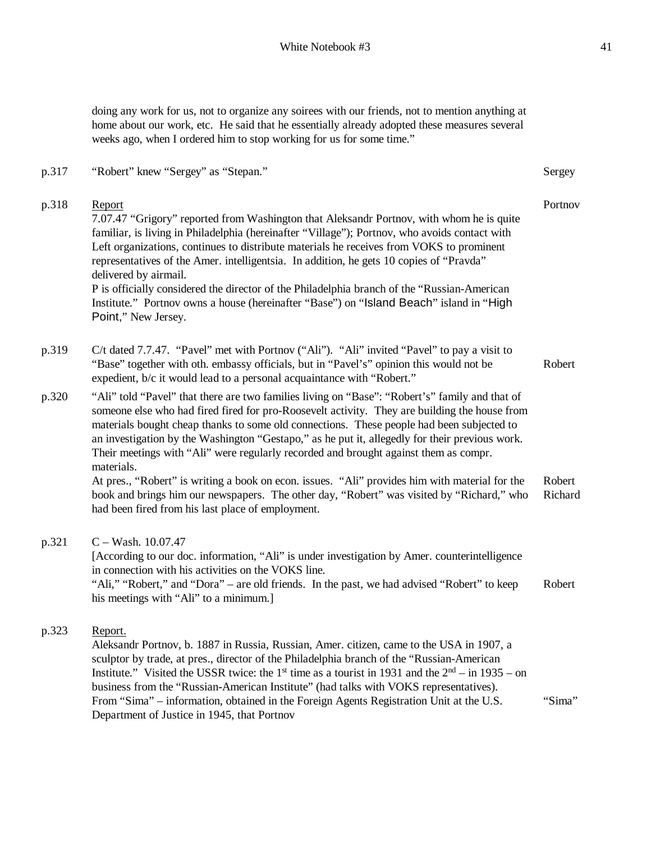doing any work for us, not to organize any soirees with our friends, not to mention anything at home about our work, etc. He said that he essentially already adopted these measures several weeks ago, when I ordered him to stop working for us for some time."

p.317 "Robert" knew "Sergey" as "Stepan." Sergey

| p.318 | Report<br>7.07.47 "Grigory" reported from Washington that Aleksandr Portnov, with whom he is quite<br>familiar, is living in Philadelphia (hereinafter "Village"); Portnov, who avoids contact with<br>Left organizations, continues to distribute materials he receives from VOKS to prominent<br>representatives of the Amer. intelligentsia. In addition, he gets 10 copies of "Pravda"<br>delivered by airmail.<br>P is officially considered the director of the Philadelphia branch of the "Russian-American"<br>Institute." Portnov owns a house (hereinafter "Base") on "Island Beach" island in "High<br>Point," New Jersey. | Portnov           |
|-------|---------------------------------------------------------------------------------------------------------------------------------------------------------------------------------------------------------------------------------------------------------------------------------------------------------------------------------------------------------------------------------------------------------------------------------------------------------------------------------------------------------------------------------------------------------------------------------------------------------------------------------------|-------------------|
| p.319 | C/t dated 7.7.47. "Pavel" met with Portnov ("Ali"). "Ali" invited "Pavel" to pay a visit to<br>"Base" together with oth. embassy officials, but in "Pavel's" opinion this would not be<br>expedient, b/c it would lead to a personal acquaintance with "Robert."                                                                                                                                                                                                                                                                                                                                                                      | Robert            |
| p.320 | "Ali" told "Pavel" that there are two families living on "Base": "Robert's" family and that of<br>someone else who had fired fired for pro-Roosevelt activity. They are building the house from<br>materials bought cheap thanks to some old connections. These people had been subjected to<br>an investigation by the Washington "Gestapo," as he put it, allegedly for their previous work.<br>Their meetings with "Ali" were regularly recorded and brought against them as compr.<br>materials.                                                                                                                                  |                   |
|       | At pres., "Robert" is writing a book on econ. issues. "Ali" provides him with material for the<br>book and brings him our newspapers. The other day, "Robert" was visited by "Richard," who<br>had been fired from his last place of employment.                                                                                                                                                                                                                                                                                                                                                                                      | Robert<br>Richard |
| p.321 | $C - Wash. 10.07.47$<br>[According to our doc. information, "Ali" is under investigation by Amer. counterintelligence<br>in connection with his activities on the VOKS line.<br>"Ali," "Robert," and "Dora" – are old friends. In the past, we had advised "Robert" to keep<br>his meetings with "Ali" to a minimum.]                                                                                                                                                                                                                                                                                                                 | Robert            |
| p.323 | Report.<br>Aleksandr Portnov, b. 1887 in Russia, Russian, Amer. citizen, came to the USA in 1907, a<br>sculptor by trade, at pres., director of the Philadelphia branch of the "Russian-American<br>Institute." Visited the USSR twice: the 1 <sup>st</sup> time as a tourist in 1931 and the $2nd - in 1935 - on$<br>business from the "Russian-American Institute" (had talks with VOKS representatives).<br>From "Sima" – information, obtained in the Foreign Agents Registration Unit at the U.S.<br>Department of Justice in 1945, that Portnov                                                                                 | "Sima"            |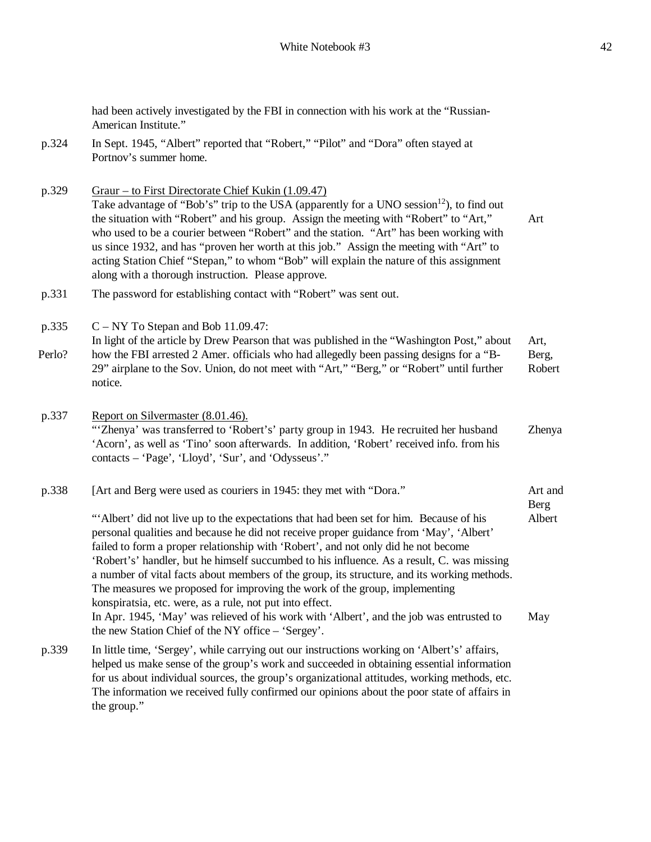had been actively investigated by the FBI in connection with his work at the "Russian-

American Institute." p.324 In Sept. 1945, "Albert" reported that "Robert," "Pilot" and "Dora" often stayed at Portnov's summer home. p.329 Graur – to First Directorate Chief Kukin (1.09.47) Take advantage of "Bob's" trip to the USA (apparently for a UNO session $^{12}$ ), to find out the situation with "Robert" and his group. Assign the meeting with "Robert" to "Art," who used to be a courier between "Robert" and the station. "Art" has been working with us since 1932, and has "proven her worth at this job." Assign the meeting with "Art" to acting Station Chief "Stepan," to whom "Bob" will explain the nature of this assignment along with a thorough instruction. Please approve. Art p.331 The password for establishing contact with "Robert" was sent out. p.335 Perlo? C – NY To Stepan and Bob 11.09.47: In light of the article by Drew Pearson that was published in the "Washington Post," about how the FBI arrested 2 Amer. officials who had allegedly been passing designs for a "B-29" airplane to the Sov. Union, do not meet with "Art," "Berg," or "Robert" until further notice. Art, Berg, Robert p.337 Report on Silvermaster (8.01.46). "'Zhenya' was transferred to 'Robert's' party group in 1943. He recruited her husband 'Acorn', as well as 'Tino' soon afterwards. In addition, 'Robert' received info. from his contacts – 'Page', 'Lloyd', 'Sur', and 'Odysseus'." Zhenya p.338 [Art and Berg were used as couriers in 1945: they met with "Dora." "'Albert' did not live up to the expectations that had been set for him. Because of his personal qualities and because he did not receive proper guidance from 'May', 'Albert' failed to form a proper relationship with 'Robert', and not only did he not become 'Robert's' handler, but he himself succumbed to his influence. As a result, C. was missing a number of vital facts about members of the group, its structure, and its working methods. The measures we proposed for improving the work of the group, implementing konspiratsia, etc. were, as a rule, not put into effect. In Apr. 1945, 'May' was relieved of his work with 'Albert', and the job was entrusted to the new Station Chief of the NY office – 'Sergey'. Art and Berg Albert May p.339 In little time, 'Sergey', while carrying out our instructions working on 'Albert's' affairs, helped us make sense of the group's work and succeeded in obtaining essential information for us about individual sources, the group's organizational attitudes, working methods, etc. The information we received fully confirmed our opinions about the poor state of affairs in

the group."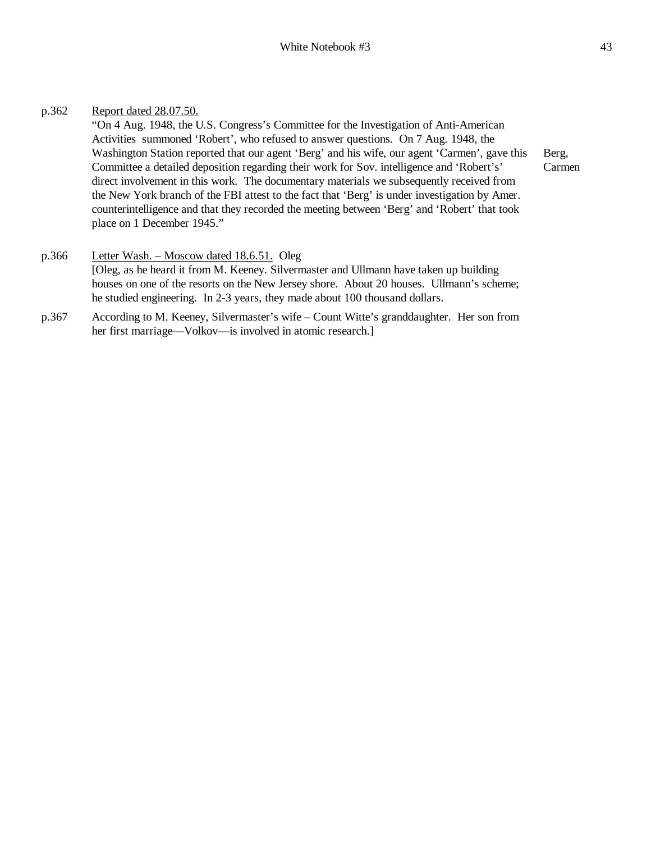# p.362 Report dated 28.07.50.

"On 4 Aug. 1948, the U.S. Congress's Committee for the Investigation of Anti-American Activities summoned 'Robert', who refused to answer questions. On 7 Aug. 1948, the Washington Station reported that our agent 'Berg' and his wife, our agent 'Carmen', gave this Committee a detailed deposition regarding their work for Sov. intelligence and 'Robert's' direct involvement in this work. The documentary materials we subsequently received from the New York branch of the FBI attest to the fact that 'Berg' is under investigation by Amer. counterintelligence and that they recorded the meeting between 'Berg' and 'Robert' that took place on 1 December 1945."

Berg, Carmen

- p.366 Letter Wash. Moscow dated 18.6.51. Oleg [Oleg, as he heard it from M. Keeney. Silvermaster and Ullmann have taken up building houses on one of the resorts on the New Jersey shore. About 20 houses. Ullmann's scheme; he studied engineering. In 2-3 years, they made about 100 thousand dollars.
- p.367 According to M. Keeney, Silvermaster's wife Count Witte's granddaughter. Her son from her first marriage—Volkov—is involved in atomic research.]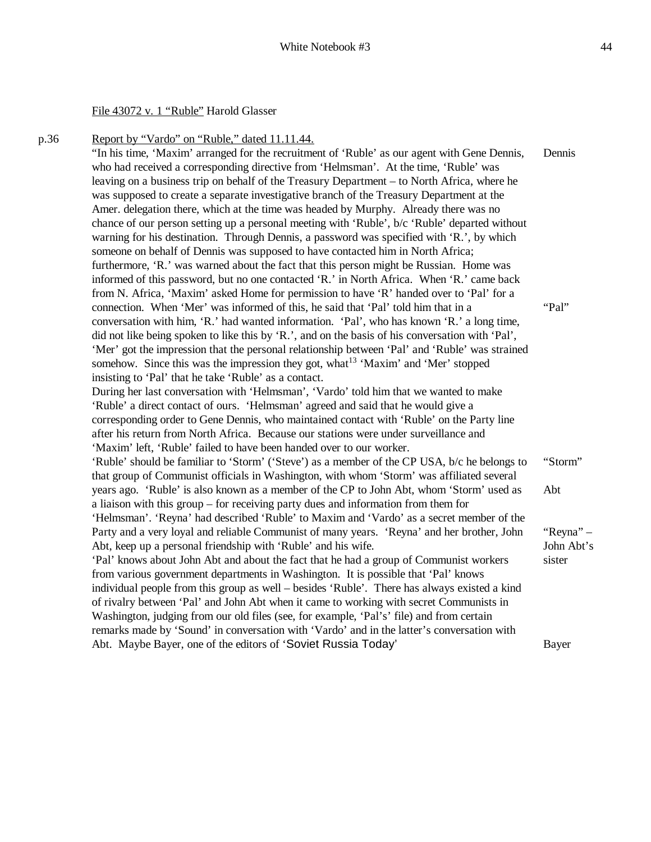#### File 43072 v. 1 "Ruble" Harold Glasser

p.36 Report by "Vardo" on "Ruble," dated 11.11.44.

"In his time, 'Maxim' arranged for the recruitment of 'Ruble' as our agent with Gene Dennis, who had received a corresponding directive from 'Helmsman'. At the time, 'Ruble' was leaving on a business trip on behalf of the Treasury Department – to North Africa, where he was supposed to create a separate investigative branch of the Treasury Department at the Amer. delegation there, which at the time was headed by Murphy. Already there was no chance of our person setting up a personal meeting with 'Ruble', b/c 'Ruble' departed without warning for his destination. Through Dennis, a password was specified with 'R.', by which someone on behalf of Dennis was supposed to have contacted him in North Africa; furthermore, 'R.' was warned about the fact that this person might be Russian. Home was informed of this password, but no one contacted 'R.' in North Africa. When 'R.' came back from N. Africa, 'Maxim' asked Home for permission to have 'R' handed over to 'Pal' for a connection. When 'Mer' was informed of this, he said that 'Pal' told him that in a conversation with him, 'R.' had wanted information. 'Pal', who has known 'R.' a long time, did not like being spoken to like this by 'R.', and on the basis of his conversation with 'Pal', 'Mer' got the impression that the personal relationship between 'Pal' and 'Ruble' was strained somehow. Since this was the impression they got, what  $13$  'Maxim' and 'Mer' stopped insisting to 'Pal' that he take 'Ruble' as a contact. During her last conversation with 'Helmsman', 'Vardo' told him that we wanted to make 'Ruble' a direct contact of ours. 'Helmsman' agreed and said that he would give a corresponding order to Gene Dennis, who maintained contact with 'Ruble' on the Party line after his return from North Africa. Because our stations were under surveillance and 'Maxim' left, 'Ruble' failed to have been handed over to our worker. 'Ruble' should be familiar to 'Storm' ('Steve') as a member of the CP USA, b/c he belongs to that group of Communist officials in Washington, with whom 'Storm' was affiliated several years ago. 'Ruble' is also known as a member of the CP to John Abt, whom 'Storm' used as a liaison with this group – for receiving party dues and information from them for 'Helmsman'. 'Reyna' had described 'Ruble' to Maxim and 'Vardo' as a secret member of the Party and a very loyal and reliable Communist of many years. 'Reyna' and her brother, John Abt, keep up a personal friendship with 'Ruble' and his wife. 'Pal' knows about John Abt and about the fact that he had a group of Communist workers from various government departments in Washington. It is possible that 'Pal' knows individual people from this group as well – besides 'Ruble'. There has always existed a kind of rivalry between 'Pal' and John Abt when it came to working with secret Communists in Washington, judging from our old files (see, for example, 'Pal's' file) and from certain remarks made by 'Sound' in conversation with 'Vardo' and in the latter's conversation with Abt. Maybe Bayer, one of the editors of 'Soviet Russia Today' Dennis "Pal" "Storm" Abt "Reyna" – John Abt's sister Bayer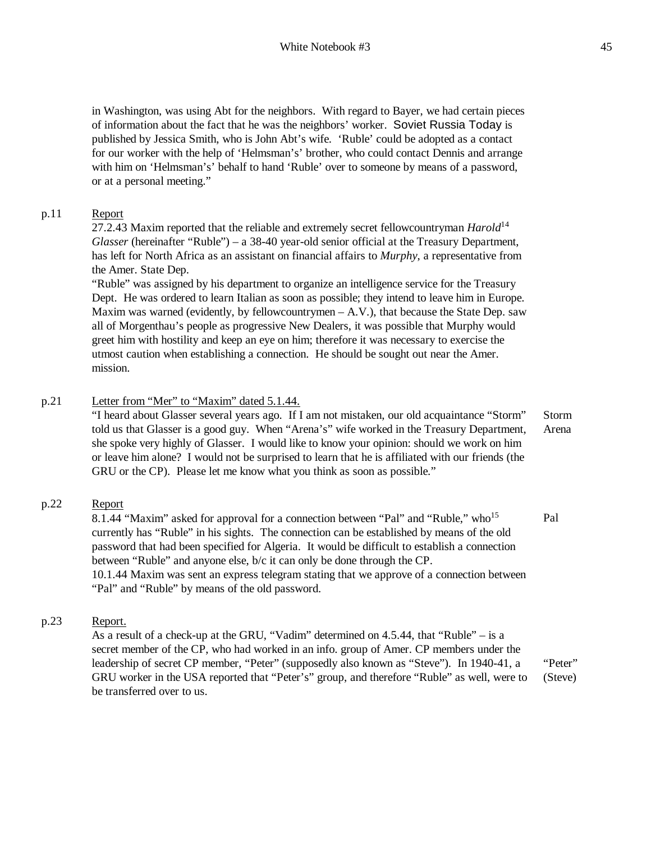in Washington, was using Abt for the neighbors. With regard to Bayer, we had certain pieces of information about the fact that he was the neighbors' worker. Soviet Russia Today is published by Jessica Smith, who is John Abt's wife. 'Ruble' could be adopted as a contact for our worker with the help of 'Helmsman's' brother, who could contact Dennis and arrange with him on 'Helmsman's' behalf to hand 'Ruble' over to someone by means of a password, or at a personal meeting."

## p.11 Report

27.2.43 Maxim reported that the reliable and extremely secret fellowcountryman *Harold*<sup>14</sup> *Glasser* (hereinafter "Ruble") – a 38-40 year-old senior official at the Treasury Department, has left for North Africa as an assistant on financial affairs to *Murphy*, a representative from the Amer. State Dep.

"Ruble" was assigned by his department to organize an intelligence service for the Treasury Dept. He was ordered to learn Italian as soon as possible; they intend to leave him in Europe. Maxim was warned (evidently, by fellowcountrymen – A.V.), that because the State Dep. saw all of Morgenthau's people as progressive New Dealers, it was possible that Murphy would greet him with hostility and keep an eye on him; therefore it was necessary to exercise the utmost caution when establishing a connection. He should be sought out near the Amer. mission.

## p.21 Letter from "Mer" to "Maxim" dated 5.1.44.

"I heard about Glasser several years ago. If I am not mistaken, our old acquaintance "Storm" told us that Glasser is a good guy. When "Arena's" wife worked in the Treasury Department, she spoke very highly of Glasser. I would like to know your opinion: should we work on him or leave him alone? I would not be surprised to learn that he is affiliated with our friends (the GRU or the CP). Please let me know what you think as soon as possible." Storm Arena

# p.22 Report

8.1.44 "Maxim" asked for approval for a connection between "Pal" and "Ruble," who<sup>15</sup> currently has "Ruble" in his sights. The connection can be established by means of the old password that had been specified for Algeria. It would be difficult to establish a connection between "Ruble" and anyone else, b/c it can only be done through the CP. 10.1.44 Maxim was sent an express telegram stating that we approve of a connection between "Pal" and "Ruble" by means of the old password. Pal

# p.23 Report.

As a result of a check-up at the GRU, "Vadim" determined on 4.5.44, that "Ruble" – is a secret member of the CP, who had worked in an info. group of Amer. CP members under the leadership of secret CP member, "Peter" (supposedly also known as "Steve"). In 1940-41, a GRU worker in the USA reported that "Peter's" group, and therefore "Ruble" as well, were to be transferred over to us. "Peter" (Steve)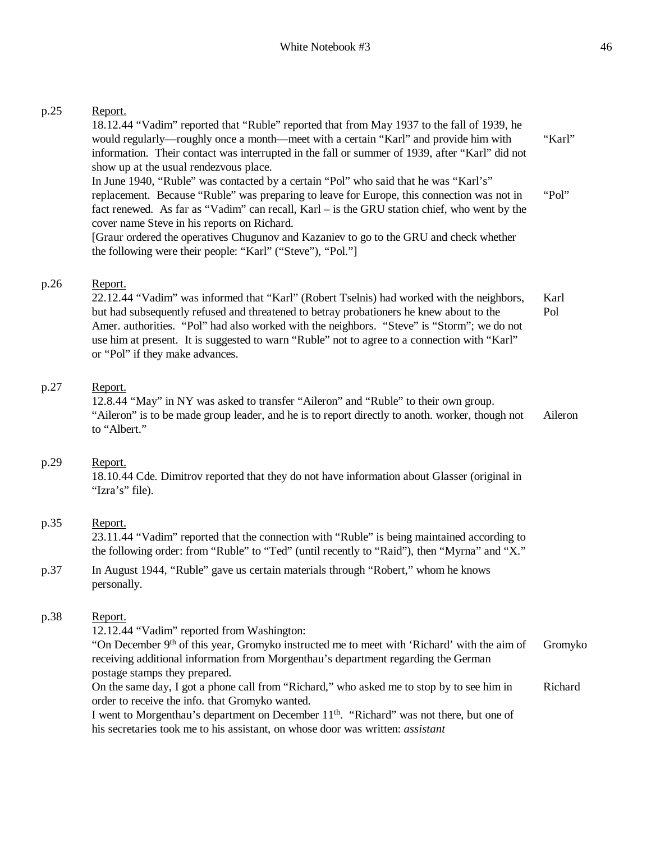### p.25 Report.

18.12.44 "Vadim" reported that "Ruble" reported that from May 1937 to the fall of 1939, he would regularly—roughly once a month—meet with a certain "Karl" and provide him with information. Their contact was interrupted in the fall or summer of 1939, after "Karl" did not show up at the usual rendezvous place. In June 1940, "Ruble" was contacted by a certain "Pol" who said that he was "Karl's" replacement. Because "Ruble" was preparing to leave for Europe, this connection was not in fact renewed. As far as "Vadim" can recall, Karl – is the GRU station chief, who went by the cover name Steve in his reports on Richard. [Graur ordered the operatives Chugunov and Kazaniev to go to the GRU and check whether the following were their people: "Karl" ("Steve"), "Pol."] "Karl" "Pol"

## p.26 Report.

22.12.44 "Vadim" was informed that "Karl" (Robert Tselnis) had worked with the neighbors, but had subsequently refused and threatened to betray probationers he knew about to the Amer. authorities. "Pol" had also worked with the neighbors. "Steve" is "Storm"; we do not use him at present. It is suggested to warn "Ruble" not to agree to a connection with "Karl" or "Pol" if they make advances. Karl Pol

## p.27 Report.

12.8.44 "May" in NY was asked to transfer "Aileron" and "Ruble" to their own group. "Aileron" is to be made group leader, and he is to report directly to anoth. worker, though not to "Albert." Aileron

### p.29 Report.

18.10.44 Cde. Dimitrov reported that they do not have information about Glasser (original in "Izra's" file).

# p.35 Report.

23.11.44 "Vadim" reported that the connection with "Ruble" is being maintained according to the following order: from "Ruble" to "Ted" (until recently to "Raid"), then "Myrna" and "X."

p.37 In August 1944, "Ruble" gave us certain materials through "Robert," whom he knows personally.

# p.38 Report.

12.12.44 "Vadim" reported from Washington:

"On December 9<sup>th</sup> of this year, Gromyko instructed me to meet with 'Richard' with the aim of receiving additional information from Morgenthau's department regarding the German postage stamps they prepared. Gromyko

On the same day, I got a phone call from "Richard," who asked me to stop by to see him in order to receive the info. that Gromyko wanted. Richard

I went to Morgenthau's department on December 11<sup>th</sup>. "Richard" was not there, but one of his secretaries took me to his assistant, on whose door was written: *assistant*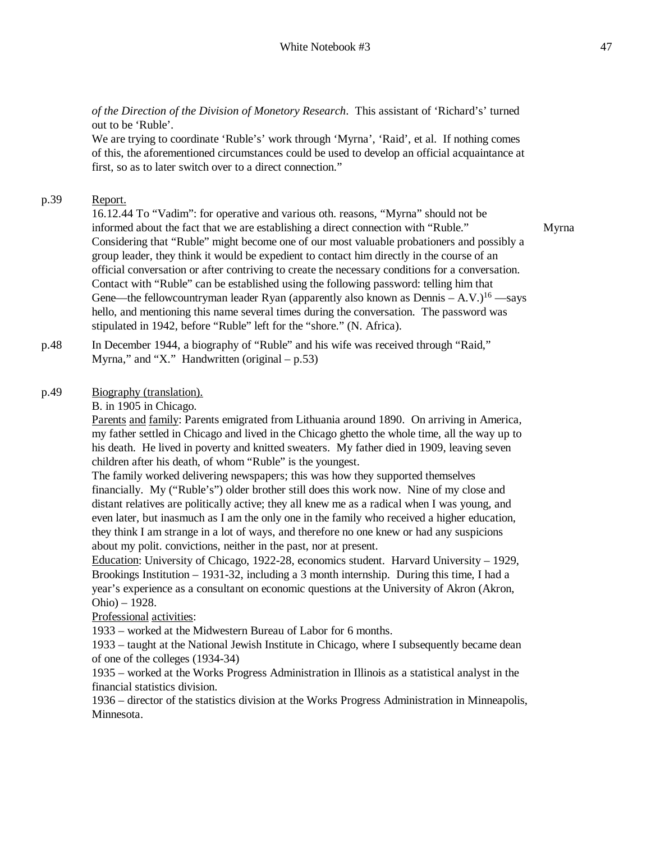*of the Direction of the Division of Monetory Research*. This assistant of 'Richard's' turned out to be 'Ruble'.

We are trying to coordinate 'Ruble's' work through 'Myrna', 'Raid', et al. If nothing comes of this, the aforementioned circumstances could be used to develop an official acquaintance at first, so as to later switch over to a direct connection."

# p.39 Report.

16.12.44 To "Vadim": for operative and various oth. reasons, "Myrna" should not be informed about the fact that we are establishing a direct connection with "Ruble." Considering that "Ruble" might become one of our most valuable probationers and possibly a group leader, they think it would be expedient to contact him directly in the course of an official conversation or after contriving to create the necessary conditions for a conversation. Contact with "Ruble" can be established using the following password: telling him that Gene—the fellowcountryman leader Ryan (apparently also known as Dennis  $- A.V.$ )<sup>16</sup> —says hello, and mentioning this name several times during the conversation. The password was stipulated in 1942, before "Ruble" left for the "shore." (N. Africa).

p.48 In December 1944, a biography of "Ruble" and his wife was received through "Raid," Myrna," and "X." Handwritten (original  $- p.53$ )

## p.49 Biography (translation).

B. in 1905 in Chicago.

Parents and family: Parents emigrated from Lithuania around 1890. On arriving in America, my father settled in Chicago and lived in the Chicago ghetto the whole time, all the way up to his death. He lived in poverty and knitted sweaters. My father died in 1909, leaving seven children after his death, of whom "Ruble" is the youngest.

The family worked delivering newspapers; this was how they supported themselves financially. My ("Ruble's") older brother still does this work now. Nine of my close and distant relatives are politically active; they all knew me as a radical when I was young, and even later, but inasmuch as I am the only one in the family who received a higher education, they think I am strange in a lot of ways, and therefore no one knew or had any suspicions about my polit. convictions, neither in the past, nor at present.

Education: University of Chicago, 1922-28, economics student. Harvard University – 1929, Brookings Institution – 1931-32, including a 3 month internship. During this time, I had a year's experience as a consultant on economic questions at the University of Akron (Akron, Ohio) – 1928.

Professional activities:

1933 – worked at the Midwestern Bureau of Labor for 6 months.

1933 – taught at the National Jewish Institute in Chicago, where I subsequently became dean of one of the colleges (1934-34)

1935 – worked at the Works Progress Administration in Illinois as a statistical analyst in the financial statistics division.

1936 – director of the statistics division at the Works Progress Administration in Minneapolis, Minnesota.

Myrna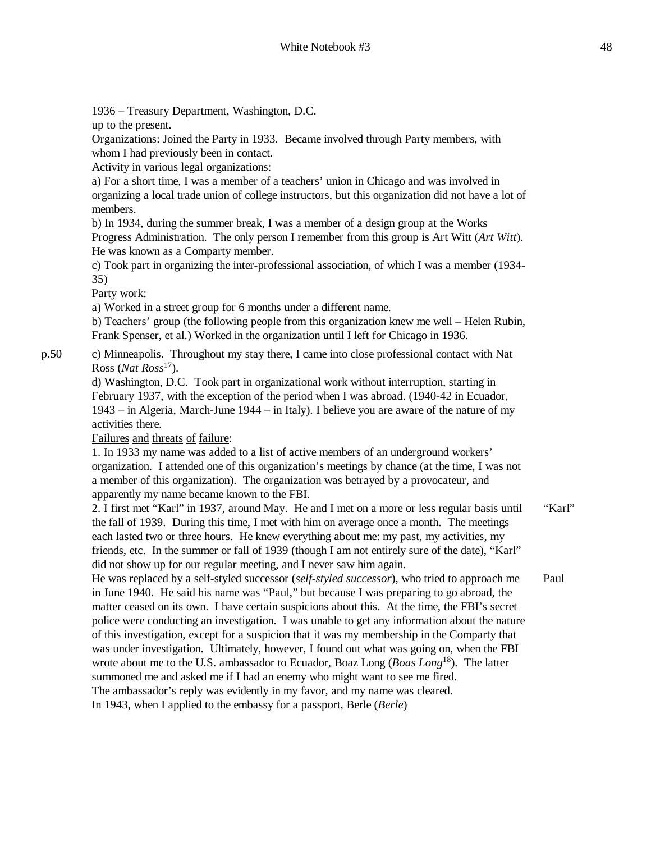1936 – Treasury Department, Washington, D.C.

up to the present.

Organizations: Joined the Party in 1933. Became involved through Party members, with whom I had previously been in contact.

Activity in various legal organizations:

a) For a short time, I was a member of a teachers' union in Chicago and was involved in organizing a local trade union of college instructors, but this organization did not have a lot of members.

b) In 1934, during the summer break, I was a member of a design group at the Works Progress Administration. The only person I remember from this group is Art Witt (*Art Witt*). He was known as a Comparty member.

c) Took part in organizing the inter-professional association, of which I was a member (1934- 35)

Party work:

a) Worked in a street group for 6 months under a different name.

b) Teachers' group (the following people from this organization knew me well – Helen Rubin, Frank Spenser, et al.) Worked in the organization until I left for Chicago in 1936.

p.50 c) Minneapolis. Throughout my stay there, I came into close professional contact with Nat Ross (*Nat Ross*<sup>17</sup>).

d) Washington, D.C. Took part in organizational work without interruption, starting in February 1937, with the exception of the period when I was abroad. (1940-42 in Ecuador, 1943 – in Algeria, March-June 1944 – in Italy). I believe you are aware of the nature of my activities there.

Failures and threats of failure:

1. In 1933 my name was added to a list of active members of an underground workers' organization. I attended one of this organization's meetings by chance (at the time, I was not a member of this organization). The organization was betrayed by a provocateur, and apparently my name became known to the FBI.

```
2. I first met "Karl" in 1937, around May. He and I met on a more or less regular basis until 
the fall of 1939. During this time, I met with him on average once a month. The meetings 
each lasted two or three hours. He knew everything about me: my past, my activities, my 
friends, etc. In the summer or fall of 1939 (though I am not entirely sure of the date), "Karl" 
did not show up for our regular meeting, and I never saw him again.
He was replaced by a self-styled successor (self-styled successor), who tried to approach me 
                                                                                                  "Karl"
                                                                                                 Paul
```
in June 1940. He said his name was "Paul," but because I was preparing to go abroad, the matter ceased on its own. I have certain suspicions about this. At the time, the FBI's secret police were conducting an investigation. I was unable to get any information about the nature of this investigation, except for a suspicion that it was my membership in the Comparty that was under investigation. Ultimately, however, I found out what was going on, when the FBI wrote about me to the U.S. ambassador to Ecuador, Boaz Long (*Boas Long*<sup>18</sup>). The latter summoned me and asked me if I had an enemy who might want to see me fired. The ambassador's reply was evidently in my favor, and my name was cleared. In 1943, when I applied to the embassy for a passport, Berle (*Berle*)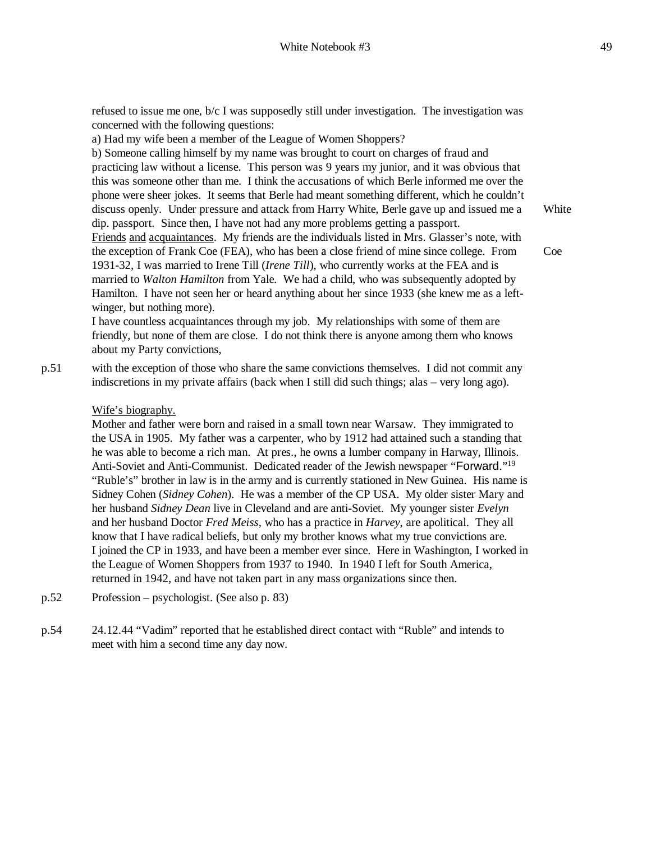refused to issue me one, b/c I was supposedly still under investigation. The investigation was concerned with the following questions:

a) Had my wife been a member of the League of Women Shoppers?

b) Someone calling himself by my name was brought to court on charges of fraud and practicing law without a license. This person was 9 years my junior, and it was obvious that this was someone other than me. I think the accusations of which Berle informed me over the phone were sheer jokes. It seems that Berle had meant something different, which he couldn't discuss openly. Under pressure and attack from Harry White, Berle gave up and issued me a dip. passport. Since then, I have not had any more problems getting a passport. Friends and acquaintances. My friends are the individuals listed in Mrs. Glasser's note, with the exception of Frank Coe (FEA), who has been a close friend of mine since college. From 1931-32, I was married to Irene Till (*Irene Till*), who currently works at the FEA and is married to *Walton Hamilton* from Yale. We had a child, who was subsequently adopted by Hamilton. I have not seen her or heard anything about her since 1933 (she knew me as a leftwinger, but nothing more). **White** 

Coe

I have countless acquaintances through my job. My relationships with some of them are friendly, but none of them are close. I do not think there is anyone among them who knows about my Party convictions,

p.51 with the exception of those who share the same convictions themselves. I did not commit any indiscretions in my private affairs (back when I still did such things; alas – very long ago).

### Wife's biography.

Mother and father were born and raised in a small town near Warsaw. They immigrated to the USA in 1905. My father was a carpenter, who by 1912 had attained such a standing that he was able to become a rich man. At pres., he owns a lumber company in Harway, Illinois. Anti-Soviet and Anti-Communist. Dedicated reader of the Jewish newspaper "Forward."<sup>19</sup> "Ruble's" brother in law is in the army and is currently stationed in New Guinea. His name is Sidney Cohen (*Sidney Cohen*). He was a member of the CP USA. My older sister Mary and her husband *Sidney Dean* live in Cleveland and are anti-Soviet. My younger sister *Evelyn* and her husband Doctor *Fred Meiss*, who has a practice in *Harvey*, are apolitical. They all know that I have radical beliefs, but only my brother knows what my true convictions are. I joined the CP in 1933, and have been a member ever since. Here in Washington, I worked in the League of Women Shoppers from 1937 to 1940. In 1940 I left for South America, returned in 1942, and have not taken part in any mass organizations since then.

- p.52 Profession psychologist. (See also p. 83)
- p.54 24.12.44 "Vadim" reported that he established direct contact with "Ruble" and intends to meet with him a second time any day now.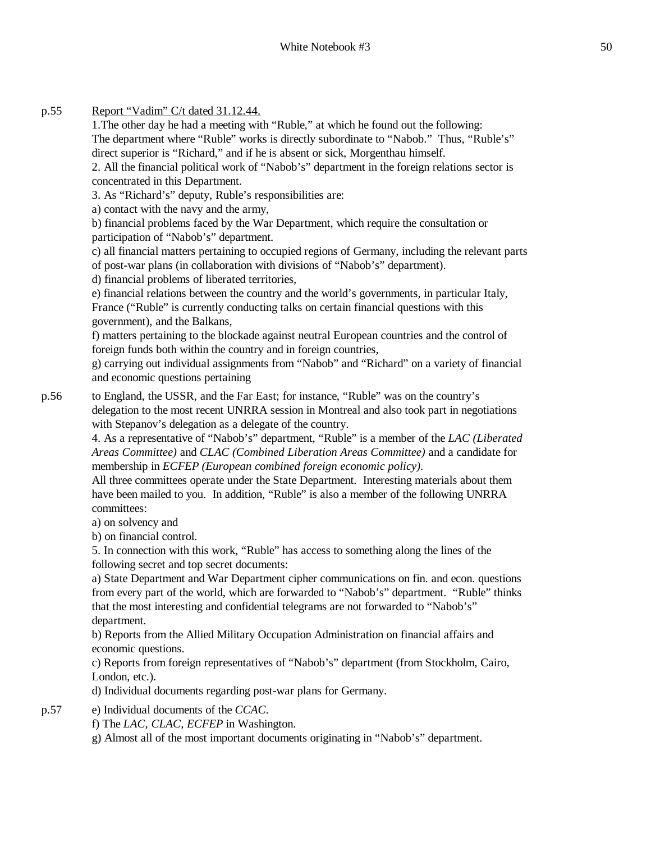# p.55 Report "Vadim" C/t dated 31.12.44.

1.The other day he had a meeting with "Ruble," at which he found out the following:

The department where "Ruble" works is directly subordinate to "Nabob." Thus, "Ruble's" direct superior is "Richard," and if he is absent or sick, Morgenthau himself.

2. All the financial political work of "Nabob's" department in the foreign relations sector is concentrated in this Department.

3. As "Richard's" deputy, Ruble's responsibilities are:

a) contact with the navy and the army,

b) financial problems faced by the War Department, which require the consultation or participation of "Nabob's" department.

c) all financial matters pertaining to occupied regions of Germany, including the relevant parts of post-war plans (in collaboration with divisions of "Nabob's" department).

d) financial problems of liberated territories,

e) financial relations between the country and the world's governments, in particular Italy, France ("Ruble" is currently conducting talks on certain financial questions with this government), and the Balkans,

f) matters pertaining to the blockade against neutral European countries and the control of foreign funds both within the country and in foreign countries,

g) carrying out individual assignments from "Nabob" and "Richard" on a variety of financial and economic questions pertaining

p.56 to England, the USSR, and the Far East; for instance, "Ruble" was on the country's delegation to the most recent UNRRA session in Montreal and also took part in negotiations with Stepanov's delegation as a delegate of the country.

4. As a representative of "Nabob's" department, "Ruble" is a member of the *LAC (Liberated Areas Committee)* and *CLAC (Combined Liberation Areas Committee)* and a candidate for membership in *ECFEP (European combined foreign economic policy).*

All three committees operate under the State Department. Interesting materials about them have been mailed to you. In addition, "Ruble" is also a member of the following UNRRA committees:

a) on solvency and

b) on financial control.

5. In connection with this work, "Ruble" has access to something along the lines of the following secret and top secret documents:

a) State Department and War Department cipher communications on fin. and econ. questions from every part of the world, which are forwarded to "Nabob's" department. "Ruble" thinks that the most interesting and confidential telegrams are not forwarded to "Nabob's" department.

b) Reports from the Allied Military Occupation Administration on financial affairs and economic questions.

c) Reports from foreign representatives of "Nabob's" department (from Stockholm, Cairo, London, etc.).

d) Individual documents regarding post-war plans for Germany.

p.57 e) Individual documents of the *CCAC*.

f) The *LAC, CLAC, ECFEP* in Washington.

g) Almost all of the most important documents originating in "Nabob's" department.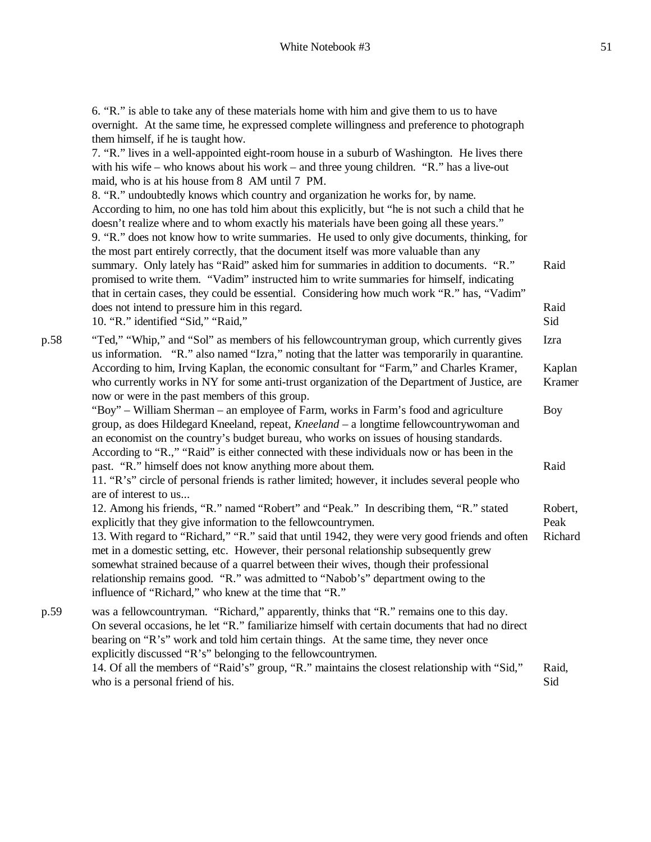6. "R." is able to take any of these materials home with him and give them to us to have overnight. At the same time, he expressed complete willingness and preference to photograph them himself, if he is taught how.

7. "R." lives in a well-appointed eight-room house in a suburb of Washington. He lives there with his wife – who knows about his work – and three young children. "R." has a live-out maid, who is at his house from 8 AM until 7 PM.

8. "R." undoubtedly knows which country and organization he works for, by name. According to him, no one has told him about this explicitly, but "he is not such a child that he doesn't realize where and to whom exactly his materials have been going all these years." 9. "R." does not know how to write summaries. He used to only give documents, thinking, for the most part entirely correctly, that the document itself was more valuable than any summary. Only lately has "Raid" asked him for summaries in addition to documents. "R." promised to write them. "Vadim" instructed him to write summaries for himself, indicating that in certain cases, they could be essential. Considering how much work "R." has, "Vadim" does not intend to pressure him in this regard. 10. "R." identified "Sid," "Raid," Raid Raid Sid

p.58 "Ted," "Whip," and "Sol" as members of his fellowcountryman group, which currently gives us information. "R." also named "Izra," noting that the latter was temporarily in quarantine. According to him, Irving Kaplan, the economic consultant for "Farm," and Charles Kramer, who currently works in NY for some anti-trust organization of the Department of Justice, are now or were in the past members of this group. "Boy" – William Sherman – an employee of Farm, works in Farm's food and agriculture group, as does Hildegard Kneeland, repeat, *Kneeland* – a longtime fellowcountrywoman and an economist on the country's budget bureau, who works on issues of housing standards. According to "R.," "Raid" is either connected with these individuals now or has been in the Izra Kaplan Kramer Boy

past. "R." himself does not know anything more about them. 11. "R's" circle of personal friends is rather limited; however, it includes several people who are of interest to us...

12. Among his friends, "R." named "Robert" and "Peak." In describing them, "R." stated explicitly that they give information to the fellowcountrymen. 13. With regard to "Richard," "R." said that until 1942, they were very good friends and often met in a domestic setting, etc. However, their personal relationship subsequently grew somewhat strained because of a quarrel between their wives, though their professional relationship remains good. "R." was admitted to "Nabob's" department owing to the influence of "Richard," who knew at the time that "R." Robert, Peak Richard

p.59 was a fellowcountryman. "Richard," apparently, thinks that "R." remains one to this day. On several occasions, he let "R." familiarize himself with certain documents that had no direct bearing on "R's" work and told him certain things. At the same time, they never once explicitly discussed "R's" belonging to the fellowcountrymen. 14. Of all the members of "Raid's" group, "R." maintains the closest relationship with "Sid," who is a personal friend of his. Raid, Sid

Raid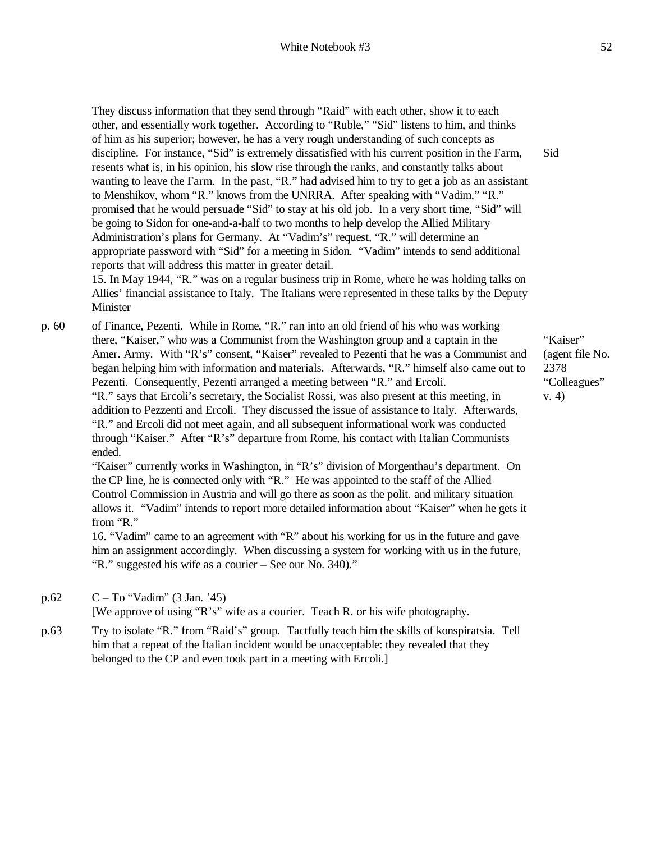They discuss information that they send through "Raid" with each other, show it to each other, and essentially work together. According to "Ruble," "Sid" listens to him, and thinks of him as his superior; however, he has a very rough understanding of such concepts as discipline. For instance, "Sid" is extremely dissatisfied with his current position in the Farm, resents what is, in his opinion, his slow rise through the ranks, and constantly talks about wanting to leave the Farm. In the past, "R." had advised him to try to get a job as an assistant to Menshikov, whom "R." knows from the UNRRA. After speaking with "Vadim," "R." promised that he would persuade "Sid" to stay at his old job. In a very short time, "Sid" will be going to Sidon for one-and-a-half to two months to help develop the Allied Military Administration's plans for Germany. At "Vadim's" request, "R." will determine an appropriate password with "Sid" for a meeting in Sidon. "Vadim" intends to send additional reports that will address this matter in greater detail.

15. In May 1944, "R." was on a regular business trip in Rome, where he was holding talks on Allies' financial assistance to Italy. The Italians were represented in these talks by the Deputy Minister

p. 60 of Finance, Pezenti. While in Rome, "R." ran into an old friend of his who was working there, "Kaiser," who was a Communist from the Washington group and a captain in the Amer. Army. With "R's" consent, "Kaiser" revealed to Pezenti that he was a Communist and began helping him with information and materials. Afterwards, "R." himself also came out to Pezenti. Consequently, Pezenti arranged a meeting between "R." and Ercoli. "R." says that Ercoli's secretary, the Socialist Rossi, was also present at this meeting, in addition to Pezzenti and Ercoli. They discussed the issue of assistance to Italy. Afterwards, "R." and Ercoli did not meet again, and all subsequent informational work was conducted through "Kaiser." After "R's" departure from Rome, his contact with Italian Communists ended.

> "Kaiser" currently works in Washington, in "R's" division of Morgenthau's department. On the CP line, he is connected only with "R." He was appointed to the staff of the Allied Control Commission in Austria and will go there as soon as the polit. and military situation allows it. "Vadim" intends to report more detailed information about "Kaiser" when he gets it from "R."

16. "Vadim" came to an agreement with "R" about his working for us in the future and gave him an assignment accordingly. When discussing a system for working with us in the future, "R." suggested his wife as a courier – See our No. 340)."

p.62 C – To "Vadim" (3 Jan. '45)

[We approve of using "R's" wife as a courier. Teach R. or his wife photography.

p.63 Try to isolate "R." from "Raid's" group. Tactfully teach him the skills of konspiratsia. Tell him that a repeat of the Italian incident would be unacceptable: they revealed that they belonged to the CP and even took part in a meeting with Ercoli.]

"Kaiser" (agent file No. 2378 "Colleagues" v. 4)

Sid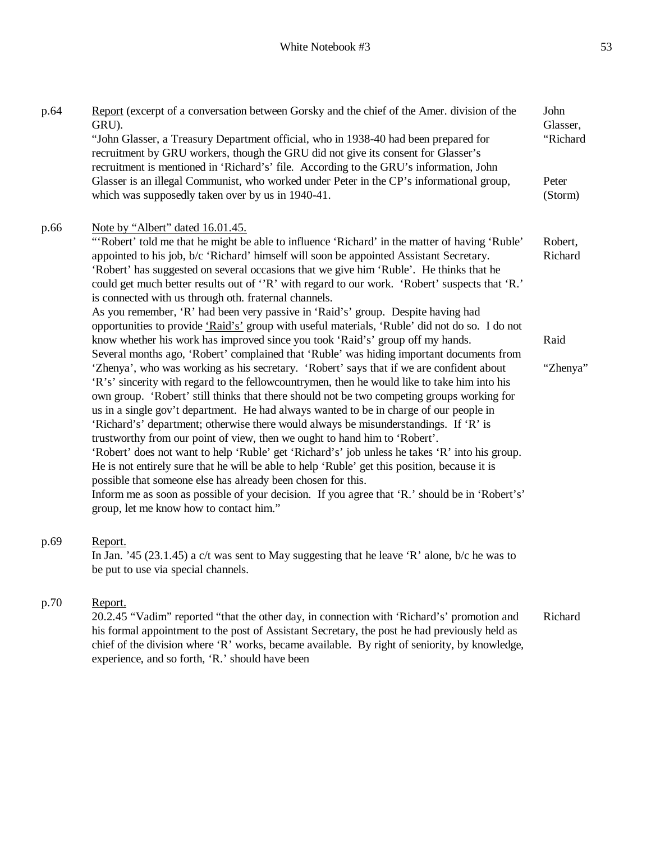| p.64 | Report (excerpt of a conversation between Gorsky and the chief of the Amer. division of the<br>GRU).<br>"John Glasser, a Treasury Department official, who in 1938-40 had been prepared for<br>recruitment by GRU workers, though the GRU did not give its consent for Glasser's<br>recruitment is mentioned in 'Richard's' file. According to the GRU's information, John<br>Glasser is an illegal Communist, who worked under Peter in the CP's informational group,                                                                                                                                                                                                                                                                                                                                                                                                                                                                                                  | John<br>Glasser,<br>"Richard<br>Peter |
|------|-------------------------------------------------------------------------------------------------------------------------------------------------------------------------------------------------------------------------------------------------------------------------------------------------------------------------------------------------------------------------------------------------------------------------------------------------------------------------------------------------------------------------------------------------------------------------------------------------------------------------------------------------------------------------------------------------------------------------------------------------------------------------------------------------------------------------------------------------------------------------------------------------------------------------------------------------------------------------|---------------------------------------|
|      | which was supposedly taken over by us in 1940-41.                                                                                                                                                                                                                                                                                                                                                                                                                                                                                                                                                                                                                                                                                                                                                                                                                                                                                                                       | (Storm)                               |
| p.66 | Note by "Albert" dated 16.01.45.<br>"Robert' told me that he might be able to influence 'Richard' in the matter of having 'Ruble'<br>appointed to his job, b/c 'Richard' himself will soon be appointed Assistant Secretary.<br>'Robert' has suggested on several occasions that we give him 'Ruble'. He thinks that he<br>could get much better results out of "R' with regard to our work. 'Robert' suspects that 'R.'<br>is connected with us through oth. fraternal channels.                                                                                                                                                                                                                                                                                                                                                                                                                                                                                       | Robert,<br>Richard                    |
|      | As you remember, 'R' had been very passive in 'Raid's' group. Despite having had                                                                                                                                                                                                                                                                                                                                                                                                                                                                                                                                                                                                                                                                                                                                                                                                                                                                                        |                                       |
|      | opportunities to provide 'Raid's' group with useful materials, 'Ruble' did not do so. I do not<br>know whether his work has improved since you took 'Raid's' group off my hands.<br>Several months ago, 'Robert' complained that 'Ruble' was hiding important documents from                                                                                                                                                                                                                                                                                                                                                                                                                                                                                                                                                                                                                                                                                            | Raid                                  |
|      | 'Zhenya', who was working as his secretary. 'Robert' says that if we are confident about<br>'R's' sincerity with regard to the fellow countrymen, then he would like to take him into his<br>own group. 'Robert' still thinks that there should not be two competing groups working for<br>us in a single gov't department. He had always wanted to be in charge of our people in<br>'Richard's' department; otherwise there would always be misunderstandings. If 'R' is<br>trustworthy from our point of view, then we ought to hand him to 'Robert'.<br>'Robert' does not want to help 'Ruble' get 'Richard's' job unless he takes 'R' into his group.<br>He is not entirely sure that he will be able to help 'Ruble' get this position, because it is<br>possible that someone else has already been chosen for this.<br>Inform me as soon as possible of your decision. If you agree that 'R.' should be in 'Robert's'<br>group, let me know how to contact him." | "Zhenya"                              |
| p.69 | Report.<br>In Jan. '45 (23.1.45) a c/t was sent to May suggesting that he leave 'R' alone, b/c he was to<br>be put to use via special channels.                                                                                                                                                                                                                                                                                                                                                                                                                                                                                                                                                                                                                                                                                                                                                                                                                         |                                       |
| p.70 | Report.                                                                                                                                                                                                                                                                                                                                                                                                                                                                                                                                                                                                                                                                                                                                                                                                                                                                                                                                                                 |                                       |

20.2.45 "Vadim" reported "that the other day, in connection with 'Richard's' promotion and his formal appointment to the post of Assistant Secretary, the post he had previously held as chief of the division where 'R' works, became available. By right of seniority, by knowledge, experience, and so forth, 'R.' should have been Richard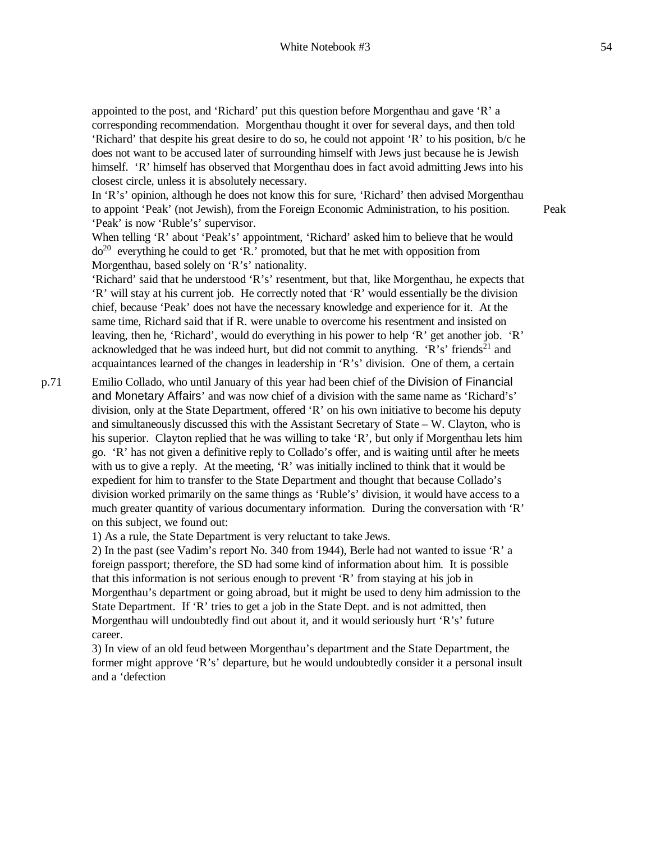appointed to the post, and 'Richard' put this question before Morgenthau and gave 'R' a corresponding recommendation. Morgenthau thought it over for several days, and then told 'Richard' that despite his great desire to do so, he could not appoint 'R' to his position, b/c he does not want to be accused later of surrounding himself with Jews just because he is Jewish himself. 'R' himself has observed that Morgenthau does in fact avoid admitting Jews into his closest circle, unless it is absolutely necessary.

In 'R's' opinion, although he does not know this for sure, 'Richard' then advised Morgenthau to appoint 'Peak' (not Jewish), from the Foreign Economic Administration, to his position. 'Peak' is now 'Ruble's' supervisor.

Peak

When telling 'R' about 'Peak's' appointment, 'Richard' asked him to believe that he would  $do^{20}$  everything he could to get 'R.' promoted, but that he met with opposition from Morgenthau, based solely on 'R's' nationality.

'Richard' said that he understood 'R's' resentment, but that, like Morgenthau, he expects that 'R' will stay at his current job. He correctly noted that 'R' would essentially be the division chief, because 'Peak' does not have the necessary knowledge and experience for it. At the same time, Richard said that if R. were unable to overcome his resentment and insisted on leaving, then he, 'Richard', would do everything in his power to help 'R' get another job. 'R' acknowledged that he was indeed hurt, but did not commit to anything. 'R's' friends<sup>21</sup> and acquaintances learned of the changes in leadership in 'R's' division. One of them, a certain

p.71 Emilio Collado, who until January of this year had been chief of the Division of Financial and Monetary Affairs' and was now chief of a division with the same name as 'Richard's' division, only at the State Department, offered 'R' on his own initiative to become his deputy and simultaneously discussed this with the Assistant Secretary of State – W. Clayton, who is his superior. Clayton replied that he was willing to take 'R', but only if Morgenthau lets him go. 'R' has not given a definitive reply to Collado's offer, and is waiting until after he meets with us to give a reply. At the meeting, 'R' was initially inclined to think that it would be expedient for him to transfer to the State Department and thought that because Collado's division worked primarily on the same things as 'Ruble's' division, it would have access to a much greater quantity of various documentary information. During the conversation with 'R' on this subject, we found out:

1) As a rule, the State Department is very reluctant to take Jews.

2) In the past (see Vadim's report No. 340 from 1944), Berle had not wanted to issue 'R' a foreign passport; therefore, the SD had some kind of information about him. It is possible that this information is not serious enough to prevent 'R' from staying at his job in Morgenthau's department or going abroad, but it might be used to deny him admission to the State Department. If 'R' tries to get a job in the State Dept. and is not admitted, then Morgenthau will undoubtedly find out about it, and it would seriously hurt 'R's' future career.

3) In view of an old feud between Morgenthau's department and the State Department, the former might approve 'R's' departure, but he would undoubtedly consider it a personal insult and a 'defection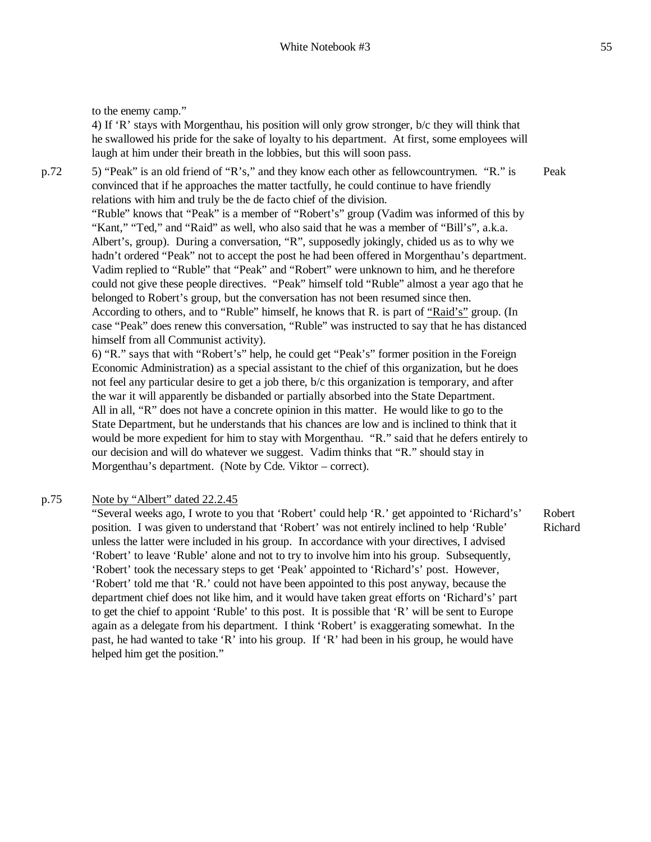to the enemy camp."

4) If 'R' stays with Morgenthau, his position will only grow stronger, b/c they will think that he swallowed his pride for the sake of loyalty to his department. At first, some employees will laugh at him under their breath in the lobbies, but this will soon pass.

p.72 5) "Peak" is an old friend of "R's," and they know each other as fellowcountrymen. "R." is convinced that if he approaches the matter tactfully, he could continue to have friendly relations with him and truly be the de facto chief of the division. "Ruble" knows that "Peak" is a member of "Robert's" group (Vadim was informed of this by "Kant," "Ted," and "Raid" as well, who also said that he was a member of "Bill's", a.k.a. Albert's, group). During a conversation, "R", supposedly jokingly, chided us as to why we hadn't ordered "Peak" not to accept the post he had been offered in Morgenthau's department. Vadim replied to "Ruble" that "Peak" and "Robert" were unknown to him, and he therefore could not give these people directives. "Peak" himself told "Ruble" almost a year ago that he belonged to Robert's group, but the conversation has not been resumed since then. According to others, and to "Ruble" himself, he knows that R. is part of "Raid's" group. (In case "Peak" does renew this conversation, "Ruble" was instructed to say that he has distanced himself from all Communist activity). 6) "R." says that with "Robert's" help, he could get "Peak's" former position in the Foreign Peak

Economic Administration) as a special assistant to the chief of this organization, but he does not feel any particular desire to get a job there, b/c this organization is temporary, and after the war it will apparently be disbanded or partially absorbed into the State Department. All in all, "R" does not have a concrete opinion in this matter. He would like to go to the State Department, but he understands that his chances are low and is inclined to think that it would be more expedient for him to stay with Morgenthau. "R." said that he defers entirely to our decision and will do whatever we suggest. Vadim thinks that "R." should stay in Morgenthau's department. (Note by Cde. Viktor – correct).

#### p.75 Note by "Albert" dated 22.2.45

"Several weeks ago, I wrote to you that 'Robert' could help 'R.' get appointed to 'Richard's' position. I was given to understand that 'Robert' was not entirely inclined to help 'Ruble' unless the latter were included in his group. In accordance with your directives, I advised 'Robert' to leave 'Ruble' alone and not to try to involve him into his group. Subsequently, 'Robert' took the necessary steps to get 'Peak' appointed to 'Richard's' post. However, 'Robert' told me that 'R.' could not have been appointed to this post anyway, because the department chief does not like him, and it would have taken great efforts on 'Richard's' part to get the chief to appoint 'Ruble' to this post. It is possible that 'R' will be sent to Europe again as a delegate from his department. I think 'Robert' is exaggerating somewhat. In the past, he had wanted to take 'R' into his group. If 'R' had been in his group, he would have helped him get the position."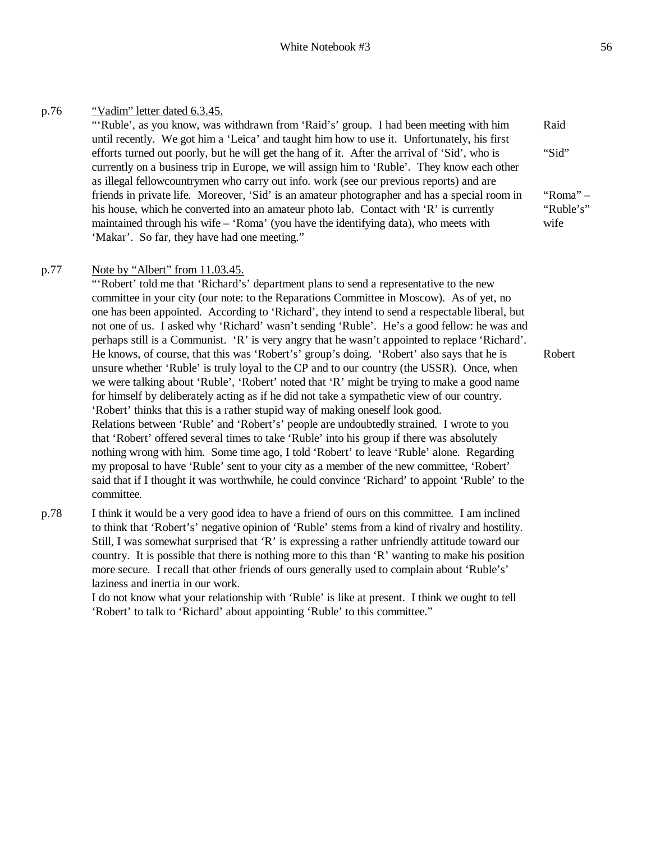## p.76 "Vadim" letter dated 6.3.45.

"'Ruble', as you know, was withdrawn from 'Raid's' group. I had been meeting with him until recently. We got him a 'Leica' and taught him how to use it. Unfortunately, his first efforts turned out poorly, but he will get the hang of it. After the arrival of 'Sid', who is currently on a business trip in Europe, we will assign him to 'Ruble'. They know each other as illegal fellowcountrymen who carry out info. work (see our previous reports) and are friends in private life. Moreover, 'Sid' is an amateur photographer and has a special room in his house, which he converted into an amateur photo lab. Contact with 'R' is currently maintained through his wife – 'Roma' (you have the identifying data), who meets with 'Makar'. So far, they have had one meeting."

### p.77 Note by "Albert" from 11.03.45.

"'Robert' told me that 'Richard's' department plans to send a representative to the new committee in your city (our note: to the Reparations Committee in Moscow). As of yet, no one has been appointed. According to 'Richard', they intend to send a respectable liberal, but not one of us. I asked why 'Richard' wasn't sending 'Ruble'. He's a good fellow: he was and perhaps still is a Communist. 'R' is very angry that he wasn't appointed to replace 'Richard'. He knows, of course, that this was 'Robert's' group's doing. 'Robert' also says that he is unsure whether 'Ruble' is truly loyal to the CP and to our country (the USSR). Once, when we were talking about 'Ruble', 'Robert' noted that 'R' might be trying to make a good name for himself by deliberately acting as if he did not take a sympathetic view of our country. 'Robert' thinks that this is a rather stupid way of making oneself look good. Relations between 'Ruble' and 'Robert's' people are undoubtedly strained. I wrote to you that 'Robert' offered several times to take 'Ruble' into his group if there was absolutely nothing wrong with him. Some time ago, I told 'Robert' to leave 'Ruble' alone. Regarding my proposal to have 'Ruble' sent to your city as a member of the new committee, 'Robert' said that if I thought it was worthwhile, he could convince 'Richard' to appoint 'Ruble' to the committee.

p.78 I think it would be a very good idea to have a friend of ours on this committee. I am inclined to think that 'Robert's' negative opinion of 'Ruble' stems from a kind of rivalry and hostility. Still, I was somewhat surprised that 'R' is expressing a rather unfriendly attitude toward our country. It is possible that there is nothing more to this than 'R' wanting to make his position more secure. I recall that other friends of ours generally used to complain about 'Ruble's' laziness and inertia in our work.

> I do not know what your relationship with 'Ruble' is like at present. I think we ought to tell 'Robert' to talk to 'Richard' about appointing 'Ruble' to this committee."

Robert

Raid

"Sid"

"Roma" – "Ruble's" wife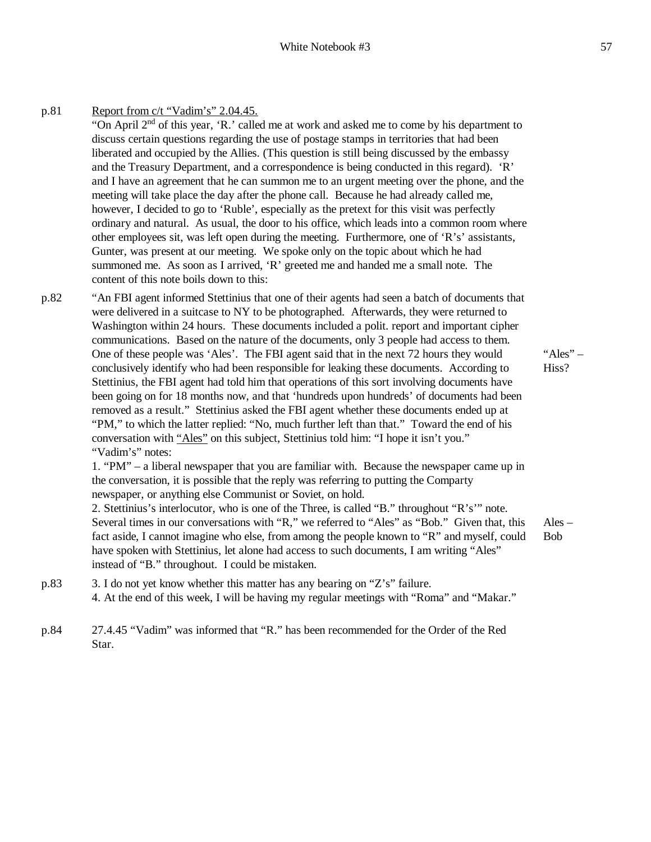### White Notebook #3 57

p.81 Report from c/t "Vadim's" 2.04.45. "On April 2nd of this year, 'R.' called me at work and asked me to come by his department to discuss certain questions regarding the use of postage stamps in territories that had been liberated and occupied by the Allies. (This question is still being discussed by the embassy and the Treasury Department, and a correspondence is being conducted in this regard). 'R' and I have an agreement that he can summon me to an urgent meeting over the phone, and the meeting will take place the day after the phone call. Because he had already called me, however, I decided to go to 'Ruble', especially as the pretext for this visit was perfectly ordinary and natural. As usual, the door to his office, which leads into a common room where other employees sit, was left open during the meeting. Furthermore, one of 'R's' assistants, Gunter, was present at our meeting. We spoke only on the topic about which he had summoned me. As soon as I arrived, 'R' greeted me and handed me a small note. The content of this note boils down to this:

p.82 "An FBI agent informed Stettinius that one of their agents had seen a batch of documents that were delivered in a suitcase to NY to be photographed. Afterwards, they were returned to Washington within 24 hours. These documents included a polit. report and important cipher communications. Based on the nature of the documents, only 3 people had access to them. One of these people was 'Ales'. The FBI agent said that in the next 72 hours they would conclusively identify who had been responsible for leaking these documents. According to Stettinius, the FBI agent had told him that operations of this sort involving documents have been going on for 18 months now, and that 'hundreds upon hundreds' of documents had been removed as a result." Stettinius asked the FBI agent whether these documents ended up at "PM," to which the latter replied: "No, much further left than that." Toward the end of his conversation with "Ales" on this subject, Stettinius told him: "I hope it isn't you." "Vadim's" notes:

> 1. "PM" – a liberal newspaper that you are familiar with. Because the newspaper came up in the conversation, it is possible that the reply was referring to putting the Comparty newspaper, or anything else Communist or Soviet, on hold.

2. Stettinius's interlocutor, who is one of the Three, is called "B." throughout "R's'" note. Several times in our conversations with "R," we referred to "Ales" as "Bob." Given that, this fact aside, I cannot imagine who else, from among the people known to "R" and myself, could have spoken with Stettinius, let alone had access to such documents, I am writing "Ales" instead of "B." throughout. I could be mistaken.

Ales – Bob

"Ales"  $-$ Hiss?

- p.83 3. I do not yet know whether this matter has any bearing on "Z's" failure. 4. At the end of this week, I will be having my regular meetings with "Roma" and "Makar."
- p.84 27.4.45 "Vadim" was informed that "R." has been recommended for the Order of the Red Star.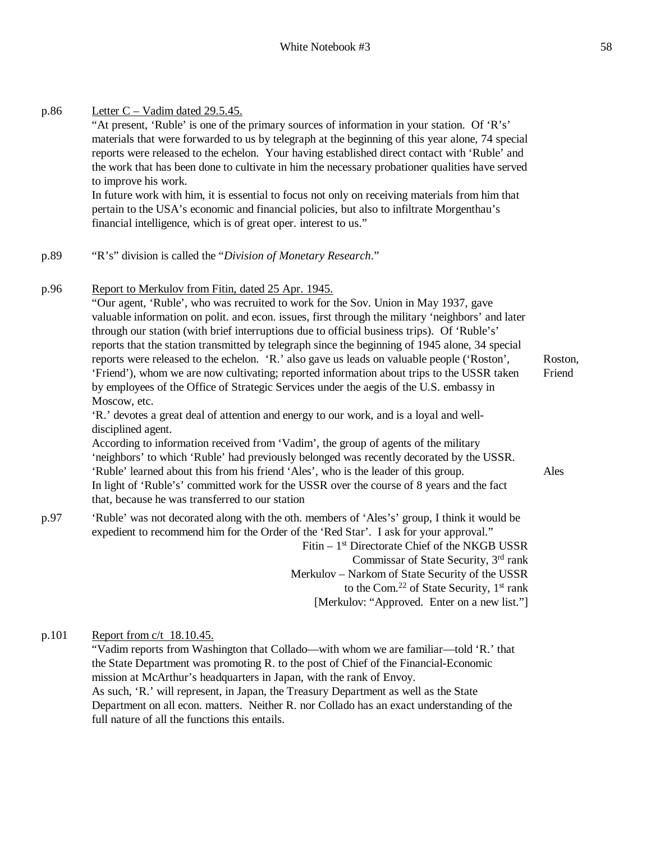| p.86 | Letter $C - V$ adim dated 29.5.45.<br>"At present, 'Ruble' is one of the primary sources of information in your station. Of 'R's'<br>materials that were forwarded to us by telegraph at the beginning of this year alone, 74 special<br>reports were released to the echelon. Your having established direct contact with 'Ruble' and<br>the work that has been done to cultivate in him the necessary probationer qualities have served<br>to improve his work.                                                                                                                                                                                                                                                                                                                                                                                                                                                                                                                                                                                                                                                                                                                                                                                                                                   |                           |
|------|-----------------------------------------------------------------------------------------------------------------------------------------------------------------------------------------------------------------------------------------------------------------------------------------------------------------------------------------------------------------------------------------------------------------------------------------------------------------------------------------------------------------------------------------------------------------------------------------------------------------------------------------------------------------------------------------------------------------------------------------------------------------------------------------------------------------------------------------------------------------------------------------------------------------------------------------------------------------------------------------------------------------------------------------------------------------------------------------------------------------------------------------------------------------------------------------------------------------------------------------------------------------------------------------------------|---------------------------|
|      | In future work with him, it is essential to focus not only on receiving materials from him that<br>pertain to the USA's economic and financial policies, but also to infiltrate Morgenthau's<br>financial intelligence, which is of great oper. interest to us."                                                                                                                                                                                                                                                                                                                                                                                                                                                                                                                                                                                                                                                                                                                                                                                                                                                                                                                                                                                                                                    |                           |
| p.89 | "R's" division is called the "Division of Monetary Research."                                                                                                                                                                                                                                                                                                                                                                                                                                                                                                                                                                                                                                                                                                                                                                                                                                                                                                                                                                                                                                                                                                                                                                                                                                       |                           |
| p.96 | Report to Merkulov from Fitin, dated 25 Apr. 1945.<br>"Our agent, 'Ruble', who was recruited to work for the Sov. Union in May 1937, gave<br>valuable information on polit. and econ. issues, first through the military 'neighbors' and later<br>through our station (with brief interruptions due to official business trips). Of 'Ruble's'<br>reports that the station transmitted by telegraph since the beginning of 1945 alone, 34 special<br>reports were released to the echelon. 'R.' also gave us leads on valuable people ('Roston',<br>'Friend'), whom we are now cultivating; reported information about trips to the USSR taken<br>by employees of the Office of Strategic Services under the aegis of the U.S. embassy in<br>Moscow, etc.<br>'R.' devotes a great deal of attention and energy to our work, and is a loyal and well-<br>disciplined agent.<br>According to information received from 'Vadim', the group of agents of the military<br>'neighbors' to which 'Ruble' had previously belonged was recently decorated by the USSR.<br>'Ruble' learned about this from his friend 'Ales', who is the leader of this group.<br>In light of 'Ruble's' committed work for the USSR over the course of 8 years and the fact<br>that, because he was transferred to our station | Roston,<br>Friend<br>Ales |
| p.97 | 'Ruble' was not decorated along with the oth. members of 'Ales's' group, I think it would be<br>expedient to recommend him for the Order of the 'Red Star'. I ask for your approval."<br>Fitin - 1 <sup>st</sup> Directorate Chief of the NKGB USSR<br>Commissar of State Security, 3 <sup>rd</sup> rank                                                                                                                                                                                                                                                                                                                                                                                                                                                                                                                                                                                                                                                                                                                                                                                                                                                                                                                                                                                            |                           |

Commissar of State Security,  $3<sup>rd</sup>$  rank Merkulov – Narkom of State Security of the USSR to the Com.<sup>22</sup> of State Security, 1<sup>st</sup> rank [Merkulov: "Approved. Enter on a new list."]

p.101 Report from c/t 18.10.45.

"Vadim reports from Washington that Collado—with whom we are familiar—told 'R.' that the State Department was promoting R. to the post of Chief of the Financial-Economic mission at McArthur's headquarters in Japan, with the rank of Envoy. As such, 'R.' will represent, in Japan, the Treasury Department as well as the State Department on all econ. matters. Neither R. nor Collado has an exact understanding of the full nature of all the functions this entails.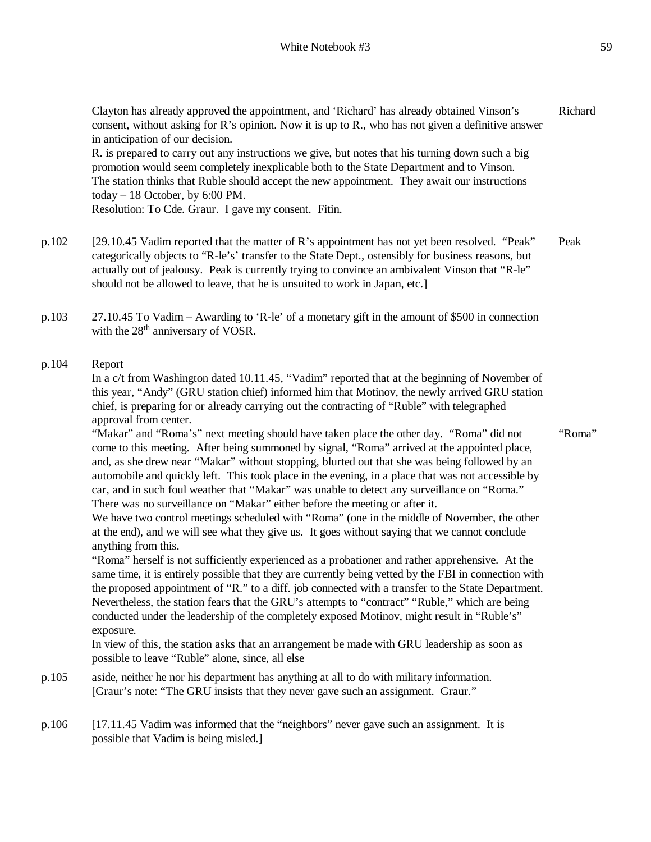Clayton has already approved the appointment, and 'Richard' has already obtained Vinson's consent, without asking for R's opinion. Now it is up to R., who has not given a definitive answer in anticipation of our decision. Richard

R. is prepared to carry out any instructions we give, but notes that his turning down such a big promotion would seem completely inexplicable both to the State Department and to Vinson. The station thinks that Ruble should accept the new appointment. They await our instructions today – 18 October, by 6:00 PM.

Resolution: To Cde. Graur. I gave my consent. Fitin.

- p.102 [29.10.45 Vadim reported that the matter of R's appointment has not yet been resolved. "Peak" categorically objects to "R-le's' transfer to the State Dept., ostensibly for business reasons, but actually out of jealousy. Peak is currently trying to convince an ambivalent Vinson that "R-le" should not be allowed to leave, that he is unsuited to work in Japan, etc.] Peak
- p.103 27.10.45 To Vadim Awarding to 'R-le' of a monetary gift in the amount of \$500 in connection with the 28<sup>th</sup> anniversary of VOSR.

## p.104 Report

In a c/t from Washington dated 10.11.45, "Vadim" reported that at the beginning of November of this year, "Andy" (GRU station chief) informed him that Motinov, the newly arrived GRU station chief, is preparing for or already carrying out the contracting of "Ruble" with telegraphed approval from center.

"Makar" and "Roma's" next meeting should have taken place the other day. "Roma" did not come to this meeting. After being summoned by signal, "Roma" arrived at the appointed place, and, as she drew near "Makar" without stopping, blurted out that she was being followed by an automobile and quickly left. This took place in the evening, in a place that was not accessible by car, and in such foul weather that "Makar" was unable to detect any surveillance on "Roma." There was no surveillance on "Makar" either before the meeting or after it.

We have two control meetings scheduled with "Roma" (one in the middle of November, the other at the end), and we will see what they give us. It goes without saying that we cannot conclude anything from this.

"Roma" herself is not sufficiently experienced as a probationer and rather apprehensive. At the same time, it is entirely possible that they are currently being vetted by the FBI in connection with the proposed appointment of "R." to a diff. job connected with a transfer to the State Department. Nevertheless, the station fears that the GRU's attempts to "contract" "Ruble," which are being conducted under the leadership of the completely exposed Motinov, might result in "Ruble's" exposure.

In view of this, the station asks that an arrangement be made with GRU leadership as soon as possible to leave "Ruble" alone, since, all else

- p.105 aside, neither he nor his department has anything at all to do with military information. [Graur's note: "The GRU insists that they never gave such an assignment. Graur."
- p.106 [17.11.45 Vadim was informed that the "neighbors" never gave such an assignment. It is possible that Vadim is being misled.]

"Roma"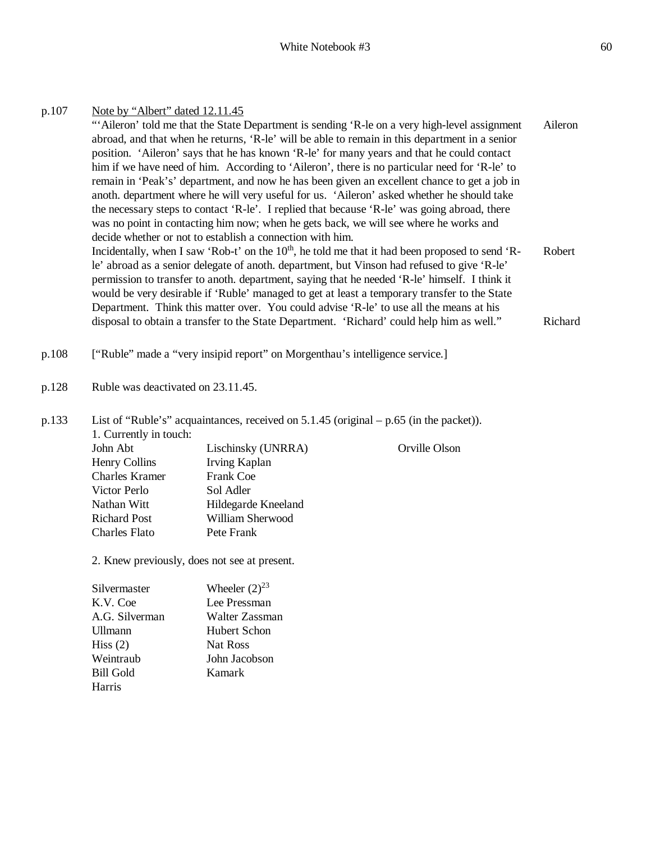| p.107 | Note by "Albert" dated 12.11.45<br>"Aileron' told me that the State Department is sending 'R-le on a very high-level assignment<br>Aileron<br>abroad, and that when he returns, 'R-le' will be able to remain in this department in a senior<br>position. 'Aileron' says that he has known 'R-le' for many years and that he could contact<br>him if we have need of him. According to 'Aileron', there is no particular need for 'R-le' to<br>remain in 'Peak's' department, and now he has been given an excellent chance to get a job in<br>anoth. department where he will very useful for us. 'Aileron' asked whether he should take<br>the necessary steps to contact 'R-le'. I replied that because 'R-le' was going abroad, there<br>was no point in contacting him now; when he gets back, we will see where he works and<br>decide whether or not to establish a connection with him.<br>Incidentally, when I saw 'Rob-t' on the 10 <sup>th</sup> , he told me that it had been proposed to send 'R-<br>Robert<br>le' abroad as a senior delegate of anoth. department, but Vinson had refused to give 'R-le'<br>permission to transfer to anoth. department, saying that he needed 'R-le' himself. I think it<br>would be very desirable if 'Ruble' managed to get at least a temporary transfer to the State<br>Department. Think this matter over. You could advise 'R-le' to use all the means at his<br>disposal to obtain a transfer to the State Department. 'Richard' could help him as well."<br>Richard |                                                                              |               |  |  |
|-------|-----------------------------------------------------------------------------------------------------------------------------------------------------------------------------------------------------------------------------------------------------------------------------------------------------------------------------------------------------------------------------------------------------------------------------------------------------------------------------------------------------------------------------------------------------------------------------------------------------------------------------------------------------------------------------------------------------------------------------------------------------------------------------------------------------------------------------------------------------------------------------------------------------------------------------------------------------------------------------------------------------------------------------------------------------------------------------------------------------------------------------------------------------------------------------------------------------------------------------------------------------------------------------------------------------------------------------------------------------------------------------------------------------------------------------------------------------------------------------------------------------------------------------|------------------------------------------------------------------------------|---------------|--|--|
|       |                                                                                                                                                                                                                                                                                                                                                                                                                                                                                                                                                                                                                                                                                                                                                                                                                                                                                                                                                                                                                                                                                                                                                                                                                                                                                                                                                                                                                                                                                                                             |                                                                              |               |  |  |
| p.108 |                                                                                                                                                                                                                                                                                                                                                                                                                                                                                                                                                                                                                                                                                                                                                                                                                                                                                                                                                                                                                                                                                                                                                                                                                                                                                                                                                                                                                                                                                                                             | ["Ruble" made a "very insipid report" on Morgenthau's intelligence service.] |               |  |  |
| p.128 | Ruble was deactivated on 23.11.45.                                                                                                                                                                                                                                                                                                                                                                                                                                                                                                                                                                                                                                                                                                                                                                                                                                                                                                                                                                                                                                                                                                                                                                                                                                                                                                                                                                                                                                                                                          |                                                                              |               |  |  |
| p.133 | List of "Ruble's" acquaintances, received on $5.1.45$ (original $- p.65$ (in the packet)).<br>1. Currently in touch:                                                                                                                                                                                                                                                                                                                                                                                                                                                                                                                                                                                                                                                                                                                                                                                                                                                                                                                                                                                                                                                                                                                                                                                                                                                                                                                                                                                                        |                                                                              |               |  |  |
|       | John Abt                                                                                                                                                                                                                                                                                                                                                                                                                                                                                                                                                                                                                                                                                                                                                                                                                                                                                                                                                                                                                                                                                                                                                                                                                                                                                                                                                                                                                                                                                                                    | Lischinsky (UNRRA)                                                           | Orville Olson |  |  |
|       | <b>Henry Collins</b>                                                                                                                                                                                                                                                                                                                                                                                                                                                                                                                                                                                                                                                                                                                                                                                                                                                                                                                                                                                                                                                                                                                                                                                                                                                                                                                                                                                                                                                                                                        | Irving Kaplan                                                                |               |  |  |
|       | <b>Charles Kramer</b>                                                                                                                                                                                                                                                                                                                                                                                                                                                                                                                                                                                                                                                                                                                                                                                                                                                                                                                                                                                                                                                                                                                                                                                                                                                                                                                                                                                                                                                                                                       | Frank Coe                                                                    |               |  |  |
|       | Victor Perlo                                                                                                                                                                                                                                                                                                                                                                                                                                                                                                                                                                                                                                                                                                                                                                                                                                                                                                                                                                                                                                                                                                                                                                                                                                                                                                                                                                                                                                                                                                                | Sol Adler                                                                    |               |  |  |
|       | Nathan Witt                                                                                                                                                                                                                                                                                                                                                                                                                                                                                                                                                                                                                                                                                                                                                                                                                                                                                                                                                                                                                                                                                                                                                                                                                                                                                                                                                                                                                                                                                                                 | Hildegarde Kneeland                                                          |               |  |  |
|       | <b>Richard Post</b>                                                                                                                                                                                                                                                                                                                                                                                                                                                                                                                                                                                                                                                                                                                                                                                                                                                                                                                                                                                                                                                                                                                                                                                                                                                                                                                                                                                                                                                                                                         | William Sherwood                                                             |               |  |  |
|       | <b>Charles Flato</b>                                                                                                                                                                                                                                                                                                                                                                                                                                                                                                                                                                                                                                                                                                                                                                                                                                                                                                                                                                                                                                                                                                                                                                                                                                                                                                                                                                                                                                                                                                        | Pete Frank                                                                   |               |  |  |
|       | 2. Knew previously, does not see at present.                                                                                                                                                                                                                                                                                                                                                                                                                                                                                                                                                                                                                                                                                                                                                                                                                                                                                                                                                                                                                                                                                                                                                                                                                                                                                                                                                                                                                                                                                |                                                                              |               |  |  |
|       | Silvermaster                                                                                                                                                                                                                                                                                                                                                                                                                                                                                                                                                                                                                                                                                                                                                                                                                                                                                                                                                                                                                                                                                                                                                                                                                                                                                                                                                                                                                                                                                                                | Wheeler $(2)^{23}$                                                           |               |  |  |
|       | K.V. Coe                                                                                                                                                                                                                                                                                                                                                                                                                                                                                                                                                                                                                                                                                                                                                                                                                                                                                                                                                                                                                                                                                                                                                                                                                                                                                                                                                                                                                                                                                                                    | Lee Pressman                                                                 |               |  |  |
|       | A.G. Silverman                                                                                                                                                                                                                                                                                                                                                                                                                                                                                                                                                                                                                                                                                                                                                                                                                                                                                                                                                                                                                                                                                                                                                                                                                                                                                                                                                                                                                                                                                                              | Walter Zassman                                                               |               |  |  |
|       | Ullmann                                                                                                                                                                                                                                                                                                                                                                                                                                                                                                                                                                                                                                                                                                                                                                                                                                                                                                                                                                                                                                                                                                                                                                                                                                                                                                                                                                                                                                                                                                                     | <b>Hubert Schon</b>                                                          |               |  |  |
|       | Hiss $(2)$                                                                                                                                                                                                                                                                                                                                                                                                                                                                                                                                                                                                                                                                                                                                                                                                                                                                                                                                                                                                                                                                                                                                                                                                                                                                                                                                                                                                                                                                                                                  | Nat Ross                                                                     |               |  |  |
|       | Weintraub                                                                                                                                                                                                                                                                                                                                                                                                                                                                                                                                                                                                                                                                                                                                                                                                                                                                                                                                                                                                                                                                                                                                                                                                                                                                                                                                                                                                                                                                                                                   | John Jacobson                                                                |               |  |  |
|       | <b>Bill Gold</b><br>Harris                                                                                                                                                                                                                                                                                                                                                                                                                                                                                                                                                                                                                                                                                                                                                                                                                                                                                                                                                                                                                                                                                                                                                                                                                                                                                                                                                                                                                                                                                                  | Kamark                                                                       |               |  |  |
|       |                                                                                                                                                                                                                                                                                                                                                                                                                                                                                                                                                                                                                                                                                                                                                                                                                                                                                                                                                                                                                                                                                                                                                                                                                                                                                                                                                                                                                                                                                                                             |                                                                              |               |  |  |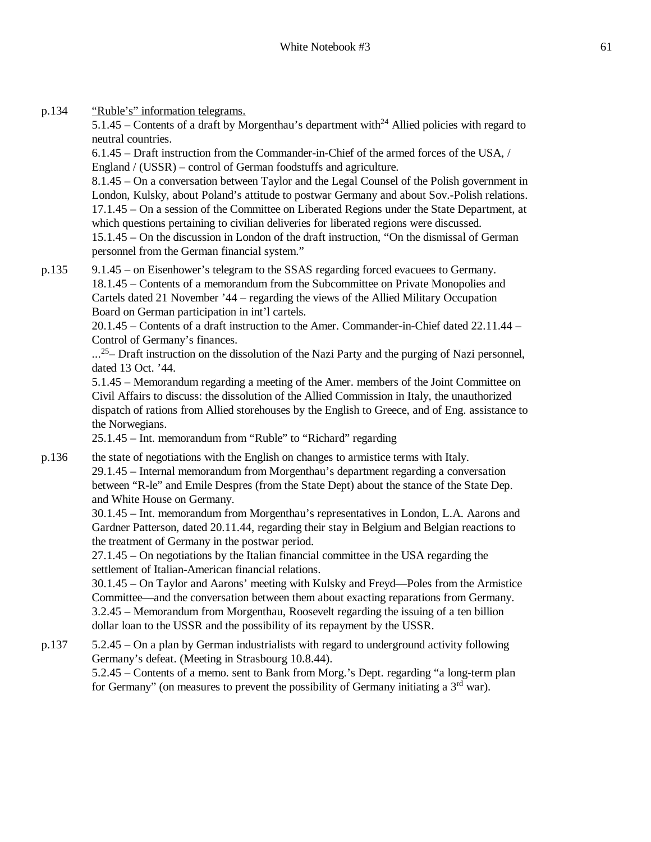p.134 "Ruble's" information telegrams.

5.1.45 – Contents of a draft by Morgenthau's department with<sup>24</sup> Allied policies with regard to neutral countries.

6.1.45 – Draft instruction from the Commander-in-Chief of the armed forces of the USA, / England / (USSR) – control of German foodstuffs and agriculture.

8.1.45 – On a conversation between Taylor and the Legal Counsel of the Polish government in London, Kulsky, about Poland's attitude to postwar Germany and about Sov.-Polish relations. 17.1.45 – On a session of the Committee on Liberated Regions under the State Department, at which questions pertaining to civilian deliveries for liberated regions were discussed. 15.1.45 – On the discussion in London of the draft instruction, "On the dismissal of German personnel from the German financial system."

p.135 9.1.45 – on Eisenhower's telegram to the SSAS regarding forced evacuees to Germany. 18.1.45 – Contents of a memorandum from the Subcommittee on Private Monopolies and Cartels dated 21 November '44 – regarding the views of the Allied Military Occupation Board on German participation in int'l cartels.

> 20.1.45 – Contents of a draft instruction to the Amer. Commander-in-Chief dated 22.11.44 – Control of Germany's finances.

> ...<sup>25</sup> – Draft instruction on the dissolution of the Nazi Party and the purging of Nazi personnel, dated 13 Oct. '44.

> 5.1.45 – Memorandum regarding a meeting of the Amer. members of the Joint Committee on Civil Affairs to discuss: the dissolution of the Allied Commission in Italy, the unauthorized dispatch of rations from Allied storehouses by the English to Greece, and of Eng. assistance to the Norwegians.

25.1.45 – Int. memorandum from "Ruble" to "Richard" regarding

p.136 the state of negotiations with the English on changes to armistice terms with Italy. 29.1.45 – Internal memorandum from Morgenthau's department regarding a conversation between "R-le" and Emile Despres (from the State Dept) about the stance of the State Dep. and White House on Germany.

30.1.45 – Int. memorandum from Morgenthau's representatives in London, L.A. Aarons and Gardner Patterson, dated 20.11.44, regarding their stay in Belgium and Belgian reactions to the treatment of Germany in the postwar period.

27.1.45 – On negotiations by the Italian financial committee in the USA regarding the settlement of Italian-American financial relations.

30.1.45 – On Taylor and Aarons' meeting with Kulsky and Freyd—Poles from the Armistice Committee—and the conversation between them about exacting reparations from Germany. 3.2.45 – Memorandum from Morgenthau, Roosevelt regarding the issuing of a ten billion dollar loan to the USSR and the possibility of its repayment by the USSR.

p.137 5.2.45 – On a plan by German industrialists with regard to underground activity following Germany's defeat. (Meeting in Strasbourg 10.8.44). 5.2.45 – Contents of a memo. sent to Bank from Morg.'s Dept. regarding "a long-term plan for Germany" (on measures to prevent the possibility of Germany initiating a  $3<sup>rd</sup>$  war).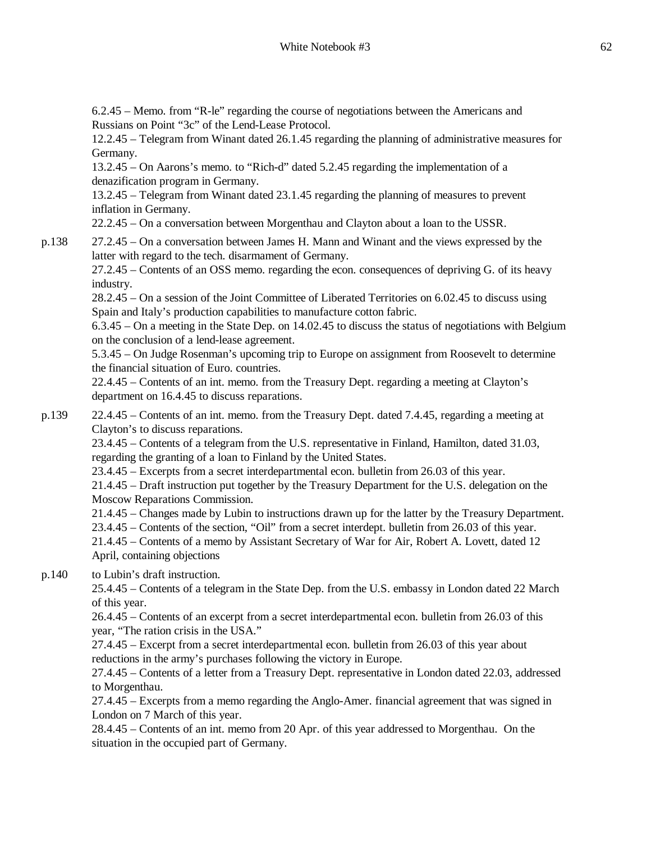6.2.45 – Memo. from "R-le" regarding the course of negotiations between the Americans and Russians on Point "3c" of the Lend-Lease Protocol.

12.2.45 – Telegram from Winant dated 26.1.45 regarding the planning of administrative measures for Germany.

13.2.45 – On Aarons's memo. to "Rich-d" dated 5.2.45 regarding the implementation of a denazification program in Germany.

13.2.45 – Telegram from Winant dated 23.1.45 regarding the planning of measures to prevent inflation in Germany.

22.2.45 – On a conversation between Morgenthau and Clayton about a loan to the USSR.

p.138 27.2.45 – On a conversation between James H. Mann and Winant and the views expressed by the latter with regard to the tech. disarmament of Germany.

27.2.45 – Contents of an OSS memo. regarding the econ. consequences of depriving G. of its heavy industry.

28.2.45 – On a session of the Joint Committee of Liberated Territories on 6.02.45 to discuss using Spain and Italy's production capabilities to manufacture cotton fabric.

6.3.45 – On a meeting in the State Dep. on 14.02.45 to discuss the status of negotiations with Belgium on the conclusion of a lend-lease agreement.

5.3.45 – On Judge Rosenman's upcoming trip to Europe on assignment from Roosevelt to determine the financial situation of Euro. countries.

22.4.45 – Contents of an int. memo. from the Treasury Dept. regarding a meeting at Clayton's department on 16.4.45 to discuss reparations.

p.139 22.4.45 – Contents of an int. memo. from the Treasury Dept. dated 7.4.45, regarding a meeting at Clayton's to discuss reparations.

23.4.45 – Contents of a telegram from the U.S. representative in Finland, Hamilton, dated 31.03, regarding the granting of a loan to Finland by the United States.

23.4.45 – Excerpts from a secret interdepartmental econ. bulletin from 26.03 of this year.

21.4.45 – Draft instruction put together by the Treasury Department for the U.S. delegation on the Moscow Reparations Commission.

21.4.45 – Changes made by Lubin to instructions drawn up for the latter by the Treasury Department. 23.4.45 – Contents of the section, "Oil" from a secret interdept. bulletin from 26.03 of this year.

21.4.45 – Contents of a memo by Assistant Secretary of War for Air, Robert A. Lovett, dated 12 April, containing objections

# p.140 to Lubin's draft instruction.

25.4.45 – Contents of a telegram in the State Dep. from the U.S. embassy in London dated 22 March of this year.

26.4.45 – Contents of an excerpt from a secret interdepartmental econ. bulletin from 26.03 of this year, "The ration crisis in the USA."

27.4.45 – Excerpt from a secret interdepartmental econ. bulletin from 26.03 of this year about reductions in the army's purchases following the victory in Europe.

27.4.45 – Contents of a letter from a Treasury Dept. representative in London dated 22.03, addressed to Morgenthau.

27.4.45 – Excerpts from a memo regarding the Anglo-Amer. financial agreement that was signed in London on 7 March of this year.

28.4.45 – Contents of an int. memo from 20 Apr. of this year addressed to Morgenthau. On the situation in the occupied part of Germany.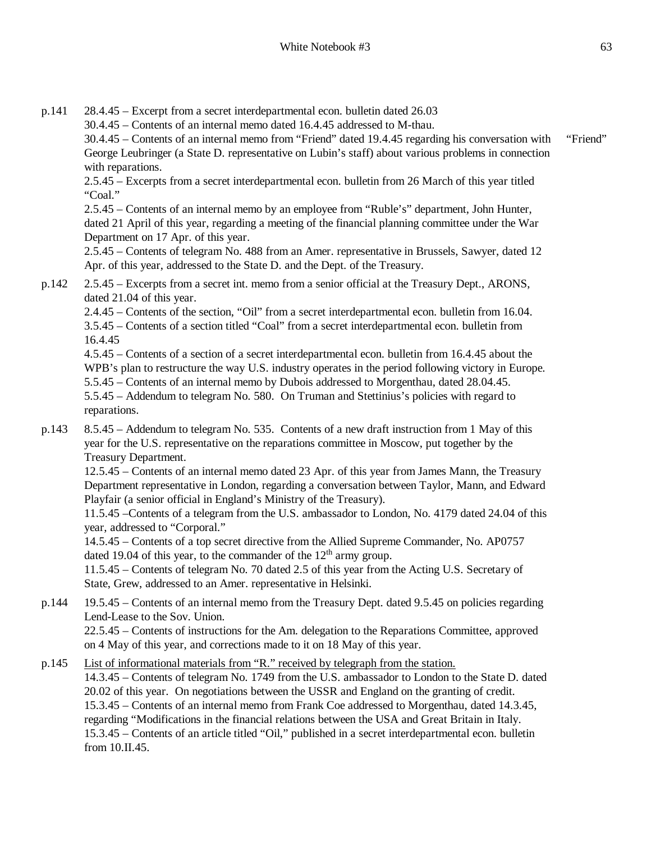p.141 28.4.45 – Excerpt from a secret interdepartmental econ. bulletin dated 26.03 30.4.45 – Contents of an internal memo dated 16.4.45 addressed to M-thau. 30.4.45 – Contents of an internal memo from "Friend" dated 19.4.45 regarding his conversation with George Leubringer (a State D. representative on Lubin's staff) about various problems in connection with reparations.

2.5.45 – Excerpts from a secret interdepartmental econ. bulletin from 26 March of this year titled "Coal."

2.5.45 – Contents of an internal memo by an employee from "Ruble's" department, John Hunter, dated 21 April of this year, regarding a meeting of the financial planning committee under the War Department on 17 Apr. of this year.

2.5.45 – Contents of telegram No. 488 from an Amer. representative in Brussels, Sawyer, dated 12 Apr. of this year, addressed to the State D. and the Dept. of the Treasury.

p.142 2.5.45 – Excerpts from a secret int. memo from a senior official at the Treasury Dept., ARONS, dated 21.04 of this year.

2.4.45 – Contents of the section, "Oil" from a secret interdepartmental econ. bulletin from 16.04. 3.5.45 – Contents of a section titled "Coal" from a secret interdepartmental econ. bulletin from 16.4.45

4.5.45 – Contents of a section of a secret interdepartmental econ. bulletin from 16.4.45 about the WPB's plan to restructure the way U.S. industry operates in the period following victory in Europe. 5.5.45 – Contents of an internal memo by Dubois addressed to Morgenthau, dated 28.04.45. 5.5.45 – Addendum to telegram No. 580. On Truman and Stettinius's policies with regard to reparations.

p.143 8.5.45 – Addendum to telegram No. 535. Contents of a new draft instruction from 1 May of this year for the U.S. representative on the reparations committee in Moscow, put together by the Treasury Department.

12.5.45 – Contents of an internal memo dated 23 Apr. of this year from James Mann, the Treasury Department representative in London, regarding a conversation between Taylor, Mann, and Edward Playfair (a senior official in England's Ministry of the Treasury).

11.5.45 –Contents of a telegram from the U.S. ambassador to London, No. 4179 dated 24.04 of this year, addressed to "Corporal."

14.5.45 – Contents of a top secret directive from the Allied Supreme Commander, No. AP0757 dated 19.04 of this year, to the commander of the  $12<sup>th</sup>$  army group.

11.5.45 – Contents of telegram No. 70 dated 2.5 of this year from the Acting U.S. Secretary of State, Grew, addressed to an Amer. representative in Helsinki.

p.144 19.5.45 – Contents of an internal memo from the Treasury Dept. dated 9.5.45 on policies regarding Lend-Lease to the Sov. Union.

22.5.45 – Contents of instructions for the Am. delegation to the Reparations Committee, approved on 4 May of this year, and corrections made to it on 18 May of this year.

p.145 List of informational materials from "R." received by telegraph from the station. 14.3.45 – Contents of telegram No. 1749 from the U.S. ambassador to London to the State D. dated 20.02 of this year. On negotiations between the USSR and England on the granting of credit. 15.3.45 – Contents of an internal memo from Frank Coe addressed to Morgenthau, dated 14.3.45, regarding "Modifications in the financial relations between the USA and Great Britain in Italy. 15.3.45 – Contents of an article titled "Oil," published in a secret interdepartmental econ. bulletin from  $10 \text{ H } 45$ 

"Friend"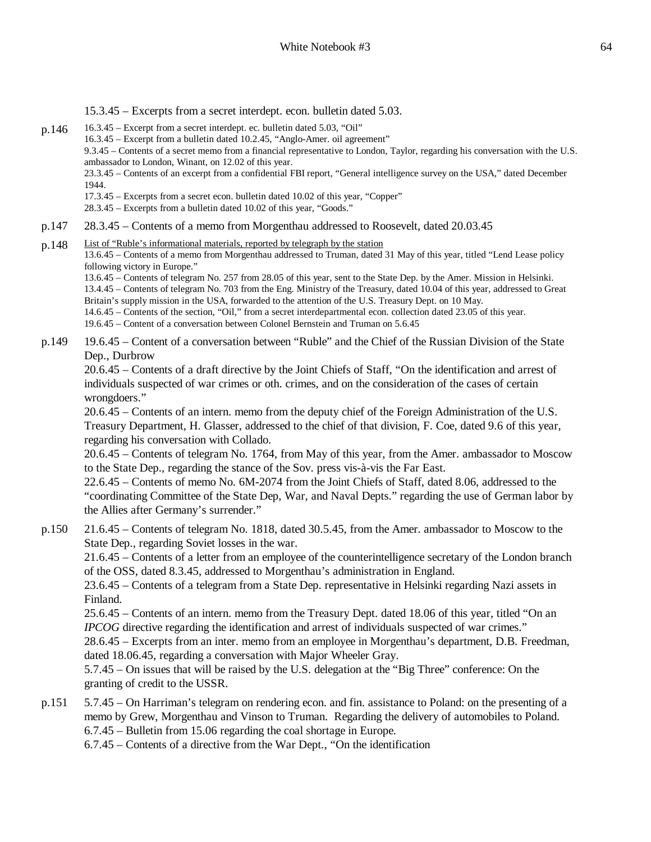15.3.45 – Excerpts from a secret interdept. econ. bulletin dated 5.03.

- $p.146$  16.3.45 Excerpt from a secret interdept. ec. bulletin dated 5.03, "Oil" 16.3.45 – Excerpt from a bulletin dated 10.2.45, "Anglo-Amer. oil agreement" 9.3.45 – Contents of a secret memo from a financial representative to London, Taylor, regarding his conversation with the U.S. ambassador to London, Winant, on 12.02 of this year. 23.3.45 – Contents of an excerpt from a confidential FBI report, "General intelligence survey on the USA," dated December 1944. 17.3.45 – Excerpts from a secret econ. bulletin dated 10.02 of this year, "Copper" 28.3.45 – Excerpts from a bulletin dated 10.02 of this year, "Goods." p.147 28.3.45 – Contents of a memo from Morgenthau addressed to Roosevelt, dated 20.03.45 p.148 List of "Ruble's informational materials, reported by telegraph by the station
	- 13.6.45 Contents of a memo from Morgenthau addressed to Truman, dated 31 May of this year, titled "Lend Lease policy following victory in Europe."

13.6.45 – Contents of telegram No. 257 from 28.05 of this year, sent to the State Dep. by the Amer. Mission in Helsinki. 13.4.45 – Contents of telegram No. 703 from the Eng. Ministry of the Treasury, dated 10.04 of this year, addressed to Great Britain's supply mission in the USA, forwarded to the attention of the U.S. Treasury Dept. on 10 May. 14.6.45 – Contents of the section, "Oil," from a secret interdepartmental econ. collection dated 23.05 of this year. 19.6.45 – Content of a conversation between Colonel Bernstein and Truman on 5.6.45

p.149 19.6.45 – Content of a conversation between "Ruble" and the Chief of the Russian Division of the State Dep., Durbrow

20.6.45 – Contents of a draft directive by the Joint Chiefs of Staff, "On the identification and arrest of individuals suspected of war crimes or oth. crimes, and on the consideration of the cases of certain wrongdoers."

20.6.45 – Contents of an intern. memo from the deputy chief of the Foreign Administration of the U.S. Treasury Department, H. Glasser, addressed to the chief of that division, F. Coe, dated 9.6 of this year, regarding his conversation with Collado.

20.6.45 – Contents of telegram No. 1764, from May of this year, from the Amer. ambassador to Moscow to the State Dep., regarding the stance of the Sov. press vis-à-vis the Far East.

22.6.45 – Contents of memo No. 6M-2074 from the Joint Chiefs of Staff, dated 8.06, addressed to the "coordinating Committee of the State Dep, War, and Naval Depts." regarding the use of German labor by the Allies after Germany's surrender."

p.150 21.6.45 – Contents of telegram No. 1818, dated 30.5.45, from the Amer. ambassador to Moscow to the State Dep., regarding Soviet losses in the war.

21.6.45 – Contents of a letter from an employee of the counterintelligence secretary of the London branch of the OSS, dated 8.3.45, addressed to Morgenthau's administration in England.

23.6.45 – Contents of a telegram from a State Dep. representative in Helsinki regarding Nazi assets in Finland.

25.6.45 – Contents of an intern. memo from the Treasury Dept. dated 18.06 of this year, titled "On an *IPCOG* directive regarding the identification and arrest of individuals suspected of war crimes."

28.6.45 – Excerpts from an inter. memo from an employee in Morgenthau's department, D.B. Freedman, dated 18.06.45, regarding a conversation with Major Wheeler Gray.

5.7.45 – On issues that will be raised by the U.S. delegation at the "Big Three" conference: On the granting of credit to the USSR.

p.151 5.7.45 – On Harriman's telegram on rendering econ. and fin. assistance to Poland: on the presenting of a memo by Grew, Morgenthau and Vinson to Truman. Regarding the delivery of automobiles to Poland. 6.7.45 – Bulletin from 15.06 regarding the coal shortage in Europe.

6.7.45 – Contents of a directive from the War Dept., "On the identification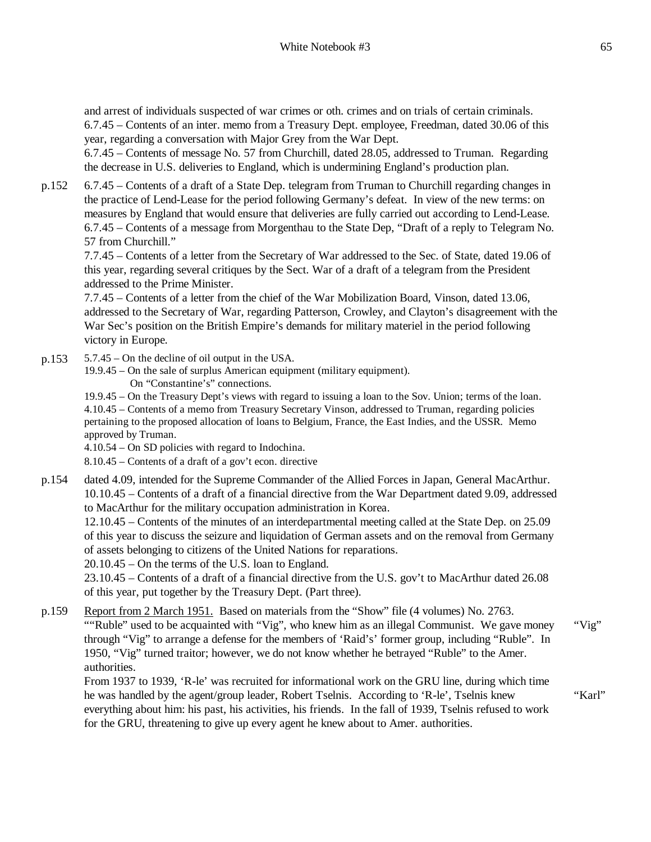and arrest of individuals suspected of war crimes or oth. crimes and on trials of certain criminals. 6.7.45 – Contents of an inter. memo from a Treasury Dept. employee, Freedman, dated 30.06 of this year, regarding a conversation with Major Grey from the War Dept.

6.7.45 – Contents of message No. 57 from Churchill, dated 28.05, addressed to Truman. Regarding the decrease in U.S. deliveries to England, which is undermining England's production plan.

p.152 6.7.45 – Contents of a draft of a State Dep. telegram from Truman to Churchill regarding changes in the practice of Lend-Lease for the period following Germany's defeat. In view of the new terms: on measures by England that would ensure that deliveries are fully carried out according to Lend-Lease. 6.7.45 – Contents of a message from Morgenthau to the State Dep, "Draft of a reply to Telegram No. 57 from Churchill."

7.7.45 – Contents of a letter from the Secretary of War addressed to the Sec. of State, dated 19.06 of this year, regarding several critiques by the Sect. War of a draft of a telegram from the President addressed to the Prime Minister.

7.7.45 – Contents of a letter from the chief of the War Mobilization Board, Vinson, dated 13.06, addressed to the Secretary of War, regarding Patterson, Crowley, and Clayton's disagreement with the War Sec's position on the British Empire's demands for military materiel in the period following victory in Europe.

- p.153 5.7.45 On the decline of oil output in the USA.
	- 19.9.45 On the sale of surplus American equipment (military equipment).
		- On "Constantine's" connections.

19.9.45 – On the Treasury Dept's views with regard to issuing a loan to the Sov. Union; terms of the loan. 4.10.45 – Contents of a memo from Treasury Secretary Vinson, addressed to Truman, regarding policies pertaining to the proposed allocation of loans to Belgium, France, the East Indies, and the USSR. Memo approved by Truman.

4.10.54 – On SD policies with regard to Indochina.

8.10.45 – Contents of a draft of a gov't econ. directive

p.154 dated 4.09, intended for the Supreme Commander of the Allied Forces in Japan, General MacArthur. 10.10.45 – Contents of a draft of a financial directive from the War Department dated 9.09, addressed to MacArthur for the military occupation administration in Korea.

12.10.45 – Contents of the minutes of an interdepartmental meeting called at the State Dep. on 25.09 of this year to discuss the seizure and liquidation of German assets and on the removal from Germany of assets belonging to citizens of the United Nations for reparations.

20.10.45 – On the terms of the U.S. loan to England.

23.10.45 – Contents of a draft of a financial directive from the U.S. gov't to MacArthur dated 26.08 of this year, put together by the Treasury Dept. (Part three).

p.159 Report from 2 March 1951. Based on materials from the "Show" file (4 volumes) No. 2763. ""Ruble" used to be acquainted with "Vig", who knew him as an illegal Communist. We gave money through "Vig" to arrange a defense for the members of 'Raid's' former group, including "Ruble". In 1950, "Vig" turned traitor; however, we do not know whether he betrayed "Ruble" to the Amer. authorities.

From 1937 to 1939, 'R-le' was recruited for informational work on the GRU line, during which time he was handled by the agent/group leader, Robert Tselnis. According to 'R-le', Tselnis knew everything about him: his past, his activities, his friends. In the fall of 1939, Tselnis refused to work for the GRU, threatening to give up every agent he knew about to Amer. authorities.

"Vig"

"Karl"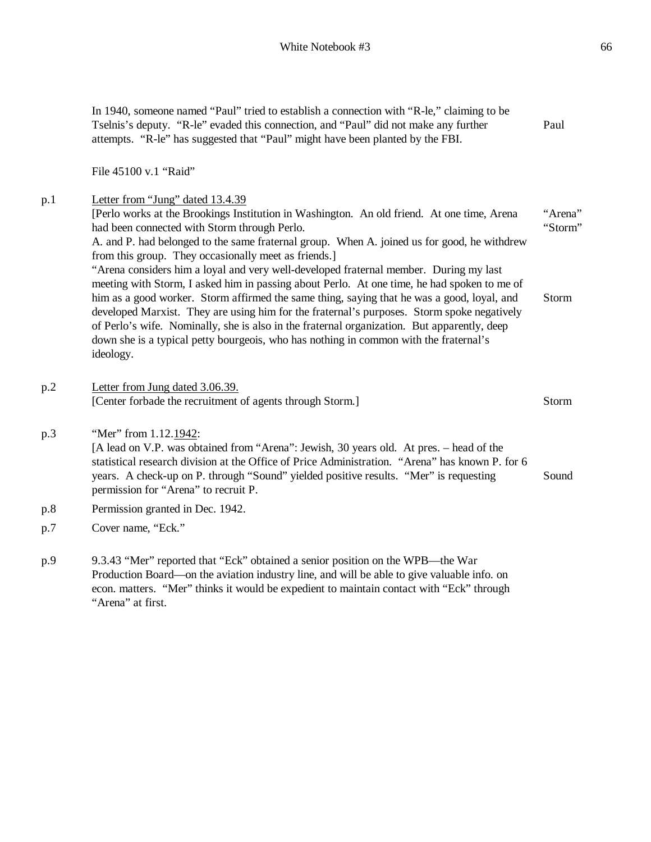|            | In 1940, someone named "Paul" tried to establish a connection with "R-le," claiming to be<br>Tselnis's deputy. "R-le" evaded this connection, and "Paul" did not make any further<br>attempts. "R-le" has suggested that "Paul" might have been planted by the FBI.                                                                                                                                                                                                                                                                                                                                                                                                                                                                                                                                                                                                                                                            | Paul                        |
|------------|--------------------------------------------------------------------------------------------------------------------------------------------------------------------------------------------------------------------------------------------------------------------------------------------------------------------------------------------------------------------------------------------------------------------------------------------------------------------------------------------------------------------------------------------------------------------------------------------------------------------------------------------------------------------------------------------------------------------------------------------------------------------------------------------------------------------------------------------------------------------------------------------------------------------------------|-----------------------------|
|            | File 45100 v.1 "Raid"                                                                                                                                                                                                                                                                                                                                                                                                                                                                                                                                                                                                                                                                                                                                                                                                                                                                                                          |                             |
| p.1        | Letter from "Jung" dated 13.4.39<br>[Perlo works at the Brookings Institution in Washington. An old friend. At one time, Arena<br>had been connected with Storm through Perlo.<br>A. and P. had belonged to the same fraternal group. When A. joined us for good, he withdrew<br>from this group. They occasionally meet as friends.]<br>"Arena considers him a loyal and very well-developed fraternal member. During my last<br>meeting with Storm, I asked him in passing about Perlo. At one time, he had spoken to me of<br>him as a good worker. Storm affirmed the same thing, saying that he was a good, loyal, and<br>developed Marxist. They are using him for the fraternal's purposes. Storm spoke negatively<br>of Perlo's wife. Nominally, she is also in the fraternal organization. But apparently, deep<br>down she is a typical petty bourgeois, who has nothing in common with the fraternal's<br>ideology. | "Arena"<br>"Storm"<br>Storm |
| p.2        | Letter from Jung dated 3.06.39.<br>[Center forbade the recruitment of agents through Storm.]                                                                                                                                                                                                                                                                                                                                                                                                                                                                                                                                                                                                                                                                                                                                                                                                                                   | Storm                       |
| p.3        | "Mer" from 1.12.1942:<br>[A lead on V.P. was obtained from "Arena": Jewish, 30 years old. At pres. - head of the<br>statistical research division at the Office of Price Administration. "Arena" has known P. for 6<br>years. A check-up on P. through "Sound" yielded positive results. "Mer" is requesting<br>permission for "Arena" to recruit P.                                                                                                                                                                                                                                                                                                                                                                                                                                                                                                                                                                           | Sound                       |
| p.8        | Permission granted in Dec. 1942.                                                                                                                                                                                                                                                                                                                                                                                                                                                                                                                                                                                                                                                                                                                                                                                                                                                                                               |                             |
| p.7        | Cover name, "Eck."                                                                                                                                                                                                                                                                                                                                                                                                                                                                                                                                                                                                                                                                                                                                                                                                                                                                                                             |                             |
| $n \Omega$ | $0.3.43$ "Mor" reported that " $Fck$ " obtained a senior position on the WPR the War                                                                                                                                                                                                                                                                                                                                                                                                                                                                                                                                                                                                                                                                                                                                                                                                                                           |                             |

p.9 9.3.43 "Mer" reported that "Eck" obtained a senior position on the WPB—the War Production Board—on the aviation industry line, and will be able to give valuable info. on econ. matters. "Mer" thinks it would be expedient to maintain contact with "Eck" through "Arena" at first.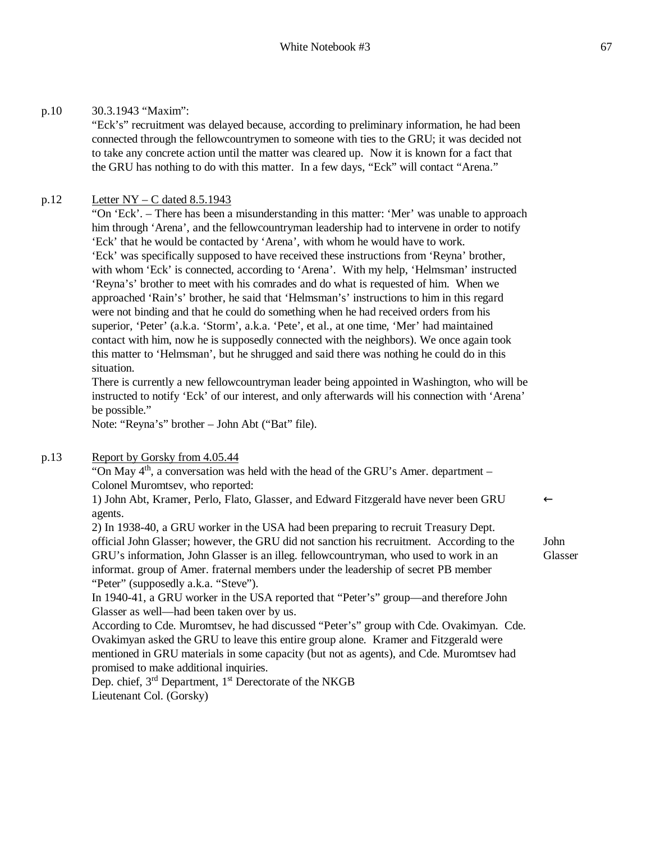"Eck's" recruitment was delayed because, according to preliminary information, he had been connected through the fellowcountrymen to someone with ties to the GRU; it was decided not to take any concrete action until the matter was cleared up. Now it is known for a fact that the GRU has nothing to do with this matter. In a few days, "Eck" will contact "Arena."

## p.12 Letter NY – C dated 8.5.1943

"On 'Eck'. – There has been a misunderstanding in this matter: 'Mer' was unable to approach him through 'Arena', and the fellowcountryman leadership had to intervene in order to notify 'Eck' that he would be contacted by 'Arena', with whom he would have to work. 'Eck' was specifically supposed to have received these instructions from 'Reyna' brother, with whom 'Eck' is connected, according to 'Arena'. With my help, 'Helmsman' instructed 'Reyna's' brother to meet with his comrades and do what is requested of him. When we approached 'Rain's' brother, he said that 'Helmsman's' instructions to him in this regard were not binding and that he could do something when he had received orders from his superior, 'Peter' (a.k.a. 'Storm', a.k.a. 'Pete', et al., at one time, 'Mer' had maintained contact with him, now he is supposedly connected with the neighbors). We once again took this matter to 'Helmsman', but he shrugged and said there was nothing he could do in this situation.

There is currently a new fellowcountryman leader being appointed in Washington, who will be instructed to notify 'Eck' of our interest, and only afterwards will his connection with 'Arena' be possible."

Note: "Reyna's" brother – John Abt ("Bat" file).

# p.13 Report by Gorsky from 4.05.44

"On May  $4<sup>th</sup>$ , a conversation was held with the head of the GRU's Amer. department – Colonel Muromtsev, who reported:

1) John Abt, Kramer, Perlo, Flato, Glasser, and Edward Fitzgerald have never been GRU agents.

2) In 1938-40, a GRU worker in the USA had been preparing to recruit Treasury Dept. official John Glasser; however, the GRU did not sanction his recruitment. According to the GRU's information, John Glasser is an illeg. fellowcountryman, who used to work in an informat. group of Amer. fraternal members under the leadership of secret PB member "Peter" (supposedly a.k.a. "Steve").

In 1940-41, a GRU worker in the USA reported that "Peter's" group—and therefore John Glasser as well—had been taken over by us.

According to Cde. Muromtsev, he had discussed "Peter's" group with Cde. Ovakimyan. Cde. Ovakimyan asked the GRU to leave this entire group alone. Kramer and Fitzgerald were mentioned in GRU materials in some capacity (but not as agents), and Cde. Muromtsev had promised to make additional inquiries.

Dep. chief, 3<sup>rd</sup> Department, 1<sup>st</sup> Derectorate of the NKGB Lieutenant Col. (Gorsky)

John Glasser

 $\leftarrow$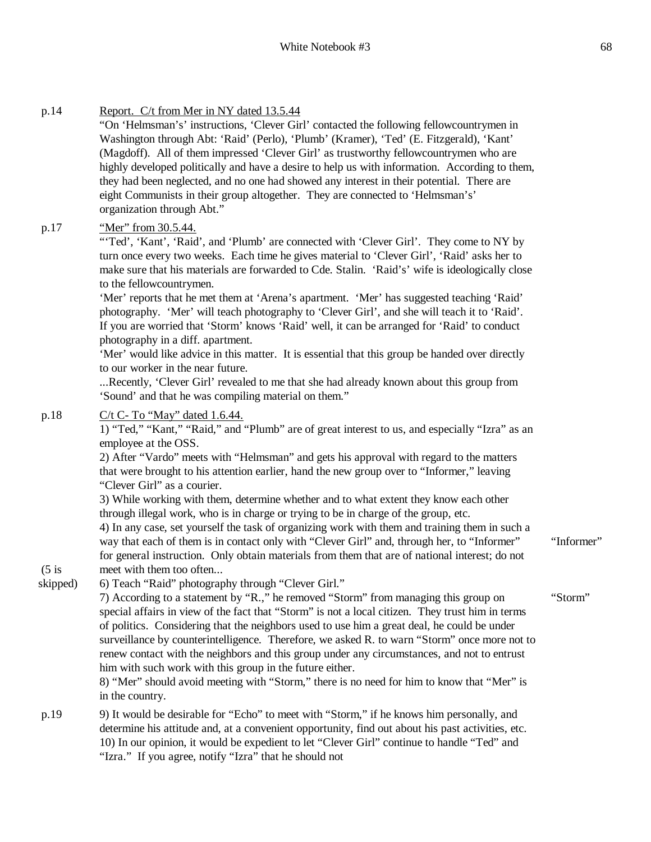#### p.14 Report. C/t from Mer in NY dated 13.5.44 "On 'Helmsman's' instructions, 'Clever Girl' contacted the following fellowcountrymen in Washington through Abt: 'Raid' (Perlo), 'Plumb' (Kramer), 'Ted' (E. Fitzgerald), 'Kant' (Magdoff). All of them impressed 'Clever Girl' as trustworthy fellowcountrymen who are highly developed politically and have a desire to help us with information. According to them, they had been neglected, and no one had showed any interest in their potential. There are eight Communists in their group altogether. They are connected to 'Helmsman's' organization through Abt." p.17 "Mer" from 30.5.44. "'Ted', 'Kant', 'Raid', and 'Plumb' are connected with 'Clever Girl'. They come to NY by turn once every two weeks. Each time he gives material to 'Clever Girl', 'Raid' asks her to make sure that his materials are forwarded to Cde. Stalin. 'Raid's' wife is ideologically close to the fellowcountrymen. 'Mer' reports that he met them at 'Arena's apartment. 'Mer' has suggested teaching 'Raid' photography. 'Mer' will teach photography to 'Clever Girl', and she will teach it to 'Raid'. If you are worried that 'Storm' knows 'Raid' well, it can be arranged for 'Raid' to conduct photography in a diff. apartment. 'Mer' would like advice in this matter. It is essential that this group be handed over directly to our worker in the near future. ...Recently, 'Clever Girl' revealed to me that she had already known about this group from 'Sound' and that he was compiling material on them." p.18  $(5$  is skipped) C/t C- To "May" dated 1.6.44. 1) "Ted," "Kant," "Raid," and "Plumb" are of great interest to us, and especially "Izra" as an employee at the OSS. 2) After "Vardo" meets with "Helmsman" and gets his approval with regard to the matters that were brought to his attention earlier, hand the new group over to "Informer," leaving "Clever Girl" as a courier. 3) While working with them, determine whether and to what extent they know each other through illegal work, who is in charge or trying to be in charge of the group, etc. 4) In any case, set yourself the task of organizing work with them and training them in such a way that each of them is in contact only with "Clever Girl" and, through her, to "Informer" for general instruction. Only obtain materials from them that are of national interest; do not meet with them too often... 6) Teach "Raid" photography through "Clever Girl." 7) According to a statement by "R.," he removed "Storm" from managing this group on special affairs in view of the fact that "Storm" is not a local citizen. They trust him in terms of politics. Considering that the neighbors used to use him a great deal, he could be under surveillance by counterintelligence. Therefore, we asked R. to warn "Storm" once more not to renew contact with the neighbors and this group under any circumstances, and not to entrust him with such work with this group in the future either. 8) "Mer" should avoid meeting with "Storm," there is no need for him to know that "Mer" is in the country. "Informer" "Storm"

p.19 9) It would be desirable for "Echo" to meet with "Storm," if he knows him personally, and determine his attitude and, at a convenient opportunity, find out about his past activities, etc. 10) In our opinion, it would be expedient to let "Clever Girl" continue to handle "Ted" and "Izra." If you agree, notify "Izra" that he should not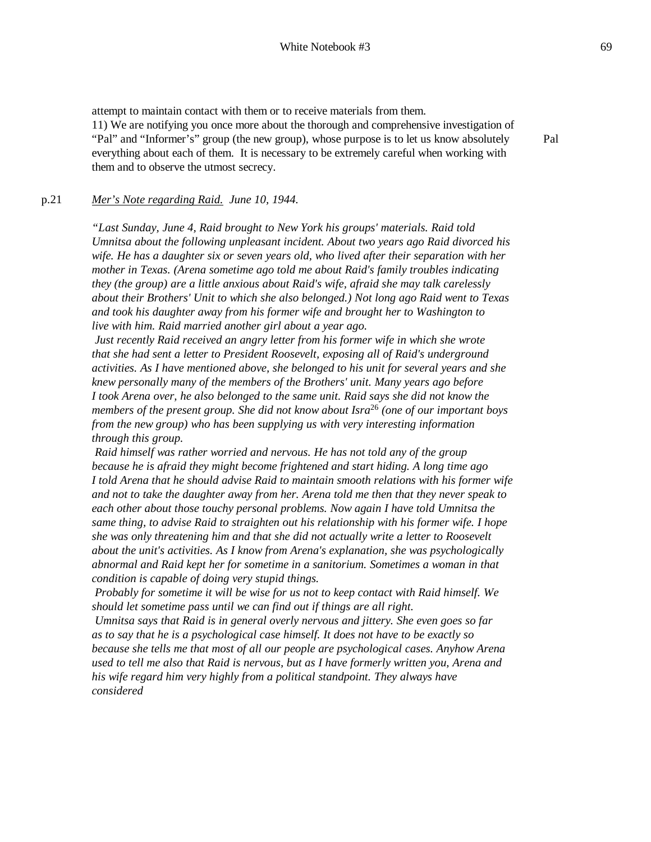attempt to maintain contact with them or to receive materials from them.

11) We are notifying you once more about the thorough and comprehensive investigation of "Pal" and "Informer's" group (the new group), whose purpose is to let us know absolutely everything about each of them. It is necessary to be extremely careful when working with them and to observe the utmost secrecy.

Pal

#### p.21 *Mer's Note regarding Raid. June 10, 1944.*

*"Last Sunday, June 4, Raid brought to New York his groups' materials. Raid told Umnitsa about the following unpleasant incident. About two years ago Raid divorced his wife. He has a daughter six or seven years old, who lived after their separation with her mother in Texas. (Arena sometime ago told me about Raid's family troubles indicating they (the group) are a little anxious about Raid's wife, afraid she may talk carelessly about their Brothers' Unit to which she also belonged.) Not long ago Raid went to Texas and took his daughter away from his former wife and brought her to Washington to live with him. Raid married another girl about a year ago.*

*Just recently Raid received an angry letter from his former wife in which she wrote that she had sent a letter to President Roosevelt, exposing all of Raid's underground activities. As I have mentioned above, she belonged to his unit for several years and she knew personally many of the members of the Brothers' unit. Many years ago before I took Arena over, he also belonged to the same unit. Raid says she did not know the members of the present group. She did not know about Isra*<sup>26</sup> *(one of our important boys from the new group) who has been supplying us with very interesting information through this group.*

*Raid himself was rather worried and nervous. He has not told any of the group because he is afraid they might become frightened and start hiding. A long time ago I told Arena that he should advise Raid to maintain smooth relations with his former wife and not to take the daughter away from her. Arena told me then that they never speak to each other about those touchy personal problems. Now again I have told Umnitsa the same thing, to advise Raid to straighten out his relationship with his former wife. I hope she was only threatening him and that she did not actually write a letter to Roosevelt about the unit's activities. As I know from Arena's explanation, she was psychologically abnormal and Raid kept her for sometime in a sanitorium. Sometimes a woman in that condition is capable of doing very stupid things.*

*Probably for sometime it will be wise for us not to keep contact with Raid himself. We should let sometime pass until we can find out if things are all right.*

*Umnitsa says that Raid is in general overly nervous and jittery. She even goes so far as to say that he is a psychological case himself. It does not have to be exactly so because she tells me that most of all our people are psychological cases. Anyhow Arena used to tell me also that Raid is nervous, but as I have formerly written you, Arena and his wife regard him very highly from a political standpoint. They always have considered*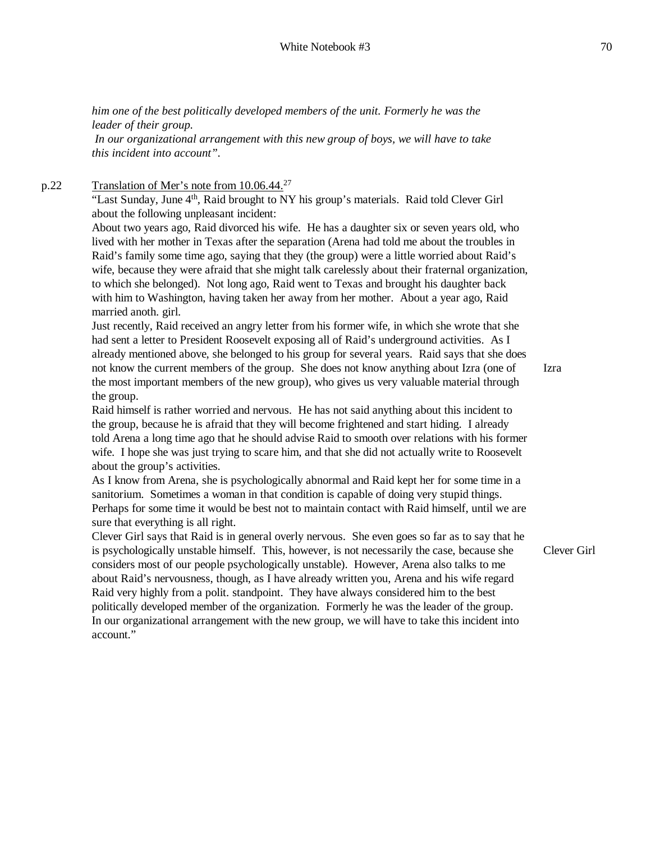*him one of the best politically developed members of the unit. Formerly he was the leader of their group.*

*In our organizational arrangement with this new group of boys, we will have to take this incident into account".*

p.22 Translation of Mer's note from 10.06.44.<sup>27</sup>

"Last Sunday, June 4<sup>th</sup>, Raid brought to NY his group's materials. Raid told Clever Girl about the following unpleasant incident:

About two years ago, Raid divorced his wife. He has a daughter six or seven years old, who lived with her mother in Texas after the separation (Arena had told me about the troubles in Raid's family some time ago, saying that they (the group) were a little worried about Raid's wife, because they were afraid that she might talk carelessly about their fraternal organization, to which she belonged). Not long ago, Raid went to Texas and brought his daughter back with him to Washington, having taken her away from her mother. About a year ago, Raid married anoth. girl.

Just recently, Raid received an angry letter from his former wife, in which she wrote that she had sent a letter to President Roosevelt exposing all of Raid's underground activities. As I already mentioned above, she belonged to his group for several years. Raid says that she does not know the current members of the group. She does not know anything about Izra (one of the most important members of the new group), who gives us very valuable material through the group.

Izra

Raid himself is rather worried and nervous. He has not said anything about this incident to the group, because he is afraid that they will become frightened and start hiding. I already told Arena a long time ago that he should advise Raid to smooth over relations with his former wife. I hope she was just trying to scare him, and that she did not actually write to Roosevelt about the group's activities.

As I know from Arena, she is psychologically abnormal and Raid kept her for some time in a sanitorium. Sometimes a woman in that condition is capable of doing very stupid things. Perhaps for some time it would be best not to maintain contact with Raid himself, until we are sure that everything is all right.

Clever Girl says that Raid is in general overly nervous. She even goes so far as to say that he is psychologically unstable himself. This, however, is not necessarily the case, because she considers most of our people psychologically unstable). However, Arena also talks to me about Raid's nervousness, though, as I have already written you, Arena and his wife regard Raid very highly from a polit. standpoint. They have always considered him to the best politically developed member of the organization. Formerly he was the leader of the group. In our organizational arrangement with the new group, we will have to take this incident into account."

Clever Girl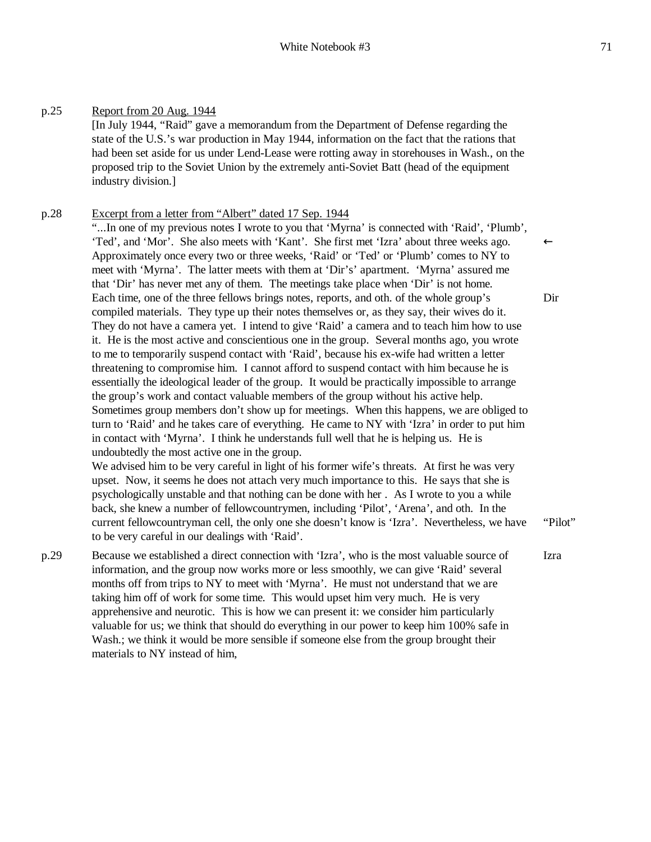# p.25 Report from 20 Aug. 1944

[In July 1944, "Raid" gave a memorandum from the Department of Defense regarding the state of the U.S.'s war production in May 1944, information on the fact that the rations that had been set aside for us under Lend-Lease were rotting away in storehouses in Wash., on the proposed trip to the Soviet Union by the extremely anti-Soviet Batt (head of the equipment industry division.]

### p.28 Excerpt from a letter from "Albert" dated 17 Sep. 1944

"...In one of my previous notes I wrote to you that 'Myrna' is connected with 'Raid', 'Plumb', 'Ted', and 'Mor'. She also meets with 'Kant'. She first met 'Izra' about three weeks ago. Approximately once every two or three weeks, 'Raid' or 'Ted' or 'Plumb' comes to NY to meet with 'Myrna'. The latter meets with them at 'Dir's' apartment. 'Myrna' assured me that 'Dir' has never met any of them. The meetings take place when 'Dir' is not home. Each time, one of the three fellows brings notes, reports, and oth. of the whole group's compiled materials. They type up their notes themselves or, as they say, their wives do it. They do not have a camera yet. I intend to give 'Raid' a camera and to teach him how to use it. He is the most active and conscientious one in the group. Several months ago, you wrote to me to temporarily suspend contact with 'Raid', because his ex-wife had written a letter threatening to compromise him. I cannot afford to suspend contact with him because he is essentially the ideological leader of the group. It would be practically impossible to arrange the group's work and contact valuable members of the group without his active help. Sometimes group members don't show up for meetings. When this happens, we are obliged to turn to 'Raid' and he takes care of everything. He came to NY with 'Izra' in order to put him in contact with 'Myrna'. I think he understands full well that he is helping us. He is undoubtedly the most active one in the group.

We advised him to be very careful in light of his former wife's threats. At first he was very upset. Now, it seems he does not attach very much importance to this. He says that she is psychologically unstable and that nothing can be done with her . As I wrote to you a while back, she knew a number of fellowcountrymen, including 'Pilot', 'Arena', and oth. In the current fellowcountryman cell, the only one she doesn't know is 'Izra'. Nevertheless, we have to be very careful in our dealings with 'Raid'.

p.29 Because we established a direct connection with 'Izra', who is the most valuable source of information, and the group now works more or less smoothly, we can give 'Raid' several months off from trips to NY to meet with 'Myrna'. He must not understand that we are taking him off of work for some time. This would upset him very much. He is very apprehensive and neurotic. This is how we can present it: we consider him particularly valuable for us; we think that should do everything in our power to keep him 100% safe in Wash.; we think it would be more sensible if someone else from the group brought their materials to NY instead of him, Izra

Dir

"Pilot"

←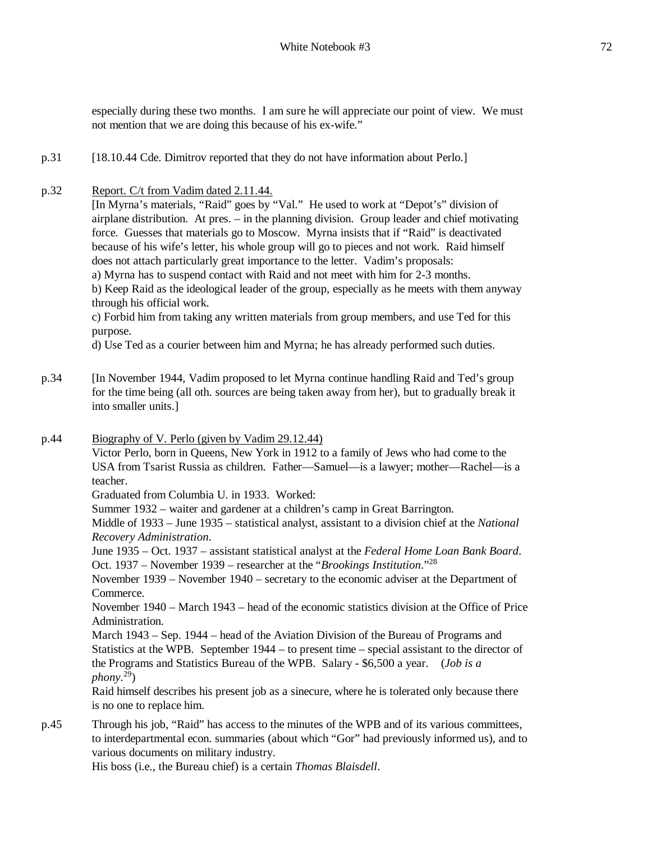especially during these two months. I am sure he will appreciate our point of view. We must not mention that we are doing this because of his ex-wife."

- p.31 [18.10.44 Cde. Dimitrov reported that they do not have information about Perlo.]
- p.32 Report. C/t from Vadim dated 2.11.44.

[In Myrna's materials, "Raid" goes by "Val." He used to work at "Depot's" division of airplane distribution. At pres. – in the planning division. Group leader and chief motivating force. Guesses that materials go to Moscow. Myrna insists that if "Raid" is deactivated because of his wife's letter, his whole group will go to pieces and not work. Raid himself does not attach particularly great importance to the letter. Vadim's proposals:

a) Myrna has to suspend contact with Raid and not meet with him for 2-3 months.

b) Keep Raid as the ideological leader of the group, especially as he meets with them anyway through his official work.

c) Forbid him from taking any written materials from group members, and use Ted for this purpose.

d) Use Ted as a courier between him and Myrna; he has already performed such duties.

- p.34 [In November 1944, Vadim proposed to let Myrna continue handling Raid and Ted's group for the time being (all oth. sources are being taken away from her), but to gradually break it into smaller units.]
- p.44 Biography of V. Perlo (given by Vadim 29.12.44)

Victor Perlo, born in Queens, New York in 1912 to a family of Jews who had come to the USA from Tsarist Russia as children. Father—Samuel—is a lawyer; mother—Rachel—is a teacher.

Graduated from Columbia U. in 1933. Worked:

Summer 1932 – waiter and gardener at a children's camp in Great Barrington.

Middle of 1933 – June 1935 – statistical analyst, assistant to a division chief at the *National Recovery Administration*.

June 1935 – Oct. 1937 – assistant statistical analyst at the *Federal Home Loan Bank Board*. Oct. 1937 – November 1939 – researcher at the "*Brookings Institution*."<sup>28</sup>

November 1939 – November 1940 – secretary to the economic adviser at the Department of Commerce.

November 1940 – March 1943 – head of the economic statistics division at the Office of Price Administration.

March 1943 – Sep. 1944 – head of the Aviation Division of the Bureau of Programs and Statistics at the WPB. September 1944 – to present time – special assistant to the director of the Programs and Statistics Bureau of the WPB. Salary - \$6,500 a year. (*Job is a phony*. 29)

Raid himself describes his present job as a sinecure, where he is tolerated only because there is no one to replace him.

p.45 Through his job, "Raid" has access to the minutes of the WPB and of its various committees, to interdepartmental econ. summaries (about which "Gor" had previously informed us), and to various documents on military industry.

His boss (i.e., the Bureau chief) is a certain *Thomas Blaisdell*.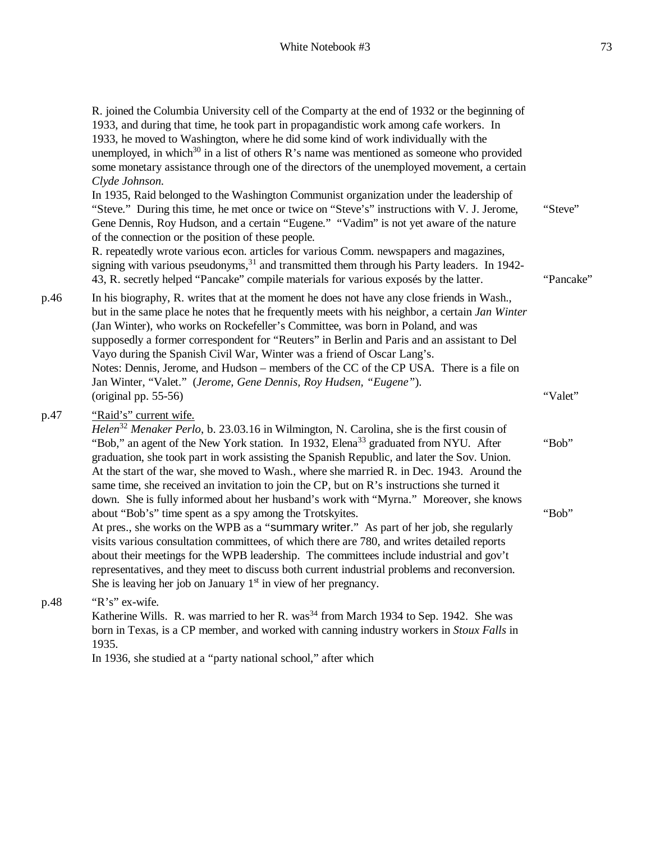R. joined the Columbia University cell of the Comparty at the end of 1932 or the beginning of 1933, and during that time, he took part in propagandistic work among cafe workers. In 1933, he moved to Washington, where he did some kind of work individually with the unemployed, in which<sup>30</sup> in a list of others R's name was mentioned as someone who provided some monetary assistance through one of the directors of the unemployed movement, a certain *Clyde Johnson.* In 1935, Raid belonged to the Washington Communist organization under the leadership of "Steve." During this time, he met once or twice on "Steve's" instructions with V. J. Jerome, Gene Dennis, Roy Hudson, and a certain "Eugene." "Vadim" is not yet aware of the nature of the connection or the position of these people. R. repeatedly wrote various econ. articles for various Comm. newspapers and magazines, signing with various pseudonyms,  $31$  and transmitted them through his Party leaders. In 1942-43, R. secretly helped "Pancake" compile materials for various exposés by the latter. "Steve" "Pancake" p.46 In his biography, R. writes that at the moment he does not have any close friends in Wash., but in the same place he notes that he frequently meets with his neighbor, a certain *Jan Winter*  (Jan Winter), who works on Rockefeller's Committee, was born in Poland, and was supposedly a former correspondent for "Reuters" in Berlin and Paris and an assistant to Del

Vayo during the Spanish Civil War, Winter was a friend of Oscar Lang's. Notes: Dennis, Jerome, and Hudson – members of the CC of the CP USA. There is a file on Jan Winter, "Valet." (*Jerome, Gene Dennis, Roy Hudsen, "Eugene"*). (original pp. 55-56) "Valet"

### p.47 "Raid's" current wife.

*Helen*<sup>32</sup> *Menaker Perlo*, b. 23.03.16 in Wilmington, N. Carolina, she is the first cousin of "Bob," an agent of the New York station. In 1932, Elena<sup>33</sup> graduated from NYU. After graduation, she took part in work assisting the Spanish Republic, and later the Sov. Union. At the start of the war, she moved to Wash., where she married R. in Dec. 1943. Around the same time, she received an invitation to join the CP, but on R's instructions she turned it down. She is fully informed about her husband's work with "Myrna." Moreover, she knows about "Bob's" time spent as a spy among the Trotskyites. At pres., she works on the WPB as a "summary writer." As part of her job, she regularly visits various consultation committees, of which there are 780, and writes detailed reports about their meetings for the WPB leadership. The committees include industrial and gov't representatives, and they meet to discuss both current industrial problems and reconversion. She is leaving her job on January  $1<sup>st</sup>$  in view of her pregnancy. "Bob" "Bob"

#### p.48 "R's" ex-wife.

Katherine Wills. R. was married to her R. was<sup>34</sup> from March 1934 to Sep. 1942. She was born in Texas, is a CP member, and worked with canning industry workers in *Stoux Falls* in 1935.

In 1936, she studied at a "party national school," after which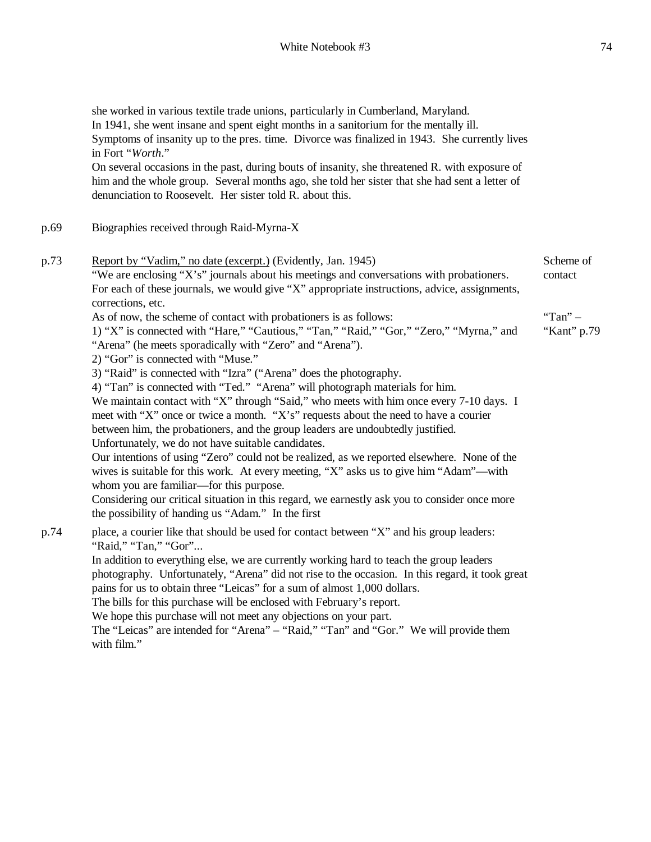she worked in various textile trade unions, particularly in Cumberland, Maryland. In 1941, she went insane and spent eight months in a sanitorium for the mentally ill. Symptoms of insanity up to the pres. time. Divorce was finalized in 1943. She currently lives in Fort "*Worth*." On several occasions in the past, during bouts of insanity, she threatened R. with exposure of him and the whole group. Several months ago, she told her sister that she had sent a letter of denunciation to Roosevelt. Her sister told R. about this. p.69 Biographies received through Raid-Myrna-X p.73 Report by "Vadim," no date (excerpt.) (Evidently, Jan. 1945) "We are enclosing "X's" journals about his meetings and conversations with probationers. For each of these journals, we would give "X" appropriate instructions, advice, assignments, corrections, etc. As of now, the scheme of contact with probationers is as follows: 1) "X" is connected with "Hare," "Cautious," "Tan," "Raid," "Gor," "Zero," "Myrna," and "Arena" (he meets sporadically with "Zero" and "Arena"). 2) "Gor" is connected with "Muse." 3) "Raid" is connected with "Izra" ("Arena" does the photography. 4) "Tan" is connected with "Ted." "Arena" will photograph materials for him. We maintain contact with "X" through "Said," who meets with him once every 7-10 days. I meet with "X" once or twice a month. "X's" requests about the need to have a courier between him, the probationers, and the group leaders are undoubtedly justified. Unfortunately, we do not have suitable candidates. Our intentions of using "Zero" could not be realized, as we reported elsewhere. None of the wives is suitable for this work. At every meeting, "X" asks us to give him "Adam"—with whom you are familiar—for this purpose. Considering our critical situation in this regard, we earnestly ask you to consider once more the possibility of handing us "Adam." In the first Scheme of contact "Tan" – "Kant" p.79 p.74 place, a courier like that should be used for contact between "X" and his group leaders: "Raid," "Tan," "Gor"... In addition to everything else, we are currently working hard to teach the group leaders photography. Unfortunately, "Arena" did not rise to the occasion. In this regard, it took great pains for us to obtain three "Leicas" for a sum of almost 1,000 dollars. The bills for this purchase will be enclosed with February's report. We hope this purchase will not meet any objections on your part. The "Leicas" are intended for "Arena" – "Raid," "Tan" and "Gor." We will provide them with film."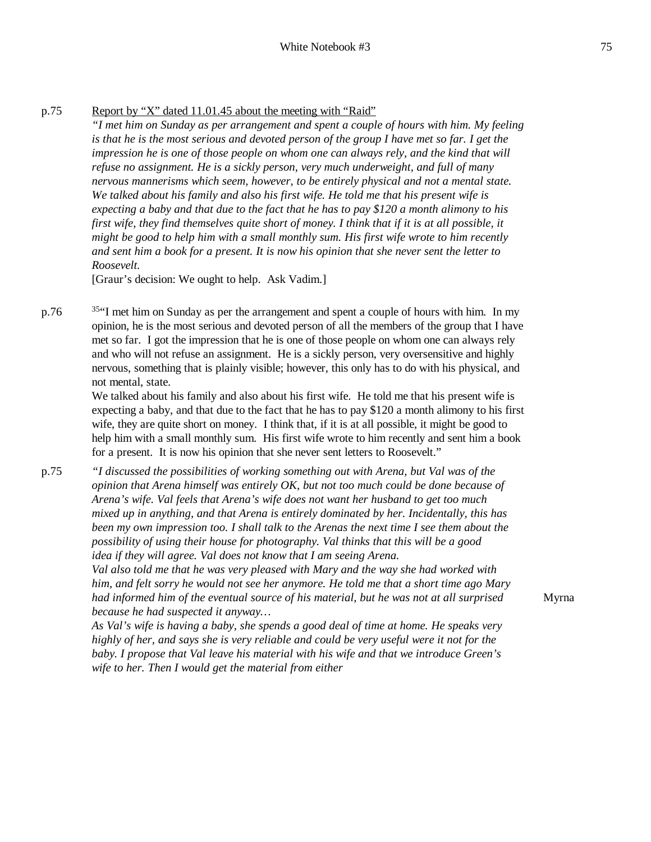### p.75 Report by "X" dated 11.01.45 about the meeting with "Raid"

*"I met him on Sunday as per arrangement and spent a couple of hours with him. My feeling*  is that he is the most serious and devoted person of the group I have met so far. I get the *impression he is one of those people on whom one can always rely, and the kind that will refuse no assignment. He is a sickly person, very much underweight, and full of many nervous mannerisms which seem, however, to be entirely physical and not a mental state. We talked about his family and also his first wife. He told me that his present wife is*  expecting a baby and that due to the fact that he has to pay \$120 a month alimony to his *first wife, they find themselves quite short of money. I think that if it is at all possible, it might be good to help him with a small monthly sum. His first wife wrote to him recently and sent him a book for a present. It is now his opinion that she never sent the letter to Roosevelt.*

[Graur's decision: We ought to help. Ask Vadim.]

p.76  $135$ <sup>41</sup> met him on Sunday as per the arrangement and spent a couple of hours with him. In my opinion, he is the most serious and devoted person of all the members of the group that I have met so far. I got the impression that he is one of those people on whom one can always rely and who will not refuse an assignment. He is a sickly person, very oversensitive and highly nervous, something that is plainly visible; however, this only has to do with his physical, and not mental, state.

> We talked about his family and also about his first wife. He told me that his present wife is expecting a baby, and that due to the fact that he has to pay \$120 a month alimony to his first wife, they are quite short on money. I think that, if it is at all possible, it might be good to help him with a small monthly sum. His first wife wrote to him recently and sent him a book for a present. It is now his opinion that she never sent letters to Roosevelt."

p.75 *"I discussed the possibilities of working something out with Arena, but Val was of the opinion that Arena himself was entirely OK, but not too much could be done because of Arena's wife. Val feels that Arena's wife does not want her husband to get too much mixed up in anything, and that Arena is entirely dominated by her. Incidentally, this has been my own impression too. I shall talk to the Arenas the next time I see them about the possibility of using their house for photography. Val thinks that this will be a good idea if they will agree. Val does not know that I am seeing Arena.*

> *Val also told me that he was very pleased with Mary and the way she had worked with him, and felt sorry he would not see her anymore. He told me that a short time ago Mary had informed him of the eventual source of his material, but he was not at all surprised because he had suspected it anyway…*

*As Val's wife is having a baby, she spends a good deal of time at home. He speaks very highly of her, and says she is very reliable and could be very useful were it not for the baby. I propose that Val leave his material with his wife and that we introduce Green's wife to her. Then I would get the material from either*

Myrna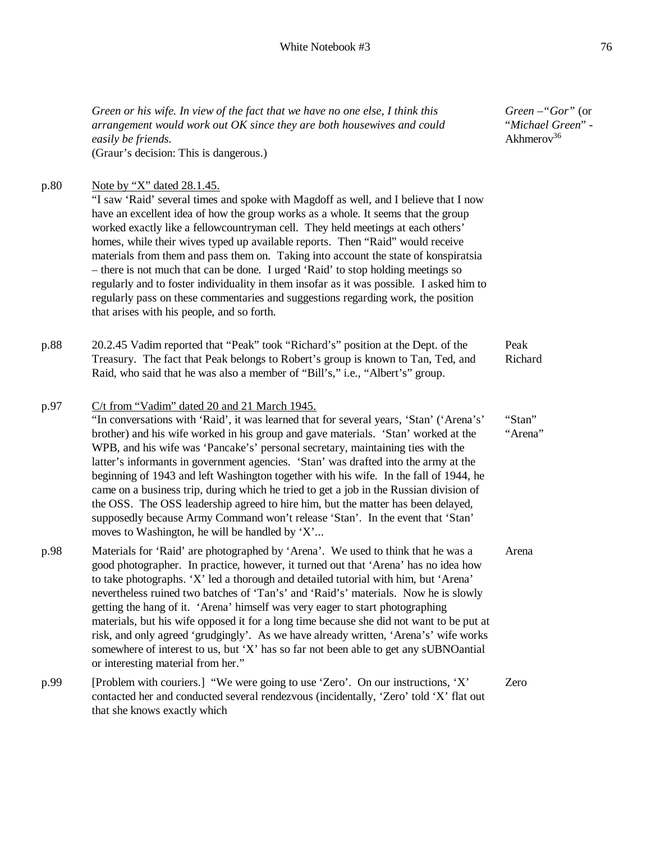*Green or his wife. In view of the fact that we have no one else, I think this arrangement would work out OK since they are both housewives and could easily be friends.* (Graur's decision: This is dangerous.)

*Green* –*"Gor"* (or "*Michael Green*" - Akhmerov $36$ 

| p.80 | Note by "X" dated 28.1.45.<br>"I saw 'Raid' several times and spoke with Magdoff as well, and I believe that I now<br>have an excellent idea of how the group works as a whole. It seems that the group<br>worked exactly like a fellowcountryman cell. They held meetings at each others'<br>homes, while their wives typed up available reports. Then "Raid" would receive<br>materials from them and pass them on. Taking into account the state of konspiratsia<br>- there is not much that can be done. I urged 'Raid' to stop holding meetings so<br>regularly and to foster individuality in them insofar as it was possible. I asked him to                                                                                                                                                                |                   |
|------|--------------------------------------------------------------------------------------------------------------------------------------------------------------------------------------------------------------------------------------------------------------------------------------------------------------------------------------------------------------------------------------------------------------------------------------------------------------------------------------------------------------------------------------------------------------------------------------------------------------------------------------------------------------------------------------------------------------------------------------------------------------------------------------------------------------------|-------------------|
|      | regularly pass on these commentaries and suggestions regarding work, the position<br>that arises with his people, and so forth.                                                                                                                                                                                                                                                                                                                                                                                                                                                                                                                                                                                                                                                                                    |                   |
| p.88 | 20.2.45 Vadim reported that "Peak" took "Richard's" position at the Dept. of the<br>Treasury. The fact that Peak belongs to Robert's group is known to Tan, Ted, and<br>Raid, who said that he was also a member of "Bill's," i.e., "Albert's" group.                                                                                                                                                                                                                                                                                                                                                                                                                                                                                                                                                              | Peak<br>Richard   |
| p.97 | C/t from "Vadim" dated 20 and 21 March 1945.<br>"In conversations with 'Raid', it was learned that for several years, 'Stan' ('Arena's'<br>brother) and his wife worked in his group and gave materials. 'Stan' worked at the<br>WPB, and his wife was 'Pancake's' personal secretary, maintaining ties with the<br>latter's informants in government agencies. 'Stan' was drafted into the army at the<br>beginning of 1943 and left Washington together with his wife. In the fall of 1944, he<br>came on a business trip, during which he tried to get a job in the Russian division of<br>the OSS. The OSS leadership agreed to hire him, but the matter has been delayed,<br>supposedly because Army Command won't release 'Stan'. In the event that 'Stan'<br>moves to Washington, he will be handled by 'X' | "Stan"<br>"Arena" |
| p.98 | Materials for 'Raid' are photographed by 'Arena'. We used to think that he was a<br>good photographer. In practice, however, it turned out that 'Arena' has no idea how<br>to take photographs. 'X' led a thorough and detailed tutorial with him, but 'Arena'<br>nevertheless ruined two batches of 'Tan's' and 'Raid's' materials. Now he is slowly<br>getting the hang of it. 'Arena' himself was very eager to start photographing<br>materials, but his wife opposed it for a long time because she did not want to be put at<br>risk, and only agreed 'grudgingly'. As we have already written, 'Arena's' wife works<br>somewhere of interest to us, but 'X' has so far not been able to get any sUBNOantial<br>or interesting material from her."                                                           | Arena             |
| p.99 | [Problem with couriers.] "We were going to use 'Zero'. On our instructions, 'X'<br>contacted her and conducted several rendezvous (incidentally, 'Zero' told 'X' flat out<br>that she knows exactly which                                                                                                                                                                                                                                                                                                                                                                                                                                                                                                                                                                                                          | Zero              |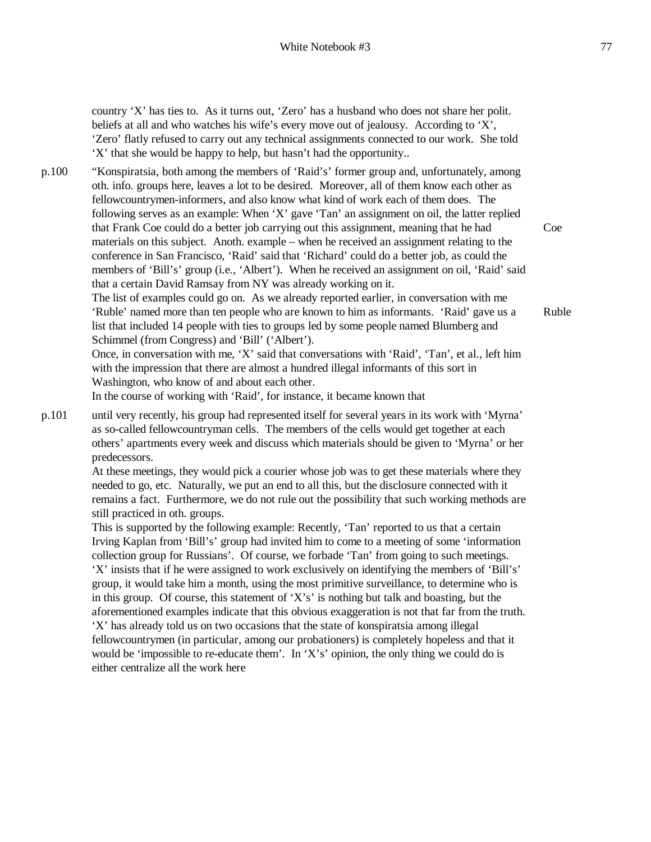country 'X' has ties to. As it turns out, 'Zero' has a husband who does not share her polit. beliefs at all and who watches his wife's every move out of jealousy. According to 'X', 'Zero' flatly refused to carry out any technical assignments connected to our work. She told 'X' that she would be happy to help, but hasn't had the opportunity..

p.100 "Konspiratsia, both among the members of 'Raid's' former group and, unfortunately, among oth. info. groups here, leaves a lot to be desired. Moreover, all of them know each other as fellowcountrymen-informers, and also know what kind of work each of them does. The following serves as an example: When 'X' gave 'Tan' an assignment on oil, the latter replied that Frank Coe could do a better job carrying out this assignment, meaning that he had materials on this subject. Anoth. example – when he received an assignment relating to the conference in San Francisco, 'Raid' said that 'Richard' could do a better job, as could the members of 'Bill's' group (i.e., 'Albert'). When he received an assignment on oil, 'Raid' said that a certain David Ramsay from NY was already working on it.

> The list of examples could go on. As we already reported earlier, in conversation with me 'Ruble' named more than ten people who are known to him as informants. 'Raid' gave us a list that included 14 people with ties to groups led by some people named Blumberg and Schimmel (from Congress) and 'Bill' ('Albert').

> Once, in conversation with me, 'X' said that conversations with 'Raid', 'Tan', et al., left him with the impression that there are almost a hundred illegal informants of this sort in Washington, who know of and about each other.

In the course of working with 'Raid', for instance, it became known that

p.101 until very recently, his group had represented itself for several years in its work with 'Myrna' as so-called fellowcountryman cells. The members of the cells would get together at each others' apartments every week and discuss which materials should be given to 'Myrna' or her predecessors.

> At these meetings, they would pick a courier whose job was to get these materials where they needed to go, etc. Naturally, we put an end to all this, but the disclosure connected with it remains a fact. Furthermore, we do not rule out the possibility that such working methods are still practiced in oth. groups.

> This is supported by the following example: Recently, 'Tan' reported to us that a certain Irving Kaplan from 'Bill's' group had invited him to come to a meeting of some 'information collection group for Russians'. Of course, we forbade 'Tan' from going to such meetings. 'X' insists that if he were assigned to work exclusively on identifying the members of 'Bill's' group, it would take him a month, using the most primitive surveillance, to determine who is in this group. Of course, this statement of 'X's' is nothing but talk and boasting, but the aforementioned examples indicate that this obvious exaggeration is not that far from the truth. 'X' has already told us on two occasions that the state of konspiratsia among illegal fellowcountrymen (in particular, among our probationers) is completely hopeless and that it would be 'impossible to re-educate them'. In 'X's' opinion, the only thing we could do is either centralize all the work here

Coe

Ruble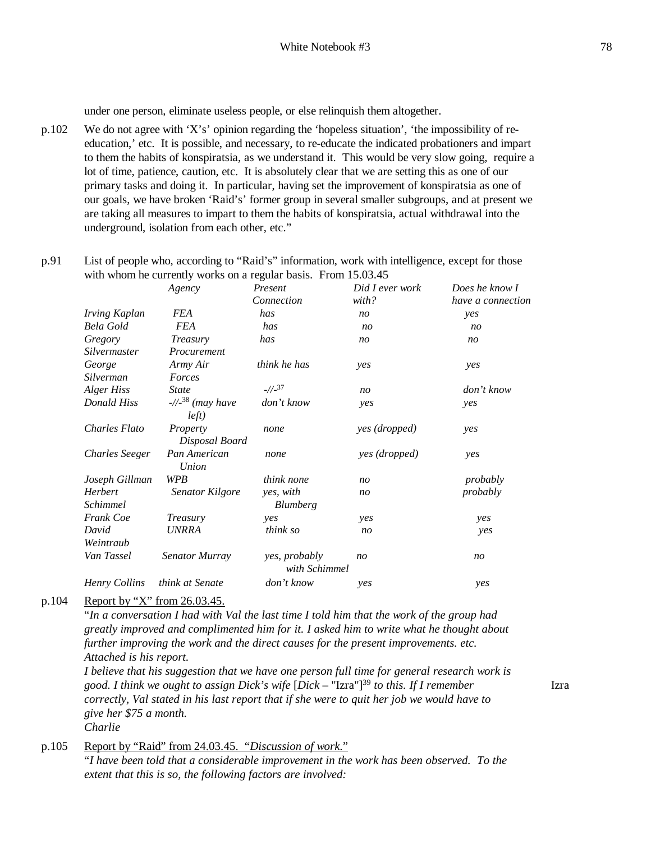under one person, eliminate useless people, or else relinquish them altogether.

p.102 We do not agree with 'X's' opinion regarding the 'hopeless situation', 'the impossibility of reeducation,' etc. It is possible, and necessary, to re-educate the indicated probationers and impart to them the habits of konspiratsia, as we understand it. This would be very slow going, require a lot of time, patience, caution, etc. It is absolutely clear that we are setting this as one of our primary tasks and doing it. In particular, having set the improvement of konspiratsia as one of our goals, we have broken 'Raid's' former group in several smaller subgroups, and at present we are taking all measures to impart to them the habits of konspiratsia, actual withdrawal into the underground, isolation from each other, etc."

### p.91 List of people who, according to "Raid's" information, work with intelligence, except for those with whom he currently works on a regular basis. From 15.03.45

|                            | Agency                                         | Present                        | Did I ever work | Does he know I    |
|----------------------------|------------------------------------------------|--------------------------------|-----------------|-------------------|
|                            |                                                | Connection                     | with?           | have a connection |
| Irving Kaplan              | FEA                                            | has                            | n <sub>O</sub>  | yes               |
| Bela Gold                  | <b>FEA</b>                                     | has                            | n <sub>O</sub>  | n <sub>O</sub>    |
| Gregory                    | <i>Treasury</i>                                | has                            | n <sub>O</sub>  | n <sub>O</sub>    |
| Silvermaster               | Procurement                                    |                                |                 |                   |
| George                     | Army Air                                       | think he has                   | yes             | yes               |
| Silverman                  | Forces                                         |                                |                 |                   |
| Alger Hiss                 | <b>State</b>                                   | $-1/2^{37}$                    | n <sub>O</sub>  | don't know        |
| Donald Hiss                | $\frac{1}{2}$ <sup>38</sup> (may have<br>left) | don't know                     | yes             | yes               |
| Charles Flato              | Property<br>Disposal Board                     | none                           | yes (dropped)   | yes               |
| <b>Charles Seeger</b>      | Pan American<br>Union                          | none                           | yes (dropped)   | yes               |
| Joseph Gillman             | WPB                                            | think none                     | n <sub>O</sub>  | probably          |
| Herbert<br><i>Schimmel</i> | Senator Kilgore                                | yes, with<br><b>Blumberg</b>   | n <sub>O</sub>  | probably          |
| Frank Coe                  | Treasury                                       | yes                            | yes             | yes               |
| David<br>Weintraub         | <b>UNRRA</b>                                   | think so                       | n <sub>O</sub>  | yes               |
| Van Tassel                 | Senator Murray                                 | yes, probably<br>with Schimmel | n <sub>O</sub>  | n <sub>O</sub>    |
| <b>Henry Collins</b>       | think at Senate                                | don't know                     | yes             | yes               |

p.104 Report by "X" from 26.03.45.

"In a conversation I had with Val the last time I told him that the work of the group had *greatly improved and complimented him for it. I asked him to write what he thought about further improving the work and the direct causes for the present improvements. etc. Attached is his report.*

*I believe that his suggestion that we have one person full time for general research work is good. I think we ought to assign Dick's wife* [*Dick –* "Izra"]<sup>39</sup> *to this. If I remember correctly, Val stated in his last report that if she were to quit her job we would have to give her \$75 a month. Charlie*

#### p.105 Report by "Raid" from 24.03.45. "*Discussion of work*."

"*I have been told that a considerable improvement in the work has been observed. To the extent that this is so, the following factors are involved:*

Izra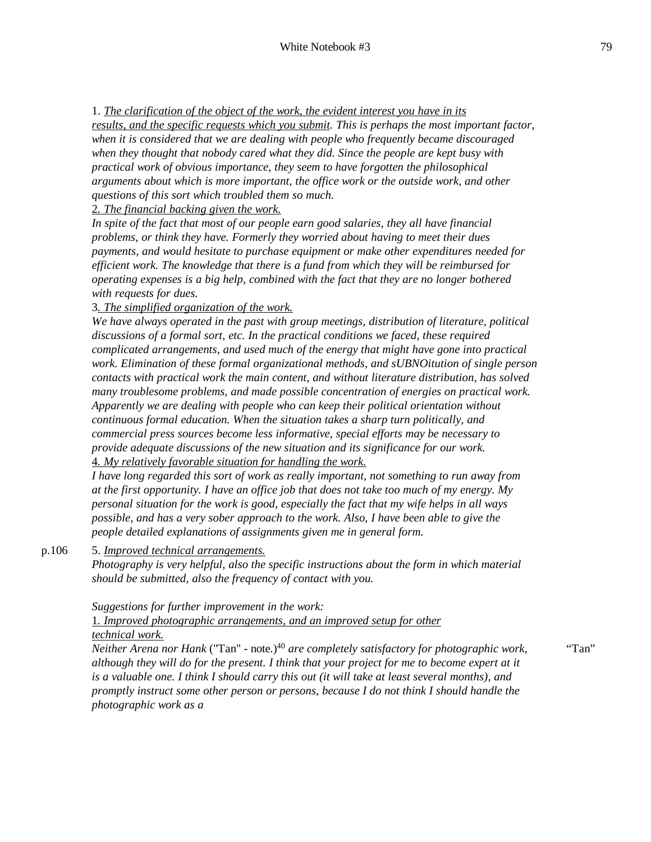1. *The clarification of the object of the work, the evident interest you have in its results, and the specific requests which you submit. This is perhaps the most important factor, when it is considered that we are dealing with people who frequently became discouraged when they thought that nobody cared what they did. Since the people are kept busy with practical work of obvious importance, they seem to have forgotten the philosophical arguments about which is more important, the office work or the outside work, and other questions of this sort which troubled them so much.*

#### 2*. The financial backing given the work.*

*In spite of the fact that most of our people earn good salaries, they all have financial problems, or think they have. Formerly they worried about having to meet their dues payments, and would hesitate to purchase equipment or make other expenditures needed for efficient work. The knowledge that there is a fund from which they will be reimbursed for operating expenses is a big help, combined with the fact that they are no longer bothered with requests for dues.*

### 3*. The simplified organization of the work.*

*We have always operated in the past with group meetings, distribution of literature, political discussions of a formal sort, etc. In the practical conditions we faced, these required complicated arrangements, and used much of the energy that might have gone into practical work. Elimination of these formal organizational methods, and sUBNOitution of single person contacts with practical work the main content, and without literature distribution, has solved many troublesome problems, and made possible concentration of energies on practical work. Apparently we are dealing with people who can keep their political orientation without continuous formal education. When the situation takes a sharp turn politically, and commercial press sources become less informative, special efforts may be necessary to provide adequate discussions of the new situation and its significance for our work.* 4*. My relatively favorable situation for handling the work.*

*I have long regarded this sort of work as really important, not something to run away from at the first opportunity. I have an office job that does not take too much of my energy. My personal situation for the work is good, especially the fact that my wife helps in all ways possible, and has a very sober approach to the work. Also, I have been able to give the people detailed explanations of assignments given me in general form.*

p.106 5. *Improved technical arrangements.*

*Photography is very helpful, also the specific instructions about the form in which material should be submitted, also the frequency of contact with you.* 

*Suggestions for further improvement in the work:*

1*. Improved photographic arrangements, and an improved setup for other technical work.*

*Neither Arena nor Hank* ("Tan" - note.)<sup>40</sup> *are completely satisfactory for photographic work, although they will do for the present. I think that your project for me to become expert at it is a valuable one. I think I should carry this out (it will take at least several months), and promptly instruct some other person or persons, because I do not think I should handle the photographic work as a* "Tan"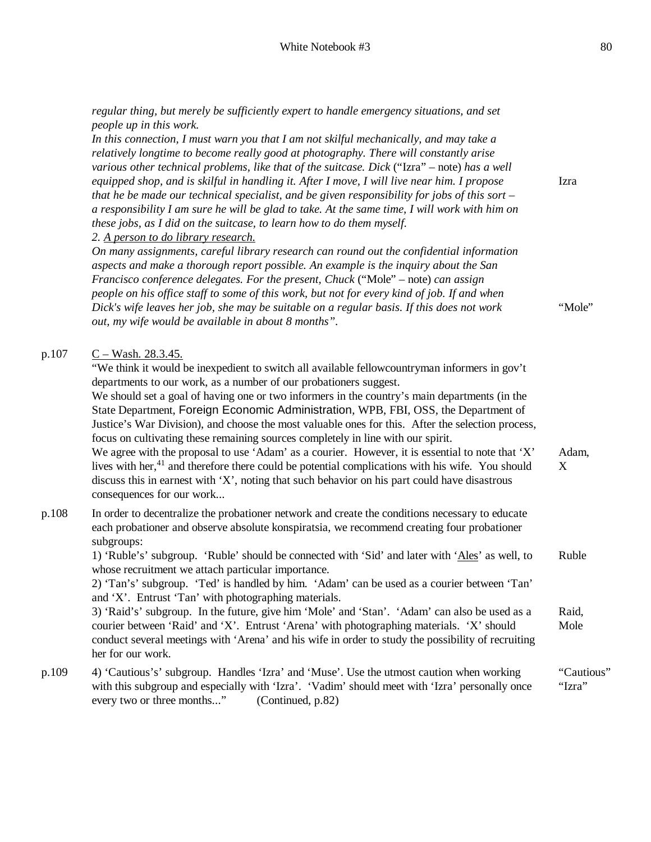|       | regular thing, but merely be sufficiently expert to handle emergency situations, and set<br>people up in this work.<br>In this connection, I must warn you that I am not skilful mechanically, and may take a<br>relatively longtime to become really good at photography. There will constantly arise<br>various other technical problems, like that of the suitcase. Dick ("Izra" – note) has a well<br>equipped shop, and is skilful in handling it. After I move, I will live near him. I propose<br>that he be made our technical specialist, and be given responsibility for jobs of this sort $-$<br>a responsibility I am sure he will be glad to take. At the same time, I will work with him on<br>these jobs, as I did on the suitcase, to learn how to do them myself.<br>2. A person to do library research.                                                                                                   | Izra                 |
|-------|-----------------------------------------------------------------------------------------------------------------------------------------------------------------------------------------------------------------------------------------------------------------------------------------------------------------------------------------------------------------------------------------------------------------------------------------------------------------------------------------------------------------------------------------------------------------------------------------------------------------------------------------------------------------------------------------------------------------------------------------------------------------------------------------------------------------------------------------------------------------------------------------------------------------------------|----------------------|
|       | On many assignments, careful library research can round out the confidential information<br>aspects and make a thorough report possible. An example is the inquiry about the San<br>Francisco conference delegates. For the present, Chuck ("Mole" - note) can assign<br>people on his office staff to some of this work, but not for every kind of job. If and when<br>Dick's wife leaves her job, she may be suitable on a regular basis. If this does not work<br>out, my wife would be available in about 8 months".                                                                                                                                                                                                                                                                                                                                                                                                    | "Mole"               |
| p.107 | $C-Wash. 28.3.45.$<br>"We think it would be inexpedient to switch all available fellowcountryman informers in gov't<br>departments to our work, as a number of our probationers suggest.<br>We should set a goal of having one or two informers in the country's main departments (in the<br>State Department, Foreign Economic Administration, WPB, FBI, OSS, the Department of<br>Justice's War Division), and choose the most valuable ones for this. After the selection process,<br>focus on cultivating these remaining sources completely in line with our spirit.<br>We agree with the proposal to use 'Adam' as a courier. However, it is essential to note that 'X'<br>lives with her, <sup>41</sup> and therefore there could be potential complications with his wife. You should<br>discuss this in earnest with 'X', noting that such behavior on his part could have disastrous<br>consequences for our work | Adam,<br>X           |
| p.108 | In order to decentralize the probationer network and create the conditions necessary to educate<br>each probationer and observe absolute konspiratsia, we recommend creating four probationer<br>subgroups:<br>1) 'Ruble's' subgroup. 'Ruble' should be connected with 'Sid' and later with 'Ales' as well, to<br>whose recruitment we attach particular importance.<br>2) 'Tan's' subgroup. 'Ted' is handled by him. 'Adam' can be used as a courier between 'Tan'<br>and 'X'. Entrust 'Tan' with photographing materials.                                                                                                                                                                                                                                                                                                                                                                                                 | Ruble                |
|       | 3) 'Raid's' subgroup. In the future, give him 'Mole' and 'Stan'. 'Adam' can also be used as a<br>courier between 'Raid' and 'X'. Entrust 'Arena' with photographing materials. 'X' should<br>conduct several meetings with 'Arena' and his wife in order to study the possibility of recruiting<br>her for our work.                                                                                                                                                                                                                                                                                                                                                                                                                                                                                                                                                                                                        | Raid,<br>Mole        |
| p.109 | 4) 'Cautious's' subgroup. Handles 'Izra' and 'Muse'. Use the utmost caution when working<br>with this subgroup and especially with 'Izra'. 'Vadim' should meet with 'Izra' personally once<br>every two or three months"<br>(Continued, p.82)                                                                                                                                                                                                                                                                                                                                                                                                                                                                                                                                                                                                                                                                               | "Cautious"<br>"Izra" |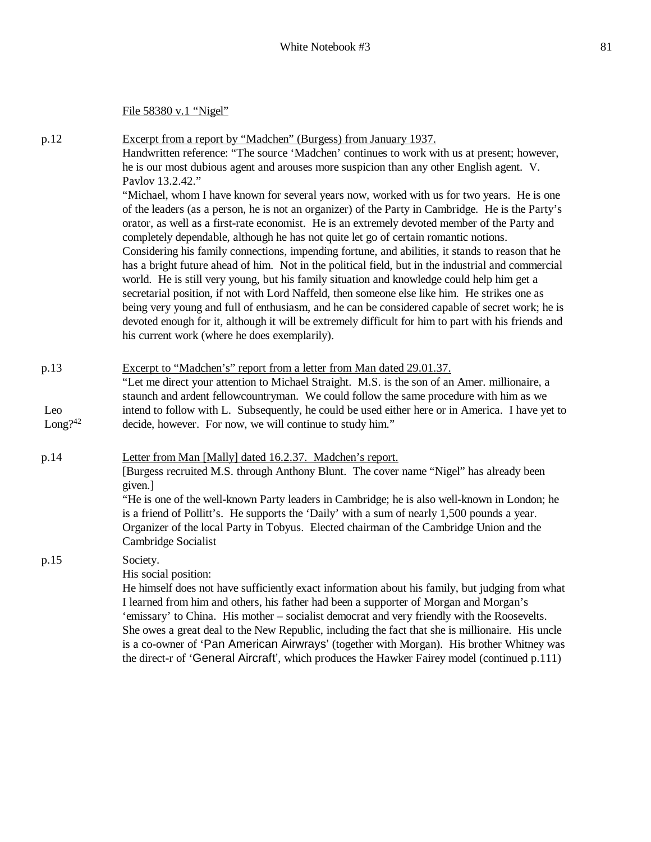File 58380 v.1 "Nigel"

p.12 Excerpt from a report by "Madchen" (Burgess) from January 1937. Handwritten reference: "The source 'Madchen' continues to work with us at present; however, he is our most dubious agent and arouses more suspicion than any other English agent. V. Pavlov 13.2.42." "Michael, whom I have known for several years now, worked with us for two years. He is one of the leaders (as a person, he is not an organizer) of the Party in Cambridge. He is the Party's orator, as well as a first-rate economist. He is an extremely devoted member of the Party and completely dependable, although he has not quite let go of certain romantic notions. Considering his family connections, impending fortune, and abilities, it stands to reason that he has a bright future ahead of him. Not in the political field, but in the industrial and commercial world. He is still very young, but his family situation and knowledge could help him get a secretarial position, if not with Lord Naffeld, then someone else like him. He strikes one as being very young and full of enthusiasm, and he can be considered capable of secret work; he is devoted enough for it, although it will be extremely difficult for him to part with his friends and his current work (where he does exemplarily). p.13 Leo  $Long?^{42}$ Excerpt to "Madchen's" report from a letter from Man dated 29.01.37. "Let me direct your attention to Michael Straight. M.S. is the son of an Amer. millionaire, a staunch and ardent fellowcountryman. We could follow the same procedure with him as we intend to follow with L. Subsequently, he could be used either here or in America. I have yet to decide, however. For now, we will continue to study him." p.14 Letter from Man [Mally] dated 16.2.37. Madchen's report. [Burgess recruited M.S. through Anthony Blunt. The cover name "Nigel" has already been given.] "He is one of the well-known Party leaders in Cambridge; he is also well-known in London; he is a friend of Pollitt's. He supports the 'Daily' with a sum of nearly 1,500 pounds a year. Organizer of the local Party in Tobyus. Elected chairman of the Cambridge Union and the Cambridge Socialist p.15 Society. His social position: He himself does not have sufficiently exact information about his family, but judging from what I learned from him and others, his father had been a supporter of Morgan and Morgan's 'emissary' to China. His mother – socialist democrat and very friendly with the Roosevelts. She owes a great deal to the New Republic, including the fact that she is millionaire. His uncle is a co-owner of 'Pan American Airwrays' (together with Morgan). His brother Whitney was the direct-r of 'General Aircraft', which produces the Hawker Fairey model (continued p.111)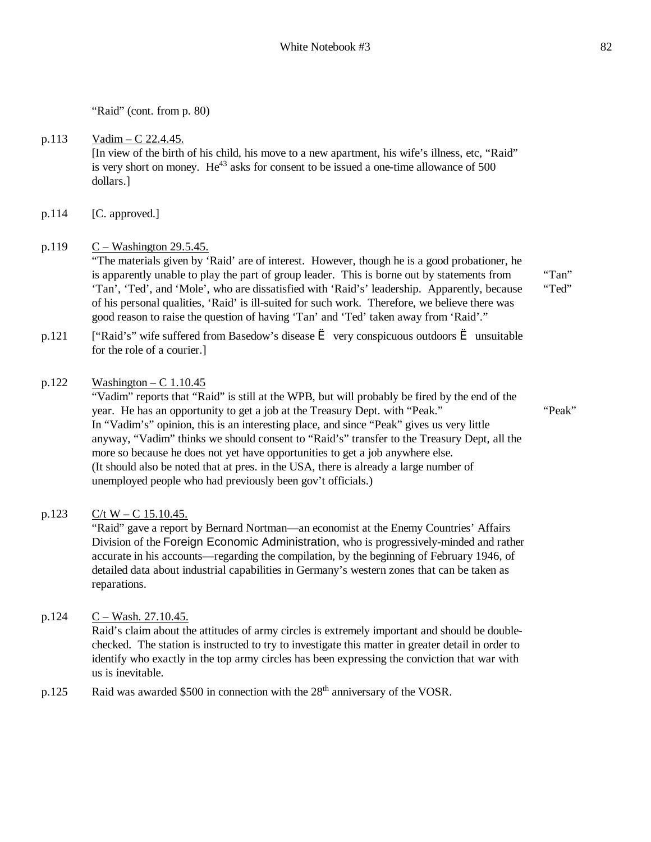"Tan" "Ted"

"Raid" (cont. from p. 80)

#### p.113 Vadim – C 22.4.45. [In view of the birth of his child, his move to a new apartment, his wife's illness, etc, "Raid" is very short on money.  $He^{43}$  asks for consent to be issued a one-time allowance of 500 dollars.]

p.114 [C. approved.]

## p.119  $C - Washington 29.5.45$ .

"The materials given by 'Raid' are of interest. However, though he is a good probationer, he is apparently unable to play the part of group leader. This is borne out by statements from 'Tan', 'Ted', and 'Mole', who are dissatisfied with 'Raid's' leadership. Apparently, because of his personal qualities, 'Raid' is ill-suited for such work. Therefore, we believe there was good reason to raise the question of having 'Tan' and 'Ted' taken away from 'Raid'."

p.121 ["Raid's" wife suffered from Basedow's disease  $\hat{e}$  very conspicuous outdoors  $\hat{e}$  unsuitable for the role of a courier.]

### $p.122$  Washington – C 1.10.45

"Vadim" reports that "Raid" is still at the WPB, but will probably be fired by the end of the year. He has an opportunity to get a job at the Treasury Dept. with "Peak." In "Vadim's" opinion, this is an interesting place, and since "Peak" gives us very little anyway, "Vadim" thinks we should consent to "Raid's" transfer to the Treasury Dept, all the more so because he does not yet have opportunities to get a job anywhere else. (It should also be noted that at pres. in the USA, there is already a large number of unemployed people who had previously been gov't officials.) "Peak"

### p.123  $C/t W - C 15.10.45$ .

"Raid" gave a report by Bernard Nortman—an economist at the Enemy Countries' Affairs Division of the Foreign Economic Administration, who is progressively-minded and rather accurate in his accounts—regarding the compilation, by the beginning of February 1946, of detailed data about industrial capabilities in Germany's western zones that can be taken as reparations.

### p.124  $C - Wash. 27.10.45$ .

Raid's claim about the attitudes of army circles is extremely important and should be doublechecked. The station is instructed to try to investigate this matter in greater detail in order to identify who exactly in the top army circles has been expressing the conviction that war with us is inevitable.

p.125 Raid was awarded \$500 in connection with the 28<sup>th</sup> anniversary of the VOSR.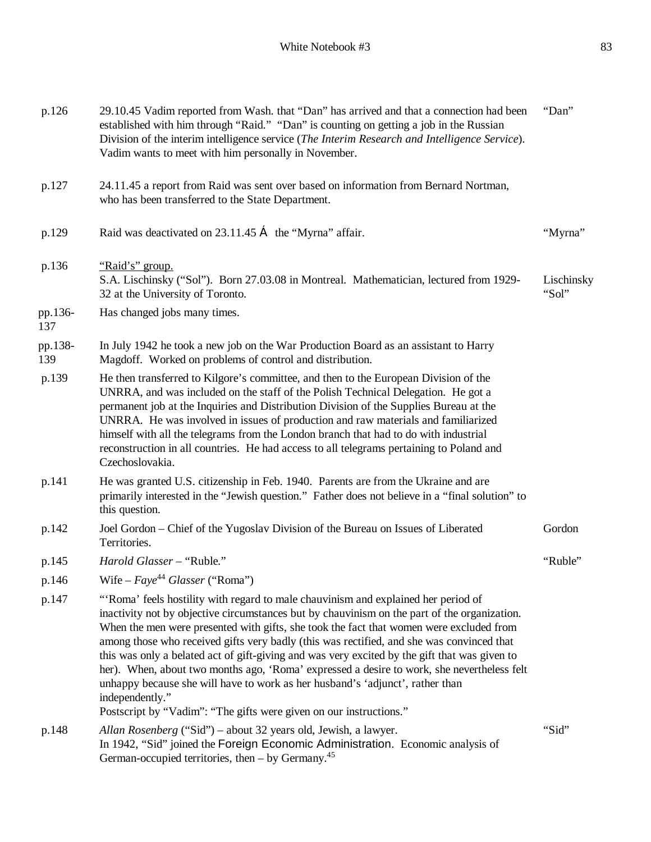| p.126          | 29.10.45 Vadim reported from Wash. that "Dan" has arrived and that a connection had been<br>established with him through "Raid." "Dan" is counting on getting a job in the Russian<br>Division of the interim intelligence service (The Interim Research and Intelligence Service).<br>Vadim wants to meet with him personally in November.                                                                                                                                                                                                                                                                                                                                   | "Dan"               |
|----------------|-------------------------------------------------------------------------------------------------------------------------------------------------------------------------------------------------------------------------------------------------------------------------------------------------------------------------------------------------------------------------------------------------------------------------------------------------------------------------------------------------------------------------------------------------------------------------------------------------------------------------------------------------------------------------------|---------------------|
| p.127          | 24.11.45 a report from Raid was sent over based on information from Bernard Nortman,<br>who has been transferred to the State Department.                                                                                                                                                                                                                                                                                                                                                                                                                                                                                                                                     |                     |
| p.129          | Raid was deactivated on 23.11.45 $\zeta$ the "Myrna" affair.                                                                                                                                                                                                                                                                                                                                                                                                                                                                                                                                                                                                                  | "Myrna"             |
| p.136          | "Raid's" group.<br>S.A. Lischinsky ("Sol"). Born 27.03.08 in Montreal. Mathematician, lectured from 1929-<br>32 at the University of Toronto.                                                                                                                                                                                                                                                                                                                                                                                                                                                                                                                                 | Lischinsky<br>"Sol" |
| pp.136-<br>137 | Has changed jobs many times.                                                                                                                                                                                                                                                                                                                                                                                                                                                                                                                                                                                                                                                  |                     |
| pp.138-<br>139 | In July 1942 he took a new job on the War Production Board as an assistant to Harry<br>Magdoff. Worked on problems of control and distribution.                                                                                                                                                                                                                                                                                                                                                                                                                                                                                                                               |                     |
| p.139          | He then transferred to Kilgore's committee, and then to the European Division of the<br>UNRRA, and was included on the staff of the Polish Technical Delegation. He got a<br>permanent job at the Inquiries and Distribution Division of the Supplies Bureau at the<br>UNRRA. He was involved in issues of production and raw materials and familiarized<br>himself with all the telegrams from the London branch that had to do with industrial<br>reconstruction in all countries. He had access to all telegrams pertaining to Poland and<br>Czechoslovakia.                                                                                                               |                     |
| p.141          | He was granted U.S. citizenship in Feb. 1940. Parents are from the Ukraine and are<br>primarily interested in the "Jewish question." Father does not believe in a "final solution" to<br>this question.                                                                                                                                                                                                                                                                                                                                                                                                                                                                       |                     |
| p.142          | Joel Gordon - Chief of the Yugoslav Division of the Bureau on Issues of Liberated<br>Territories.                                                                                                                                                                                                                                                                                                                                                                                                                                                                                                                                                                             | Gordon              |
| p.145          | Harold Glasser - "Ruble."                                                                                                                                                                                                                                                                                                                                                                                                                                                                                                                                                                                                                                                     | "Ruble"             |
| p.146          | Wife – $Faye^{44}$ Glasser ("Roma")                                                                                                                                                                                                                                                                                                                                                                                                                                                                                                                                                                                                                                           |                     |
| p.147          | "'Roma' feels hostility with regard to male chauvinism and explained her period of<br>inactivity not by objective circumstances but by chauvinism on the part of the organization.<br>When the men were presented with gifts, she took the fact that women were excluded from<br>among those who received gifts very badly (this was rectified, and she was convinced that<br>this was only a belated act of gift-giving and was very excited by the gift that was given to<br>her). When, about two months ago, 'Roma' expressed a desire to work, she nevertheless felt<br>unhappy because she will have to work as her husband's 'adjunct', rather than<br>independently." |                     |
| p.148          | Postscript by "Vadim": "The gifts were given on our instructions."<br>Allan Rosenberg ("Sid") – about 32 years old, Jewish, a lawyer.<br>In 1942, "Sid" joined the Foreign Economic Administration. Economic analysis of<br>German-occupied territories, then $-$ by Germany. <sup>45</sup>                                                                                                                                                                                                                                                                                                                                                                                   | "Sid"               |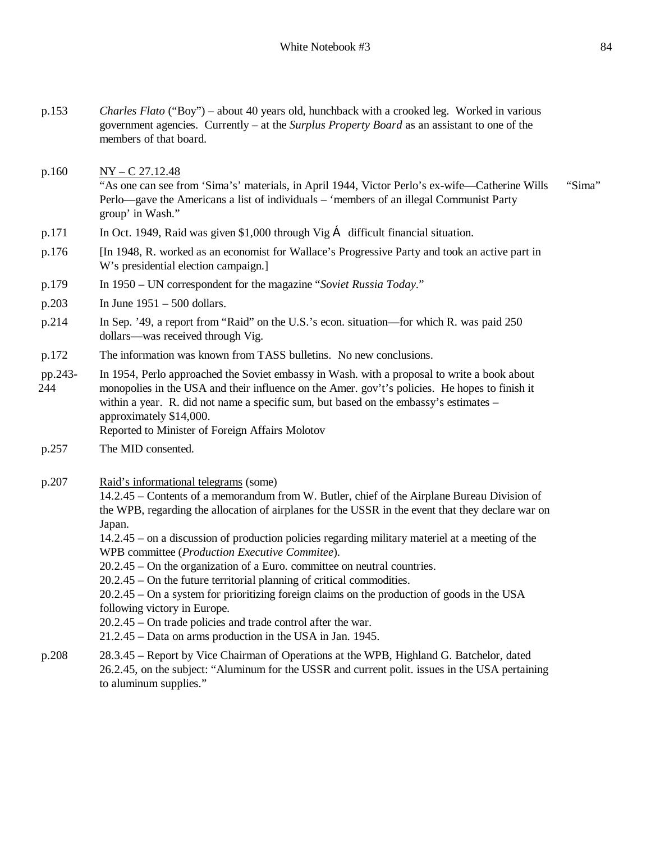- p.160  $NY C$  27.12.48 "As one can see from 'Sima's' materials, in April 1944, Victor Perlo's ex-wife—Catherine Wills Perlo—gave the Americans a list of individuals – 'members of an illegal Communist Party group' in Wash." "Sima"
- p.171 In Oct. 1949, Raid was given \$1,000 through Vig  $\zeta$  difficult financial situation.
- p.176 [In 1948, R. worked as an economist for Wallace's Progressive Party and took an active part in W's presidential election campaign.]
- p.179 In 1950 UN correspondent for the magazine "*Soviet Russia Today*."
- p.203 In June 1951 500 dollars.
- p.214 In Sep. '49, a report from "Raid" on the U.S.'s econ. situation—for which R. was paid 250 dollars—was received through Vig.
- p.172 The information was known from TASS bulletins. No new conclusions.
- pp.243- 244 In 1954, Perlo approached the Soviet embassy in Wash. with a proposal to write a book about monopolies in the USA and their influence on the Amer. gov't's policies. He hopes to finish it within a year. R. did not name a specific sum, but based on the embassy's estimates – approximately \$14,000. Reported to Minister of Foreign Affairs Molotov
- p.257 The MID consented.
- p.207 Raid's informational telegrams (some)

14.2.45 – Contents of a memorandum from W. Butler, chief of the Airplane Bureau Division of the WPB, regarding the allocation of airplanes for the USSR in the event that they declare war on Japan.

14.2.45 – on a discussion of production policies regarding military materiel at a meeting of the WPB committee (*Production Executive Commitee*).

- 20.2.45 On the organization of a Euro. committee on neutral countries.
- 20.2.45 On the future territorial planning of critical commodities.

20.2.45 – On a system for prioritizing foreign claims on the production of goods in the USA following victory in Europe.

- 20.2.45 On trade policies and trade control after the war.
- 21.2.45 Data on arms production in the USA in Jan. 1945.
- p.208 28.3.45 Report by Vice Chairman of Operations at the WPB, Highland G. Batchelor, dated 26.2.45, on the subject: "Aluminum for the USSR and current polit. issues in the USA pertaining to aluminum supplies."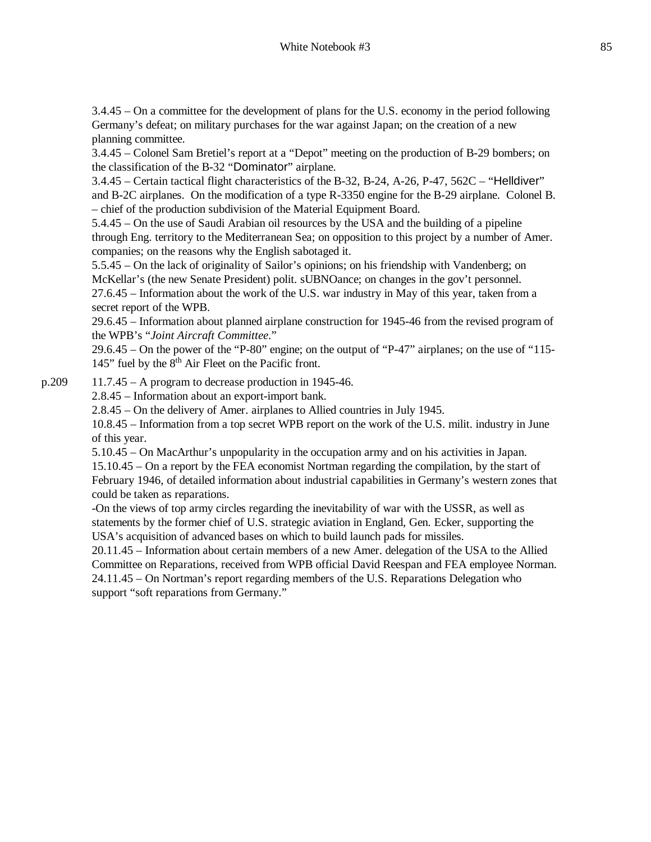3.4.45 – On a committee for the development of plans for the U.S. economy in the period following Germany's defeat; on military purchases for the war against Japan; on the creation of a new planning committee.

3.4.45 – Colonel Sam Bretiel's report at a "Depot" meeting on the production of B-29 bombers; on the classification of the B-32 "Dominator" airplane.

3.4.45 – Certain tactical flight characteristics of the B-32, B-24, A-26, P-47, 562C – "Helldiver" and B-2C airplanes. On the modification of a type R-3350 engine for the B-29 airplane. Colonel B. – chief of the production subdivision of the Material Equipment Board.

5.4.45 – On the use of Saudi Arabian oil resources by the USA and the building of a pipeline through Eng. territory to the Mediterranean Sea; on opposition to this project by a number of Amer. companies; on the reasons why the English sabotaged it.

5.5.45 – On the lack of originality of Sailor's opinions; on his friendship with Vandenberg; on McKellar's (the new Senate President) polit. sUBNOance; on changes in the gov't personnel. 27.6.45 – Information about the work of the U.S. war industry in May of this year, taken from a secret report of the WPB.

29.6.45 – Information about planned airplane construction for 1945-46 from the revised program of the WPB's "*Joint Aircraft Committee*."

29.6.45 – On the power of the "P-80" engine; on the output of "P-47" airplanes; on the use of "115- 145" fuel by the  $8<sup>th</sup>$  Air Fleet on the Pacific front.

p.209 11.7.45 – A program to decrease production in 1945-46.

2.8.45 – Information about an export-import bank.

2.8.45 – On the delivery of Amer. airplanes to Allied countries in July 1945.

10.8.45 – Information from a top secret WPB report on the work of the U.S. milit. industry in June of this year.

5.10.45 – On MacArthur's unpopularity in the occupation army and on his activities in Japan. 15.10.45 – On a report by the FEA economist Nortman regarding the compilation, by the start of February 1946, of detailed information about industrial capabilities in Germany's western zones that could be taken as reparations.

-On the views of top army circles regarding the inevitability of war with the USSR, as well as statements by the former chief of U.S. strategic aviation in England, Gen. Ecker, supporting the USA's acquisition of advanced bases on which to build launch pads for missiles.

20.11.45 – Information about certain members of a new Amer. delegation of the USA to the Allied Committee on Reparations, received from WPB official David Reespan and FEA employee Norman. 24.11.45 – On Nortman's report regarding members of the U.S. Reparations Delegation who support "soft reparations from Germany."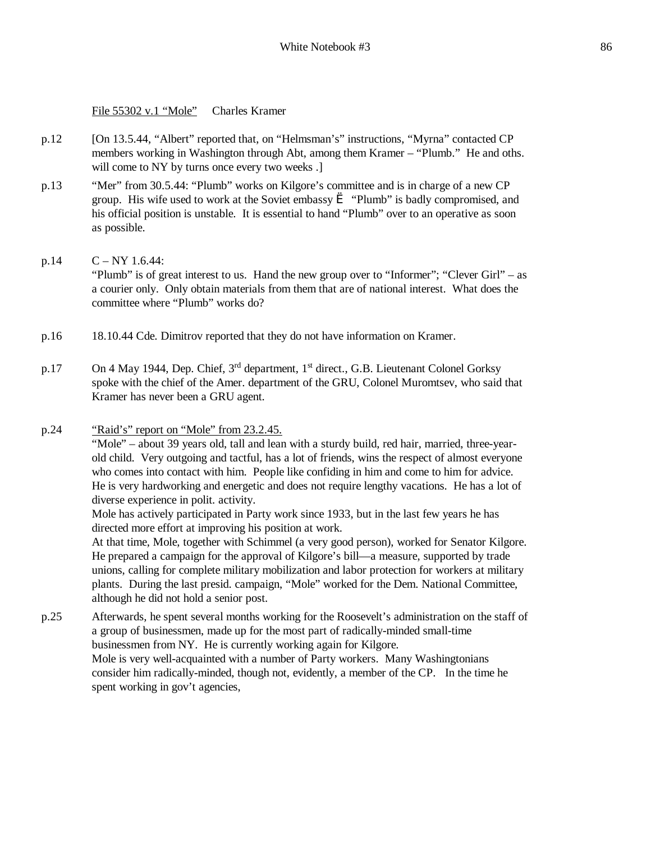File 55302 v.1 "Mole" Charles Kramer

- p.12 [On 13.5.44, "Albert" reported that, on "Helmsman's" instructions, "Myrna" contacted CP members working in Washington through Abt, among them Kramer – "Plumb." He and oths. will come to NY by turns once every two weeks .]
- p.13 "Mer" from 30.5.44: "Plumb" works on Kilgore's committee and is in charge of a new CP group. His wife used to work at the Soviet embassy  $\hat{e}$  "Plumb" is badly compromised, and his official position is unstable. It is essential to hand "Plumb" over to an operative as soon as possible.
- p.14  $C NY 1.6.44$ : "Plumb" is of great interest to us. Hand the new group over to "Informer"; "Clever Girl" – as a courier only. Only obtain materials from them that are of national interest. What does the committee where "Plumb" works do?
- p.16 18.10.44 Cde. Dimitrov reported that they do not have information on Kramer.
- p.17 On 4 May 1944, Dep. Chief, 3<sup>rd</sup> department, 1<sup>st</sup> direct., G.B. Lieutenant Colonel Gorksy spoke with the chief of the Amer. department of the GRU, Colonel Muromtsev, who said that Kramer has never been a GRU agent.
- p.24 "Raid's" report on "Mole" from 23.2.45.

"Mole" – about 39 years old, tall and lean with a sturdy build, red hair, married, three-yearold child. Very outgoing and tactful, has a lot of friends, wins the respect of almost everyone who comes into contact with him. People like confiding in him and come to him for advice. He is very hardworking and energetic and does not require lengthy vacations. He has a lot of diverse experience in polit. activity.

Mole has actively participated in Party work since 1933, but in the last few years he has directed more effort at improving his position at work.

At that time, Mole, together with Schimmel (a very good person), worked for Senator Kilgore. He prepared a campaign for the approval of Kilgore's bill—a measure, supported by trade unions, calling for complete military mobilization and labor protection for workers at military plants. During the last presid. campaign, "Mole" worked for the Dem. National Committee, although he did not hold a senior post.

p.25 Afterwards, he spent several months working for the Roosevelt's administration on the staff of a group of businessmen, made up for the most part of radically-minded small-time businessmen from NY. He is currently working again for Kilgore. Mole is very well-acquainted with a number of Party workers. Many Washingtonians consider him radically-minded, though not, evidently, a member of the CP. In the time he spent working in gov't agencies,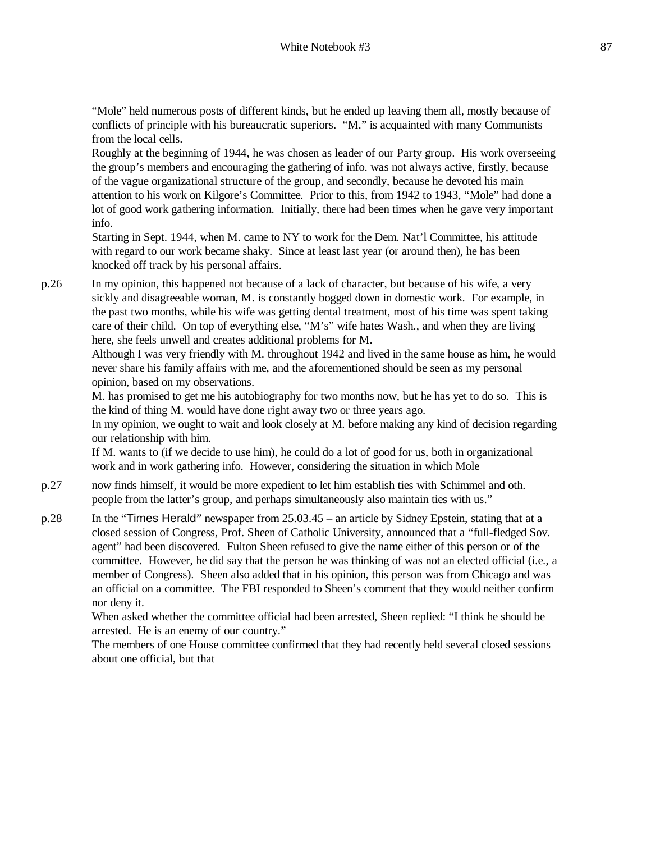"Mole" held numerous posts of different kinds, but he ended up leaving them all, mostly because of conflicts of principle with his bureaucratic superiors. "M." is acquainted with many Communists from the local cells.

Roughly at the beginning of 1944, he was chosen as leader of our Party group. His work overseeing the group's members and encouraging the gathering of info. was not always active, firstly, because of the vague organizational structure of the group, and secondly, because he devoted his main attention to his work on Kilgore's Committee. Prior to this, from 1942 to 1943, "Mole" had done a lot of good work gathering information. Initially, there had been times when he gave very important info.

Starting in Sept. 1944, when M. came to NY to work for the Dem. Nat'l Committee, his attitude with regard to our work became shaky. Since at least last year (or around then), he has been knocked off track by his personal affairs.

p.26 In my opinion, this happened not because of a lack of character, but because of his wife, a very sickly and disagreeable woman, M. is constantly bogged down in domestic work. For example, in the past two months, while his wife was getting dental treatment, most of his time was spent taking care of their child. On top of everything else, "M's" wife hates Wash., and when they are living here, she feels unwell and creates additional problems for M.

Although I was very friendly with M. throughout 1942 and lived in the same house as him, he would never share his family affairs with me, and the aforementioned should be seen as my personal opinion, based on my observations.

M. has promised to get me his autobiography for two months now, but he has yet to do so. This is the kind of thing M. would have done right away two or three years ago.

In my opinion, we ought to wait and look closely at M. before making any kind of decision regarding our relationship with him.

If M. wants to (if we decide to use him), he could do a lot of good for us, both in organizational work and in work gathering info. However, considering the situation in which Mole

- p.27 now finds himself, it would be more expedient to let him establish ties with Schimmel and oth. people from the latter's group, and perhaps simultaneously also maintain ties with us."
- p.28 In the "Times Herald" newspaper from 25.03.45 an article by Sidney Epstein, stating that at a closed session of Congress, Prof. Sheen of Catholic University, announced that a "full-fledged Sov. agent" had been discovered. Fulton Sheen refused to give the name either of this person or of the committee. However, he did say that the person he was thinking of was not an elected official (i.e., a member of Congress). Sheen also added that in his opinion, this person was from Chicago and was an official on a committee. The FBI responded to Sheen's comment that they would neither confirm nor deny it.

When asked whether the committee official had been arrested, Sheen replied: "I think he should be arrested. He is an enemy of our country."

The members of one House committee confirmed that they had recently held several closed sessions about one official, but that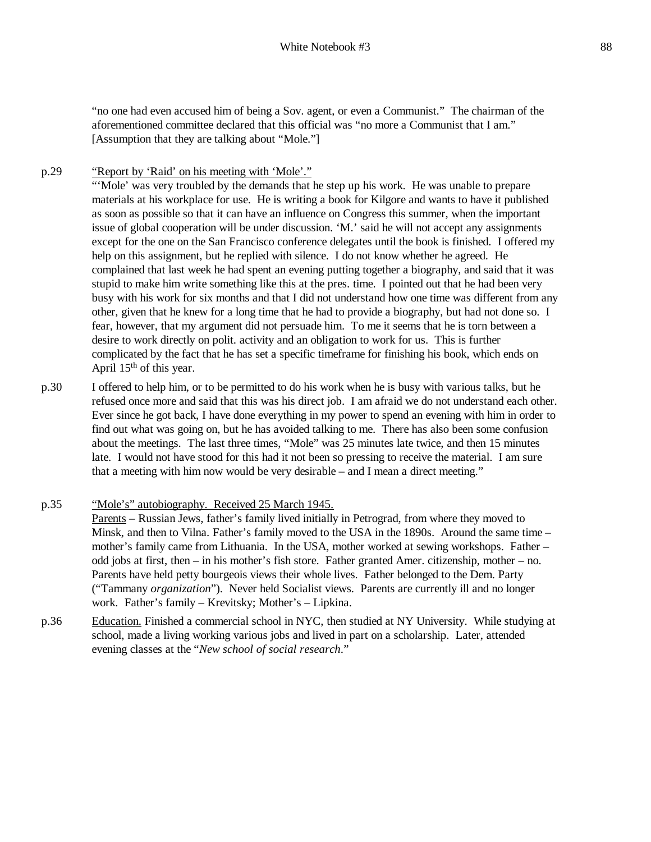"no one had even accused him of being a Sov. agent, or even a Communist." The chairman of the aforementioned committee declared that this official was "no more a Communist that I am." [Assumption that they are talking about "Mole."]

p.29 "Report by 'Raid' on his meeting with 'Mole'."

"'Mole' was very troubled by the demands that he step up his work. He was unable to prepare materials at his workplace for use. He is writing a book for Kilgore and wants to have it published as soon as possible so that it can have an influence on Congress this summer, when the important issue of global cooperation will be under discussion. 'M.' said he will not accept any assignments except for the one on the San Francisco conference delegates until the book is finished. I offered my help on this assignment, but he replied with silence. I do not know whether he agreed. He complained that last week he had spent an evening putting together a biography, and said that it was stupid to make him write something like this at the pres. time. I pointed out that he had been very busy with his work for six months and that I did not understand how one time was different from any other, given that he knew for a long time that he had to provide a biography, but had not done so. I fear, however, that my argument did not persuade him. To me it seems that he is torn between a desire to work directly on polit. activity and an obligation to work for us. This is further complicated by the fact that he has set a specific timeframe for finishing his book, which ends on April 15<sup>th</sup> of this year.

- p.30 I offered to help him, or to be permitted to do his work when he is busy with various talks, but he refused once more and said that this was his direct job. I am afraid we do not understand each other. Ever since he got back, I have done everything in my power to spend an evening with him in order to find out what was going on, but he has avoided talking to me. There has also been some confusion about the meetings. The last three times, "Mole" was 25 minutes late twice, and then 15 minutes late. I would not have stood for this had it not been so pressing to receive the material. I am sure that a meeting with him now would be very desirable – and I mean a direct meeting."
- p.35 "Mole's" autobiography. Received 25 March 1945. Parents – Russian Jews, father's family lived initially in Petrograd, from where they moved to Minsk, and then to Vilna. Father's family moved to the USA in the 1890s. Around the same time – mother's family came from Lithuania. In the USA, mother worked at sewing workshops. Father – odd jobs at first, then – in his mother's fish store. Father granted Amer. citizenship, mother – no. Parents have held petty bourgeois views their whole lives. Father belonged to the Dem. Party ("Tammany *organization*"). Never held Socialist views. Parents are currently ill and no longer work. Father's family – Krevitsky; Mother's – Lipkina.
- p.36 Education. Finished a commercial school in NYC, then studied at NY University. While studying at school, made a living working various jobs and lived in part on a scholarship. Later, attended evening classes at the "*New school of social research*."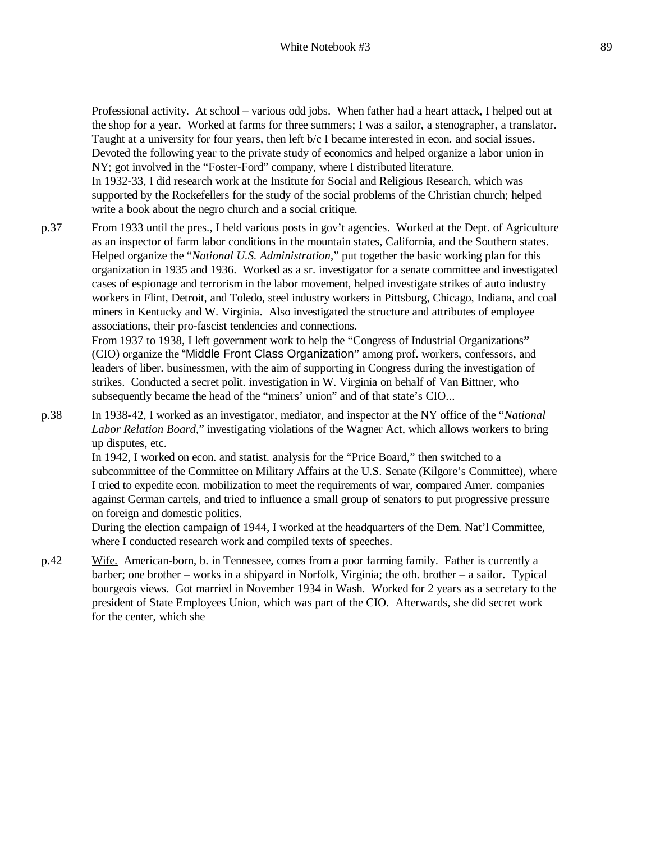Professional activity. At school – various odd jobs. When father had a heart attack, I helped out at the shop for a year. Worked at farms for three summers; I was a sailor, a stenographer, a translator. Taught at a university for four years, then left b/c I became interested in econ. and social issues. Devoted the following year to the private study of economics and helped organize a labor union in NY; got involved in the "Foster-Ford" company, where I distributed literature. In 1932-33, I did research work at the Institute for Social and Religious Research, which was supported by the Rockefellers for the study of the social problems of the Christian church; helped write a book about the negro church and a social critique.

p.37 From 1933 until the pres., I held various posts in gov't agencies. Worked at the Dept. of Agriculture as an inspector of farm labor conditions in the mountain states, California, and the Southern states. Helped organize the "*National U.S. Administration*," put together the basic working plan for this organization in 1935 and 1936. Worked as a sr. investigator for a senate committee and investigated cases of espionage and terrorism in the labor movement, helped investigate strikes of auto industry workers in Flint, Detroit, and Toledo, steel industry workers in Pittsburg, Chicago, Indiana, and coal miners in Kentucky and W. Virginia. Also investigated the structure and attributes of employee associations, their pro-fascist tendencies and connections.

From 1937 to 1938, I left government work to help the "Congress of Industrial Organizations**"**  (CIO) organize the "Middle Front Class Organization" among prof. workers, confessors, and leaders of liber. businessmen, with the aim of supporting in Congress during the investigation of strikes. Conducted a secret polit. investigation in W. Virginia on behalf of Van Bittner, who subsequently became the head of the "miners' union" and of that state's CIO...

p.38 In 1938-42, I worked as an investigator, mediator, and inspector at the NY office of the "*National Labor Relation Board*," investigating violations of the Wagner Act, which allows workers to bring up disputes, etc.

In 1942, I worked on econ. and statist. analysis for the "Price Board," then switched to a subcommittee of the Committee on Military Affairs at the U.S. Senate (Kilgore's Committee), where I tried to expedite econ. mobilization to meet the requirements of war, compared Amer. companies against German cartels, and tried to influence a small group of senators to put progressive pressure on foreign and domestic politics.

During the election campaign of 1944, I worked at the headquarters of the Dem. Nat'l Committee, where I conducted research work and compiled texts of speeches.

p.42 Wife. American-born, b. in Tennessee, comes from a poor farming family. Father is currently a barber; one brother – works in a shipyard in Norfolk, Virginia; the oth. brother – a sailor. Typical bourgeois views. Got married in November 1934 in Wash. Worked for 2 years as a secretary to the president of State Employees Union, which was part of the CIO. Afterwards, she did secret work for the center, which she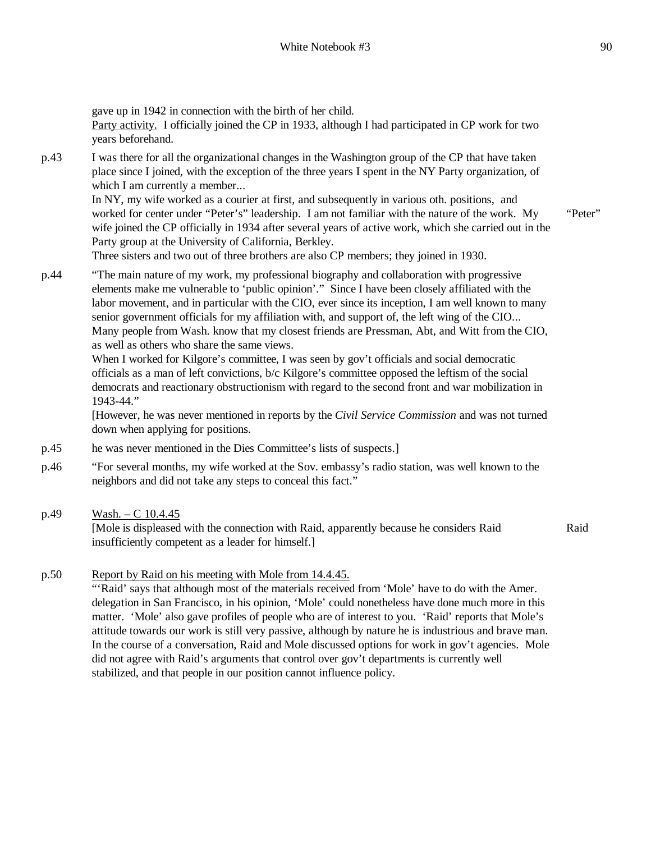gave up in 1942 in connection with the birth of her child. Party activity. I officially joined the CP in 1933, although I had participated in CP work for two years beforehand. p.43 I was there for all the organizational changes in the Washington group of the CP that have taken place since I joined, with the exception of the three years I spent in the NY Party organization, of which I am currently a member... In NY, my wife worked as a courier at first, and subsequently in various oth. positions, and worked for center under "Peter's" leadership. I am not familiar with the nature of the work. My wife joined the CP officially in 1934 after several years of active work, which she carried out in the Party group at the University of California, Berkley. Three sisters and two out of three brothers are also CP members; they joined in 1930. "Peter" p.44 "The main nature of my work, my professional biography and collaboration with progressive elements make me vulnerable to 'public opinion'." Since I have been closely affiliated with the labor movement, and in particular with the CIO, ever since its inception, I am well known to many senior government officials for my affiliation with, and support of, the left wing of the CIO... Many people from Wash. know that my closest friends are Pressman, Abt, and Witt from the CIO, as well as others who share the same views. When I worked for Kilgore's committee, I was seen by gov't officials and social democratic officials as a man of left convictions, b/c Kilgore's committee opposed the leftism of the social democrats and reactionary obstructionism with regard to the second front and war mobilization in 1943-44." [However, he was never mentioned in reports by the *Civil Service Commission* and was not turned down when applying for positions. p.45 he was never mentioned in the Dies Committee's lists of suspects.] p.46 "For several months, my wife worked at the Sov. embassy's radio station, was well known to the neighbors and did not take any steps to conceal this fact." p.49 Wash. – C  $10.4.45$ [Mole is displeased with the connection with Raid, apparently because he considers Raid insufficiently competent as a leader for himself.] Raid

### p.50 Report by Raid on his meeting with Mole from 14.4.45.

"'Raid' says that although most of the materials received from 'Mole' have to do with the Amer. delegation in San Francisco, in his opinion, 'Mole' could nonetheless have done much more in this matter. 'Mole' also gave profiles of people who are of interest to you. 'Raid' reports that Mole's attitude towards our work is still very passive, although by nature he is industrious and brave man. In the course of a conversation, Raid and Mole discussed options for work in gov't agencies. Mole did not agree with Raid's arguments that control over gov't departments is currently well stabilized, and that people in our position cannot influence policy.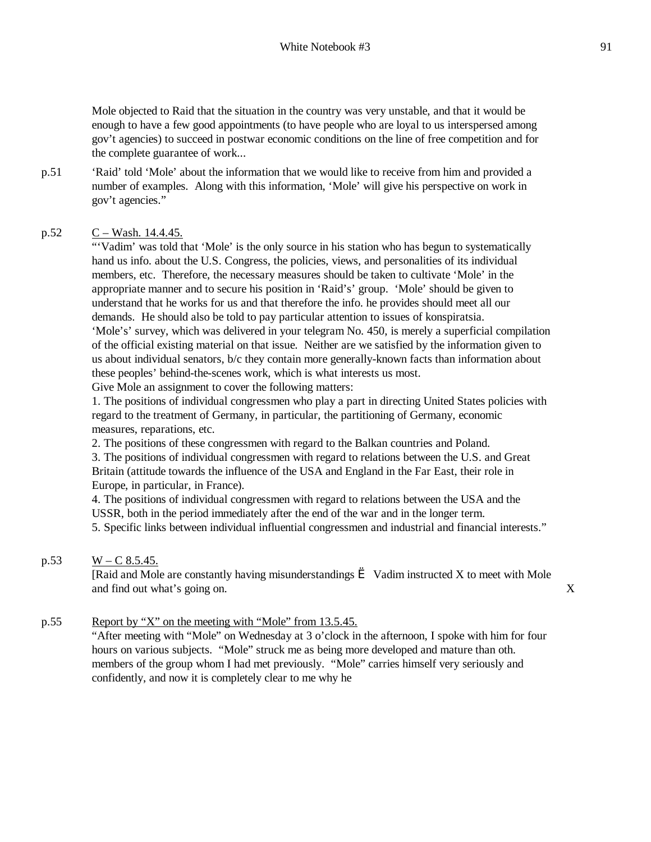Mole objected to Raid that the situation in the country was very unstable, and that it would be enough to have a few good appointments (to have people who are loyal to us interspersed among gov't agencies) to succeed in postwar economic conditions on the line of free competition and for the complete guarantee of work...

p.51 'Raid' told 'Mole' about the information that we would like to receive from him and provided a number of examples. Along with this information, 'Mole' will give his perspective on work in gov't agencies."

### p.52  $C - Wash. 14.4.45$ .

"'Vadim' was told that 'Mole' is the only source in his station who has begun to systematically hand us info. about the U.S. Congress, the policies, views, and personalities of its individual members, etc. Therefore, the necessary measures should be taken to cultivate 'Mole' in the appropriate manner and to secure his position in 'Raid's' group. 'Mole' should be given to understand that he works for us and that therefore the info. he provides should meet all our demands. He should also be told to pay particular attention to issues of konspiratsia.

'Mole's' survey, which was delivered in your telegram No. 450, is merely a superficial compilation of the official existing material on that issue. Neither are we satisfied by the information given to us about individual senators, b/c they contain more generally-known facts than information about these peoples' behind-the-scenes work, which is what interests us most.

Give Mole an assignment to cover the following matters:

1. The positions of individual congressmen who play a part in directing United States policies with regard to the treatment of Germany, in particular, the partitioning of Germany, economic measures, reparations, etc.

2. The positions of these congressmen with regard to the Balkan countries and Poland.

3. The positions of individual congressmen with regard to relations between the U.S. and Great Britain (attitude towards the influence of the USA and England in the Far East, their role in Europe, in particular, in France).

4. The positions of individual congressmen with regard to relations between the USA and the USSR, both in the period immediately after the end of the war and in the longer term.

5. Specific links between individual influential congressmen and industrial and financial interests."

#### p.53  $W - C 8.5.45$ .

[Raid and Mole are constantly having misunderstandings  $\geq$  Vadim instructed X to meet with Mole and find out what's going on. X

#### p.55 Report by "X" on the meeting with "Mole" from 13.5.45.

"After meeting with "Mole" on Wednesday at 3 o'clock in the afternoon, I spoke with him for four hours on various subjects. "Mole" struck me as being more developed and mature than oth. members of the group whom I had met previously. "Mole" carries himself very seriously and confidently, and now it is completely clear to me why he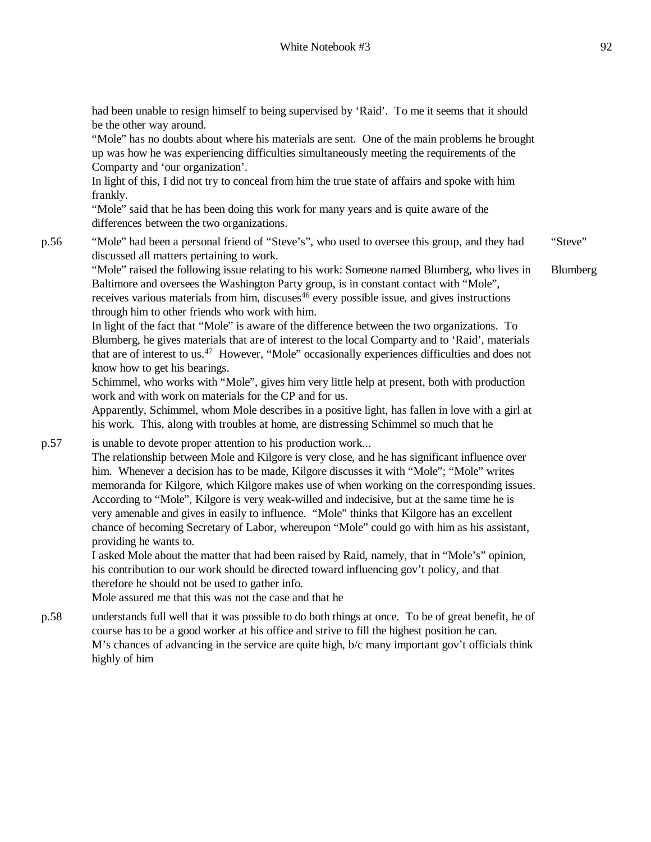had been unable to resign himself to being supervised by 'Raid'. To me it seems that it should be the other way around.

"Mole" has no doubts about where his materials are sent. One of the main problems he brought up was how he was experiencing difficulties simultaneously meeting the requirements of the Comparty and 'our organization'.

In light of this, I did not try to conceal from him the true state of affairs and spoke with him frankly.

"Mole" said that he has been doing this work for many years and is quite aware of the differences between the two organizations.

p.56 "Mole" had been a personal friend of "Steve's", who used to oversee this group, and they had discussed all matters pertaining to work. "Steve"

"Mole" raised the following issue relating to his work: Someone named Blumberg, who lives in Baltimore and oversees the Washington Party group, is in constant contact with "Mole", receives various materials from him, discuses<sup> $46$ </sup> every possible issue, and gives instructions through him to other friends who work with him. Blumberg

In light of the fact that "Mole" is aware of the difference between the two organizations. To Blumberg, he gives materials that are of interest to the local Comparty and to 'Raid', materials that are of interest to us.<sup>47</sup> However, "Mole" occasionally experiences difficulties and does not know how to get his bearings.

Schimmel, who works with "Mole", gives him very little help at present, both with production work and with work on materials for the CP and for us.

Apparently, Schimmel, whom Mole describes in a positive light, has fallen in love with a girl at his work. This, along with troubles at home, are distressing Schimmel so much that he

p.57 is unable to devote proper attention to his production work...

The relationship between Mole and Kilgore is very close, and he has significant influence over him. Whenever a decision has to be made, Kilgore discusses it with "Mole"; "Mole" writes memoranda for Kilgore, which Kilgore makes use of when working on the corresponding issues. According to "Mole", Kilgore is very weak-willed and indecisive, but at the same time he is very amenable and gives in easily to influence. "Mole" thinks that Kilgore has an excellent chance of becoming Secretary of Labor, whereupon "Mole" could go with him as his assistant, providing he wants to.

I asked Mole about the matter that had been raised by Raid, namely, that in "Mole's" opinion, his contribution to our work should be directed toward influencing gov't policy, and that therefore he should not be used to gather info.

Mole assured me that this was not the case and that he

p.58 understands full well that it was possible to do both things at once. To be of great benefit, he of course has to be a good worker at his office and strive to fill the highest position he can. M's chances of advancing in the service are quite high, b/c many important gov't officials think highly of him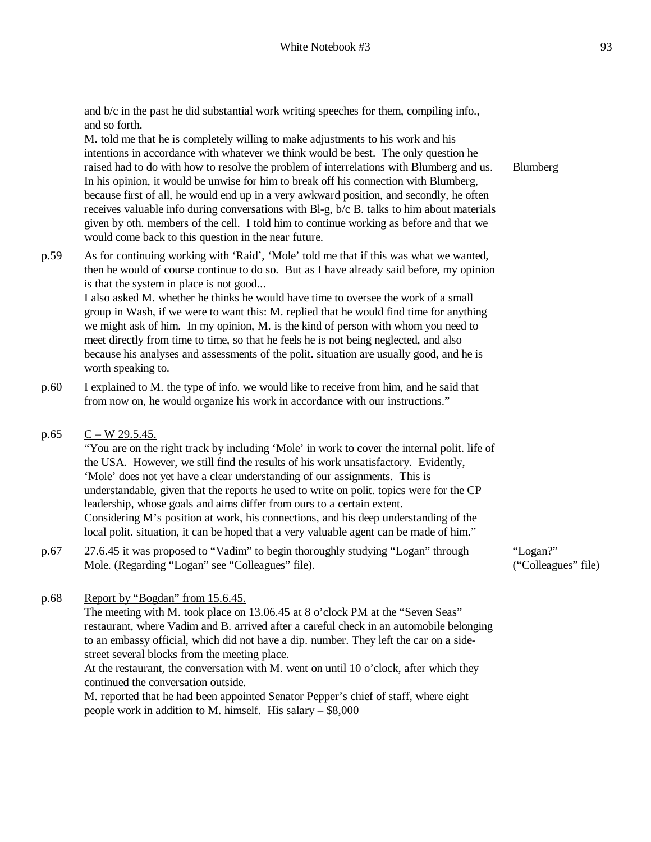and b/c in the past he did substantial work writing speeches for them, compiling info., and so forth.

M. told me that he is completely willing to make adjustments to his work and his intentions in accordance with whatever we think would be best. The only question he raised had to do with how to resolve the problem of interrelations with Blumberg and us. In his opinion, it would be unwise for him to break off his connection with Blumberg, because first of all, he would end up in a very awkward position, and secondly, he often receives valuable info during conversations with Bl-g, b/c B. talks to him about materials given by oth. members of the cell. I told him to continue working as before and that we would come back to this question in the near future.

p.59 As for continuing working with 'Raid', 'Mole' told me that if this was what we wanted, then he would of course continue to do so. But as I have already said before, my opinion is that the system in place is not good...

I also asked M. whether he thinks he would have time to oversee the work of a small group in Wash, if we were to want this: M. replied that he would find time for anything we might ask of him. In my opinion, M. is the kind of person with whom you need to meet directly from time to time, so that he feels he is not being neglected, and also because his analyses and assessments of the polit. situation are usually good, and he is worth speaking to.

- p.60 I explained to M. the type of info. we would like to receive from him, and he said that from now on, he would organize his work in accordance with our instructions."
- p.65  $C W$  29.5.45.

"You are on the right track by including 'Mole' in work to cover the internal polit. life of the USA. However, we still find the results of his work unsatisfactory. Evidently, 'Mole' does not yet have a clear understanding of our assignments. This is understandable, given that the reports he used to write on polit. topics were for the CP leadership, whose goals and aims differ from ours to a certain extent. Considering M's position at work, his connections, and his deep understanding of the local polit. situation, it can be hoped that a very valuable agent can be made of him."

p.67 27.6.45 it was proposed to "Vadim" to begin thoroughly studying "Logan" through Mole. (Regarding "Logan" see "Colleagues" file).

"Logan?" ("Colleagues" file)

p.68 Report by "Bogdan" from 15.6.45.

The meeting with M. took place on 13.06.45 at 8 o'clock PM at the "Seven Seas" restaurant, where Vadim and B. arrived after a careful check in an automobile belonging to an embassy official, which did not have a dip. number. They left the car on a sidestreet several blocks from the meeting place. At the restaurant, the conversation with M. went on until 10 o'clock, after which they

continued the conversation outside. M. reported that he had been appointed Senator Pepper's chief of staff, where eight people work in addition to M. himself. His salary – \$8,000

Blumberg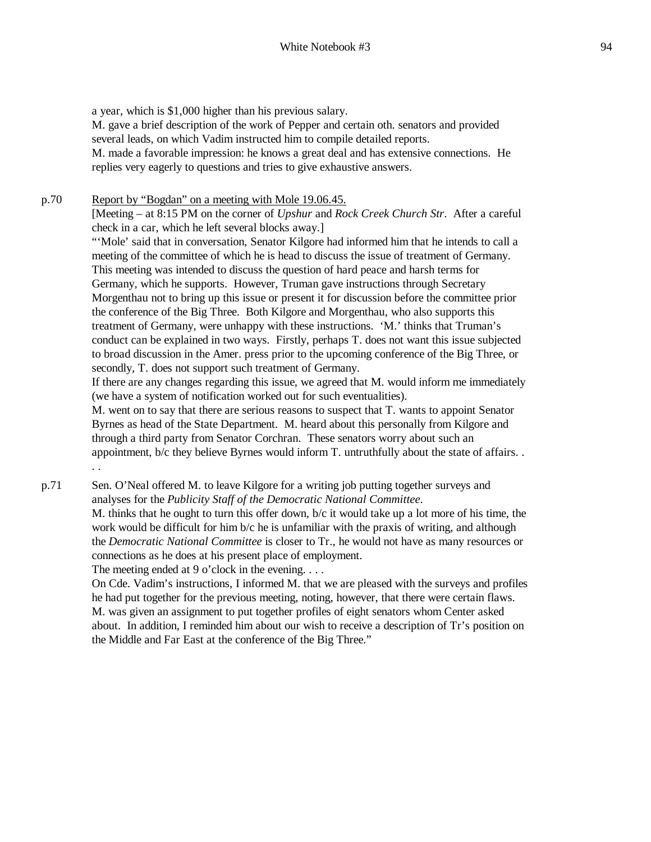a year, which is \$1,000 higher than his previous salary. M. gave a brief description of the work of Pepper and certain oth. senators and provided several leads, on which Vadim instructed him to compile detailed reports. M. made a favorable impression: he knows a great deal and has extensive connections. He replies very eagerly to questions and tries to give exhaustive answers.

#### p.70 Report by "Bogdan" on a meeting with Mole 19.06.45. [Meeting – at 8:15 PM on the corner of *Upshur* and *Rock Creek Church Str*. After a careful check in a car, which he left several blocks away.]

"'Mole' said that in conversation, Senator Kilgore had informed him that he intends to call a meeting of the committee of which he is head to discuss the issue of treatment of Germany. This meeting was intended to discuss the question of hard peace and harsh terms for Germany, which he supports. However, Truman gave instructions through Secretary Morgenthau not to bring up this issue or present it for discussion before the committee prior the conference of the Big Three. Both Kilgore and Morgenthau, who also supports this treatment of Germany, were unhappy with these instructions. 'M.' thinks that Truman's conduct can be explained in two ways. Firstly, perhaps T. does not want this issue subjected to broad discussion in the Amer. press prior to the upcoming conference of the Big Three, or secondly, T. does not support such treatment of Germany.

If there are any changes regarding this issue, we agreed that M. would inform me immediately (we have a system of notification worked out for such eventualities).

M. went on to say that there are serious reasons to suspect that T. wants to appoint Senator Byrnes as head of the State Department. M. heard about this personally from Kilgore and through a third party from Senator Corchran. These senators worry about such an appointment, b/c they believe Byrnes would inform T. untruthfully about the state of affairs. . . .

p.71 Sen. O'Neal offered M. to leave Kilgore for a writing job putting together surveys and analyses for the *Publicity Staff of the Democratic National Committee*. M. thinks that he ought to turn this offer down, b/c it would take up a lot more of his time, the work would be difficult for him b/c he is unfamiliar with the praxis of writing, and although the *Democratic National Committee* is closer to Tr., he would not have as many resources or connections as he does at his present place of employment.

The meeting ended at 9 o'clock in the evening.  $\ldots$ 

On Cde. Vadim's instructions, I informed M. that we are pleased with the surveys and profiles he had put together for the previous meeting, noting, however, that there were certain flaws. M. was given an assignment to put together profiles of eight senators whom Center asked about. In addition, I reminded him about our wish to receive a description of Tr's position on the Middle and Far East at the conference of the Big Three."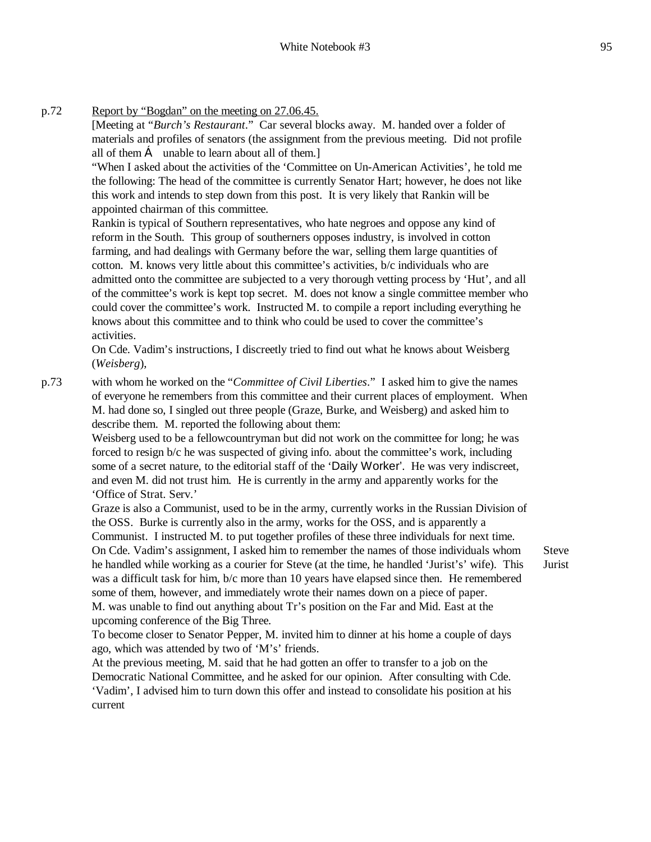p.72 Report by "Bogdan" on the meeting on 27.06.45.

[Meeting at "*Burch's Restaurant*." Car several blocks away. M. handed over a folder of materials and profiles of senators (the assignment from the previous meeting. Did not profile all of them  $\bf{C}$  unable to learn about all of them.]

"When I asked about the activities of the 'Committee on Un-American Activities', he told me the following: The head of the committee is currently Senator Hart; however, he does not like this work and intends to step down from this post. It is very likely that Rankin will be appointed chairman of this committee.

Rankin is typical of Southern representatives, who hate negroes and oppose any kind of reform in the South. This group of southerners opposes industry, is involved in cotton farming, and had dealings with Germany before the war, selling them large quantities of cotton. M. knows very little about this committee's activities, b/c individuals who are admitted onto the committee are subjected to a very thorough vetting process by 'Hut', and all of the committee's work is kept top secret. M. does not know a single committee member who could cover the committee's work. Instructed M. to compile a report including everything he knows about this committee and to think who could be used to cover the committee's activities.

On Cde. Vadim's instructions, I discreetly tried to find out what he knows about Weisberg (*Weisberg*),

p.73 with whom he worked on the "*Committee of Civil Liberties*." I asked him to give the names of everyone he remembers from this committee and their current places of employment. When M. had done so, I singled out three people (Graze, Burke, and Weisberg) and asked him to describe them. M. reported the following about them:

> Weisberg used to be a fellowcountryman but did not work on the committee for long; he was forced to resign b/c he was suspected of giving info. about the committee's work, including some of a secret nature, to the editorial staff of the 'Daily Worker'. He was very indiscreet, and even M. did not trust him. He is currently in the army and apparently works for the 'Office of Strat. Serv.'

Graze is also a Communist, used to be in the army, currently works in the Russian Division of the OSS. Burke is currently also in the army, works for the OSS, and is apparently a Communist. I instructed M. to put together profiles of these three individuals for next time. On Cde. Vadim's assignment, I asked him to remember the names of those individuals whom he handled while working as a courier for Steve (at the time, he handled 'Jurist's' wife). This was a difficult task for him, b/c more than 10 years have elapsed since then. He remembered some of them, however, and immediately wrote their names down on a piece of paper. M. was unable to find out anything about Tr's position on the Far and Mid. East at the upcoming conference of the Big Three.

To become closer to Senator Pepper, M. invited him to dinner at his home a couple of days ago, which was attended by two of 'M's' friends.

At the previous meeting, M. said that he had gotten an offer to transfer to a job on the Democratic National Committee, and he asked for our opinion. After consulting with Cde. 'Vadim', I advised him to turn down this offer and instead to consolidate his position at his current

Steve Jurist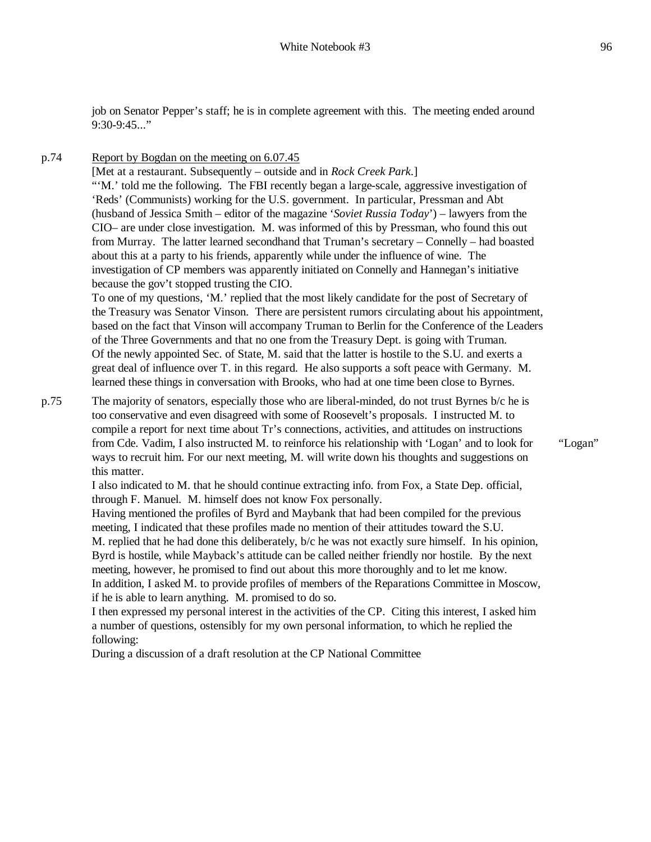job on Senator Pepper's staff; he is in complete agreement with this. The meeting ended around 9:30-9:45..."

p.74 Report by Bogdan on the meeting on 6.07.45

[Met at a restaurant. Subsequently – outside and in *Rock Creek Park*.] "'M.' told me the following. The FBI recently began a large-scale, aggressive investigation of 'Reds' (Communists) working for the U.S. government. In particular, Pressman and Abt (husband of Jessica Smith – editor of the magazine '*Soviet Russia Today*') – lawyers from the CIO– are under close investigation. M. was informed of this by Pressman, who found this out from Murray. The latter learned secondhand that Truman's secretary – Connelly – had boasted about this at a party to his friends, apparently while under the influence of wine. The investigation of CP members was apparently initiated on Connelly and Hannegan's initiative because the gov't stopped trusting the CIO.

To one of my questions, 'M.' replied that the most likely candidate for the post of Secretary of the Treasury was Senator Vinson. There are persistent rumors circulating about his appointment, based on the fact that Vinson will accompany Truman to Berlin for the Conference of the Leaders of the Three Governments and that no one from the Treasury Dept. is going with Truman. Of the newly appointed Sec. of State, M. said that the latter is hostile to the S.U. and exerts a great deal of influence over T. in this regard. He also supports a soft peace with Germany. M. learned these things in conversation with Brooks, who had at one time been close to Byrnes.

p.75 The majority of senators, especially those who are liberal-minded, do not trust Byrnes b/c he is too conservative and even disagreed with some of Roosevelt's proposals. I instructed M. to compile a report for next time about Tr's connections, activities, and attitudes on instructions from Cde. Vadim, I also instructed M. to reinforce his relationship with 'Logan' and to look for ways to recruit him. For our next meeting, M. will write down his thoughts and suggestions on this matter.

"Logan"

I also indicated to M. that he should continue extracting info. from Fox, a State Dep. official, through F. Manuel. M. himself does not know Fox personally.

Having mentioned the profiles of Byrd and Maybank that had been compiled for the previous meeting, I indicated that these profiles made no mention of their attitudes toward the S.U. M. replied that he had done this deliberately, b/c he was not exactly sure himself. In his opinion, Byrd is hostile, while Mayback's attitude can be called neither friendly nor hostile. By the next meeting, however, he promised to find out about this more thoroughly and to let me know. In addition, I asked M. to provide profiles of members of the Reparations Committee in Moscow, if he is able to learn anything. M. promised to do so.

I then expressed my personal interest in the activities of the CP. Citing this interest, I asked him a number of questions, ostensibly for my own personal information, to which he replied the following:

During a discussion of a draft resolution at the CP National Committee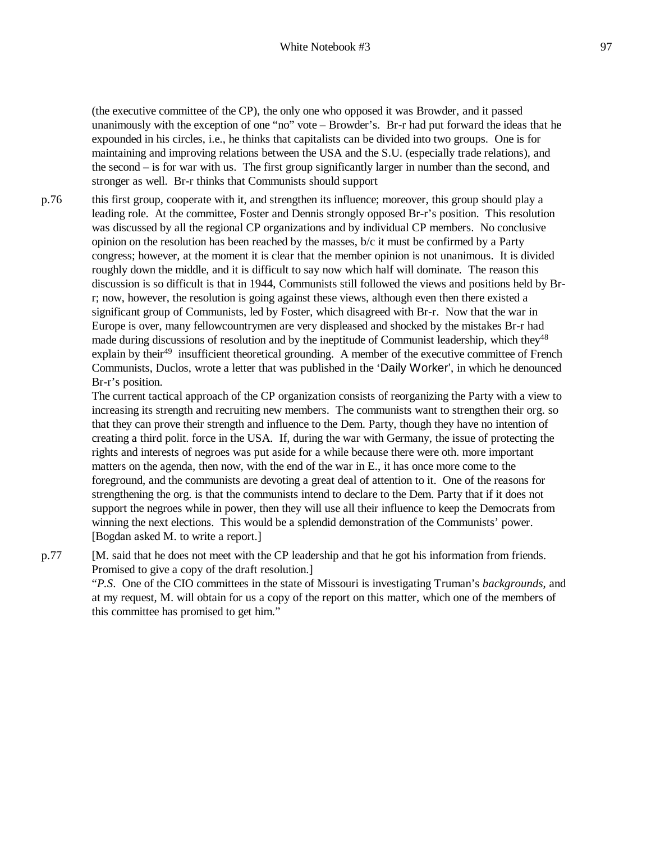(the executive committee of the CP), the only one who opposed it was Browder, and it passed unanimously with the exception of one "no" vote – Browder's. Br-r had put forward the ideas that he expounded in his circles, i.e., he thinks that capitalists can be divided into two groups. One is for maintaining and improving relations between the USA and the S.U. (especially trade relations), and the second – is for war with us. The first group significantly larger in number than the second, and stronger as well. Br-r thinks that Communists should support

p.76 this first group, cooperate with it, and strengthen its influence; moreover, this group should play a leading role. At the committee, Foster and Dennis strongly opposed Br-r's position. This resolution was discussed by all the regional CP organizations and by individual CP members. No conclusive opinion on the resolution has been reached by the masses, b/c it must be confirmed by a Party congress; however, at the moment it is clear that the member opinion is not unanimous. It is divided roughly down the middle, and it is difficult to say now which half will dominate. The reason this discussion is so difficult is that in 1944, Communists still followed the views and positions held by Brr; now, however, the resolution is going against these views, although even then there existed a significant group of Communists, led by Foster, which disagreed with Br-r. Now that the war in Europe is over, many fellowcountrymen are very displeased and shocked by the mistakes Br-r had made during discussions of resolution and by the ineptitude of Communist leadership, which they<sup>48</sup> explain by their<sup>49</sup> insufficient theoretical grounding. A member of the executive committee of French Communists, Duclos, wrote a letter that was published in the 'Daily Worker', in which he denounced Br-r's position.

> The current tactical approach of the CP organization consists of reorganizing the Party with a view to increasing its strength and recruiting new members. The communists want to strengthen their org. so that they can prove their strength and influence to the Dem. Party, though they have no intention of creating a third polit. force in the USA. If, during the war with Germany, the issue of protecting the rights and interests of negroes was put aside for a while because there were oth. more important matters on the agenda, then now, with the end of the war in E., it has once more come to the foreground, and the communists are devoting a great deal of attention to it. One of the reasons for strengthening the org. is that the communists intend to declare to the Dem. Party that if it does not support the negroes while in power, then they will use all their influence to keep the Democrats from winning the next elections. This would be a splendid demonstration of the Communists' power. [Bogdan asked M. to write a report.]

p.77 [M. said that he does not meet with the CP leadership and that he got his information from friends. Promised to give a copy of the draft resolution.]

"*P.S*. One of the CIO committees in the state of Missouri is investigating Truman's *backgrounds*, and at my request, M. will obtain for us a copy of the report on this matter, which one of the members of this committee has promised to get him."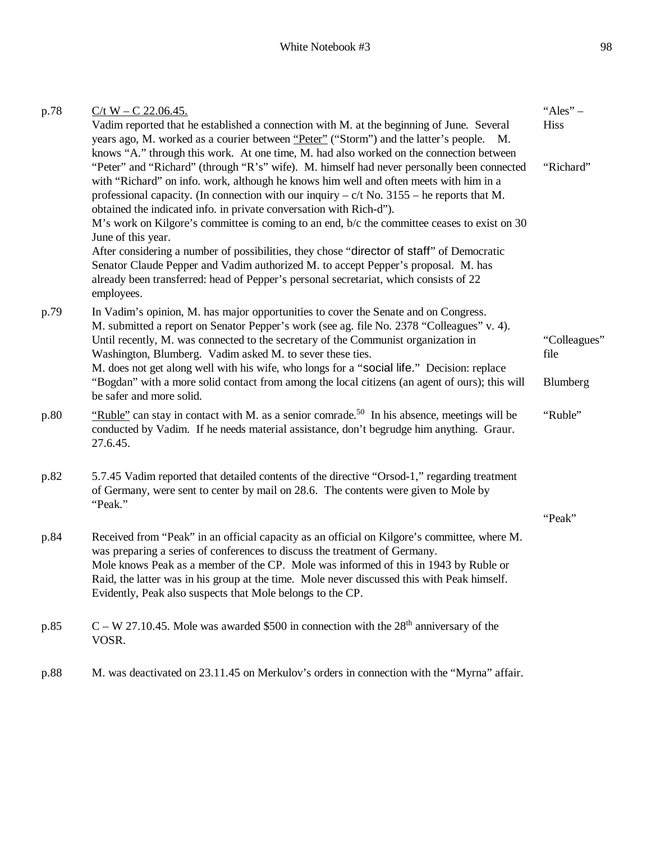| p.78 | $C/t$ W – C 22.06.45.                                                                                                                                                                                                                                                                                                                                                                                                                                                                                                                                                                                                                                                                                                                                                                                                                                  | "Ales" $-$  |
|------|--------------------------------------------------------------------------------------------------------------------------------------------------------------------------------------------------------------------------------------------------------------------------------------------------------------------------------------------------------------------------------------------------------------------------------------------------------------------------------------------------------------------------------------------------------------------------------------------------------------------------------------------------------------------------------------------------------------------------------------------------------------------------------------------------------------------------------------------------------|-------------|
|      | Vadim reported that he established a connection with M. at the beginning of June. Several<br>years ago, M. worked as a courier between "Peter" ("Storm") and the latter's people. M.                                                                                                                                                                                                                                                                                                                                                                                                                                                                                                                                                                                                                                                                   | <b>Hiss</b> |
|      | knows "A." through this work. At one time, M. had also worked on the connection between<br>"Peter" and "Richard" (through "R's" wife). M. himself had never personally been connected<br>with "Richard" on info. work, although he knows him well and often meets with him in a<br>professional capacity. (In connection with our inquiry $-c/t$ No. 3155 – he reports that M.<br>obtained the indicated info. in private conversation with Rich-d").<br>M's work on Kilgore's committee is coming to an end, b/c the committee ceases to exist on 30<br>June of this year.<br>After considering a number of possibilities, they chose "director of staff" of Democratic<br>Senator Claude Pepper and Vadim authorized M. to accept Pepper's proposal. M. has<br>already been transferred: head of Pepper's personal secretariat, which consists of 22 | "Richard"   |
|      | employees.                                                                                                                                                                                                                                                                                                                                                                                                                                                                                                                                                                                                                                                                                                                                                                                                                                             |             |
| p.79 | In Vadim's opinion, M. has major opportunities to cover the Senate and on Congress.<br>M. submitted a report on Senator Pepper's work (see ag. file No. 2378 "Colleagues" v. 4).<br>Until recently, M. was connected to the secretary of the Communist organization in<br>Washington, Blumberg. Vadim asked M. to sever these ties.                                                                                                                                                                                                                                                                                                                                                                                                                                                                                                                    |             |
|      | M. does not get along well with his wife, who longs for a "social life." Decision: replace<br>"Bogdan" with a more solid contact from among the local citizens (an agent of ours); this will<br>be safer and more solid.                                                                                                                                                                                                                                                                                                                                                                                                                                                                                                                                                                                                                               | Blumberg    |
| p.80 | "Ruble" can stay in contact with M. as a senior comrade. <sup>50</sup> In his absence, meetings will be<br>conducted by Vadim. If he needs material assistance, don't begrudge him anything. Graur.<br>27.6.45.                                                                                                                                                                                                                                                                                                                                                                                                                                                                                                                                                                                                                                        | "Ruble"     |
| p.82 | 5.7.45 Vadim reported that detailed contents of the directive "Orsod-1," regarding treatment<br>of Germany, were sent to center by mail on 28.6. The contents were given to Mole by<br>"Peak."                                                                                                                                                                                                                                                                                                                                                                                                                                                                                                                                                                                                                                                         |             |
|      |                                                                                                                                                                                                                                                                                                                                                                                                                                                                                                                                                                                                                                                                                                                                                                                                                                                        | "Peak"      |
| p.84 | Received from "Peak" in an official capacity as an official on Kilgore's committee, where M.<br>was preparing a series of conferences to discuss the treatment of Germany.<br>Mole knows Peak as a member of the CP. Mole was informed of this in 1943 by Ruble or<br>Raid, the latter was in his group at the time. Mole never discussed this with Peak himself.<br>Evidently, Peak also suspects that Mole belongs to the CP.                                                                                                                                                                                                                                                                                                                                                                                                                        |             |
| p.85 | $C - W$ 27.10.45. Mole was awarded \$500 in connection with the 28 <sup>th</sup> anniversary of the<br>VOSR.                                                                                                                                                                                                                                                                                                                                                                                                                                                                                                                                                                                                                                                                                                                                           |             |
| p.88 | M. was deactivated on 23.11.45 on Merkulov's orders in connection with the "Myrna" affair.                                                                                                                                                                                                                                                                                                                                                                                                                                                                                                                                                                                                                                                                                                                                                             |             |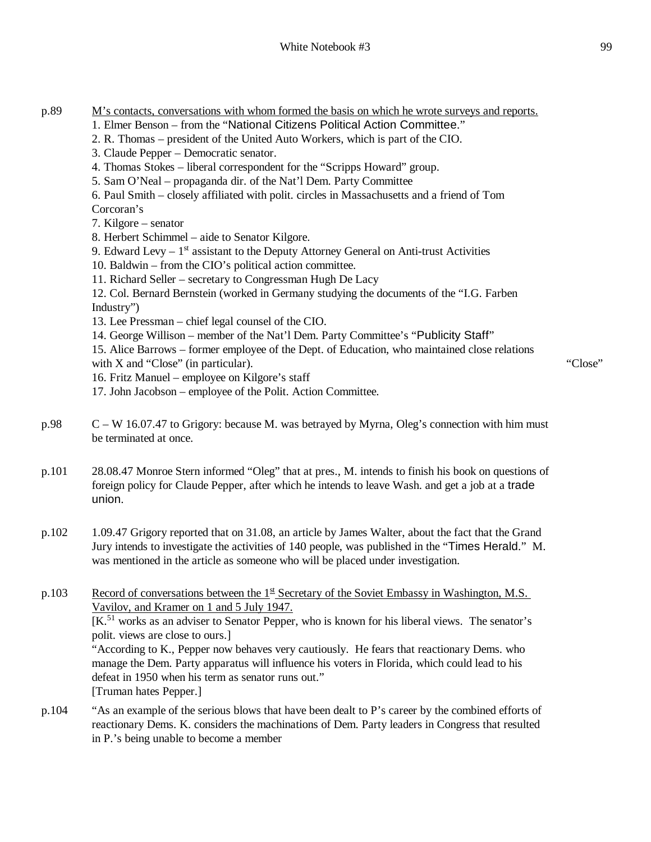- 1. Elmer Benson from the "National Citizens Political Action Committee."
- 2. R. Thomas president of the United Auto Workers, which is part of the CIO.
- 3. Claude Pepper Democratic senator.
- 4. Thomas Stokes liberal correspondent for the "Scripps Howard" group.
- 5. Sam O'Neal propaganda dir. of the Nat'l Dem. Party Committee
- 6. Paul Smith closely affiliated with polit. circles in Massachusetts and a friend of Tom

Corcoran's

7. Kilgore – senator

- 8. Herbert Schimmel aide to Senator Kilgore.
- 9. Edward Levy  $-1<sup>st</sup>$  assistant to the Deputy Attorney General on Anti-trust Activities
- 10. Baldwin from the CIO's political action committee.
- 11. Richard Seller secretary to Congressman Hugh De Lacy

12. Col. Bernard Bernstein (worked in Germany studying the documents of the "I.G. Farben Industry")

- 13. Lee Pressman chief legal counsel of the CIO.
- 14. George Willison member of the Nat'l Dem. Party Committee's "Publicity Staff"

15. Alice Barrows – former employee of the Dept. of Education, who maintained close relations with X and "Close" (in particular).

- 16. Fritz Manuel employee on Kilgore's staff
- 17. John Jacobson employee of the Polit. Action Committee.
- p.98 C W 16.07.47 to Grigory: because M. was betrayed by Myrna, Oleg's connection with him must be terminated at once.

p.101 28.08.47 Monroe Stern informed "Oleg" that at pres., M. intends to finish his book on questions of foreign policy for Claude Pepper, after which he intends to leave Wash. and get a job at a trade union.

p.102 1.09.47 Grigory reported that on 31.08, an article by James Walter, about the fact that the Grand Jury intends to investigate the activities of 140 people, was published in the "Times Herald." M. was mentioned in the article as someone who will be placed under investigation.

p.103 Record of conversations between the  $1<sup>st</sup>$  Secretary of the Soviet Embassy in Washington, M.S. Vavilov, and Kramer on 1 and 5 July 1947. [K.<sup>51</sup> works as an adviser to Senator Pepper, who is known for his liberal views. The senator's polit. views are close to ours.] "According to K., Pepper now behaves very cautiously. He fears that reactionary Dems. who manage the Dem. Party apparatus will influence his voters in Florida, which could lead to his defeat in 1950 when his term as senator runs out." [Truman hates Pepper.]

p.104 "As an example of the serious blows that have been dealt to P's career by the combined efforts of reactionary Dems. K. considers the machinations of Dem. Party leaders in Congress that resulted in P.'s being unable to become a member

"Close"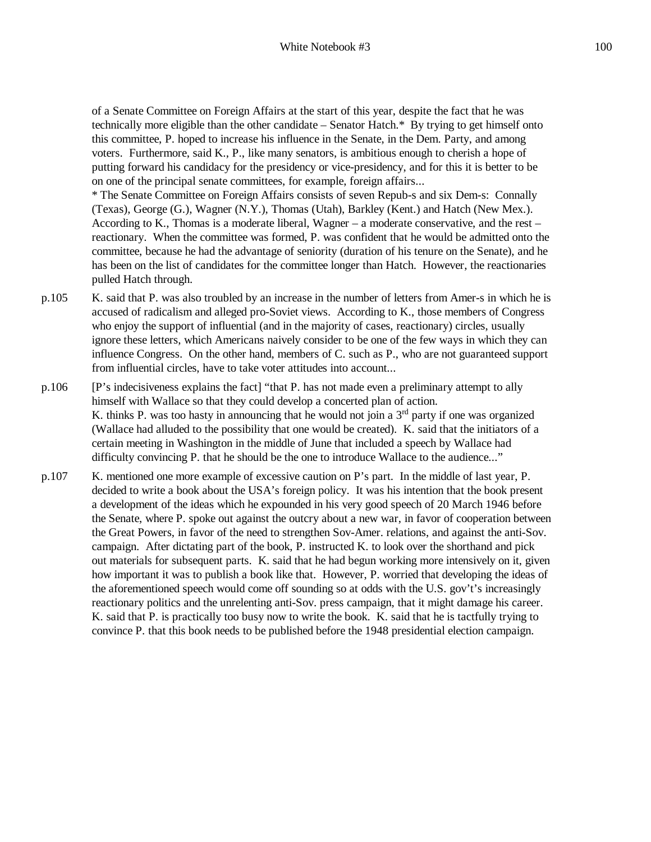of a Senate Committee on Foreign Affairs at the start of this year, despite the fact that he was technically more eligible than the other candidate – Senator Hatch.\* By trying to get himself onto this committee, P. hoped to increase his influence in the Senate, in the Dem. Party, and among voters. Furthermore, said K., P., like many senators, is ambitious enough to cherish a hope of putting forward his candidacy for the presidency or vice-presidency, and for this it is better to be on one of the principal senate committees, for example, foreign affairs...

\* The Senate Committee on Foreign Affairs consists of seven Repub-s and six Dem-s: Connally (Texas), George (G.), Wagner (N.Y.), Thomas (Utah), Barkley (Kent.) and Hatch (New Mex.). According to K., Thomas is a moderate liberal, Wagner – a moderate conservative, and the rest – reactionary. When the committee was formed, P. was confident that he would be admitted onto the committee, because he had the advantage of seniority (duration of his tenure on the Senate), and he has been on the list of candidates for the committee longer than Hatch. However, the reactionaries pulled Hatch through.

- p.105 K. said that P. was also troubled by an increase in the number of letters from Amer-s in which he is accused of radicalism and alleged pro-Soviet views. According to K., those members of Congress who enjoy the support of influential (and in the majority of cases, reactionary) circles, usually ignore these letters, which Americans naively consider to be one of the few ways in which they can influence Congress. On the other hand, members of C. such as P., who are not guaranteed support from influential circles, have to take voter attitudes into account...
- p.106 [P's indecisiveness explains the fact] "that P. has not made even a preliminary attempt to ally himself with Wallace so that they could develop a concerted plan of action. K. thinks P. was too hasty in announcing that he would not join a  $3<sup>rd</sup>$  party if one was organized (Wallace had alluded to the possibility that one would be created). K. said that the initiators of a certain meeting in Washington in the middle of June that included a speech by Wallace had difficulty convincing P. that he should be the one to introduce Wallace to the audience..."
- p.107 K. mentioned one more example of excessive caution on P's part. In the middle of last year, P. decided to write a book about the USA's foreign policy. It was his intention that the book present a development of the ideas which he expounded in his very good speech of 20 March 1946 before the Senate, where P. spoke out against the outcry about a new war, in favor of cooperation between the Great Powers, in favor of the need to strengthen Sov-Amer. relations, and against the anti-Sov. campaign. After dictating part of the book, P. instructed K. to look over the shorthand and pick out materials for subsequent parts. K. said that he had begun working more intensively on it, given how important it was to publish a book like that. However, P. worried that developing the ideas of the aforementioned speech would come off sounding so at odds with the U.S. gov't's increasingly reactionary politics and the unrelenting anti-Sov. press campaign, that it might damage his career. K. said that P. is practically too busy now to write the book. K. said that he is tactfully trying to convince P. that this book needs to be published before the 1948 presidential election campaign.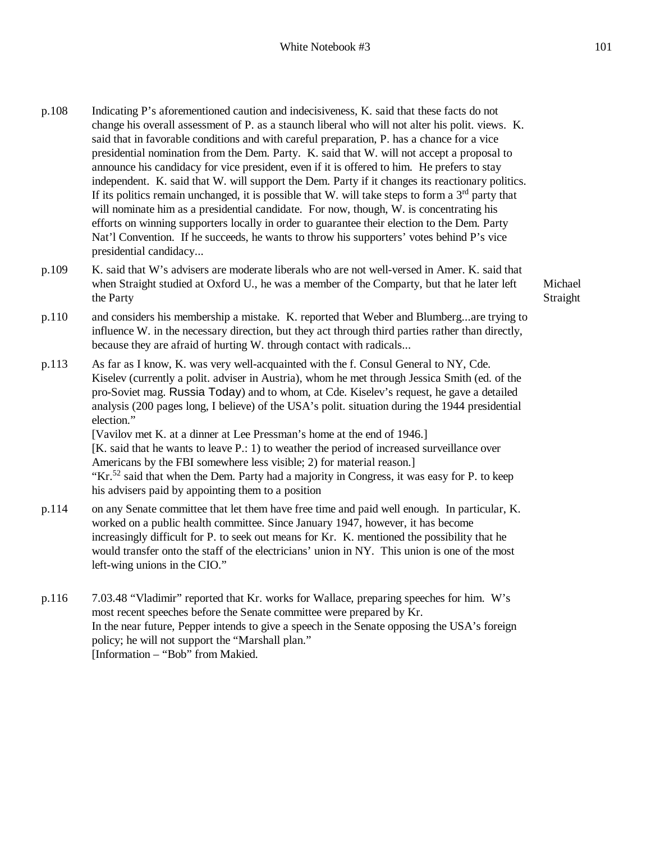- p.108 Indicating P's aforementioned caution and indecisiveness, K. said that these facts do not change his overall assessment of P. as a staunch liberal who will not alter his polit. views. K. said that in favorable conditions and with careful preparation, P. has a chance for a vice presidential nomination from the Dem. Party. K. said that W. will not accept a proposal to announce his candidacy for vice president, even if it is offered to him. He prefers to stay independent. K. said that W. will support the Dem. Party if it changes its reactionary politics. If its politics remain unchanged, it is possible that W. will take steps to form a  $3<sup>rd</sup>$  party that will nominate him as a presidential candidate. For now, though, W. is concentrating his efforts on winning supporters locally in order to guarantee their election to the Dem. Party Nat'l Convention. If he succeeds, he wants to throw his supporters' votes behind P's vice presidential candidacy...
- p.109 K. said that W's advisers are moderate liberals who are not well-versed in Amer. K. said that when Straight studied at Oxford U., he was a member of the Comparty, but that he later left the Party

Michael Straight

- p.110 and considers his membership a mistake. K. reported that Weber and Blumberg...are trying to influence W. in the necessary direction, but they act through third parties rather than directly, because they are afraid of hurting W. through contact with radicals...
- p.113 As far as I know, K. was very well-acquainted with the f. Consul General to NY, Cde. Kiselev (currently a polit. adviser in Austria), whom he met through Jessica Smith (ed. of the pro-Soviet mag. Russia Today) and to whom, at Cde. Kiselev's request, he gave a detailed analysis (200 pages long, I believe) of the USA's polit. situation during the 1944 presidential election." [Vavilov met K. at a dinner at Lee Pressman's home at the end of 1946.] [K. said that he wants to leave P.: 1) to weather the period of increased surveillance over Americans by the FBI somewhere less visible; 2) for material reason.] "Kr.<sup>52</sup> said that when the Dem. Party had a majority in Congress, it was easy for P. to keep his advisers paid by appointing them to a position
- p.114 on any Senate committee that let them have free time and paid well enough. In particular, K. worked on a public health committee. Since January 1947, however, it has become increasingly difficult for P. to seek out means for Kr. K. mentioned the possibility that he would transfer onto the staff of the electricians' union in NY. This union is one of the most left-wing unions in the CIO."
- p.116 7.03.48 "Vladimir" reported that Kr. works for Wallace, preparing speeches for him. W's most recent speeches before the Senate committee were prepared by Kr. In the near future, Pepper intends to give a speech in the Senate opposing the USA's foreign policy; he will not support the "Marshall plan." [Information – "Bob" from Makied.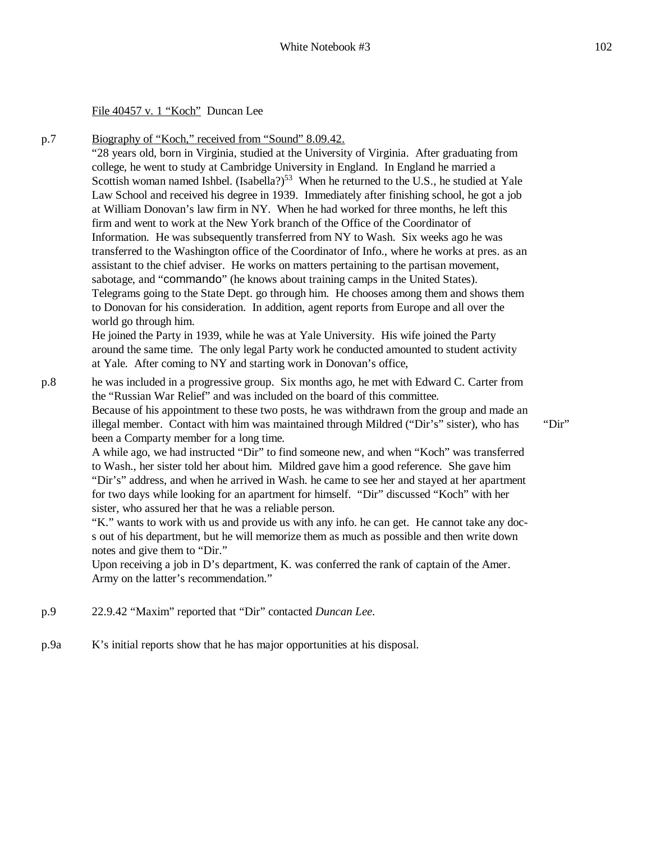File 40457 v. 1 "Koch" Duncan Lee

p.7

Biography of "Koch," received from "Sound" 8.09.42. "28 years old, born in Virginia, studied at the University of Virginia. After graduating from college, he went to study at Cambridge University in England. In England he married a Scottish woman named Ishbel. (Isabella?)<sup>53</sup> When he returned to the U.S., he studied at Yale Law School and received his degree in 1939. Immediately after finishing school, he got a job at William Donovan's law firm in NY. When he had worked for three months, he left this firm and went to work at the New York branch of the Office of the Coordinator of Information. He was subsequently transferred from NY to Wash. Six weeks ago he was transferred to the Washington office of the Coordinator of Info., where he works at pres. as an assistant to the chief adviser. He works on matters pertaining to the partisan movement, sabotage, and "commando" (he knows about training camps in the United States). Telegrams going to the State Dept. go through him. He chooses among them and shows them to Donovan for his consideration. In addition, agent reports from Europe and all over the world go through him.

He joined the Party in 1939, while he was at Yale University. His wife joined the Party around the same time. The only legal Party work he conducted amounted to student activity at Yale. After coming to NY and starting work in Donovan's office,

p.8 he was included in a progressive group. Six months ago, he met with Edward C. Carter from the "Russian War Relief" and was included on the board of this committee. Because of his appointment to these two posts, he was withdrawn from the group and made an illegal member. Contact with him was maintained through Mildred ("Dir's" sister), who has been a Comparty member for a long time.

"Dir"

A while ago, we had instructed "Dir" to find someone new, and when "Koch" was transferred to Wash., her sister told her about him. Mildred gave him a good reference. She gave him "Dir's" address, and when he arrived in Wash. he came to see her and stayed at her apartment for two days while looking for an apartment for himself. "Dir" discussed "Koch" with her sister, who assured her that he was a reliable person.

"K." wants to work with us and provide us with any info. he can get. He cannot take any docs out of his department, but he will memorize them as much as possible and then write down notes and give them to "Dir."

Upon receiving a job in D's department, K. was conferred the rank of captain of the Amer. Army on the latter's recommendation."

- p.9 22.9.42 "Maxim" reported that "Dir" contacted *Duncan Lee*.
- p.9a K's initial reports show that he has major opportunities at his disposal.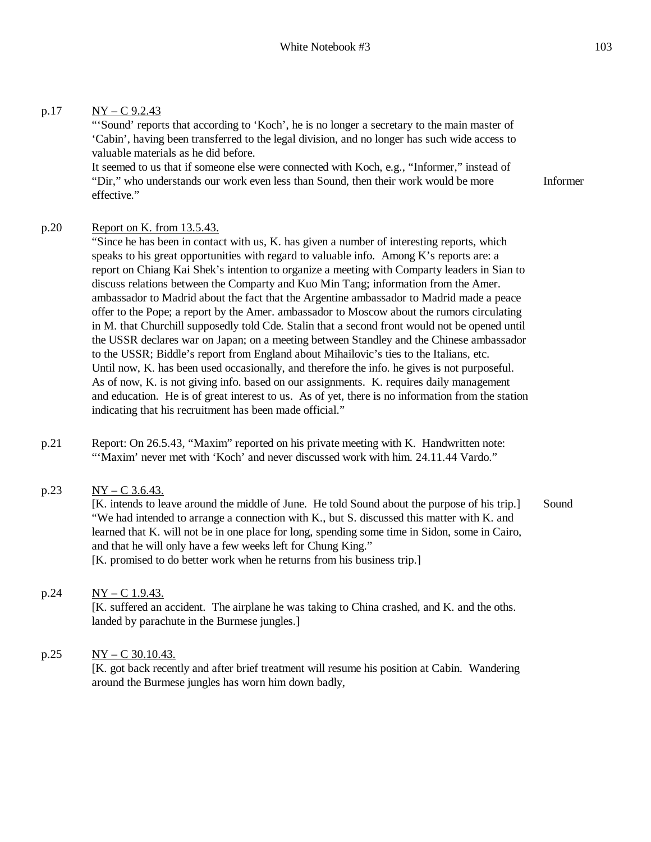### p.17  $NY - C$  9.2.43

"'Sound' reports that according to 'Koch', he is no longer a secretary to the main master of 'Cabin', having been transferred to the legal division, and no longer has such wide access to valuable materials as he did before.

It seemed to us that if someone else were connected with Koch, e.g., "Informer," instead of "Dir," who understands our work even less than Sound, then their work would be more effective."

#### Informer

#### p.20 Report on K. from 13.5.43.

"Since he has been in contact with us, K. has given a number of interesting reports, which speaks to his great opportunities with regard to valuable info. Among K's reports are: a report on Chiang Kai Shek's intention to organize a meeting with Comparty leaders in Sian to discuss relations between the Comparty and Kuo Min Tang; information from the Amer. ambassador to Madrid about the fact that the Argentine ambassador to Madrid made a peace offer to the Pope; a report by the Amer. ambassador to Moscow about the rumors circulating in M. that Churchill supposedly told Cde. Stalin that a second front would not be opened until the USSR declares war on Japan; on a meeting between Standley and the Chinese ambassador to the USSR; Biddle's report from England about Mihailovic's ties to the Italians, etc. Until now, K. has been used occasionally, and therefore the info. he gives is not purposeful. As of now, K. is not giving info. based on our assignments. K. requires daily management and education. He is of great interest to us. As of yet, there is no information from the station indicating that his recruitment has been made official."

p.21 Report: On 26.5.43, "Maxim" reported on his private meeting with K. Handwritten note: "'Maxim' never met with 'Koch' and never discussed work with him. 24.11.44 Vardo."

### p.23  $NY - C 3.6.43$ .

[K. intends to leave around the middle of June. He told Sound about the purpose of his trip.] "We had intended to arrange a connection with K., but S. discussed this matter with K. and learned that K. will not be in one place for long, spending some time in Sidon, some in Cairo, and that he will only have a few weeks left for Chung King." [K. promised to do better work when he returns from his business trip.] Sound

#### p.24  $NY - C$  1.9.43.

[K. suffered an accident. The airplane he was taking to China crashed, and K. and the oths. landed by parachute in the Burmese jungles.]

#### p.25  $NY - C$  30.10.43.

[K. got back recently and after brief treatment will resume his position at Cabin. Wandering around the Burmese jungles has worn him down badly,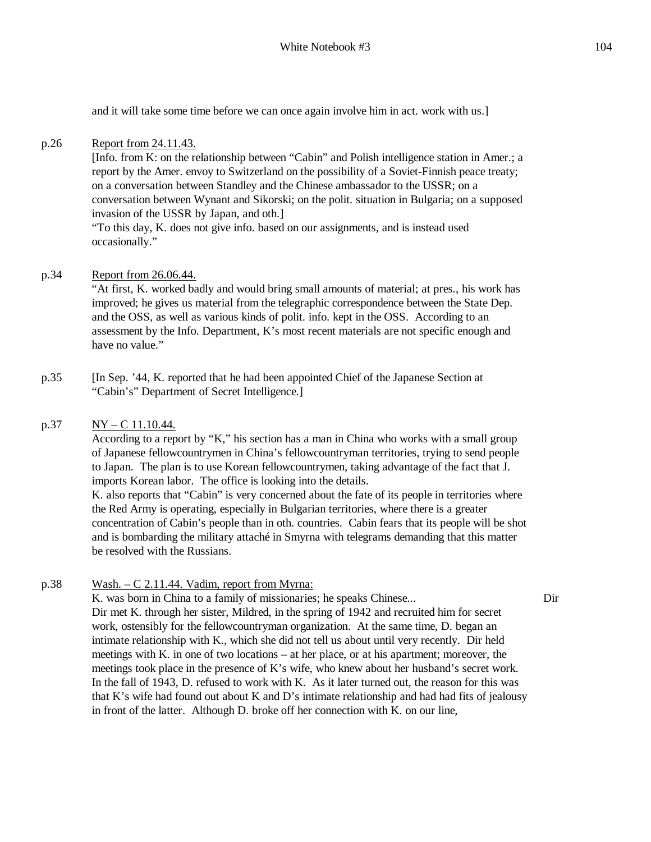and it will take some time before we can once again involve him in act. work with us.]

### p.26 Report from 24.11.43.

[Info. from K: on the relationship between "Cabin" and Polish intelligence station in Amer.; a report by the Amer. envoy to Switzerland on the possibility of a Soviet-Finnish peace treaty; on a conversation between Standley and the Chinese ambassador to the USSR; on a conversation between Wynant and Sikorski; on the polit. situation in Bulgaria; on a supposed invasion of the USSR by Japan, and oth.] "To this day, K. does not give info. based on our assignments, and is instead used occasionally."

### p.34 Report from 26.06.44.

"At first, K. worked badly and would bring small amounts of material; at pres., his work has improved; he gives us material from the telegraphic correspondence between the State Dep. and the OSS, as well as various kinds of polit. info. kept in the OSS. According to an assessment by the Info. Department, K's most recent materials are not specific enough and have no value."

p.35 [In Sep. '44, K. reported that he had been appointed Chief of the Japanese Section at "Cabin's" Department of Secret Intelligence.]

#### p.37  $NY - C$  11.10.44.

According to a report by "K," his section has a man in China who works with a small group of Japanese fellowcountrymen in China's fellowcountryman territories, trying to send people to Japan. The plan is to use Korean fellowcountrymen, taking advantage of the fact that J. imports Korean labor. The office is looking into the details.

K. also reports that "Cabin" is very concerned about the fate of its people in territories where the Red Army is operating, especially in Bulgarian territories, where there is a greater concentration of Cabin's people than in oth. countries. Cabin fears that its people will be shot and is bombarding the military attaché in Smyrna with telegrams demanding that this matter be resolved with the Russians.

#### p.38 Wash.  $-C$  2.11.44. Vadim, report from Myrna:

Dir

K. was born in China to a family of missionaries; he speaks Chinese... Dir met K. through her sister, Mildred, in the spring of 1942 and recruited him for secret work, ostensibly for the fellowcountryman organization. At the same time, D. began an intimate relationship with K., which she did not tell us about until very recently. Dir held meetings with K. in one of two locations – at her place, or at his apartment; moreover, the meetings took place in the presence of K's wife, who knew about her husband's secret work. In the fall of 1943, D. refused to work with K. As it later turned out, the reason for this was that K's wife had found out about K and D's intimate relationship and had had fits of jealousy in front of the latter. Although D. broke off her connection with K. on our line,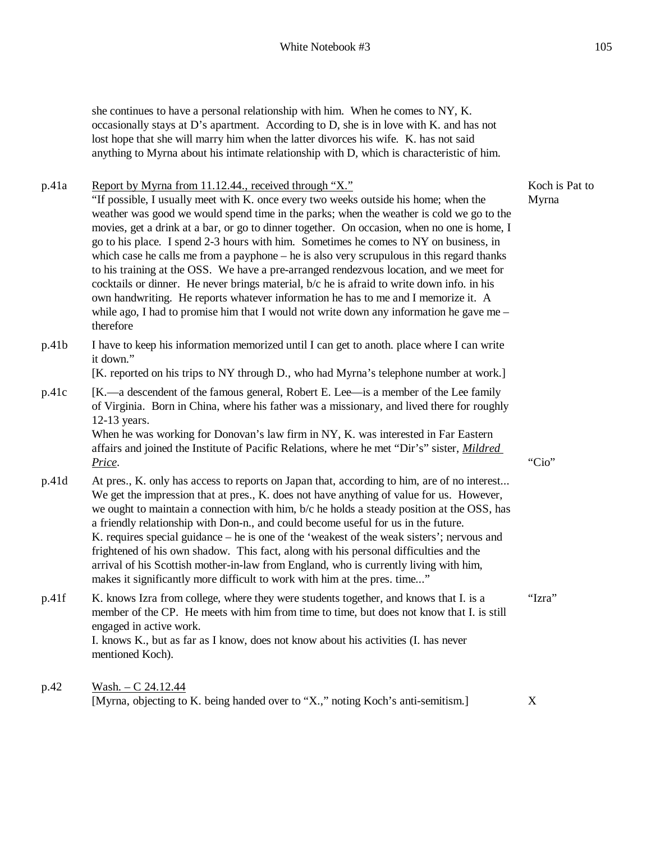she continues to have a personal relationship with him. When he comes to NY, K. occasionally stays at D's apartment. According to D, she is in love with K. and has not lost hope that she will marry him when the latter divorces his wife. K. has not said anything to Myrna about his intimate relationship with D, which is characteristic of him.

p.41a Report by Myrna from 11.12.44., received through "X." "If possible, I usually meet with K. once every two weeks outside his home; when the weather was good we would spend time in the parks; when the weather is cold we go to the movies, get a drink at a bar, or go to dinner together. On occasion, when no one is home, I go to his place. I spend 2-3 hours with him. Sometimes he comes to NY on business, in which case he calls me from a payphone – he is also very scrupulous in this regard thanks to his training at the OSS. We have a pre-arranged rendezvous location, and we meet for cocktails or dinner. He never brings material, b/c he is afraid to write down info. in his own handwriting. He reports whatever information he has to me and I memorize it. A while ago, I had to promise him that I would not write down any information he gave me – therefore Koch is Pat to Myrna

p.41b I have to keep his information memorized until I can get to anoth. place where I can write it down."

[K. reported on his trips to NY through D., who had Myrna's telephone number at work.]

p.41c [K.—a descendent of the famous general, Robert E. Lee—is a member of the Lee family of Virginia. Born in China, where his father was a missionary, and lived there for roughly 12-13 years.

When he was working for Donovan's law firm in NY, K. was interested in Far Eastern affairs and joined the Institute of Pacific Relations, where he met "Dir's" sister, *Mildred Price*. "Cio"

- p.41d At pres., K. only has access to reports on Japan that, according to him, are of no interest... We get the impression that at pres., K. does not have anything of value for us. However, we ought to maintain a connection with him, b/c he holds a steady position at the OSS, has a friendly relationship with Don-n., and could become useful for us in the future. K. requires special guidance – he is one of the 'weakest of the weak sisters'; nervous and frightened of his own shadow. This fact, along with his personal difficulties and the arrival of his Scottish mother-in-law from England, who is currently living with him, makes it significantly more difficult to work with him at the pres. time..."
- p.41f K. knows Izra from college, where they were students together, and knows that I. is a member of the CP. He meets with him from time to time, but does not know that I. is still engaged in active work. I. knows K., but as far as I know, does not know about his activities (I. has never mentioned Koch).
- p.42 Wash. C 24.12.44 [Myrna, objecting to K. being handed over to "X.," noting Koch's anti-semitism.] X

"Izra"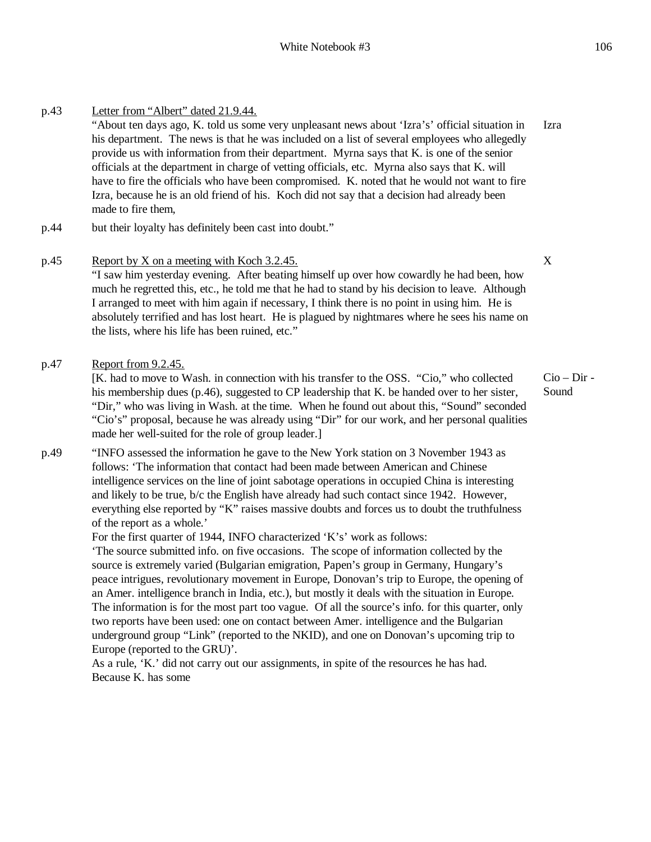p.43 Letter from "Albert" dated 21.9.44. "About ten days ago, K. told us some very unpleasant news about 'Izra's' official situation in his department. The news is that he was included on a list of several employees who allegedly provide us with information from their department. Myrna says that K. is one of the senior officials at the department in charge of vetting officials, etc. Myrna also says that K. will have to fire the officials who have been compromised. K. noted that he would not want to fire Izra, because he is an old friend of his. Koch did not say that a decision had already been made to fire them, Izra p.44 but their loyalty has definitely been cast into doubt."

# p.45 Report by X on a meeting with Koch 3.2.45.

"I saw him yesterday evening. After beating himself up over how cowardly he had been, how much he regretted this, etc., he told me that he had to stand by his decision to leave. Although I arranged to meet with him again if necessary, I think there is no point in using him. He is absolutely terrified and has lost heart. He is plagued by nightmares where he sees his name on the lists, where his life has been ruined, etc."

### p.47 Report from 9.2.45.

[K. had to move to Wash. in connection with his transfer to the OSS. "Cio," who collected his membership dues (p.46), suggested to CP leadership that K. be handed over to her sister, "Dir," who was living in Wash. at the time. When he found out about this, "Sound" seconded "Cio's" proposal, because he was already using "Dir" for our work, and her personal qualities made her well-suited for the role of group leader.]

p.49 "INFO assessed the information he gave to the New York station on 3 November 1943 as follows: 'The information that contact had been made between American and Chinese intelligence services on the line of joint sabotage operations in occupied China is interesting and likely to be true, b/c the English have already had such contact since 1942. However, everything else reported by "K" raises massive doubts and forces us to doubt the truthfulness of the report as a whole.'

For the first quarter of 1944, INFO characterized 'K's' work as follows:

'The source submitted info. on five occasions. The scope of information collected by the source is extremely varied (Bulgarian emigration, Papen's group in Germany, Hungary's peace intrigues, revolutionary movement in Europe, Donovan's trip to Europe, the opening of an Amer. intelligence branch in India, etc.), but mostly it deals with the situation in Europe. The information is for the most part too vague. Of all the source's info. for this quarter, only two reports have been used: one on contact between Amer. intelligence and the Bulgarian underground group "Link" (reported to the NKID), and one on Donovan's upcoming trip to Europe (reported to the GRU)'.

As a rule, 'K.' did not carry out our assignments, in spite of the resources he has had. Because K. has some

X

Cio – Dir - Sound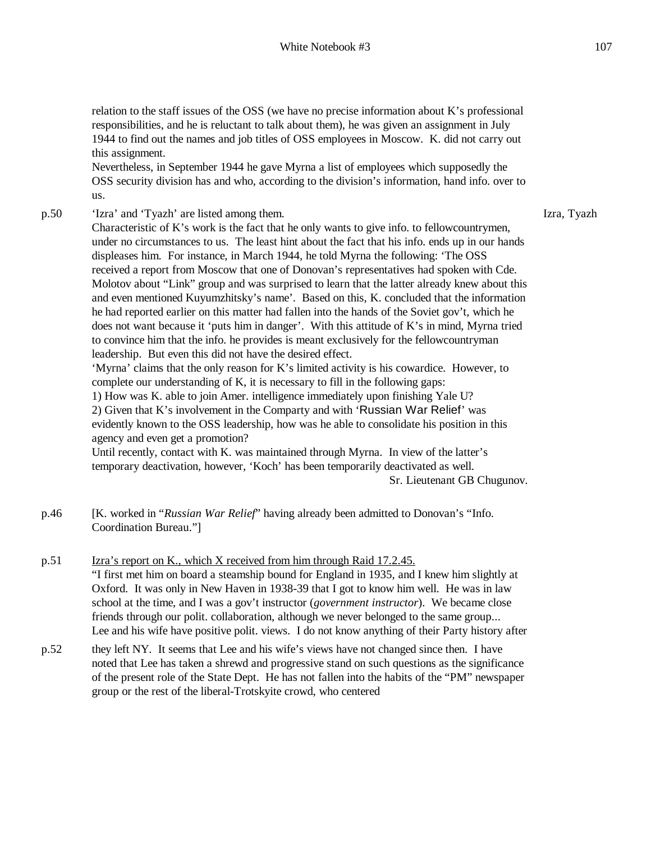relation to the staff issues of the OSS (we have no precise information about K's professional responsibilities, and he is reluctant to talk about them), he was given an assignment in July 1944 to find out the names and job titles of OSS employees in Moscow. K. did not carry out this assignment.

Nevertheless, in September 1944 he gave Myrna a list of employees which supposedly the OSS security division has and who, according to the division's information, hand info. over to us.

p.50 'Izra' and 'Tyazh' are listed among them.

Characteristic of K's work is the fact that he only wants to give info. to fellowcountrymen, under no circumstances to us. The least hint about the fact that his info. ends up in our hands displeases him. For instance, in March 1944, he told Myrna the following: 'The OSS received a report from Moscow that one of Donovan's representatives had spoken with Cde. Molotov about "Link" group and was surprised to learn that the latter already knew about this and even mentioned Kuyumzhitsky's name'. Based on this, K. concluded that the information he had reported earlier on this matter had fallen into the hands of the Soviet gov't, which he does not want because it 'puts him in danger'. With this attitude of K's in mind, Myrna tried to convince him that the info. he provides is meant exclusively for the fellowcountryman leadership. But even this did not have the desired effect.

'Myrna' claims that the only reason for K's limited activity is his cowardice. However, to complete our understanding of K, it is necessary to fill in the following gaps:

1) How was K. able to join Amer. intelligence immediately upon finishing Yale U?

2) Given that K's involvement in the Comparty and with 'Russian War Relief' was evidently known to the OSS leadership, how was he able to consolidate his position in this agency and even get a promotion?

Until recently, contact with K. was maintained through Myrna. In view of the latter's temporary deactivation, however, 'Koch' has been temporarily deactivated as well. Sr. Lieutenant GB Chugunov.

- p.46 [K. worked in "*Russian War Relief*" having already been admitted to Donovan's "Info. Coordination Bureau."]
- p.51 Izra's report on K., which X received from him through Raid 17.2.45. "I first met him on board a steamship bound for England in 1935, and I knew him slightly at Oxford. It was only in New Haven in 1938-39 that I got to know him well. He was in law school at the time, and I was a gov't instructor (*government instructor*). We became close friends through our polit. collaboration, although we never belonged to the same group... Lee and his wife have positive polit. views. I do not know anything of their Party history after
- p.52 they left NY. It seems that Lee and his wife's views have not changed since then. I have noted that Lee has taken a shrewd and progressive stand on such questions as the significance of the present role of the State Dept. He has not fallen into the habits of the "PM" newspaper group or the rest of the liberal-Trotskyite crowd, who centered

Izra, Tyazh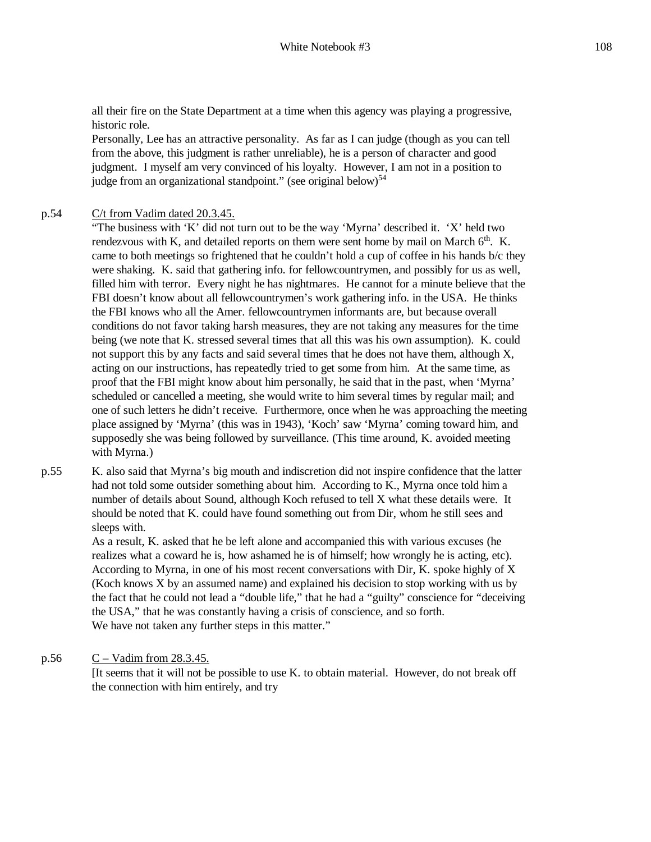all their fire on the State Department at a time when this agency was playing a progressive, historic role.

Personally, Lee has an attractive personality. As far as I can judge (though as you can tell from the above, this judgment is rather unreliable), he is a person of character and good judgment. I myself am very convinced of his loyalty. However, I am not in a position to judge from an organizational standpoint." (see original below)<sup>54</sup>

#### p.54 C/t from Vadim dated 20.3.45.

"The business with 'K' did not turn out to be the way 'Myrna' described it. 'X' held two rendezvous with K, and detailed reports on them were sent home by mail on March  $6<sup>th</sup>$ . K. came to both meetings so frightened that he couldn't hold a cup of coffee in his hands b/c they were shaking. K. said that gathering info. for fellowcountrymen, and possibly for us as well, filled him with terror. Every night he has nightmares. He cannot for a minute believe that the FBI doesn't know about all fellowcountrymen's work gathering info. in the USA. He thinks the FBI knows who all the Amer. fellowcountrymen informants are, but because overall conditions do not favor taking harsh measures, they are not taking any measures for the time being (we note that K. stressed several times that all this was his own assumption). K. could not support this by any facts and said several times that he does not have them, although X, acting on our instructions, has repeatedly tried to get some from him. At the same time, as proof that the FBI might know about him personally, he said that in the past, when 'Myrna' scheduled or cancelled a meeting, she would write to him several times by regular mail; and one of such letters he didn't receive. Furthermore, once when he was approaching the meeting place assigned by 'Myrna' (this was in 1943), 'Koch' saw 'Myrna' coming toward him, and supposedly she was being followed by surveillance. (This time around, K. avoided meeting with Myrna.)

p.55 K. also said that Myrna's big mouth and indiscretion did not inspire confidence that the latter had not told some outsider something about him. According to K., Myrna once told him a number of details about Sound, although Koch refused to tell X what these details were. It should be noted that K. could have found something out from Dir, whom he still sees and sleeps with.

> As a result, K. asked that he be left alone and accompanied this with various excuses (he realizes what a coward he is, how ashamed he is of himself; how wrongly he is acting, etc). According to Myrna, in one of his most recent conversations with Dir, K. spoke highly of X (Koch knows X by an assumed name) and explained his decision to stop working with us by the fact that he could not lead a "double life," that he had a "guilty" conscience for "deceiving the USA," that he was constantly having a crisis of conscience, and so forth. We have not taken any further steps in this matter."

#### p.56  $C - V$ adim from 28.3.45.

[It seems that it will not be possible to use K. to obtain material. However, do not break off the connection with him entirely, and try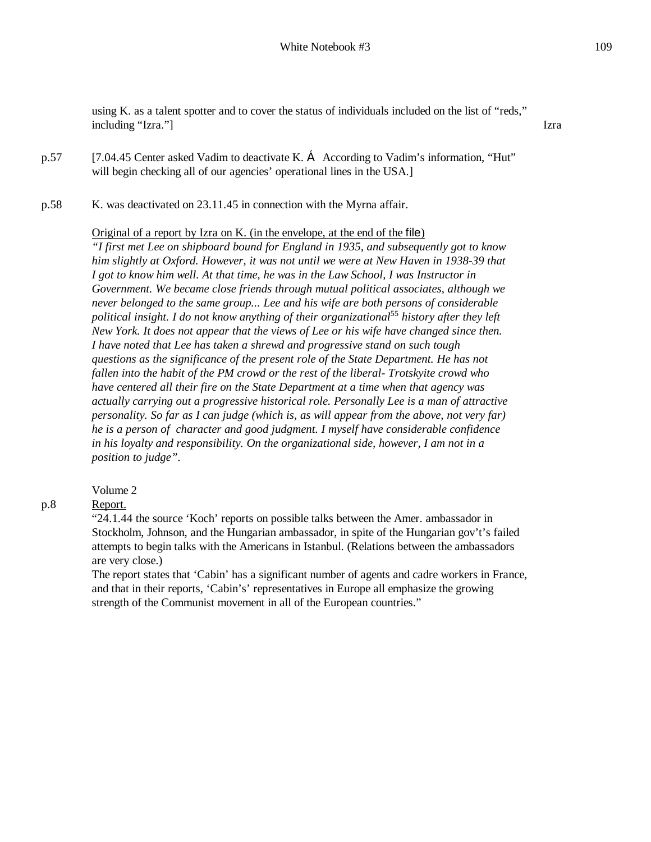using K. as a talent spotter and to cover the status of individuals included on the list of "reds," including "Izra."] Izra

- p.57 [7.04.45 Center asked Vadim to deactivate K.  $\bf{C}$  According to Vadim's information, "Hut" will begin checking all of our agencies' operational lines in the USA.]
- p.58 K. was deactivated on 23.11.45 in connection with the Myrna affair.

### Original of a report by Izra on K. (in the envelope, at the end of the file)

*"I first met Lee on shipboard bound for England in 1935, and subsequently got to know him slightly at Oxford. However, it was not until we were at New Haven in 1938-39 that I got to know him well. At that time, he was in the Law School, I was Instructor in Government. We became close friends through mutual political associates, although we never belonged to the same group... Lee and his wife are both persons of considerable political insight. I do not know anything of their organizational*<sup>55</sup> *history after they left New York. It does not appear that the views of Lee or his wife have changed since then. I have noted that Lee has taken a shrewd and progressive stand on such tough questions as the significance of the present role of the State Department. He has not fallen into the habit of the PM crowd or the rest of the liberal- Trotskyite crowd who have centered all their fire on the State Department at a time when that agency was actually carrying out a progressive historical role. Personally Lee is a man of attractive personality. So far as I can judge (which is, as will appear from the above, not very far) he is a person of character and good judgment. I myself have considerable confidence in his loyalty and responsibility. On the organizational side, however, I am not in a position to judge".*

### Volume 2

Report.

"24.1.44 the source 'Koch' reports on possible talks between the Amer. ambassador in Stockholm, Johnson, and the Hungarian ambassador, in spite of the Hungarian gov't's failed attempts to begin talks with the Americans in Istanbul. (Relations between the ambassadors are very close.)

The report states that 'Cabin' has a significant number of agents and cadre workers in France, and that in their reports, 'Cabin's' representatives in Europe all emphasize the growing strength of the Communist movement in all of the European countries."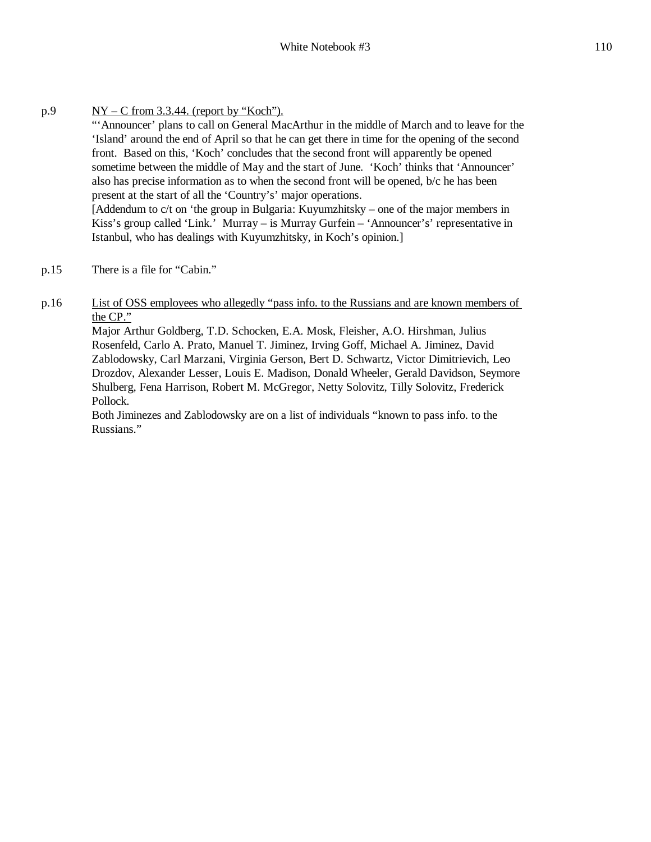- $p.9$  NY C from 3.3.44. (report by "Koch"). "'Announcer' plans to call on General MacArthur in the middle of March and to leave for the 'Island' around the end of April so that he can get there in time for the opening of the second front. Based on this, 'Koch' concludes that the second front will apparently be opened sometime between the middle of May and the start of June. 'Koch' thinks that 'Announcer' also has precise information as to when the second front will be opened, b/c he has been present at the start of all the 'Country's' major operations. [Addendum to c/t on 'the group in Bulgaria: Kuyumzhitsky – one of the major members in Kiss's group called 'Link.' Murray – is Murray Gurfein – 'Announcer's' representative in Istanbul, who has dealings with Kuyumzhitsky, in Koch's opinion.]
- p.15 There is a file for "Cabin."
- p.16 List of OSS employees who allegedly "pass info. to the Russians and are known members of the CP."

Major Arthur Goldberg, T.D. Schocken, E.A. Mosk, Fleisher, A.O. Hirshman, Julius Rosenfeld, Carlo A. Prato, Manuel T. Jiminez, Irving Goff, Michael A. Jiminez, David Zablodowsky, Carl Marzani, Virginia Gerson, Bert D. Schwartz, Victor Dimitrievich, Leo Drozdov, Alexander Lesser, Louis E. Madison, Donald Wheeler, Gerald Davidson, Seymore Shulberg, Fena Harrison, Robert M. McGregor, Netty Solovitz, Tilly Solovitz, Frederick Pollock.

Both Jiminezes and Zablodowsky are on a list of individuals "known to pass info. to the Russians."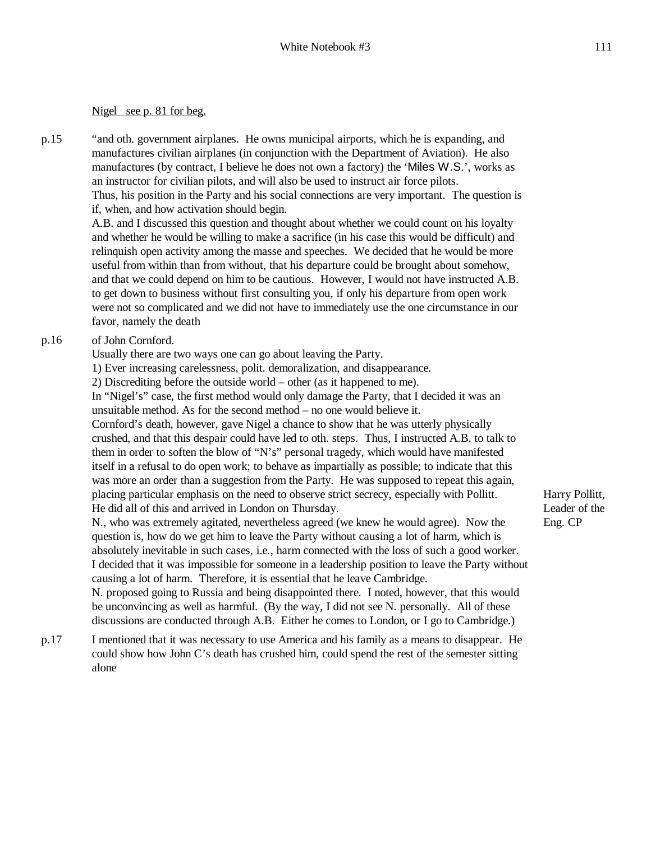#### Nigel see p. 81 for beg.

p.15 "and oth. government airplanes. He owns municipal airports, which he is expanding, and manufactures civilian airplanes (in conjunction with the Department of Aviation). He also manufactures (by contract, I believe he does not own a factory) the 'Miles W.S.', works as an instructor for civilian pilots, and will also be used to instruct air force pilots. Thus, his position in the Party and his social connections are very important. The question is if, when, and how activation should begin. A.B. and I discussed this question and thought about whether we could count on his loyalty and whether he would be willing to make a sacrifice (in his case this would be difficult) and relinquish open activity among the masse and speeches. We decided that he would be more

useful from within than from without, that his departure could be brought about somehow, and that we could depend on him to be cautious. However, I would not have instructed A.B. to get down to business without first consulting you, if only his departure from open work were not so complicated and we did not have to immediately use the one circumstance in our favor, namely the death

### p.16 of John Cornford.

Usually there are two ways one can go about leaving the Party.

1) Ever increasing carelessness, polit. demoralization, and disappearance.

2) Discrediting before the outside world – other (as it happened to me).

In "Nigel's" case, the first method would only damage the Party, that I decided it was an unsuitable method. As for the second method – no one would believe it.

Cornford's death, however, gave Nigel a chance to show that he was utterly physically crushed, and that this despair could have led to oth. steps. Thus, I instructed A.B. to talk to them in order to soften the blow of "N's" personal tragedy, which would have manifested itself in a refusal to do open work; to behave as impartially as possible; to indicate that this was more an order than a suggestion from the Party. He was supposed to repeat this again, placing particular emphasis on the need to observe strict secrecy, especially with Pollitt. He did all of this and arrived in London on Thursday.

N., who was extremely agitated, nevertheless agreed (we knew he would agree). Now the question is, how do we get him to leave the Party without causing a lot of harm, which is absolutely inevitable in such cases, i.e., harm connected with the loss of such a good worker. I decided that it was impossible for someone in a leadership position to leave the Party without causing a lot of harm. Therefore, it is essential that he leave Cambridge.

N. proposed going to Russia and being disappointed there. I noted, however, that this would be unconvincing as well as harmful. (By the way, I did not see N. personally. All of these discussions are conducted through A.B. Either he comes to London, or I go to Cambridge.)

p.17 I mentioned that it was necessary to use America and his family as a means to disappear. He could show how John C's death has crushed him, could spend the rest of the semester sitting alone

Harry Pollitt, Leader of the Eng. CP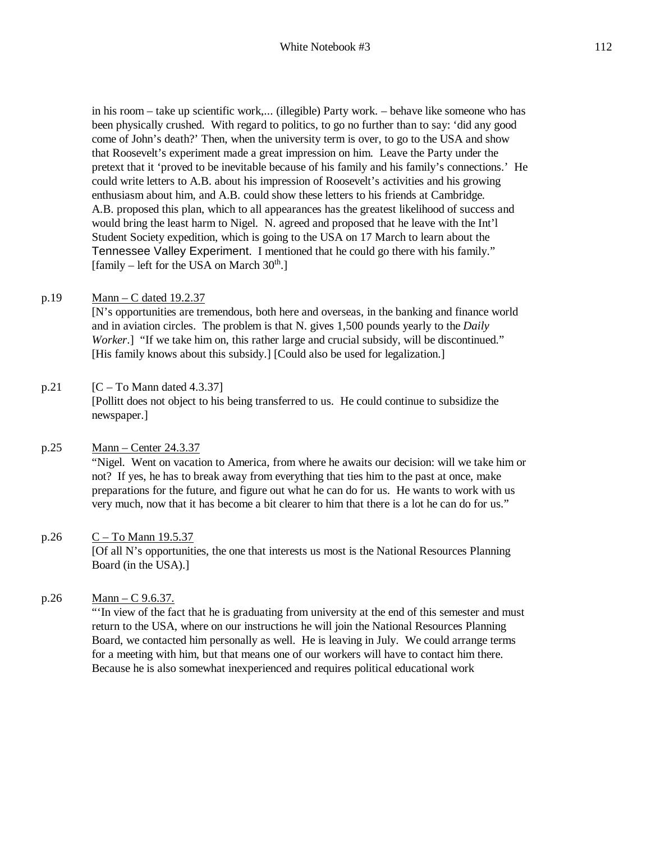in his room – take up scientific work,... (illegible) Party work. – behave like someone who has been physically crushed. With regard to politics, to go no further than to say: 'did any good come of John's death?' Then, when the university term is over, to go to the USA and show that Roosevelt's experiment made a great impression on him. Leave the Party under the pretext that it 'proved to be inevitable because of his family and his family's connections.' He could write letters to A.B. about his impression of Roosevelt's activities and his growing enthusiasm about him, and A.B. could show these letters to his friends at Cambridge. A.B. proposed this plan, which to all appearances has the greatest likelihood of success and would bring the least harm to Nigel. N. agreed and proposed that he leave with the Int'l Student Society expedition, which is going to the USA on 17 March to learn about the Tennessee Valley Experiment. I mentioned that he could go there with his family." [family – left for the USA on March  $30<sup>th</sup>$ .]

### p.19 Mann – C dated 19.2.37

[N's opportunities are tremendous, both here and overseas, in the banking and finance world and in aviation circles. The problem is that N. gives 1,500 pounds yearly to the *Daily Worker*.] "If we take him on, this rather large and crucial subsidy, will be discontinued." [His family knows about this subsidy.] [Could also be used for legalization.]

### p.21  $[C - To Mann dated 4.3.37]$

[Pollitt does not object to his being transferred to us. He could continue to subsidize the newspaper.]

### p.25 Mann – Center 24.3.37

"Nigel. Went on vacation to America, from where he awaits our decision: will we take him or not? If yes, he has to break away from everything that ties him to the past at once, make preparations for the future, and figure out what he can do for us. He wants to work with us very much, now that it has become a bit clearer to him that there is a lot he can do for us."

### p.26 C – To Mann 19.5.37

[Of all N's opportunities, the one that interests us most is the National Resources Planning Board (in the USA).]

### p.26 Mann – C 9.6.37.

"'In view of the fact that he is graduating from university at the end of this semester and must return to the USA, where on our instructions he will join the National Resources Planning Board, we contacted him personally as well. He is leaving in July. We could arrange terms for a meeting with him, but that means one of our workers will have to contact him there. Because he is also somewhat inexperienced and requires political educational work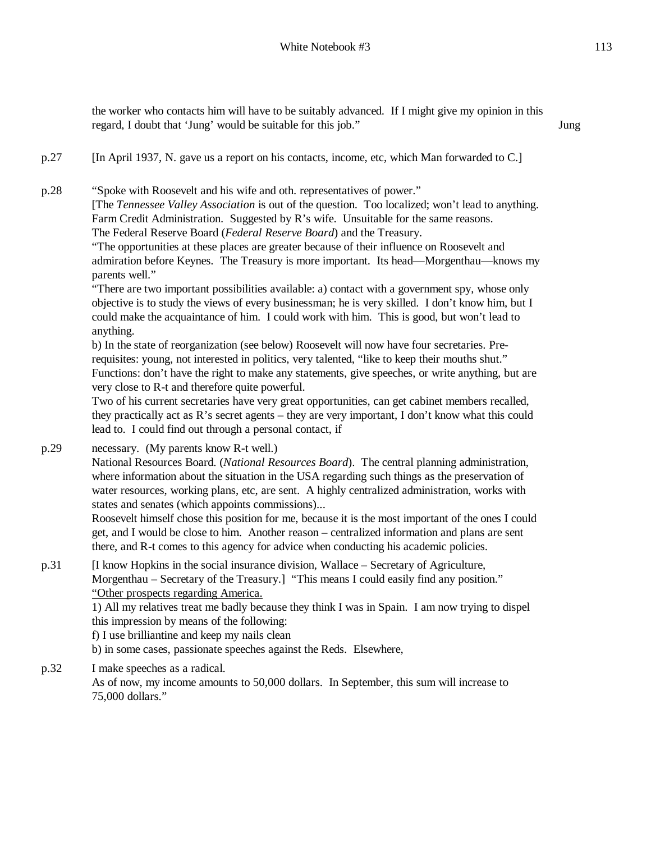the worker who contacts him will have to be suitably advanced. If I might give my opinion in this regard, I doubt that 'Jung' would be suitable for this job." Jung

p.27 [In April 1937, N. gave us a report on his contacts, income, etc, which Man forwarded to C.]

p.28 "Spoke with Roosevelt and his wife and oth. representatives of power." [The *Tennessee Valley Association* is out of the question. Too localized; won't lead to anything. Farm Credit Administration. Suggested by R's wife. Unsuitable for the same reasons. The Federal Reserve Board (*Federal Reserve Board*) and the Treasury.

"The opportunities at these places are greater because of their influence on Roosevelt and admiration before Keynes. The Treasury is more important. Its head—Morgenthau—knows my parents well."

"There are two important possibilities available: a) contact with a government spy, whose only objective is to study the views of every businessman; he is very skilled. I don't know him, but I could make the acquaintance of him. I could work with him. This is good, but won't lead to anything.

b) In the state of reorganization (see below) Roosevelt will now have four secretaries. Prerequisites: young, not interested in politics, very talented, "like to keep their mouths shut." Functions: don't have the right to make any statements, give speeches, or write anything, but are very close to R-t and therefore quite powerful.

Two of his current secretaries have very great opportunities, can get cabinet members recalled, they practically act as R's secret agents – they are very important, I don't know what this could lead to. I could find out through a personal contact, if

p.29 necessary. (My parents know R-t well.)

National Resources Board. (*National Resources Board*). The central planning administration, where information about the situation in the USA regarding such things as the preservation of water resources, working plans, etc, are sent. A highly centralized administration, works with states and senates (which appoints commissions)...

Roosevelt himself chose this position for me, because it is the most important of the ones I could get, and I would be close to him. Another reason – centralized information and plans are sent there, and R-t comes to this agency for advice when conducting his academic policies.

p.31 [I know Hopkins in the social insurance division, Wallace – Secretary of Agriculture, Morgenthau – Secretary of the Treasury.] "This means I could easily find any position." "Other prospects regarding America.

1) All my relatives treat me badly because they think I was in Spain. I am now trying to dispel this impression by means of the following:

f) I use brilliantine and keep my nails clean

b) in some cases, passionate speeches against the Reds. Elsewhere,

p.32 I make speeches as a radical.

As of now, my income amounts to 50,000 dollars. In September, this sum will increase to 75,000 dollars."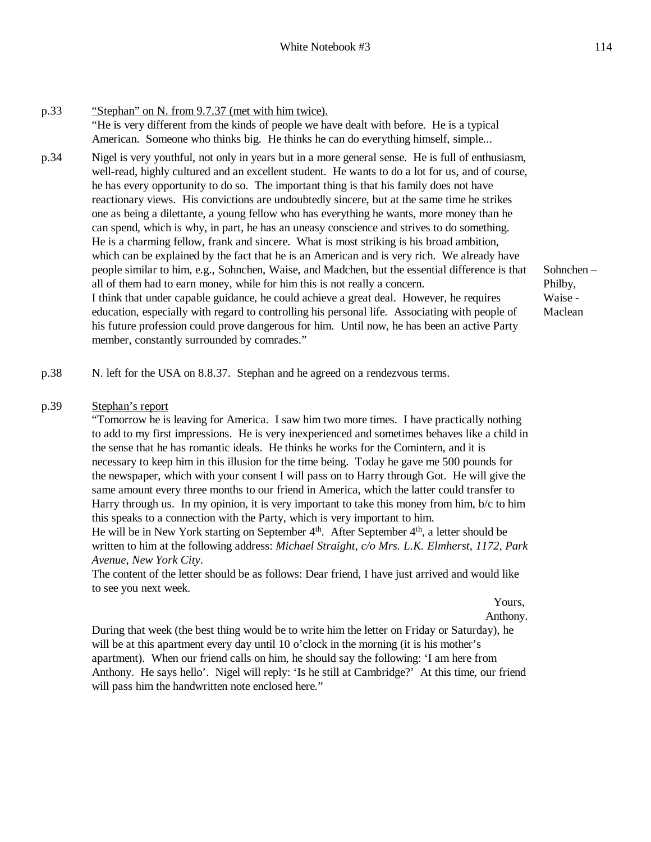p.33 "Stephan" on N. from 9.7.37 (met with him twice). "He is very different from the kinds of people we have dealt with before. He is a typical American. Someone who thinks big. He thinks he can do everything himself, simple... p.34 Nigel is very youthful, not only in years but in a more general sense. He is full of enthusiasm, well-read, highly cultured and an excellent student. He wants to do a lot for us, and of course, he has every opportunity to do so. The important thing is that his family does not have reactionary views. His convictions are undoubtedly sincere, but at the same time he strikes one as being a dilettante, a young fellow who has everything he wants, more money than he can spend, which is why, in part, he has an uneasy conscience and strives to do something. He is a charming fellow, frank and sincere. What is most striking is his broad ambition, which can be explained by the fact that he is an American and is very rich. We already have people similar to him, e.g., Sohnchen, Waise, and Madchen, but the essential difference is that all of them had to earn money, while for him this is not really a concern. I think that under capable guidance, he could achieve a great deal. However, he requires education, especially with regard to controlling his personal life. Associating with people of his future profession could prove dangerous for him. Until now, he has been an active Party member, constantly surrounded by comrades."

Sohnchen – Philby, Waise - Maclean

p.38 N. left for the USA on 8.8.37. Stephan and he agreed on a rendezvous terms.

#### p.39 Stephan's report

"Tomorrow he is leaving for America. I saw him two more times. I have practically nothing to add to my first impressions. He is very inexperienced and sometimes behaves like a child in the sense that he has romantic ideals. He thinks he works for the Comintern, and it is necessary to keep him in this illusion for the time being. Today he gave me 500 pounds for the newspaper, which with your consent I will pass on to Harry through Got. He will give the same amount every three months to our friend in America, which the latter could transfer to Harry through us. In my opinion, it is very important to take this money from him, b/c to him this speaks to a connection with the Party, which is very important to him.

He will be in New York starting on September  $4<sup>th</sup>$ . After September  $4<sup>th</sup>$ , a letter should be written to him at the following address: *Michael Straight, c/o Mrs. L.K. Elmherst, 1172, Park Avenue, New York City*.

The content of the letter should be as follows: Dear friend, I have just arrived and would like to see you next week.

Yours,

Anthony.

During that week (the best thing would be to write him the letter on Friday or Saturday), he will be at this apartment every day until 10 o'clock in the morning (it is his mother's apartment). When our friend calls on him, he should say the following: 'I am here from Anthony. He says hello'. Nigel will reply: 'Is he still at Cambridge?' At this time, our friend will pass him the handwritten note enclosed here."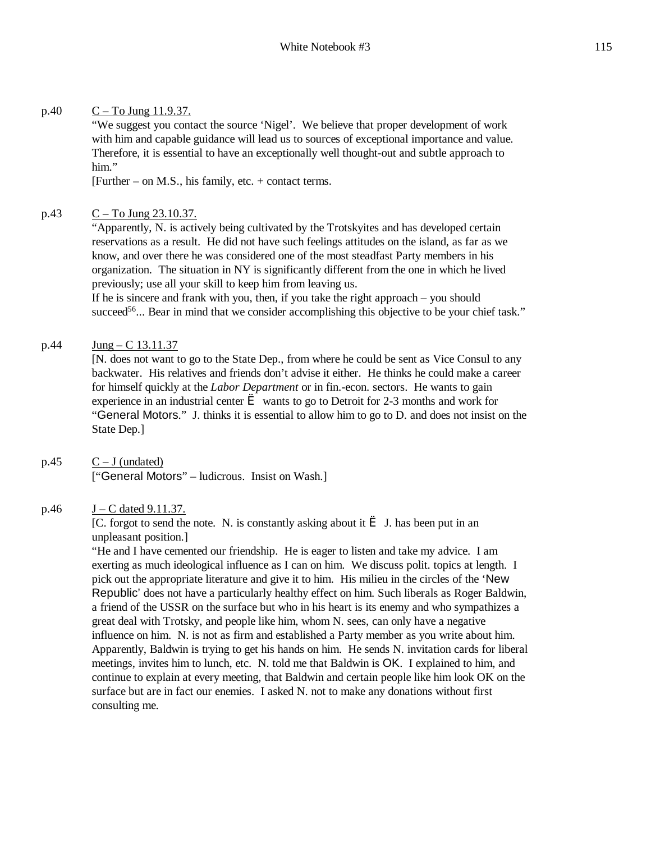### p.40  $C - To Jung 11.9.37.$

"We suggest you contact the source 'Nigel'. We believe that proper development of work with him and capable guidance will lead us to sources of exceptional importance and value. Therefore, it is essential to have an exceptionally well thought-out and subtle approach to him."

[Further – on M.S., his family, etc. + contact terms.

### p.43  $C - To Jung 23.10.37.$

"Apparently, N. is actively being cultivated by the Trotskyites and has developed certain reservations as a result. He did not have such feelings attitudes on the island, as far as we know, and over there he was considered one of the most steadfast Party members in his organization. The situation in NY is significantly different from the one in which he lived previously; use all your skill to keep him from leaving us.

If he is sincere and frank with you, then, if you take the right approach – you should succeed<sup>56</sup>... Bear in mind that we consider accomplishing this objective to be your chief task."

### p.44 Jung – C 13.11.37

[N. does not want to go to the State Dep., from where he could be sent as Vice Consul to any backwater. His relatives and friends don't advise it either. He thinks he could make a career for himself quickly at the *Labor Department* or in fin.-econ. sectors. He wants to gain experience in an industrial center  $\geq$  wants to go to Detroit for 2-3 months and work for "General Motors." J. thinks it is essential to allow him to go to D. and does not insist on the State Dep.]

# $p.45$   $C - J$  (undated)

["General Motors" – ludicrous. Insist on Wash.]

### p.46  $J - C$  dated 9.11.37.

[C. forgot to send the note. N. is constantly asking about it  $\hat{e}$  J. has been put in an unpleasant position.]

"He and I have cemented our friendship. He is eager to listen and take my advice. I am exerting as much ideological influence as I can on him. We discuss polit. topics at length. I pick out the appropriate literature and give it to him. His milieu in the circles of the 'New Republic' does not have a particularly healthy effect on him. Such liberals as Roger Baldwin, a friend of the USSR on the surface but who in his heart is its enemy and who sympathizes a great deal with Trotsky, and people like him, whom N. sees, can only have a negative influence on him. N. is not as firm and established a Party member as you write about him. Apparently, Baldwin is trying to get his hands on him. He sends N. invitation cards for liberal meetings, invites him to lunch, etc. N. told me that Baldwin is OK. I explained to him, and continue to explain at every meeting, that Baldwin and certain people like him look OK on the surface but are in fact our enemies. I asked N. not to make any donations without first consulting me.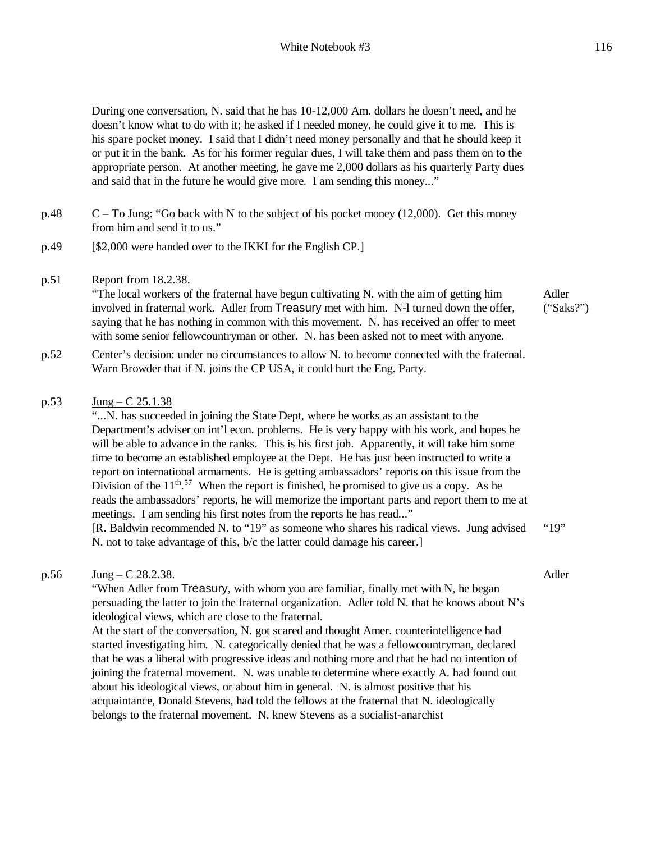During one conversation, N. said that he has 10-12,000 Am. dollars he doesn't need, and he doesn't know what to do with it; he asked if I needed money, he could give it to me. This is his spare pocket money. I said that I didn't need money personally and that he should keep it or put it in the bank. As for his former regular dues, I will take them and pass them on to the appropriate person. At another meeting, he gave me 2,000 dollars as his quarterly Party dues and said that in the future he would give more. I am sending this money..."

- $p.48$  C To Jung: "Go back with N to the subject of his pocket money (12,000). Get this money from him and send it to us."
- p.49 [\$2,000 were handed over to the IKKI for the English CP.]

### p.51 Report from 18.2.38.

"The local workers of the fraternal have begun cultivating N. with the aim of getting him involved in fraternal work. Adler from Treasury met with him. N-l turned down the offer, saying that he has nothing in common with this movement. N. has received an offer to meet with some senior fellowcountryman or other. N. has been asked not to meet with anyone.

Adler ("Saks?")

p.52 Center's decision: under no circumstances to allow N. to become connected with the fraternal. Warn Browder that if N. joins the CP USA, it could hurt the Eng. Party.

### p.53 Jung – C 25.1.38

"...N. has succeeded in joining the State Dept, where he works as an assistant to the Department's adviser on int'l econ. problems. He is very happy with his work, and hopes he will be able to advance in the ranks. This is his first job. Apparently, it will take him some time to become an established employee at the Dept. He has just been instructed to write a report on international armaments. He is getting ambassadors' reports on this issue from the Division of the  $11^{th}$ .<sup>57</sup> When the report is finished, he promised to give us a copy. As he reads the ambassadors' reports, he will memorize the important parts and report them to me at meetings. I am sending his first notes from the reports he has read..." [R. Baldwin recommended N. to "19" as someone who shares his radical views. Jung advised N. not to take advantage of this, b/c the latter could damage his career.] "19"

#### p.56  $Jung - C$  28.2.38.

Adler

"When Adler from Treasury, with whom you are familiar, finally met with N, he began persuading the latter to join the fraternal organization. Adler told N. that he knows about N's ideological views, which are close to the fraternal.

At the start of the conversation, N. got scared and thought Amer. counterintelligence had started investigating him. N. categorically denied that he was a fellowcountryman, declared that he was a liberal with progressive ideas and nothing more and that he had no intention of joining the fraternal movement. N. was unable to determine where exactly A. had found out about his ideological views, or about him in general. N. is almost positive that his acquaintance, Donald Stevens, had told the fellows at the fraternal that N. ideologically belongs to the fraternal movement. N. knew Stevens as a socialist-anarchist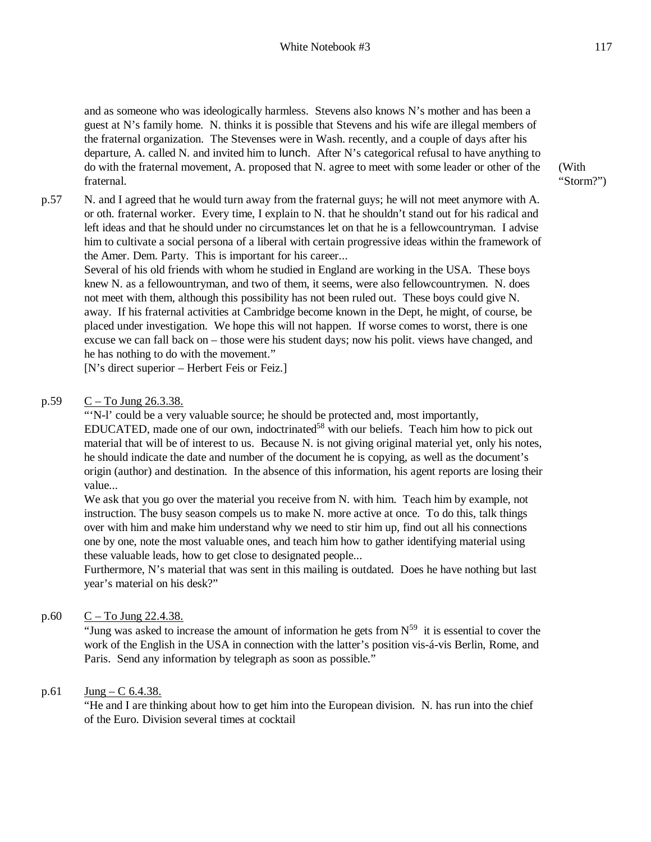and as someone who was ideologically harmless. Stevens also knows N's mother and has been a guest at N's family home. N. thinks it is possible that Stevens and his wife are illegal members of the fraternal organization. The Stevenses were in Wash. recently, and a couple of days after his departure, A. called N. and invited him to lunch. After N's categorical refusal to have anything to do with the fraternal movement, A. proposed that N. agree to meet with some leader or other of the fraternal.

p.57 N. and I agreed that he would turn away from the fraternal guys; he will not meet anymore with A. or oth. fraternal worker. Every time, I explain to N. that he shouldn't stand out for his radical and left ideas and that he should under no circumstances let on that he is a fellowcountryman. I advise him to cultivate a social persona of a liberal with certain progressive ideas within the framework of the Amer. Dem. Party. This is important for his career...

Several of his old friends with whom he studied in England are working in the USA. These boys knew N. as a fellowountryman, and two of them, it seems, were also fellowcountrymen. N. does not meet with them, although this possibility has not been ruled out. These boys could give N. away. If his fraternal activities at Cambridge become known in the Dept, he might, of course, be placed under investigation. We hope this will not happen. If worse comes to worst, there is one excuse we can fall back on – those were his student days; now his polit. views have changed, and he has nothing to do with the movement."

[N's direct superior – Herbert Feis or Feiz.]

p.59  $C - To Jung 26.3.38.$ 

"'N-l' could be a very valuable source; he should be protected and, most importantly,  $EDUCATED$ , made one of our own, indoctrinated<sup>58</sup> with our beliefs. Teach him how to pick out material that will be of interest to us. Because N. is not giving original material yet, only his notes, he should indicate the date and number of the document he is copying, as well as the document's origin (author) and destination. In the absence of this information, his agent reports are losing their value...

We ask that you go over the material you receive from N. with him. Teach him by example, not instruction. The busy season compels us to make N. more active at once. To do this, talk things over with him and make him understand why we need to stir him up, find out all his connections one by one, note the most valuable ones, and teach him how to gather identifying material using these valuable leads, how to get close to designated people...

Furthermore, N's material that was sent in this mailing is outdated. Does he have nothing but last year's material on his desk?"

p.60  $C - To Jung 22.4.38.$ 

"Jung was asked to increase the amount of information he gets from  $N^{59}$  it is essential to cover the work of the English in the USA in connection with the latter's position vis-á-vis Berlin, Rome, and Paris. Send any information by telegraph as soon as possible."

### p.61  $Jung - C$  6.4.38.

"He and I are thinking about how to get him into the European division. N. has run into the chief of the Euro. Division several times at cocktail

(With "Storm?")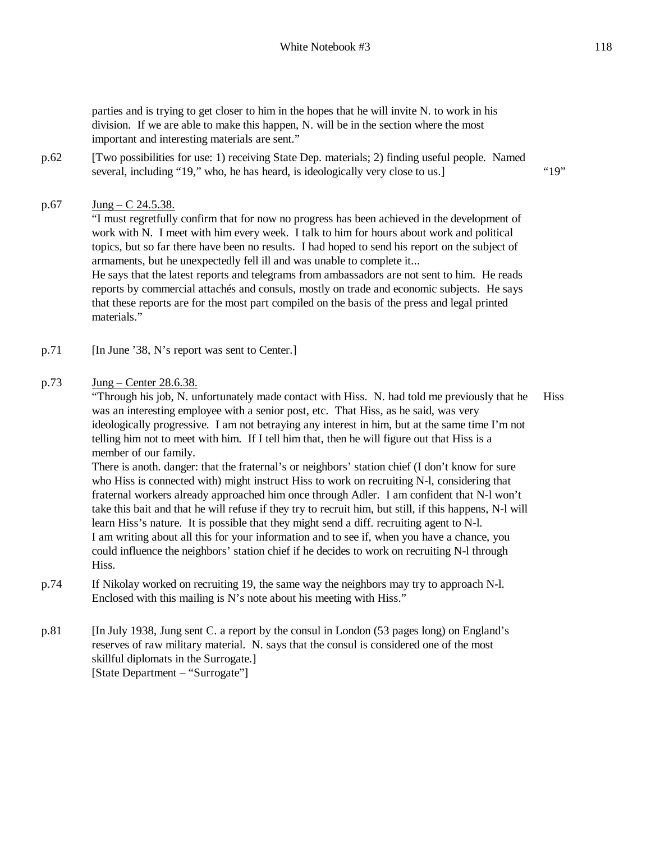parties and is trying to get closer to him in the hopes that he will invite N. to work in his division. If we are able to make this happen, N. will be in the section where the most important and interesting materials are sent."

p.62 [Two possibilities for use: 1) receiving State Dep. materials; 2) finding useful people. Named several, including "19," who, he has heard, is ideologically very close to us.] "19"

### p.67 Jung – C 24.5.38.

"I must regretfully confirm that for now no progress has been achieved in the development of work with N. I meet with him every week. I talk to him for hours about work and political topics, but so far there have been no results. I had hoped to send his report on the subject of armaments, but he unexpectedly fell ill and was unable to complete it... He says that the latest reports and telegrams from ambassadors are not sent to him. He reads reports by commercial attachés and consuls, mostly on trade and economic subjects. He says that these reports are for the most part compiled on the basis of the press and legal printed materials."

- p.71 [In June '38, N's report was sent to Center.]
- p.73 Jung Center 28.6.38.

"Through his job, N. unfortunately made contact with Hiss. N. had told me previously that he was an interesting employee with a senior post, etc. That Hiss, as he said, was very ideologically progressive. I am not betraying any interest in him, but at the same time I'm not telling him not to meet with him. If I tell him that, then he will figure out that Hiss is a member of our family. **Hiss** 

There is anoth. danger: that the fraternal's or neighbors' station chief (I don't know for sure who Hiss is connected with) might instruct Hiss to work on recruiting N-l, considering that fraternal workers already approached him once through Adler. I am confident that N-l won't take this bait and that he will refuse if they try to recruit him, but still, if this happens, N-l will learn Hiss's nature. It is possible that they might send a diff. recruiting agent to N-l. I am writing about all this for your information and to see if, when you have a chance, you could influence the neighbors' station chief if he decides to work on recruiting N-l through Hiss.

- p.74 If Nikolay worked on recruiting 19, the same way the neighbors may try to approach N-l. Enclosed with this mailing is N's note about his meeting with Hiss."
- p.81 [In July 1938, Jung sent C. a report by the consul in London (53 pages long) on England's reserves of raw military material. N. says that the consul is considered one of the most skillful diplomats in the Surrogate.] [State Department – "Surrogate"]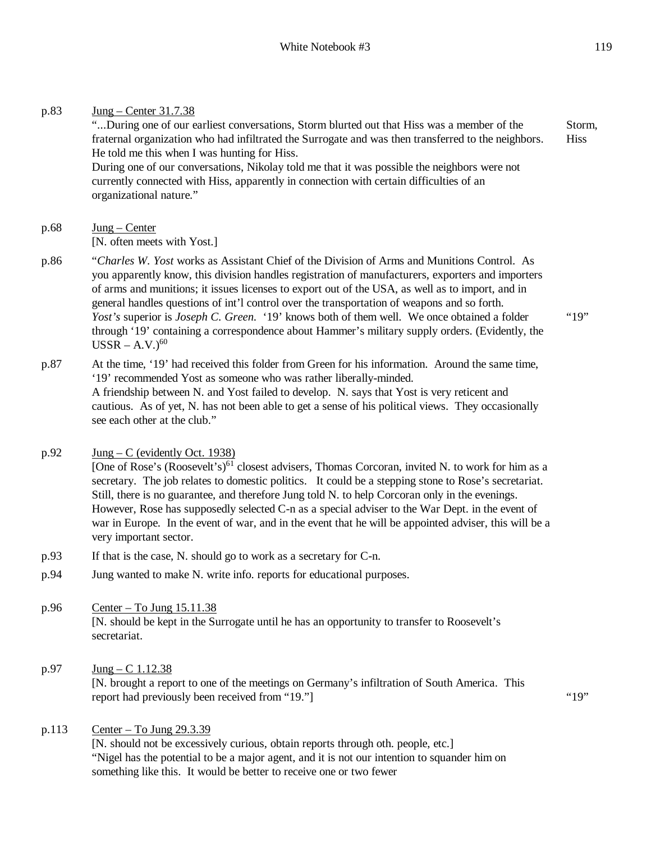"...During one of our earliest conversations, Storm blurted out that Hiss was a member of the fraternal organization who had infiltrated the Surrogate and was then transferred to the neighbors. He told me this when I was hunting for Hiss. During one of our conversations, Nikolay told me that it was possible the neighbors were not currently connected with Hiss, apparently in connection with certain difficulties of an organizational nature." Storm, **Hiss** 

- $p.68$  Jung Center [N. often meets with Yost.]
- p.86 "*Charles W. Yost* works as Assistant Chief of the Division of Arms and Munitions Control. As you apparently know, this division handles registration of manufacturers, exporters and importers of arms and munitions; it issues licenses to export out of the USA, as well as to import, and in general handles questions of int'l control over the transportation of weapons and so forth. *Yost's* superior is *Joseph C. Green.* '19' knows both of them well. We once obtained a folder through '19' containing a correspondence about Hammer's military supply orders. (Evidently, the  $USSR - A.V.$ <sup>60</sup>
- p.87 At the time, '19' had received this folder from Green for his information. Around the same time, '19' recommended Yost as someone who was rather liberally-minded. A friendship between N. and Yost failed to develop. N. says that Yost is very reticent and cautious. As of yet, N. has not been able to get a sense of his political views. They occasionally see each other at the club."
- p.92  $\text{Jung} C$  (evidently Oct. 1938)

[One of Rose's (Roosevelt's)<sup>61</sup> closest advisers, Thomas Corcoran, invited N. to work for him as a secretary. The job relates to domestic politics. It could be a stepping stone to Rose's secretariat. Still, there is no guarantee, and therefore Jung told N. to help Corcoran only in the evenings. However, Rose has supposedly selected C-n as a special adviser to the War Dept. in the event of war in Europe. In the event of war, and in the event that he will be appointed adviser, this will be a very important sector.

- p.93 If that is the case, N. should go to work as a secretary for C-n.
- p.94 Jung wanted to make N. write info. reports for educational purposes.
- p.96 Center To Jung  $15.11.38$ [N. should be kept in the Surrogate until he has an opportunity to transfer to Roosevelt's secretariat.
- p.97 Jung C 1.12.38

[N. brought a report to one of the meetings on Germany's infiltration of South America. This report had previously been received from "19."] "19"

"19"

## p.113 Center – To Jung 29.3.39

[N. should not be excessively curious, obtain reports through oth. people, etc.] "Nigel has the potential to be a major agent, and it is not our intention to squander him on something like this. It would be better to receive one or two fewer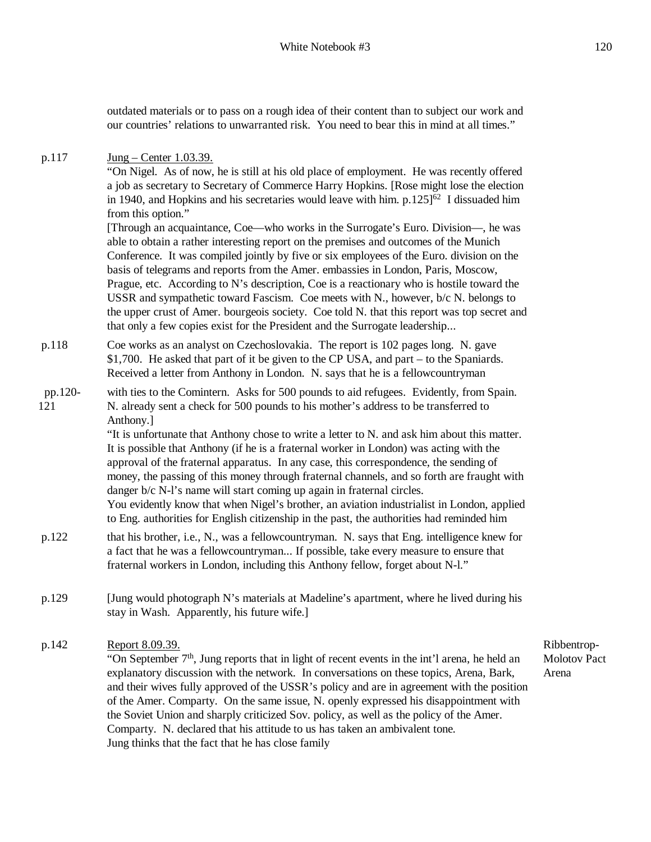outdated materials or to pass on a rough idea of their content than to subject our work and our countries' relations to unwarranted risk. You need to bear this in mind at all times."

p.117 **Jung – Center 1.03.39.** 

"On Nigel. As of now, he is still at his old place of employment. He was recently offered a job as secretary to Secretary of Commerce Harry Hopkins. [Rose might lose the election in 1940, and Hopkins and his secretaries would leave with him.  $p.125]^{62}$  I dissuaded him from this option."

[Through an acquaintance, Coe—who works in the Surrogate's Euro. Division—, he was able to obtain a rather interesting report on the premises and outcomes of the Munich Conference. It was compiled jointly by five or six employees of the Euro. division on the basis of telegrams and reports from the Amer. embassies in London, Paris, Moscow, Prague, etc. According to N's description, Coe is a reactionary who is hostile toward the USSR and sympathetic toward Fascism. Coe meets with N., however, b/c N. belongs to the upper crust of Amer. bourgeois society. Coe told N. that this report was top secret and that only a few copies exist for the President and the Surrogate leadership...

p.118 Coe works as an analyst on Czechoslovakia. The report is 102 pages long. N. gave \$1,700. He asked that part of it be given to the CP USA, and part – to the Spaniards. Received a letter from Anthony in London. N. says that he is a fellowcountryman

#### pp.120- 121 with ties to the Comintern. Asks for 500 pounds to aid refugees. Evidently, from Spain. N. already sent a check for 500 pounds to his mother's address to be transferred to Anthony.]

"It is unfortunate that Anthony chose to write a letter to N. and ask him about this matter. It is possible that Anthony (if he is a fraternal worker in London) was acting with the approval of the fraternal apparatus. In any case, this correspondence, the sending of money, the passing of this money through fraternal channels, and so forth are fraught with danger b/c N-l's name will start coming up again in fraternal circles. You evidently know that when Nigel's brother, an aviation industrialist in London, applied to Eng. authorities for English citizenship in the past, the authorities had reminded him

- p.122 that his brother, i.e., N., was a fellowcountryman. N. says that Eng. intelligence knew for a fact that he was a fellowcountryman... If possible, take every measure to ensure that fraternal workers in London, including this Anthony fellow, forget about N-l."
- p.129 [Jung would photograph N's materials at Madeline's apartment, where he lived during his stay in Wash. Apparently, his future wife.]

p.142 Report 8.09.39.

"On September  $7<sup>th</sup>$ , Jung reports that in light of recent events in the int'l arena, he held an explanatory discussion with the network. In conversations on these topics, Arena, Bark, and their wives fully approved of the USSR's policy and are in agreement with the position of the Amer. Comparty. On the same issue, N. openly expressed his disappointment with the Soviet Union and sharply criticized Sov. policy, as well as the policy of the Amer. Comparty. N. declared that his attitude to us has taken an ambivalent tone. Jung thinks that the fact that he has close family

Ribbentrop-Molotov Pact Arena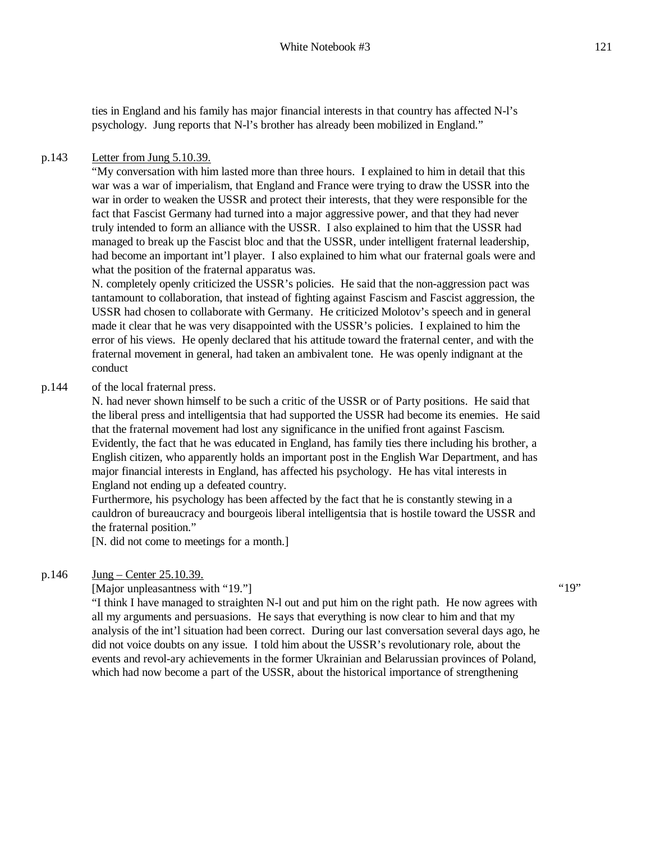ties in England and his family has major financial interests in that country has affected N-l's psychology. Jung reports that N-l's brother has already been mobilized in England."

#### p.143 Letter from Jung 5.10.39.

"My conversation with him lasted more than three hours. I explained to him in detail that this war was a war of imperialism, that England and France were trying to draw the USSR into the war in order to weaken the USSR and protect their interests, that they were responsible for the fact that Fascist Germany had turned into a major aggressive power, and that they had never truly intended to form an alliance with the USSR. I also explained to him that the USSR had managed to break up the Fascist bloc and that the USSR, under intelligent fraternal leadership, had become an important int'l player. I also explained to him what our fraternal goals were and what the position of the fraternal apparatus was.

N. completely openly criticized the USSR's policies. He said that the non-aggression pact was tantamount to collaboration, that instead of fighting against Fascism and Fascist aggression, the USSR had chosen to collaborate with Germany. He criticized Molotov's speech and in general made it clear that he was very disappointed with the USSR's policies. I explained to him the error of his views. He openly declared that his attitude toward the fraternal center, and with the fraternal movement in general, had taken an ambivalent tone. He was openly indignant at the conduct

#### p.144 of the local fraternal press.

N. had never shown himself to be such a critic of the USSR or of Party positions. He said that the liberal press and intelligentsia that had supported the USSR had become its enemies. He said that the fraternal movement had lost any significance in the unified front against Fascism. Evidently, the fact that he was educated in England, has family ties there including his brother, a English citizen, who apparently holds an important post in the English War Department, and has major financial interests in England, has affected his psychology. He has vital interests in England not ending up a defeated country.

Furthermore, his psychology has been affected by the fact that he is constantly stewing in a cauldron of bureaucracy and bourgeois liberal intelligentsia that is hostile toward the USSR and the fraternal position."

[N. did not come to meetings for a month.]

#### p.146 Jung – Center 25.10.39.

[Major unpleasantness with "19."]

"I think I have managed to straighten N-l out and put him on the right path. He now agrees with all my arguments and persuasions. He says that everything is now clear to him and that my analysis of the int'l situation had been correct. During our last conversation several days ago, he did not voice doubts on any issue. I told him about the USSR's revolutionary role, about the events and revol-ary achievements in the former Ukrainian and Belarussian provinces of Poland, which had now become a part of the USSR, about the historical importance of strengthening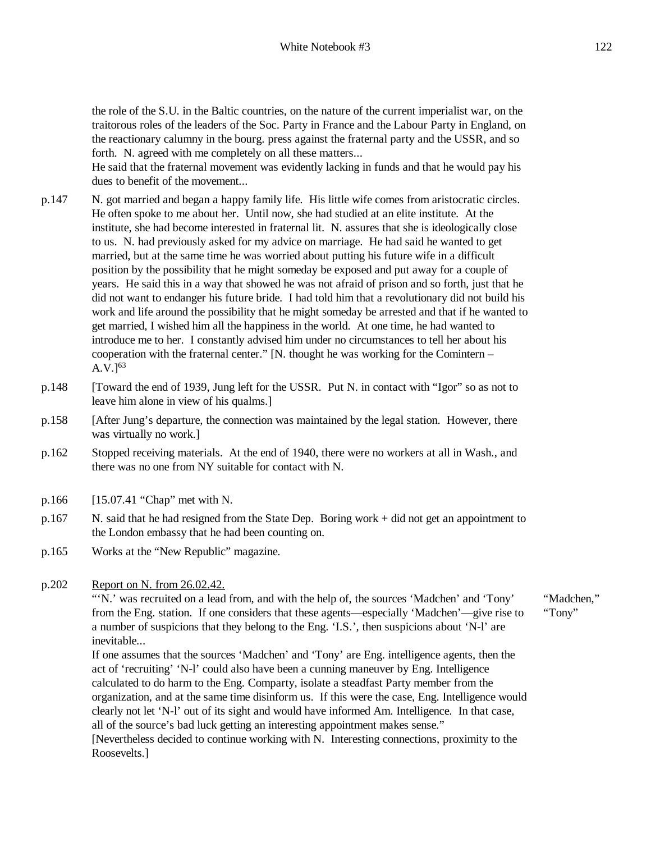the role of the S.U. in the Baltic countries, on the nature of the current imperialist war, on the traitorous roles of the leaders of the Soc. Party in France and the Labour Party in England, on the reactionary calumny in the bourg. press against the fraternal party and the USSR, and so forth. N. agreed with me completely on all these matters...

He said that the fraternal movement was evidently lacking in funds and that he would pay his dues to benefit of the movement...

- p.147 N. got married and began a happy family life. His little wife comes from aristocratic circles. He often spoke to me about her. Until now, she had studied at an elite institute. At the institute, she had become interested in fraternal lit. N. assures that she is ideologically close to us. N. had previously asked for my advice on marriage. He had said he wanted to get married, but at the same time he was worried about putting his future wife in a difficult position by the possibility that he might someday be exposed and put away for a couple of years. He said this in a way that showed he was not afraid of prison and so forth, just that he did not want to endanger his future bride. I had told him that a revolutionary did not build his work and life around the possibility that he might someday be arrested and that if he wanted to get married, I wished him all the happiness in the world. At one time, he had wanted to introduce me to her. I constantly advised him under no circumstances to tell her about his cooperation with the fraternal center." [N. thought he was working for the Comintern –  $A.V.$ ]<sup>63</sup>
- p.148 [Toward the end of 1939, Jung left for the USSR. Put N. in contact with "Igor" so as not to leave him alone in view of his qualms.]
- p.158 [After Jung's departure, the connection was maintained by the legal station. However, there was virtually no work.]
- p.162 Stopped receiving materials. At the end of 1940, there were no workers at all in Wash., and there was no one from NY suitable for contact with N.
- p.166 [15.07.41 "Chap" met with N.
- p.167 N. said that he had resigned from the State Dep. Boring work + did not get an appointment to the London embassy that he had been counting on.
- p.165 Works at the "New Republic" magazine.
- p.202 Report on N. from 26.02.42.

"'N.' was recruited on a lead from, and with the help of, the sources 'Madchen' and 'Tony' from the Eng. station. If one considers that these agents—especially 'Madchen'—give rise to a number of suspicions that they belong to the Eng. 'I.S.', then suspicions about 'N-l' are inevitable...

If one assumes that the sources 'Madchen' and 'Tony' are Eng. intelligence agents, then the act of 'recruiting' 'N-l' could also have been a cunning maneuver by Eng. Intelligence calculated to do harm to the Eng. Comparty, isolate a steadfast Party member from the organization, and at the same time disinform us. If this were the case, Eng. Intelligence would clearly not let 'N-l' out of its sight and would have informed Am. Intelligence. In that case, all of the source's bad luck getting an interesting appointment makes sense." [Nevertheless decided to continue working with N. Interesting connections, proximity to the

Roosevelts.]

"Madchen," "Tony"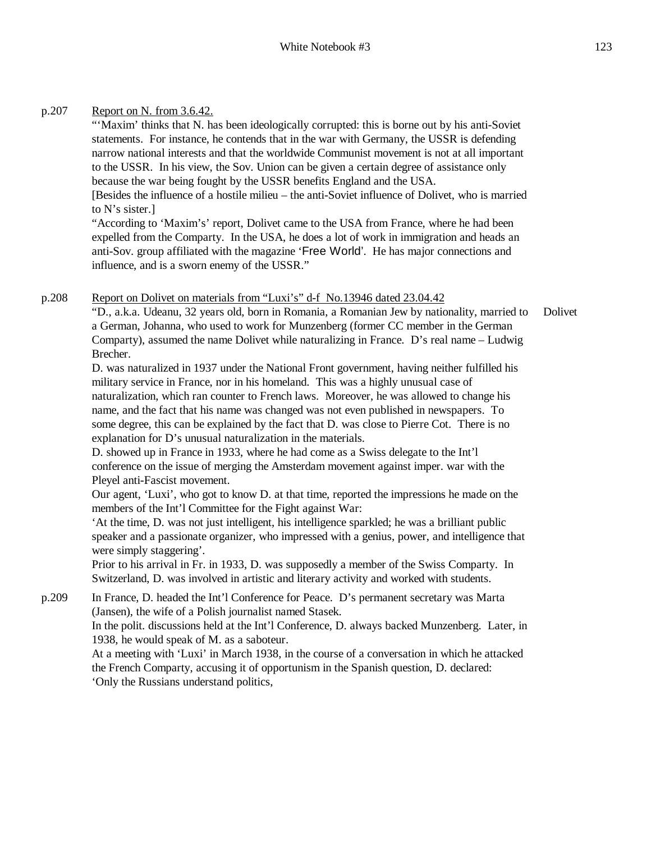### p.207 Report on N. from 3.6.42.

"'Maxim' thinks that N. has been ideologically corrupted: this is borne out by his anti-Soviet statements. For instance, he contends that in the war with Germany, the USSR is defending narrow national interests and that the worldwide Communist movement is not at all important to the USSR. In his view, the Sov. Union can be given a certain degree of assistance only because the war being fought by the USSR benefits England and the USA.

[Besides the influence of a hostile milieu – the anti-Soviet influence of Dolivet, who is married to N's sister.]

"According to 'Maxim's' report, Dolivet came to the USA from France, where he had been expelled from the Comparty. In the USA, he does a lot of work in immigration and heads an anti-Sov. group affiliated with the magazine 'Free World'. He has major connections and influence, and is a sworn enemy of the USSR."

p.208 Report on Dolivet on materials from "Luxi's" d-f No.13946 dated 23.04.42

"D., a.k.a. Udeanu, 32 years old, born in Romania, a Romanian Jew by nationality, married to a German, Johanna, who used to work for Munzenberg (former CC member in the German Comparty), assumed the name Dolivet while naturalizing in France. D's real name – Ludwig Brecher. Dolivet

D. was naturalized in 1937 under the National Front government, having neither fulfilled his military service in France, nor in his homeland. This was a highly unusual case of naturalization, which ran counter to French laws. Moreover, he was allowed to change his name, and the fact that his name was changed was not even published in newspapers. To some degree, this can be explained by the fact that D. was close to Pierre Cot. There is no explanation for D's unusual naturalization in the materials.

D. showed up in France in 1933, where he had come as a Swiss delegate to the Int'l conference on the issue of merging the Amsterdam movement against imper. war with the Pleyel anti-Fascist movement.

Our agent, 'Luxi', who got to know D. at that time, reported the impressions he made on the members of the Int'l Committee for the Fight against War:

'At the time, D. was not just intelligent, his intelligence sparkled; he was a brilliant public speaker and a passionate organizer, who impressed with a genius, power, and intelligence that were simply staggering'.

Prior to his arrival in Fr. in 1933, D. was supposedly a member of the Swiss Comparty. In Switzerland, D. was involved in artistic and literary activity and worked with students.

p.209 In France, D. headed the Int'l Conference for Peace. D's permanent secretary was Marta (Jansen), the wife of a Polish journalist named Stasek. In the polit. discussions held at the Int'l Conference, D. always backed Munzenberg. Later, in

1938, he would speak of M. as a saboteur.

At a meeting with 'Luxi' in March 1938, in the course of a conversation in which he attacked the French Comparty, accusing it of opportunism in the Spanish question, D. declared: 'Only the Russians understand politics,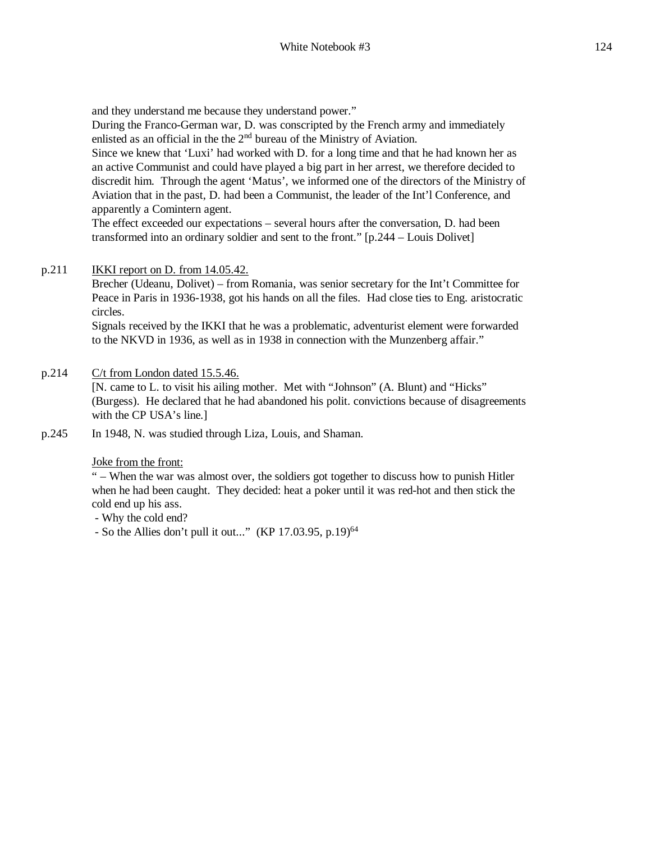and they understand me because they understand power."

During the Franco-German war, D. was conscripted by the French army and immediately enlisted as an official in the the 2<sup>nd</sup> bureau of the Ministry of Aviation.

Since we knew that 'Luxi' had worked with D. for a long time and that he had known her as an active Communist and could have played a big part in her arrest, we therefore decided to discredit him. Through the agent 'Matus', we informed one of the directors of the Ministry of Aviation that in the past, D. had been a Communist, the leader of the Int'l Conference, and apparently a Comintern agent.

The effect exceeded our expectations – several hours after the conversation, D. had been transformed into an ordinary soldier and sent to the front." [p.244 – Louis Dolivet]

### p.211 IKKI report on D. from 14.05.42.

Brecher (Udeanu, Dolivet) – from Romania, was senior secretary for the Int't Committee for Peace in Paris in 1936-1938, got his hands on all the files. Had close ties to Eng. aristocratic circles.

Signals received by the IKKI that he was a problematic, adventurist element were forwarded to the NKVD in 1936, as well as in 1938 in connection with the Munzenberg affair."

p.214 C/t from London dated 15.5.46.

[N. came to L. to visit his ailing mother. Met with "Johnson" (A. Blunt) and "Hicks" (Burgess). He declared that he had abandoned his polit. convictions because of disagreements with the CP USA's line.]

p.245 In 1948, N. was studied through Liza, Louis, and Shaman.

### Joke from the front:

" – When the war was almost over, the soldiers got together to discuss how to punish Hitler when he had been caught. They decided: heat a poker until it was red-hot and then stick the cold end up his ass.

- Why the cold end?
- So the Allies don't pull it out..." (KP 17.03.95, p.19)<sup>64</sup>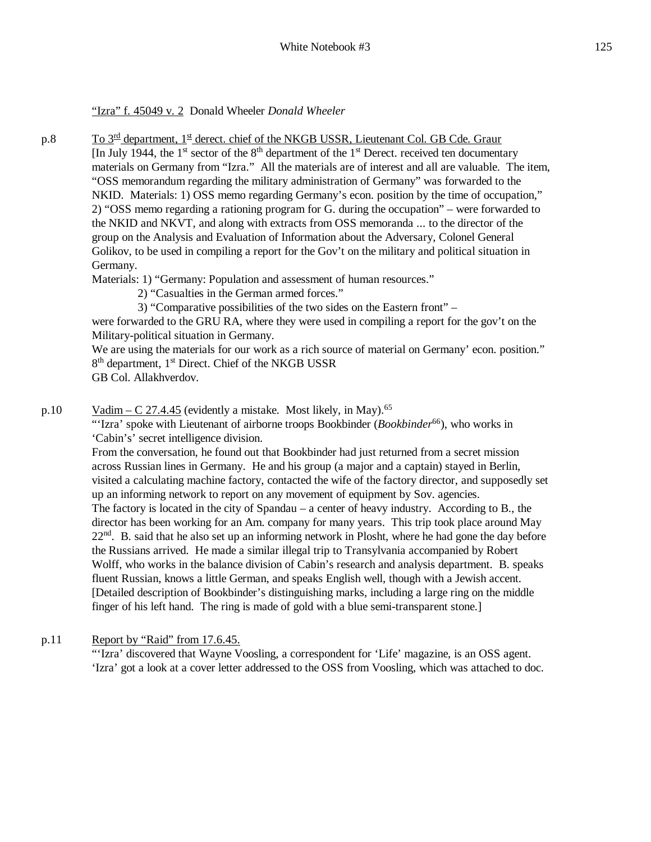### "Izra" f. 45049 v. 2 Donald Wheeler *Donald Wheeler*

p.8 To 3<sup>rd</sup> department, 1<sup>st</sup> derect. chief of the NKGB USSR, Lieutenant Col. GB Cde. Graur [In July 1944, the 1<sup>st</sup> sector of the 8<sup>th</sup> department of the 1<sup>st</sup> Derect. received ten documentary materials on Germany from "Izra." All the materials are of interest and all are valuable. The item, "OSS memorandum regarding the military administration of Germany" was forwarded to the NKID. Materials: 1) OSS memo regarding Germany's econ. position by the time of occupation," 2) "OSS memo regarding a rationing program for G. during the occupation" – were forwarded to the NKID and NKVT, and along with extracts from OSS memoranda ... to the director of the group on the Analysis and Evaluation of Information about the Adversary, Colonel General Golikov, to be used in compiling a report for the Gov't on the military and political situation in Germany.

Materials: 1) "Germany: Population and assessment of human resources."

- 2) "Casualties in the German armed forces."
- 3) "Comparative possibilities of the two sides on the Eastern front" –

were forwarded to the GRU RA, where they were used in compiling a report for the gov't on the Military-political situation in Germany.

We are using the materials for our work as a rich source of material on Germany' econ. position." 8<sup>th</sup> department, 1<sup>st</sup> Direct. Chief of the NKGB USSR GB Col. Allakhverdov.

p.10 Vadim – C 27.4.45 (evidently a mistake. Most likely, in May).<sup>65</sup>

"'Izra' spoke with Lieutenant of airborne troops Bookbinder (*Bookbinder*<sup>66</sup>), who works in 'Cabin's' secret intelligence division.

From the conversation, he found out that Bookbinder had just returned from a secret mission across Russian lines in Germany. He and his group (a major and a captain) stayed in Berlin, visited a calculating machine factory, contacted the wife of the factory director, and supposedly set up an informing network to report on any movement of equipment by Sov. agencies. The factory is located in the city of Spandau – a center of heavy industry. According to B., the director has been working for an Am. company for many years. This trip took place around May 22<sup>nd</sup>. B. said that he also set up an informing network in Plosht, where he had gone the day before the Russians arrived. He made a similar illegal trip to Transylvania accompanied by Robert Wolff, who works in the balance division of Cabin's research and analysis department. B. speaks fluent Russian, knows a little German, and speaks English well, though with a Jewish accent. [Detailed description of Bookbinder's distinguishing marks, including a large ring on the middle finger of his left hand. The ring is made of gold with a blue semi-transparent stone.]

p.11 Report by "Raid" from 17.6.45.

"'Izra' discovered that Wayne Voosling, a correspondent for 'Life' magazine, is an OSS agent. 'Izra' got a look at a cover letter addressed to the OSS from Voosling, which was attached to doc.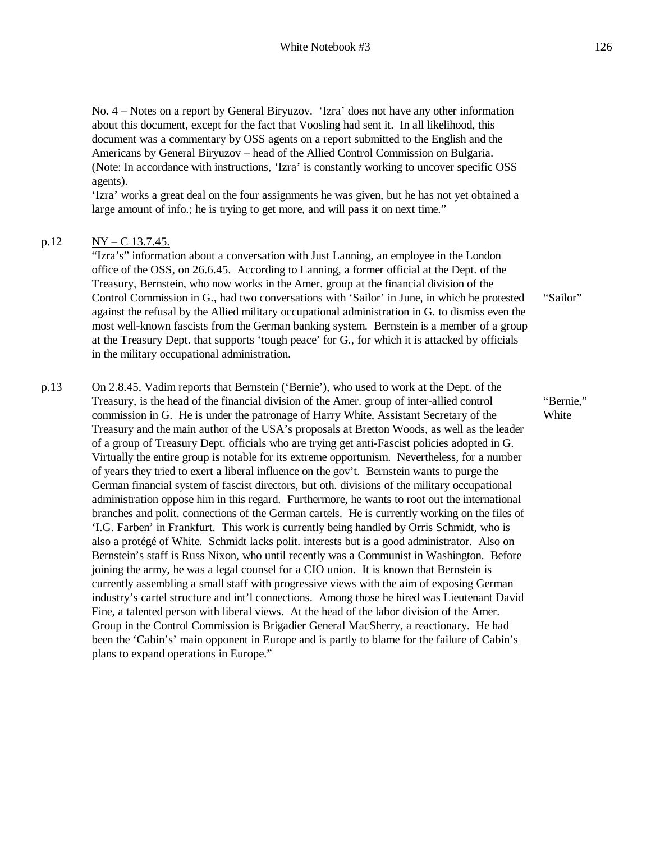No. 4 – Notes on a report by General Biryuzov. 'Izra' does not have any other information about this document, except for the fact that Voosling had sent it. In all likelihood, this document was a commentary by OSS agents on a report submitted to the English and the Americans by General Biryuzov – head of the Allied Control Commission on Bulgaria. (Note: In accordance with instructions, 'Izra' is constantly working to uncover specific OSS agents).

'Izra' works a great deal on the four assignments he was given, but he has not yet obtained a large amount of info.; he is trying to get more, and will pass it on next time."

### p.12  $NY - C$  13.7.45.

"Izra's" information about a conversation with Just Lanning, an employee in the London office of the OSS, on 26.6.45. According to Lanning, a former official at the Dept. of the Treasury, Bernstein, who now works in the Amer. group at the financial division of the Control Commission in G., had two conversations with 'Sailor' in June, in which he protested against the refusal by the Allied military occupational administration in G. to dismiss even the most well-known fascists from the German banking system. Bernstein is a member of a group at the Treasury Dept. that supports 'tough peace' for G., for which it is attacked by officials in the military occupational administration.

"Sailor"

"Bernie," **White** 

p.13 On 2.8.45, Vadim reports that Bernstein ('Bernie'), who used to work at the Dept. of the Treasury, is the head of the financial division of the Amer. group of inter-allied control commission in G. He is under the patronage of Harry White, Assistant Secretary of the Treasury and the main author of the USA's proposals at Bretton Woods, as well as the leader of a group of Treasury Dept. officials who are trying get anti-Fascist policies adopted in G. Virtually the entire group is notable for its extreme opportunism. Nevertheless, for a number of years they tried to exert a liberal influence on the gov't. Bernstein wants to purge the German financial system of fascist directors, but oth. divisions of the military occupational administration oppose him in this regard. Furthermore, he wants to root out the international branches and polit. connections of the German cartels. He is currently working on the files of 'I.G. Farben' in Frankfurt. This work is currently being handled by Orris Schmidt, who is also a protégé of White. Schmidt lacks polit. interests but is a good administrator. Also on Bernstein's staff is Russ Nixon, who until recently was a Communist in Washington. Before joining the army, he was a legal counsel for a CIO union. It is known that Bernstein is currently assembling a small staff with progressive views with the aim of exposing German industry's cartel structure and int'l connections. Among those he hired was Lieutenant David Fine, a talented person with liberal views. At the head of the labor division of the Amer. Group in the Control Commission is Brigadier General MacSherry, a reactionary. He had been the 'Cabin's' main opponent in Europe and is partly to blame for the failure of Cabin's plans to expand operations in Europe."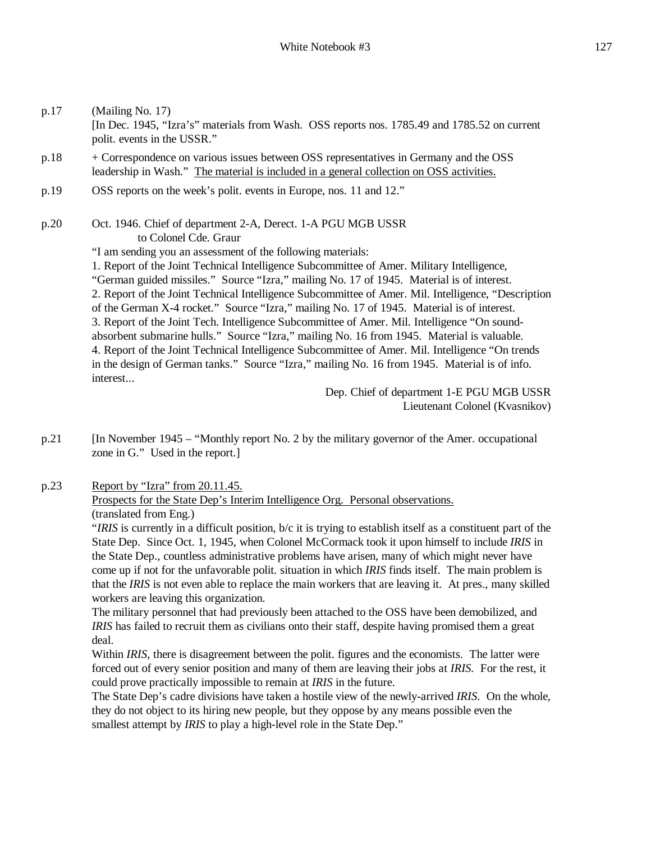| p.17 | (Mailing No. 17)<br>[In Dec. 1945, "Izra's" materials from Wash. OSS reports nos. 1785.49 and 1785.52 on current<br>polit. events in the USSR."                                                                                                                                                                                                                                                                                                                                                                                                                                                                                                                                                                                                                                                                                                                                                                                                                                                                                                     |
|------|-----------------------------------------------------------------------------------------------------------------------------------------------------------------------------------------------------------------------------------------------------------------------------------------------------------------------------------------------------------------------------------------------------------------------------------------------------------------------------------------------------------------------------------------------------------------------------------------------------------------------------------------------------------------------------------------------------------------------------------------------------------------------------------------------------------------------------------------------------------------------------------------------------------------------------------------------------------------------------------------------------------------------------------------------------|
| p.18 | + Correspondence on various issues between OSS representatives in Germany and the OSS<br>leadership in Wash." The material is included in a general collection on OSS activities.                                                                                                                                                                                                                                                                                                                                                                                                                                                                                                                                                                                                                                                                                                                                                                                                                                                                   |
| p.19 | OSS reports on the week's polit. events in Europe, nos. 11 and 12."                                                                                                                                                                                                                                                                                                                                                                                                                                                                                                                                                                                                                                                                                                                                                                                                                                                                                                                                                                                 |
| p.20 | Oct. 1946. Chief of department 2-A, Derect. 1-A PGU MGB USSR<br>to Colonel Cde. Graur<br>"I am sending you an assessment of the following materials:<br>1. Report of the Joint Technical Intelligence Subcommittee of Amer. Military Intelligence,<br>"German guided missiles." Source "Izra," mailing No. 17 of 1945. Material is of interest.<br>2. Report of the Joint Technical Intelligence Subcommittee of Amer. Mil. Intelligence, "Description"<br>of the German X-4 rocket." Source "Izra," mailing No. 17 of 1945. Material is of interest.<br>3. Report of the Joint Tech. Intelligence Subcommittee of Amer. Mil. Intelligence "On sound-<br>absorbent submarine hulls." Source "Izra," mailing No. 16 from 1945. Material is valuable.<br>4. Report of the Joint Technical Intelligence Subcommittee of Amer. Mil. Intelligence "On trends<br>in the design of German tanks." Source "Izra," mailing No. 16 from 1945. Material is of info.<br>interest<br>Dep. Chief of department 1-E PGU MGB USSR<br>Lieutenant Colonel (Kvasnikov) |
|      |                                                                                                                                                                                                                                                                                                                                                                                                                                                                                                                                                                                                                                                                                                                                                                                                                                                                                                                                                                                                                                                     |

p.21 [In November 1945 – "Monthly report No. 2 by the military governor of the Amer. occupational zone in G." Used in the report.]

p.23 Report by "Izra" from 20.11.45.

### Prospects for the State Dep's Interim Intelligence Org. Personal observations. (translated from Eng.)

"*IRIS* is currently in a difficult position, b/c it is trying to establish itself as a constituent part of the State Dep. Since Oct. 1, 1945, when Colonel McCormack took it upon himself to include *IRIS* in the State Dep., countless administrative problems have arisen, many of which might never have come up if not for the unfavorable polit. situation in which *IRIS* finds itself. The main problem is that the *IRIS* is not even able to replace the main workers that are leaving it. At pres., many skilled workers are leaving this organization.

The military personnel that had previously been attached to the OSS have been demobilized, and *IRIS* has failed to recruit them as civilians onto their staff, despite having promised them a great deal.

Within *IRIS*, there is disagreement between the polit. figures and the economists. The latter were forced out of every senior position and many of them are leaving their jobs at *IRIS.* For the rest, it could prove practically impossible to remain at *IRIS* in the future.

The State Dep's cadre divisions have taken a hostile view of the newly-arrived *IRIS*. On the whole, they do not object to its hiring new people, but they oppose by any means possible even the smallest attempt by *IRIS* to play a high-level role in the State Dep."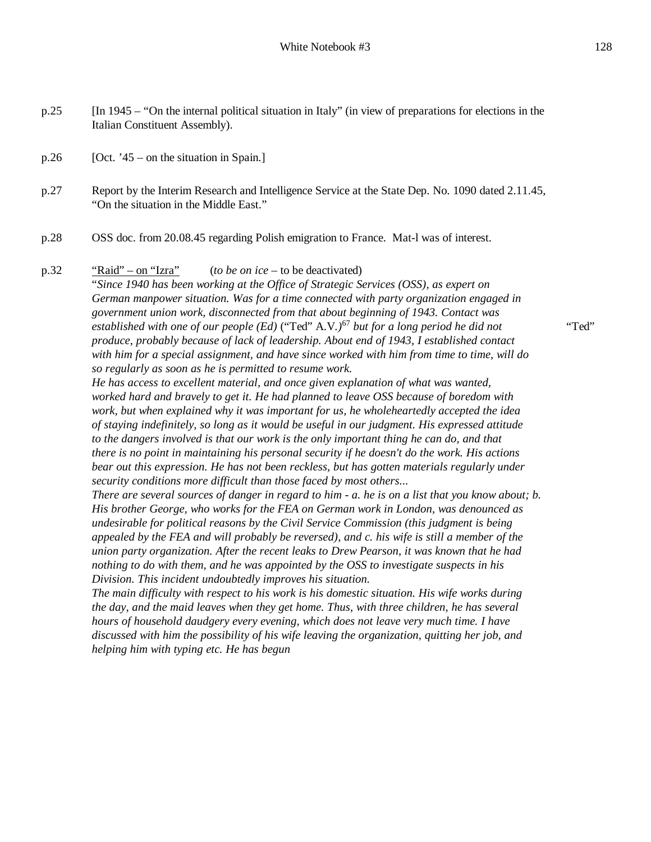p.26 [Oct. '45 – on the situation in Spain.]

p.27 Report by the Interim Research and Intelligence Service at the State Dep. No. 1090 dated 2.11.45, "On the situation in the Middle East."

p.28 OSS doc. from 20.08.45 regarding Polish emigration to France. Mat-l was of interest.

### p.32 "Raid" – on "Izra" (*to be on ice* – to be deactivated)

"*Since 1940 has been working at the Office of Strategic Services (OSS), as expert on German manpower situation. Was for a time connected with party organization engaged in government union work, disconnected from that about beginning of 1943. Contact was established with one of our people (Ed)* ("Ted" A.V*.)*<sup>67</sup> *but for a long period he did not produce, probably because of lack of leadership. About end of 1943, I established contact with him for a special assignment, and have since worked with him from time to time, will do so regularly as soon as he is permitted to resume work.*

*He has access to excellent material, and once given explanation of what was wanted, worked hard and bravely to get it. He had planned to leave OSS because of boredom with work, but when explained why it was important for us, he wholeheartedly accepted the idea of staying indefinitely, so long as it would be useful in our judgment. His expressed attitude to the dangers involved is that our work is the only important thing he can do, and that there is no point in maintaining his personal security if he doesn't do the work. His actions bear out this expression. He has not been reckless, but has gotten materials regularly under security conditions more difficult than those faced by most others...*

There are several sources of danger in regard to him - a. he is on a list that you know about; b. *His brother George, who works for the FEA on German work in London, was denounced as undesirable for political reasons by the Civil Service Commission (this judgment is being appealed by the FEA and will probably be reversed), and c. his wife is still a member of the union party organization. After the recent leaks to Drew Pearson, it was known that he had nothing to do with them, and he was appointed by the OSS to investigate suspects in his Division. This incident undoubtedly improves his situation.*

*The main difficulty with respect to his work is his domestic situation. His wife works during the day, and the maid leaves when they get home. Thus, with three children, he has several hours of household daudgery every evening, which does not leave very much time. I have discussed with him the possibility of his wife leaving the organization, quitting her job, and helping him with typing etc. He has begun*

"Ted"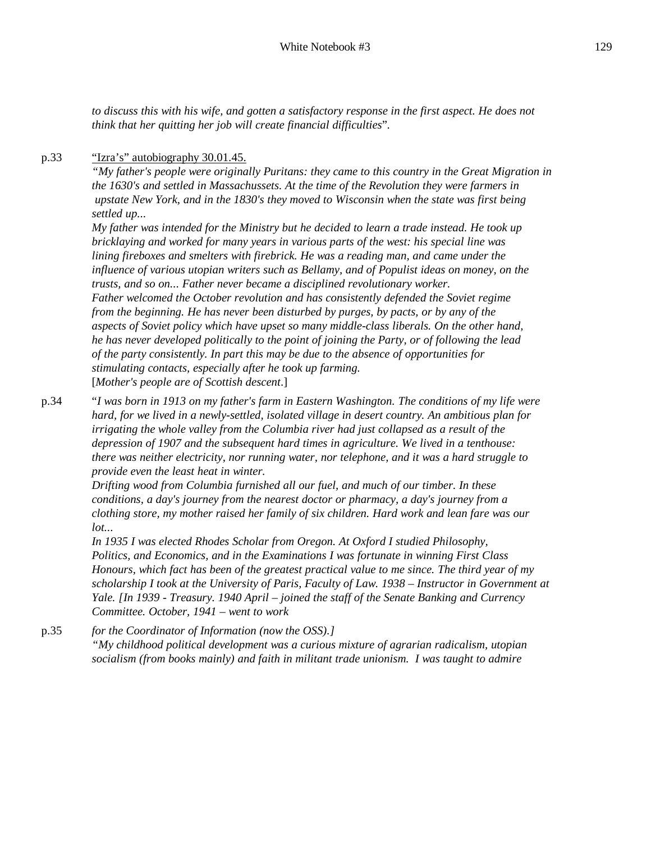*to discuss this with his wife, and gotten a satisfactory response in the first aspect. He does not think that her quitting her job will create financial difficulties*"*.*

### p.33 "<u>'Izra's" autobiography 30.01.45.</u>

*"My father's people were originally Puritans: they came to this country in the Great Migration in the 1630's and settled in Massachussets. At the time of the Revolution they were farmers in upstate New York, and in the 1830's they moved to Wisconsin when the state was first being settled up...*

*My father was intended for the Ministry but he decided to learn a trade instead. He took up bricklaying and worked for many years in various parts of the west: his special line was lining fireboxes and smelters with firebrick. He was a reading man, and came under the influence of various utopian writers such as Bellamy, and of Populist ideas on money, on the trusts, and so on... Father never became a disciplined revolutionary worker. Father welcomed the October revolution and has consistently defended the Soviet regime from the beginning. He has never been disturbed by purges, by pacts, or by any of the aspects of Soviet policy which have upset so many middle-class liberals. On the other hand, he has never developed politically to the point of joining the Party, or of following the lead of the party consistently. In part this may be due to the absence of opportunities for stimulating contacts, especially after he took up farming.* [*Mother's people are of Scottish descent*.]

p.34 "*I was born in 1913 on my father's farm in Eastern Washington. The conditions of my life were hard, for we lived in a newly-settled, isolated village in desert country. An ambitious plan for irrigating the whole valley from the Columbia river had just collapsed as a result of the depression of 1907 and the subsequent hard times in agriculture. We lived in a tenthouse: there was neither electricity, nor running water, nor telephone, and it was a hard struggle to provide even the least heat in winter.*

*Drifting wood from Columbia furnished all our fuel, and much of our timber. In these conditions, a day's journey from the nearest doctor or pharmacy, a day's journey from a clothing store, my mother raised her family of six children. Hard work and lean fare was our lot...*

*In 1935 I was elected Rhodes Scholar from Oregon. At Oxford I studied Philosophy, Politics, and Economics, and in the Examinations I was fortunate in winning First Class Honours, which fact has been of the greatest practical value to me since. The third year of my scholarship I took at the University of Paris, Faculty of Law. 1938 – Instructor in Government at Yale. [In 1939 - Treasury. 1940 April – joined the staff of the Senate Banking and Currency Committee. October, 1941 – went to work*

p.35 *for the Coordinator of Information (now the OSS).] "My childhood political development was a curious mixture of agrarian radicalism, utopian socialism (from books mainly) and faith in militant trade unionism. I was taught to admire*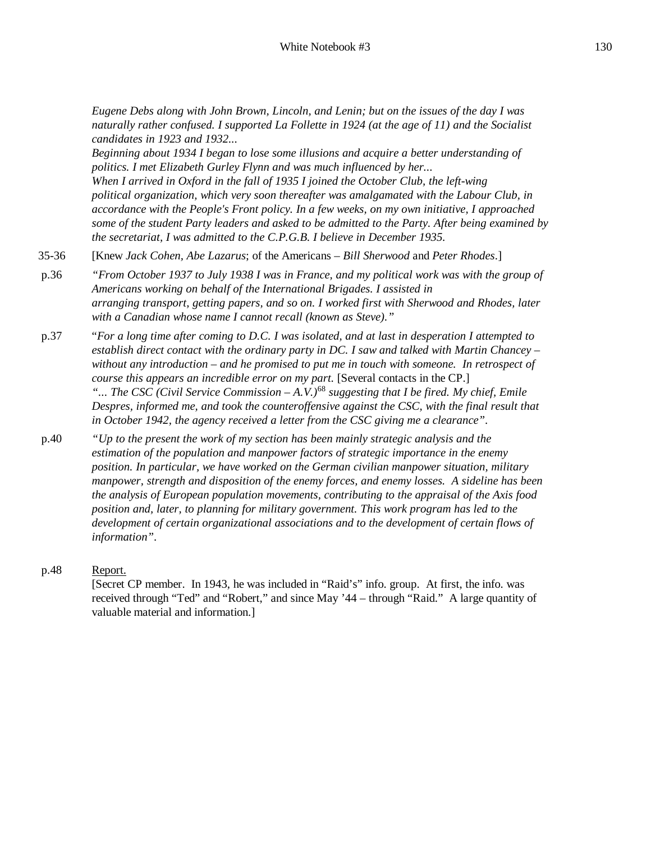*Eugene Debs along with John Brown, Lincoln, and Lenin; but on the issues of the day I was naturally rather confused. I supported La Follette in 1924 (at the age of 11) and the Socialist candidates in 1923 and 1932...*

*Beginning about 1934 I began to lose some illusions and acquire a better understanding of politics. I met Elizabeth Gurley Flynn and was much influenced by her... When I arrived in Oxford in the fall of 1935 I joined the October Club, the left-wing political organization, which very soon thereafter was amalgamated with the Labour Club, in accordance with the People's Front policy. In a few weeks, on my own initiative, I approached some of the student Party leaders and asked to be admitted to the Party. After being examined by* 

*the secretariat, I was admitted to the C.P.G.B. I believe in December 1935.* 35-36 [Knew *Jack Cohen, Abe Lazarus*; of the Americans – *Bill Sherwood* and *Peter Rhodes*.]

- p.36 *"From October 1937 to July 1938 I was in France, and my political work was with the group of Americans working on behalf of the International Brigades. I assisted in arranging transport, getting papers, and so on. I worked first with Sherwood and Rhodes, later with a Canadian whose name I cannot recall (known as Steve)."*
- p.37 "*For a long time after coming to D.C. I was isolated, and at last in desperation I attempted to establish direct contact with the ordinary party in DC. I saw and talked with Martin Chancey – without any introduction – and he promised to put me in touch with someone. In retrospect of course this appears an incredible error on my part.* [Several contacts in the CP.] *"... The CSC (Civil Service Commission – A.V.)*<sup>68</sup> *suggesting that I be fired. My chief, Emile Despres, informed me, and took the counteroffensive against the CSC, with the final result that in October 1942, the agency received a letter from the CSC giving me a clearance".*
- p.40 *"Up to the present the work of my section has been mainly strategic analysis and the estimation of the population and manpower factors of strategic importance in the enemy position. In particular, we have worked on the German civilian manpower situation, military manpower, strength and disposition of the enemy forces, and enemy losses. A sideline has been the analysis of European population movements, contributing to the appraisal of the Axis food position and, later, to planning for military government. This work program has led to the development of certain organizational associations and to the development of certain flows of information".*

### p.48 Report.

[Secret CP member. In 1943, he was included in "Raid's" info. group. At first, the info. was received through "Ted" and "Robert," and since May '44 – through "Raid." A large quantity of valuable material and information.]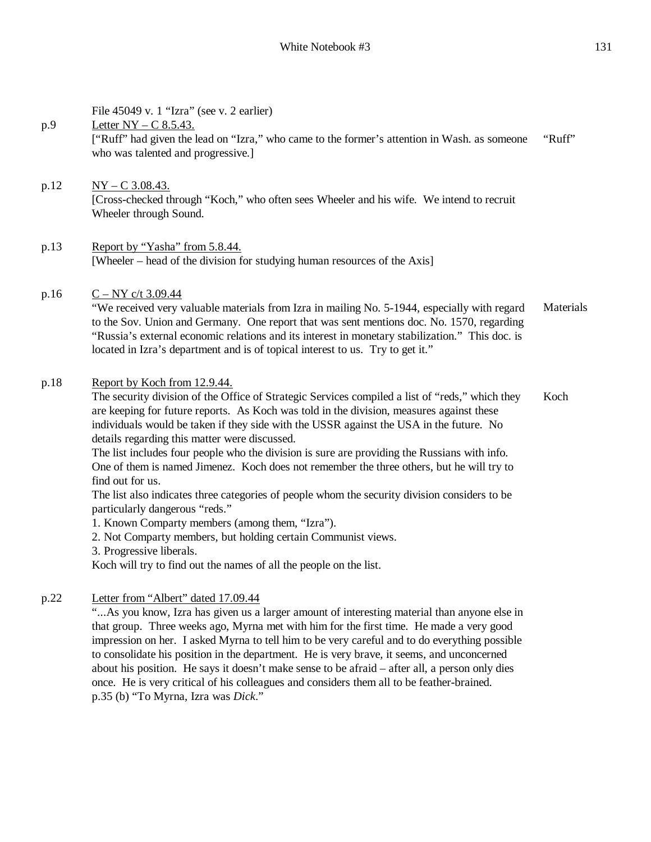|      | File 45049 v. 1 "Izra" (see v. 2 earlier)                                                                                                                                                                                                                                                                                                                                                                                                                                                                                                                                                                                                                                                                                                                                                                                                                                                                                                         |           |
|------|---------------------------------------------------------------------------------------------------------------------------------------------------------------------------------------------------------------------------------------------------------------------------------------------------------------------------------------------------------------------------------------------------------------------------------------------------------------------------------------------------------------------------------------------------------------------------------------------------------------------------------------------------------------------------------------------------------------------------------------------------------------------------------------------------------------------------------------------------------------------------------------------------------------------------------------------------|-----------|
| p.9  | Letter $NY - C$ 8.5.43.<br>["Ruff" had given the lead on "Izra," who came to the former's attention in Wash. as someone<br>who was talented and progressive.]                                                                                                                                                                                                                                                                                                                                                                                                                                                                                                                                                                                                                                                                                                                                                                                     | "Ruff"    |
| p.12 | $NY - C$ 3.08.43.<br>[Cross-checked through "Koch," who often sees Wheeler and his wife. We intend to recruit<br>Wheeler through Sound.                                                                                                                                                                                                                                                                                                                                                                                                                                                                                                                                                                                                                                                                                                                                                                                                           |           |
| p.13 | Report by "Yasha" from 5.8.44.<br>[Wheeler – head of the division for studying human resources of the Axis]                                                                                                                                                                                                                                                                                                                                                                                                                                                                                                                                                                                                                                                                                                                                                                                                                                       |           |
| p.16 | $C - NY c/t 3.09.44$<br>"We received very valuable materials from Izra in mailing No. 5-1944, especially with regard<br>to the Sov. Union and Germany. One report that was sent mentions doc. No. 1570, regarding<br>"Russia's external economic relations and its interest in monetary stabilization." This doc. is<br>located in Izra's department and is of topical interest to us. Try to get it."                                                                                                                                                                                                                                                                                                                                                                                                                                                                                                                                            | Materials |
| p.18 | Report by Koch from 12.9.44.<br>The security division of the Office of Strategic Services compiled a list of "reds," which they<br>are keeping for future reports. As Koch was told in the division, measures against these<br>individuals would be taken if they side with the USSR against the USA in the future. No<br>details regarding this matter were discussed.<br>The list includes four people who the division is sure are providing the Russians with info.<br>One of them is named Jimenez. Koch does not remember the three others, but he will try to<br>find out for us.<br>The list also indicates three categories of people whom the security division considers to be<br>particularly dangerous "reds."<br>1. Known Comparty members (among them, "Izra").<br>2. Not Comparty members, but holding certain Communist views.<br>3. Progressive liberals.<br>Koch will try to find out the names of all the people on the list. | Koch      |
| p.22 | Letter from "Albert" dated 17.09.44<br>" As you know, Izra has given us a larger amount of interesting material than anyone else in<br>that group. Three weeks ago, Myrna met with him for the first time. He made a very good<br>impression on her. I asked Myrna to tell him to be very careful and to do everything possible<br>to consolidate his position in the department. He is very brave, it seems, and unconcerned<br>about his position. He says it doesn't make sense to be afraid – after all, a person only dies<br>once. He is very critical of his colleagues and considers them all to be feather-brained.<br>p.35 (b) "To Myrna, Izra was Dick."                                                                                                                                                                                                                                                                               |           |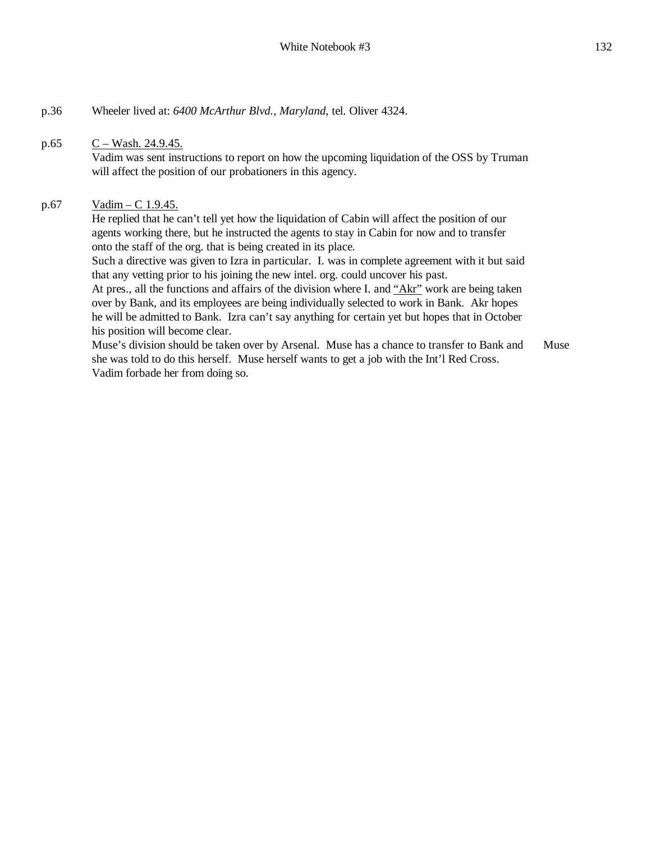### p.65  $C - Wash. 24.9.45$ .

Vadim was sent instructions to report on how the upcoming liquidation of the OSS by Truman will affect the position of our probationers in this agency.

### p.67 Vadim – C 1.9.45.

He replied that he can't tell yet how the liquidation of Cabin will affect the position of our agents working there, but he instructed the agents to stay in Cabin for now and to transfer onto the staff of the org. that is being created in its place.

Such a directive was given to Izra in particular. I. was in complete agreement with it but said that any vetting prior to his joining the new intel. org. could uncover his past.

At pres., all the functions and affairs of the division where I. and "Akr" work are being taken over by Bank, and its employees are being individually selected to work in Bank. Akr hopes he will be admitted to Bank. Izra can't say anything for certain yet but hopes that in October his position will become clear.

Muse's division should be taken over by Arsenal. Muse has a chance to transfer to Bank and she was told to do this herself. Muse herself wants to get a job with the Int'l Red Cross. Vadim forbade her from doing so. Muse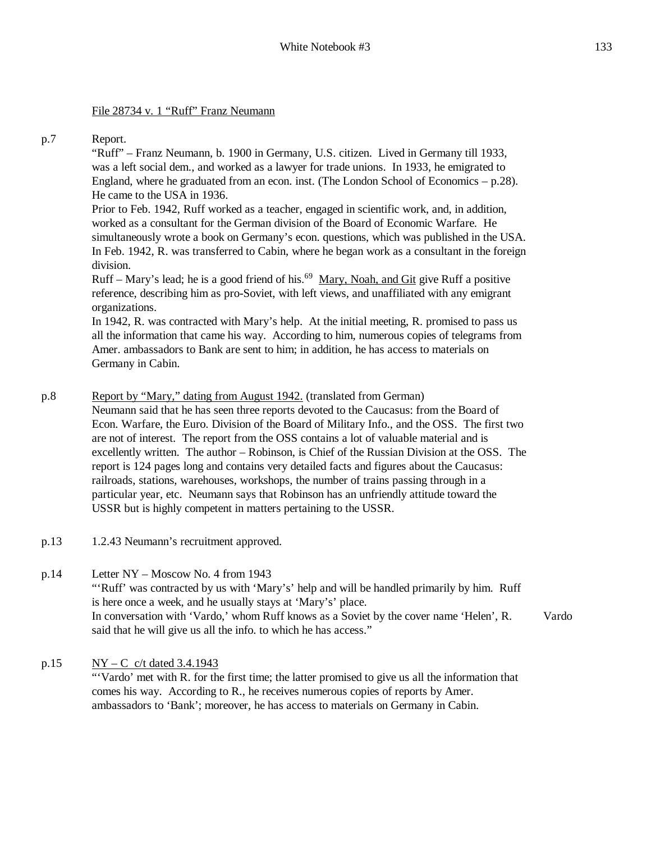### File 28734 v. 1 "Ruff" Franz Neumann

#### p.7 Report.

"Ruff" – Franz Neumann, b. 1900 in Germany, U.S. citizen. Lived in Germany till 1933, was a left social dem., and worked as a lawyer for trade unions. In 1933, he emigrated to England, where he graduated from an econ. inst. (The London School of Economics – p.28). He came to the USA in 1936.

Prior to Feb. 1942, Ruff worked as a teacher, engaged in scientific work, and, in addition, worked as a consultant for the German division of the Board of Economic Warfare. He simultaneously wrote a book on Germany's econ. questions, which was published in the USA. In Feb. 1942, R. was transferred to Cabin, where he began work as a consultant in the foreign division.

Ruff – Mary's lead; he is a good friend of his.<sup>69</sup> Mary, Noah, and Git give Ruff a positive reference, describing him as pro-Soviet, with left views, and unaffiliated with any emigrant organizations.

In 1942, R. was contracted with Mary's help. At the initial meeting, R. promised to pass us all the information that came his way. According to him, numerous copies of telegrams from Amer. ambassadors to Bank are sent to him; in addition, he has access to materials on Germany in Cabin.

#### p.8 Report by "Mary," dating from August 1942. (translated from German)

Neumann said that he has seen three reports devoted to the Caucasus: from the Board of Econ. Warfare, the Euro. Division of the Board of Military Info., and the OSS. The first two are not of interest. The report from the OSS contains a lot of valuable material and is excellently written. The author – Robinson, is Chief of the Russian Division at the OSS. The report is 124 pages long and contains very detailed facts and figures about the Caucasus: railroads, stations, warehouses, workshops, the number of trains passing through in a particular year, etc. Neumann says that Robinson has an unfriendly attitude toward the USSR but is highly competent in matters pertaining to the USSR.

- p.13 1.2.43 Neumann's recruitment approved.
- p.14 Letter NY Moscow No. 4 from 1943 "'Ruff' was contracted by us with 'Mary's' help and will be handled primarily by him. Ruff is here once a week, and he usually stays at 'Mary's' place. In conversation with 'Vardo,' whom Ruff knows as a Soviet by the cover name 'Helen', R. said that he will give us all the info. to which he has access." Vardo
- p.15  $NY C$  c/t dated 3.4.1943 "'Vardo' met with R. for the first time; the latter promised to give us all the information that comes his way. According to R., he receives numerous copies of reports by Amer. ambassadors to 'Bank'; moreover, he has access to materials on Germany in Cabin.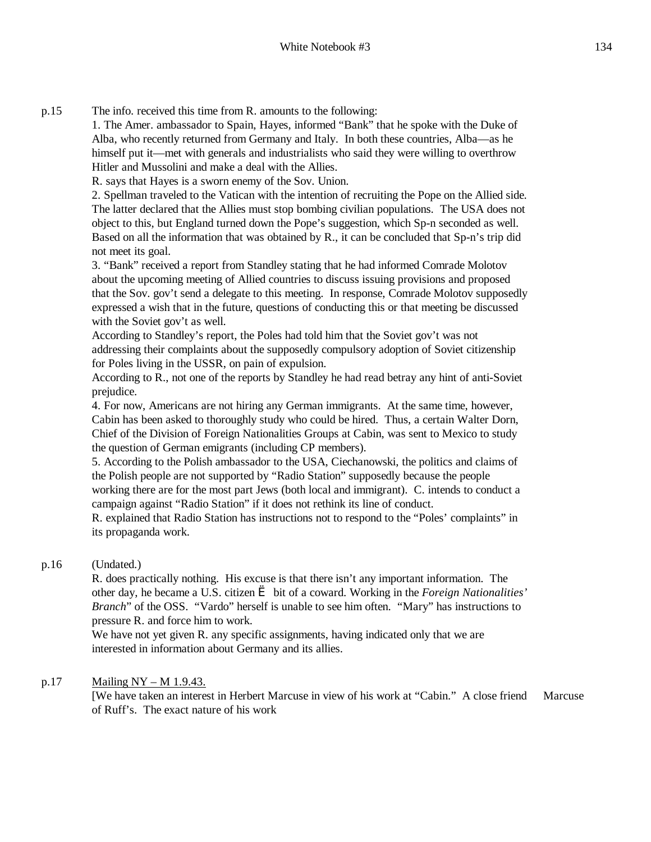p.15 The info. received this time from R. amounts to the following:

1. The Amer. ambassador to Spain, Hayes, informed "Bank" that he spoke with the Duke of Alba, who recently returned from Germany and Italy. In both these countries, Alba—as he himself put it—met with generals and industrialists who said they were willing to overthrow Hitler and Mussolini and make a deal with the Allies.

R. says that Hayes is a sworn enemy of the Sov. Union.

2. Spellman traveled to the Vatican with the intention of recruiting the Pope on the Allied side. The latter declared that the Allies must stop bombing civilian populations. The USA does not object to this, but England turned down the Pope's suggestion, which Sp-n seconded as well. Based on all the information that was obtained by R., it can be concluded that Sp-n's trip did not meet its goal.

3. "Bank" received a report from Standley stating that he had informed Comrade Molotov about the upcoming meeting of Allied countries to discuss issuing provisions and proposed that the Sov. gov't send a delegate to this meeting. In response, Comrade Molotov supposedly expressed a wish that in the future, questions of conducting this or that meeting be discussed with the Soviet gov't as well.

According to Standley's report, the Poles had told him that the Soviet gov't was not addressing their complaints about the supposedly compulsory adoption of Soviet citizenship for Poles living in the USSR, on pain of expulsion.

According to R., not one of the reports by Standley he had read betray any hint of anti-Soviet prejudice.

4. For now, Americans are not hiring any German immigrants. At the same time, however, Cabin has been asked to thoroughly study who could be hired. Thus, a certain Walter Dorn, Chief of the Division of Foreign Nationalities Groups at Cabin, was sent to Mexico to study the question of German emigrants (including CP members).

5. According to the Polish ambassador to the USA, Ciechanowski, the politics and claims of the Polish people are not supported by "Radio Station" supposedly because the people working there are for the most part Jews (both local and immigrant). C. intends to conduct a campaign against "Radio Station" if it does not rethink its line of conduct.

R. explained that Radio Station has instructions not to respond to the "Poles' complaints" in its propaganda work.

### p.16 (Undated.)

R. does practically nothing. His excuse is that there isn't any important information. The other day, he became a U.S. citizen è bit of a coward. Working in the *Foreign Nationalities' Branch*" of the OSS. "Vardo" herself is unable to see him often. "Mary" has instructions to pressure R. and force him to work.

We have not yet given R. any specific assignments, having indicated only that we are interested in information about Germany and its allies.

### p.17 Mailing  $NY - M 1.9.43$ .

[We have taken an interest in Herbert Marcuse in view of his work at "Cabin." A close friend of Ruff's. The exact nature of his work Marcuse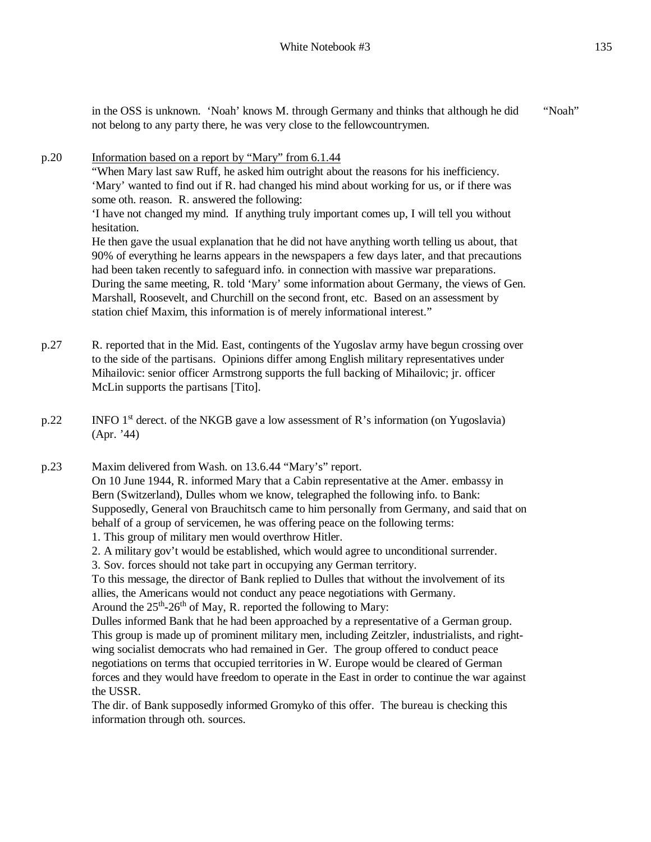in the OSS is unknown. 'Noah' knows M. through Germany and thinks that although he did not belong to any party there, he was very close to the fellowcountrymen. "Noah"

- p.20 Information based on a report by "Mary" from 6.1.44 "When Mary last saw Ruff, he asked him outright about the reasons for his inefficiency. 'Mary' wanted to find out if R. had changed his mind about working for us, or if there was some oth. reason. R. answered the following: 'I have not changed my mind. If anything truly important comes up, I will tell you without hesitation. He then gave the usual explanation that he did not have anything worth telling us about, that 90% of everything he learns appears in the newspapers a few days later, and that precautions had been taken recently to safeguard info. in connection with massive war preparations. During the same meeting, R. told 'Mary' some information about Germany, the views of Gen. Marshall, Roosevelt, and Churchill on the second front, etc. Based on an assessment by station chief Maxim, this information is of merely informational interest."
- p.27 R. reported that in the Mid. East, contingents of the Yugoslav army have begun crossing over to the side of the partisans. Opinions differ among English military representatives under Mihailovic: senior officer Armstrong supports the full backing of Mihailovic; jr. officer McLin supports the partisans [Tito].
- $p.22$  INFO 1<sup>st</sup> derect. of the NKGB gave a low assessment of R's information (on Yugoslavia) (Apr. '44)

p.23 Maxim delivered from Wash. on 13.6.44 "Mary's" report. On 10 June 1944, R. informed Mary that a Cabin representative at the Amer. embassy in Bern (Switzerland), Dulles whom we know, telegraphed the following info. to Bank: Supposedly, General von Brauchitsch came to him personally from Germany, and said that on behalf of a group of servicemen, he was offering peace on the following terms: 1. This group of military men would overthrow Hitler.

2. A military gov't would be established, which would agree to unconditional surrender.

3. Sov. forces should not take part in occupying any German territory.

To this message, the director of Bank replied to Dulles that without the involvement of its allies, the Americans would not conduct any peace negotiations with Germany. Around the  $25<sup>th</sup> - 26<sup>th</sup>$  of May, R. reported the following to Mary:

Dulles informed Bank that he had been approached by a representative of a German group. This group is made up of prominent military men, including Zeitzler, industrialists, and rightwing socialist democrats who had remained in Ger. The group offered to conduct peace negotiations on terms that occupied territories in W. Europe would be cleared of German forces and they would have freedom to operate in the East in order to continue the war against the USSR.

The dir. of Bank supposedly informed Gromyko of this offer. The bureau is checking this information through oth. sources.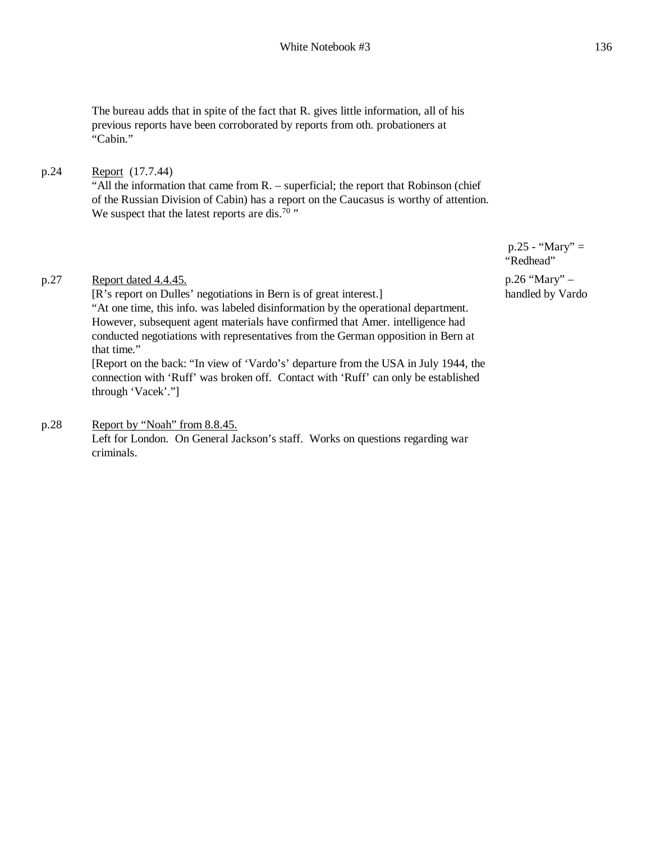The bureau adds that in spite of the fact that R. gives little information, all of his previous reports have been corroborated by reports from oth. probationers at "Cabin."

### p.24 Report (17.7.44)

"All the information that came from R. – superficial; the report that Robinson (chief of the Russian Division of Cabin) has a report on the Caucasus is worthy of attention. We suspect that the latest reports are dis.<sup>70</sup>  $\cdot$ 

p.27 Report dated 4.4.45.

[R's report on Dulles' negotiations in Bern is of great interest.] "At one time, this info. was labeled disinformation by the operational department. However, subsequent agent materials have confirmed that Amer. intelligence had conducted negotiations with representatives from the German opposition in Bern at that time."

[Report on the back: "In view of 'Vardo's' departure from the USA in July 1944, the connection with 'Ruff' was broken off. Contact with 'Ruff' can only be established through 'Vacek'."]

## p.28 Report by "Noah" from 8.8.45.

Left for London. On General Jackson's staff. Works on questions regarding war criminals.

 $p.25 - "Mary" =$ "Redhead"

p.26 "Mary" – handled by Vardo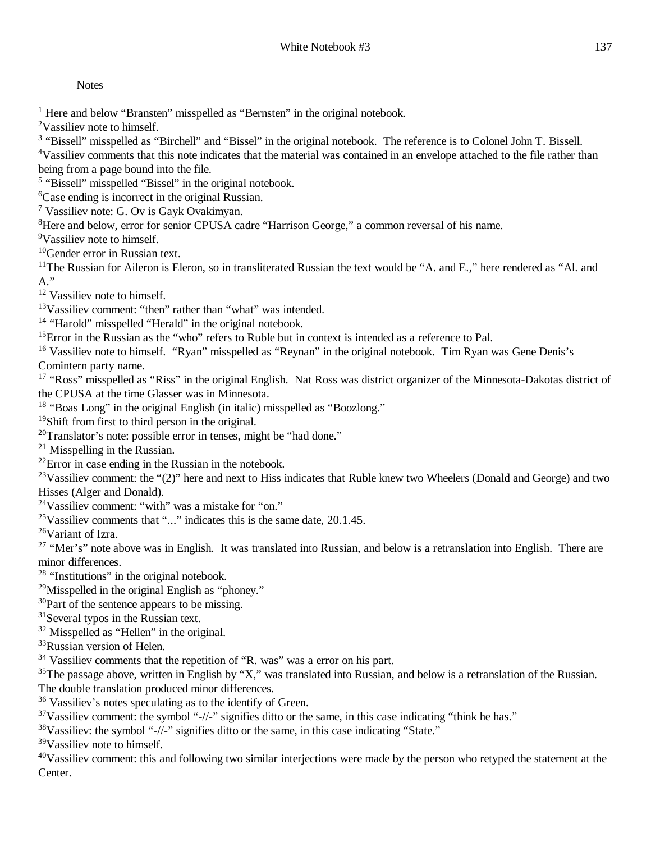**Notes** 

<sup>1</sup> Here and below "Bransten" misspelled as "Bernsten" in the original notebook.

<sup>2</sup>Vassiliev note to himself.

<sup>3</sup> "Bissell" misspelled as "Birchell" and "Bissel" in the original notebook. The reference is to Colonel John T. Bissell.

<sup>4</sup>Vassiliev comments that this note indicates that the material was contained in an envelope attached to the file rather than being from a page bound into the file.

<sup>5</sup> "Bissell" misspelled "Bissel" in the original notebook.

<sup>6</sup>Case ending is incorrect in the original Russian.

<sup>7</sup> Vassiliev note: G. Ov is Gayk Ovakimyan.

<sup>8</sup>Here and below, error for senior CPUSA cadre "Harrison George," a common reversal of his name.

<sup>9</sup>Vassiliev note to himself.

<sup>10</sup>Gender error in Russian text.

<sup>11</sup>The Russian for Aileron is Eleron, so in transliterated Russian the text would be "A. and E.," here rendered as "Al. and A."

<sup>12</sup> Vassiliev note to himself.

<sup>13</sup>Vassiliev comment: "then" rather than "what" was intended.

<sup>14</sup> "Harold" misspelled "Herald" in the original notebook.

<sup>15</sup>Error in the Russian as the "who" refers to Ruble but in context is intended as a reference to Pal.

<sup>16</sup> Vassiliev note to himself. "Ryan" misspelled as "Reynan" in the original notebook. Tim Ryan was Gene Denis's Comintern party name.

<sup>17</sup> "Ross" misspelled as "Riss" in the original English. Nat Ross was district organizer of the Minnesota-Dakotas district of the CPUSA at the time Glasser was in Minnesota.

<sup>18</sup> "Boas Long" in the original English (in italic) misspelled as "Boozlong."

<sup>19</sup>Shift from first to third person in the original.

 $20$ Translator's note: possible error in tenses, might be "had done."

 $21$  Misspelling in the Russian.

 $^{22}$ Error in case ending in the Russian in the notebook.

<sup>23</sup>Vassiliev comment: the "(2)" here and next to Hiss indicates that Ruble knew two Wheelers (Donald and George) and two Hisses (Alger and Donald).

<sup>24</sup>Vassiliev comment: "with" was a mistake for "on."

<sup>25</sup>Vassiliev comments that "..." indicates this is the same date,  $20.1.45$ .

<sup>26</sup>Variant of Izra.

<sup>27</sup> "Mer's" note above was in English. It was translated into Russian, and below is a retranslation into English. There are minor differences.

<sup>28</sup> "Institutions" in the original notebook.

 $29$ Misspelled in the original English as "phoney."

<sup>30</sup>Part of the sentence appears to be missing.

<sup>31</sup>Several typos in the Russian text.

<sup>32</sup> Misspelled as "Hellen" in the original.

<sup>33</sup>Russian version of Helen.

<sup>34</sup> Vassiliev comments that the repetition of "R. was" was a error on his part.

 $35$ The passage above, written in English by "X," was translated into Russian, and below is a retranslation of the Russian. The double translation produced minor differences.

<sup>36</sup> Vassiliev's notes speculating as to the identify of Green.

<sup>37</sup>Vassiliev comment: the symbol "-//-" signifies ditto or the same, in this case indicating "think he has."

<sup>38</sup>Vassiliev: the symbol "-//-" signifies ditto or the same, in this case indicating "State."

<sup>39</sup>Vassiliev note to himself.

 $40V$ assiliev comment: this and following two similar interjections were made by the person who retyped the statement at the Center.